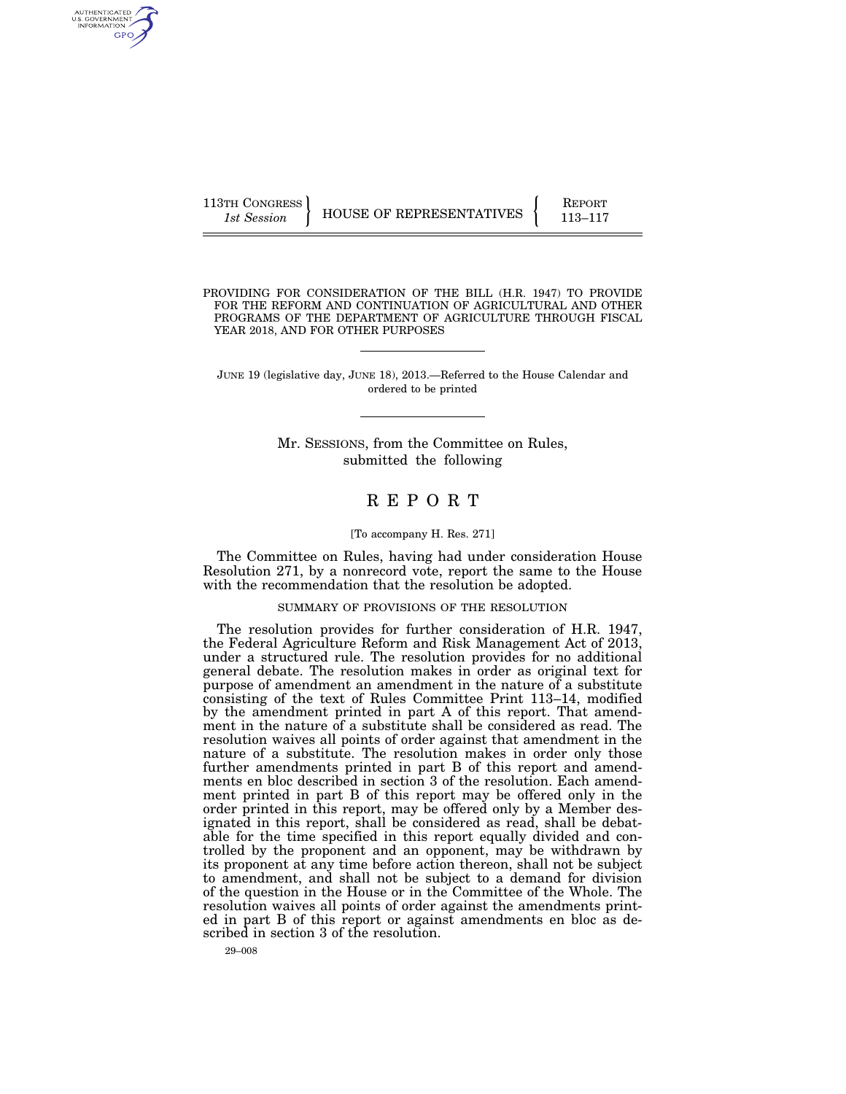| 113TH CONGRESS | HOUSE OF REPRESENTATIVES | <b>REPORT</b> |
|----------------|--------------------------|---------------|
| 1st Session    |                          | 113–117       |

PROVIDING FOR CONSIDERATION OF THE BILL (H.R. 1947) TO PROVIDE FOR THE REFORM AND CONTINUATION OF AGRICULTURAL AND OTHER PROGRAMS OF THE DEPARTMENT OF AGRICULTURE THROUGH FISCAL YEAR 2018, AND FOR OTHER PURPOSES

JUNE 19 (legislative day, JUNE 18), 2013.—Referred to the House Calendar and ordered to be printed

> Mr. SESSIONS, from the Committee on Rules, submitted the following

# R E P O R T

## [To accompany H. Res. 271]

The Committee on Rules, having had under consideration House Resolution 271, by a nonrecord vote, report the same to the House with the recommendation that the resolution be adopted.

## SUMMARY OF PROVISIONS OF THE RESOLUTION

The resolution provides for further consideration of H.R. 1947, the Federal Agriculture Reform and Risk Management Act of 2013, under a structured rule. The resolution provides for no additional general debate. The resolution makes in order as original text for purpose of amendment an amendment in the nature of a substitute consisting of the text of Rules Committee Print 113–14, modified by the amendment printed in part A of this report. That amendment in the nature of a substitute shall be considered as read. The resolution waives all points of order against that amendment in the nature of a substitute. The resolution makes in order only those further amendments printed in part B of this report and amendments en bloc described in section 3 of the resolution. Each amendment printed in part B of this report may be offered only in the order printed in this report, may be offered only by a Member designated in this report, shall be considered as read, shall be debatable for the time specified in this report equally divided and controlled by the proponent and an opponent, may be withdrawn by its proponent at any time before action thereon, shall not be subject to amendment, and shall not be subject to a demand for division of the question in the House or in the Committee of the Whole. The resolution waives all points of order against the amendments printed in part B of this report or against amendments en bloc as described in section 3 of the resolution.

AUTHENTICATED<br>U.S. GOVERNMENT<br>INFORMATION GPO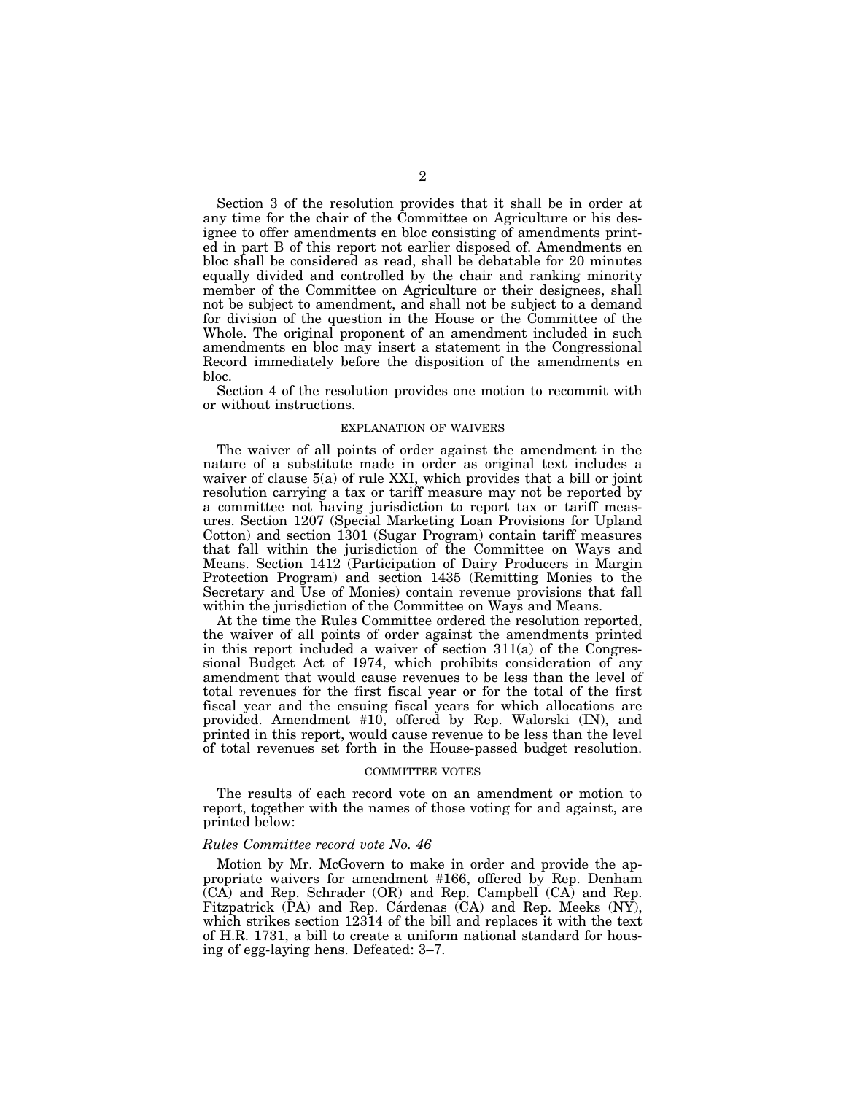Section 3 of the resolution provides that it shall be in order at any time for the chair of the Committee on Agriculture or his designee to offer amendments en bloc consisting of amendments printed in part B of this report not earlier disposed of. Amendments en bloc shall be considered as read, shall be debatable for 20 minutes equally divided and controlled by the chair and ranking minority member of the Committee on Agriculture or their designees, shall not be subject to amendment, and shall not be subject to a demand for division of the question in the House or the Committee of the Whole. The original proponent of an amendment included in such amendments en bloc may insert a statement in the Congressional Record immediately before the disposition of the amendments en bloc.

Section 4 of the resolution provides one motion to recommit with or without instructions.

## EXPLANATION OF WAIVERS

The waiver of all points of order against the amendment in the nature of a substitute made in order as original text includes a waiver of clause 5(a) of rule XXI, which provides that a bill or joint resolution carrying a tax or tariff measure may not be reported by a committee not having jurisdiction to report tax or tariff measures. Section 1207 (Special Marketing Loan Provisions for Upland Cotton) and section 1301 (Sugar Program) contain tariff measures that fall within the jurisdiction of the Committee on Ways and Means. Section 1412 (Participation of Dairy Producers in Margin Protection Program) and section 1435 (Remitting Monies to the Secretary and Use of Monies) contain revenue provisions that fall within the jurisdiction of the Committee on Ways and Means.

At the time the Rules Committee ordered the resolution reported, the waiver of all points of order against the amendments printed in this report included a waiver of section 311(a) of the Congressional Budget Act of 1974, which prohibits consideration of any amendment that would cause revenues to be less than the level of total revenues for the first fiscal year or for the total of the first fiscal year and the ensuing fiscal years for which allocations are provided. Amendment #10, offered by Rep. Walorski (IN), and printed in this report, would cause revenue to be less than the level of total revenues set forth in the House-passed budget resolution.

### COMMITTEE VOTES

The results of each record vote on an amendment or motion to report, together with the names of those voting for and against, are printed below:

## *Rules Committee record vote No. 46*

Motion by Mr. McGovern to make in order and provide the appropriate waivers for amendment #166, offered by Rep. Denham  $\overline{(CA)}$  and Rep. Schrader (OR) and Rep. Campbell  $(CA)$  and Rep. Fitzpatrick  $(PA)$  and Rep. Cárdenas  $(CA)$  and Rep. Meeks  $(NY)$ , which strikes section 12314 of the bill and replaces it with the text of H.R. 1731, a bill to create a uniform national standard for housing of egg-laying hens. Defeated: 3–7.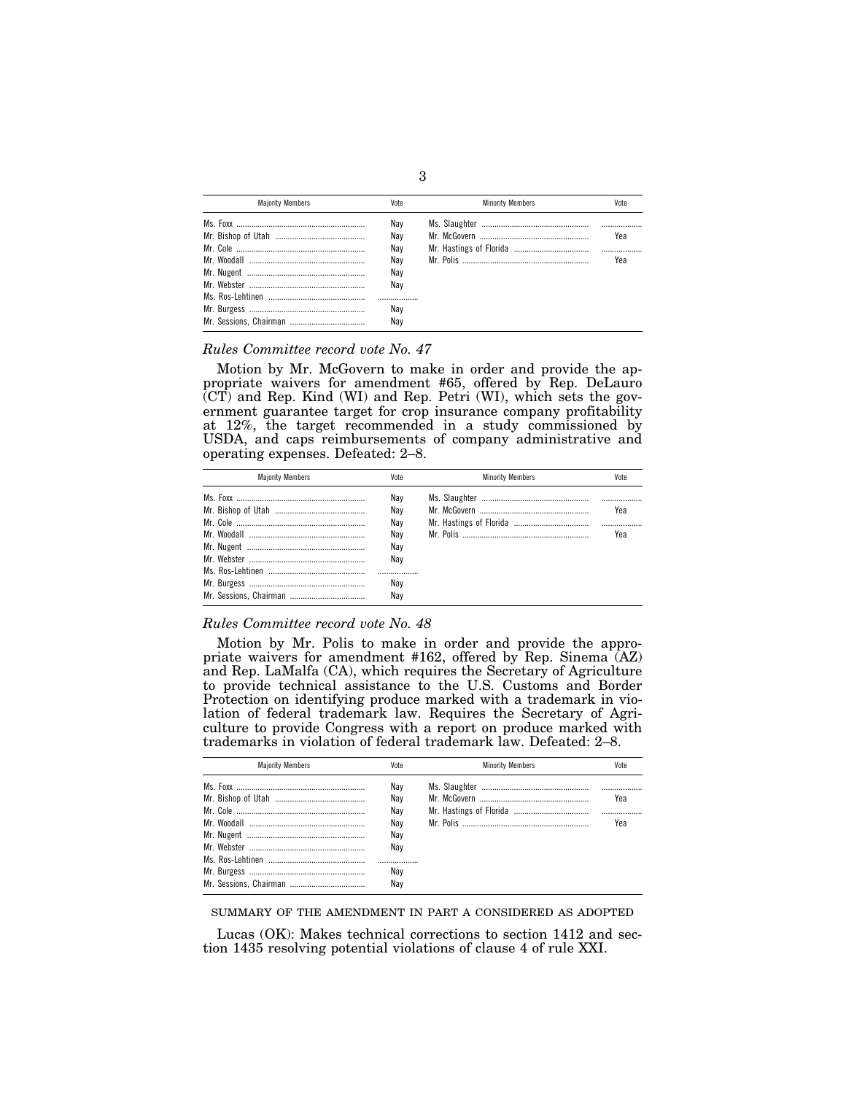| <b>Maiority Members</b> | Vote | <b>Minority Members</b> | Vote |
|-------------------------|------|-------------------------|------|
|                         | Nav  |                         |      |
|                         | Nav  |                         | Yea  |
|                         | Nav  |                         |      |
|                         | Nav  |                         | Yea  |
|                         | Nav  |                         |      |
|                         | Nav  |                         |      |
|                         |      |                         |      |
|                         | Nav  |                         |      |
|                         | Nav  |                         |      |

# *Rules Committee record vote No. 47*

Motion by Mr. McGovern to make in order and provide the appropriate waivers for amendment #65, offered by Rep. DeLauro (CT) and Rep. Kind (WI) and Rep. Petri (WI), which sets the government guarantee target for crop insurance company profitability at 12%, the target recommended in a study commissioned by USDA, and caps reimbursements of company administrative and operating expenses. Defeated: 2–8.

| <b>Maiority Members</b> | Vote | <b>Minority Members</b> | Vote |
|-------------------------|------|-------------------------|------|
|                         | Nav  |                         |      |
|                         | Nav  |                         | Yea  |
|                         | Nav  |                         |      |
|                         | Nav  |                         | Yea  |
|                         | Nav  |                         |      |
|                         | Nav  |                         |      |
|                         |      |                         |      |
|                         | Nav  |                         |      |
|                         | Nav  |                         |      |

# *Rules Committee record vote No. 48*

Motion by Mr. Polis to make in order and provide the appropriate waivers for amendment #162, offered by Rep. Sinema (AZ) and Rep. LaMalfa (CA), which requires the Secretary of Agriculture to provide technical assistance to the U.S. Customs and Border Protection on identifying produce marked with a trademark in violation of federal trademark law. Requires the Secretary of Agriculture to provide Congress with a report on produce marked with trademarks in violation of federal trademark law. Defeated: 2–8.

| <b>Maiority Members</b> | Vote | <b>Minority Members</b> | Vote |
|-------------------------|------|-------------------------|------|
|                         | Nav  |                         |      |
|                         | Nav  |                         | Yea  |
|                         | Nav  |                         |      |
|                         | Nav  |                         | Yea  |
|                         | Nav  |                         |      |
|                         | Nav  |                         |      |
|                         |      |                         |      |
|                         | Nav  |                         |      |
|                         | Nav  |                         |      |

SUMMARY OF THE AMENDMENT IN PART A CONSIDERED AS ADOPTED

Lucas (OK): Makes technical corrections to section 1412 and section 1435 resolving potential violations of clause 4 of rule XXI.

3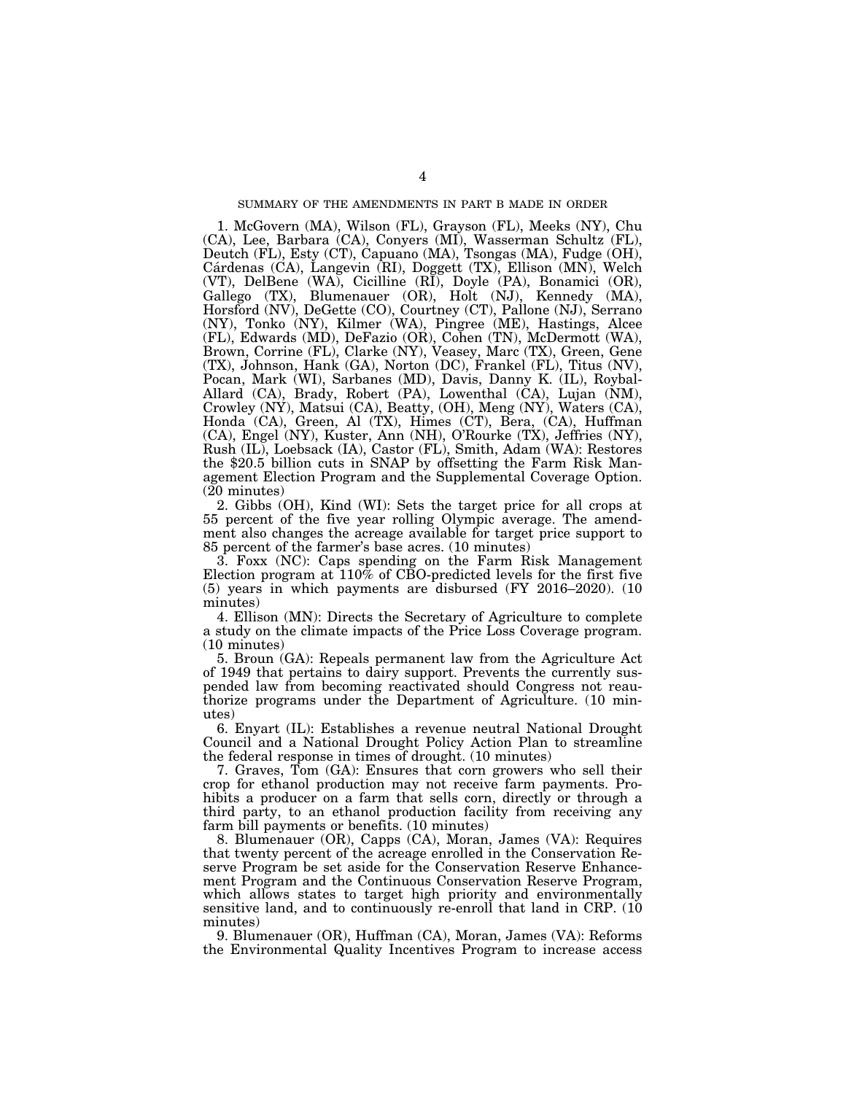1. McGovern (MA), Wilson (FL), Grayson (FL), Meeks (NY), Chu (CA), Lee, Barbara (CA), Conyers (MI), Wasserman Schultz (FL), Deutch (FL), Esty (CT), Capuano (MA), Tsongas (MA), Fudge (OH), Cárdenas (CA), Langevin (RI), Doggett (TX), Ellison (MN), Welch (VT), DelBene (WA), Cicilline (RI), Doyle (PA), Bonamici (OR), Gallego (TX), Blumenauer (OR), Holt (NJ), Kennedy (MA), Horsford (NV), DeGette (CO), Courtney (CT), Pallone (NJ), Serrano (NY), Tonko (NY), Kilmer (WA), Pingree (ME), Hastings, Alcee (FL), Edwards (MD), DeFazio (OR), Cohen (TN), McDermott (WA), Brown, Corrine (FL), Clarke (NY), Veasey, Marc (TX), Green, Gene (TX), Johnson, Hank (GA), Norton (DC), Frankel (FL), Titus (NV), Pocan, Mark (WI), Sarbanes (MD), Davis, Danny K. (IL), Roybal-Allard (CA), Brady, Robert (PA), Lowenthal (CA), Lujan (NM), Crowley (NY), Matsui (CA), Beatty, (OH), Meng (NY), Waters (CA), Honda (CA), Green, Al (TX), Himes (CT), Bera, (CA), Huffman (CA), Engel (NY), Kuster, Ann (NH), O'Rourke (TX), Jeffries (NY), Rush (IL), Loebsack (IA), Castor (FL), Smith, Adam (WA): Restores the \$20.5 billion cuts in SNAP by offsetting the Farm Risk Management Election Program and the Supplemental Coverage Option. (20 minutes)

2. Gibbs (OH), Kind (WI): Sets the target price for all crops at 55 percent of the five year rolling Olympic average. The amendment also changes the acreage available for target price support to 85 percent of the farmer's base acres. (10 minutes)

3. Foxx (NC): Caps spending on the Farm Risk Management Election program at 110% of CBO-predicted levels for the first five (5) years in which payments are disbursed (FY 2016–2020). (10 minutes)

4. Ellison (MN): Directs the Secretary of Agriculture to complete a study on the climate impacts of the Price Loss Coverage program. (10 minutes)

5. Broun (GA): Repeals permanent law from the Agriculture Act of 1949 that pertains to dairy support. Prevents the currently suspended law from becoming reactivated should Congress not reauthorize programs under the Department of Agriculture. (10 minutes)

6. Enyart (IL): Establishes a revenue neutral National Drought Council and a National Drought Policy Action Plan to streamline the federal response in times of drought. (10 minutes)

7. Graves, Tom (GA): Ensures that corn growers who sell their crop for ethanol production may not receive farm payments. Prohibits a producer on a farm that sells corn, directly or through a third party, to an ethanol production facility from receiving any farm bill payments or benefits. (10 minutes)

8. Blumenauer (OR), Capps (CA), Moran, James (VA): Requires that twenty percent of the acreage enrolled in the Conservation Reserve Program be set aside for the Conservation Reserve Enhancement Program and the Continuous Conservation Reserve Program, which allows states to target high priority and environmentally sensitive land, and to continuously re-enroll that land in CRP. (10 minutes)

9. Blumenauer (OR), Huffman (CA), Moran, James (VA): Reforms the Environmental Quality Incentives Program to increase access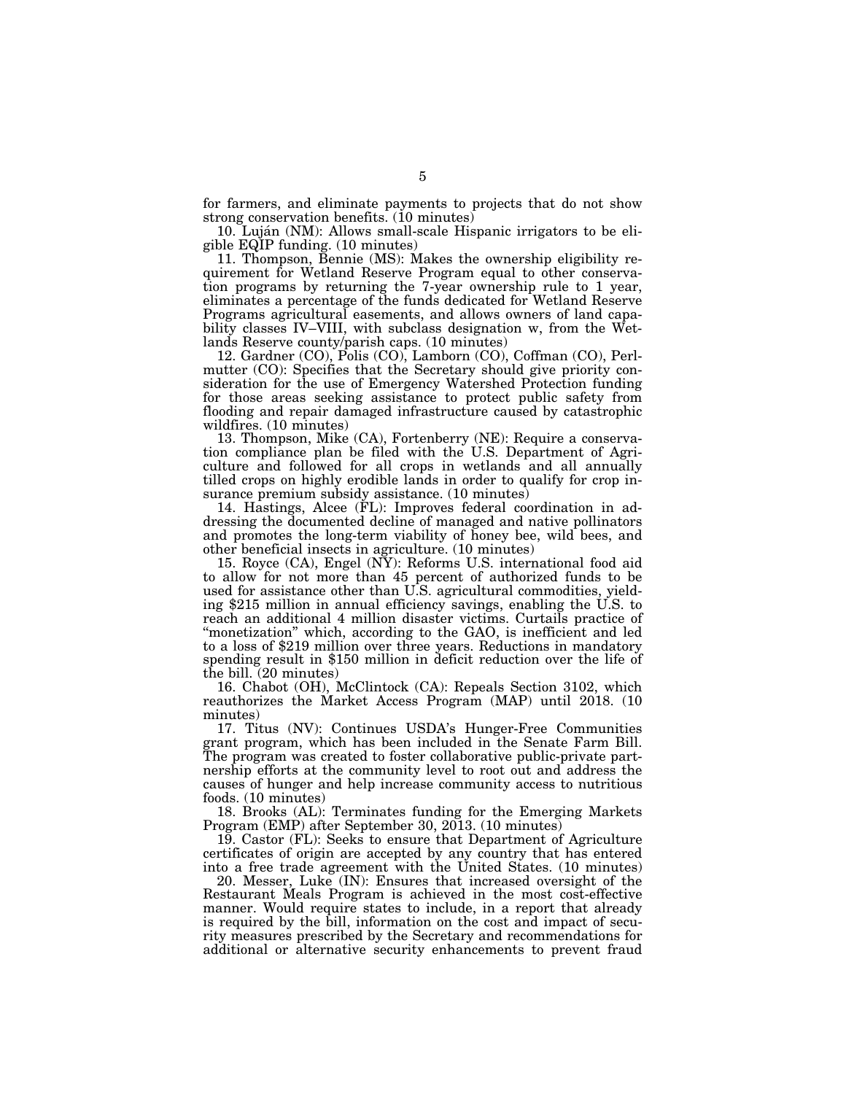for farmers, and eliminate payments to projects that do not show strong conservation benefits. (10 minutes)

10. Luján (NM): Allows small-scale Hispanic irrigators to be eligible EQIP funding. (10 minutes)

11. Thompson, Bennie (MS): Makes the ownership eligibility requirement for Wetland Reserve Program equal to other conservation programs by returning the 7-year ownership rule to 1 year, eliminates a percentage of the funds dedicated for Wetland Reserve Programs agricultural easements, and allows owners of land capability classes IV–VIII, with subclass designation w, from the Wetlands Reserve county/parish caps. (10 minutes)

12. Gardner (CO), Polis (CO), Lamborn (CO), Coffman (CO), Perlmutter (CO): Specifies that the Secretary should give priority consideration for the use of Emergency Watershed Protection funding for those areas seeking assistance to protect public safety from flooding and repair damaged infrastructure caused by catastrophic wildfires. (10 minutes)

13. Thompson, Mike (CA), Fortenberry (NE): Require a conservation compliance plan be filed with the U.S. Department of Agriculture and followed for all crops in wetlands and all annually tilled crops on highly erodible lands in order to qualify for crop insurance premium subsidy assistance. (10 minutes)

14. Hastings, Alcee (FL): Improves federal coordination in addressing the documented decline of managed and native pollinators and promotes the long-term viability of honey bee, wild bees, and other beneficial insects in agriculture. (10 minutes)

15. Royce (CA), Engel (NY): Reforms U.S. international food aid to allow for not more than 45 percent of authorized funds to be used for assistance other than U.S. agricultural commodities, yielding \$215 million in annual efficiency savings, enabling the U.S. to reach an additional 4 million disaster victims. Curtails practice of "monetization" which, according to the GAO, is inefficient and led to a loss of \$219 million over three years. Reductions in mandatory spending result in \$150 million in deficit reduction over the life of the bill. (20 minutes)

16. Chabot (OH), McClintock (CA): Repeals Section 3102, which reauthorizes the Market Access Program (MAP) until 2018. (10 minutes)

17. Titus (NV): Continues USDA's Hunger-Free Communities grant program, which has been included in the Senate Farm Bill. The program was created to foster collaborative public-private partnership efforts at the community level to root out and address the causes of hunger and help increase community access to nutritious foods. (10 minutes)

18. Brooks (AL): Terminates funding for the Emerging Markets Program (EMP) after September 30, 2013. (10 minutes)

19. Castor (FL): Seeks to ensure that Department of Agriculture certificates of origin are accepted by any country that has entered into a free trade agreement with the United States. (10 minutes)

20. Messer, Luke (IN): Ensures that increased oversight of the Restaurant Meals Program is achieved in the most cost-effective manner. Would require states to include, in a report that already is required by the bill, information on the cost and impact of security measures prescribed by the Secretary and recommendations for additional or alternative security enhancements to prevent fraud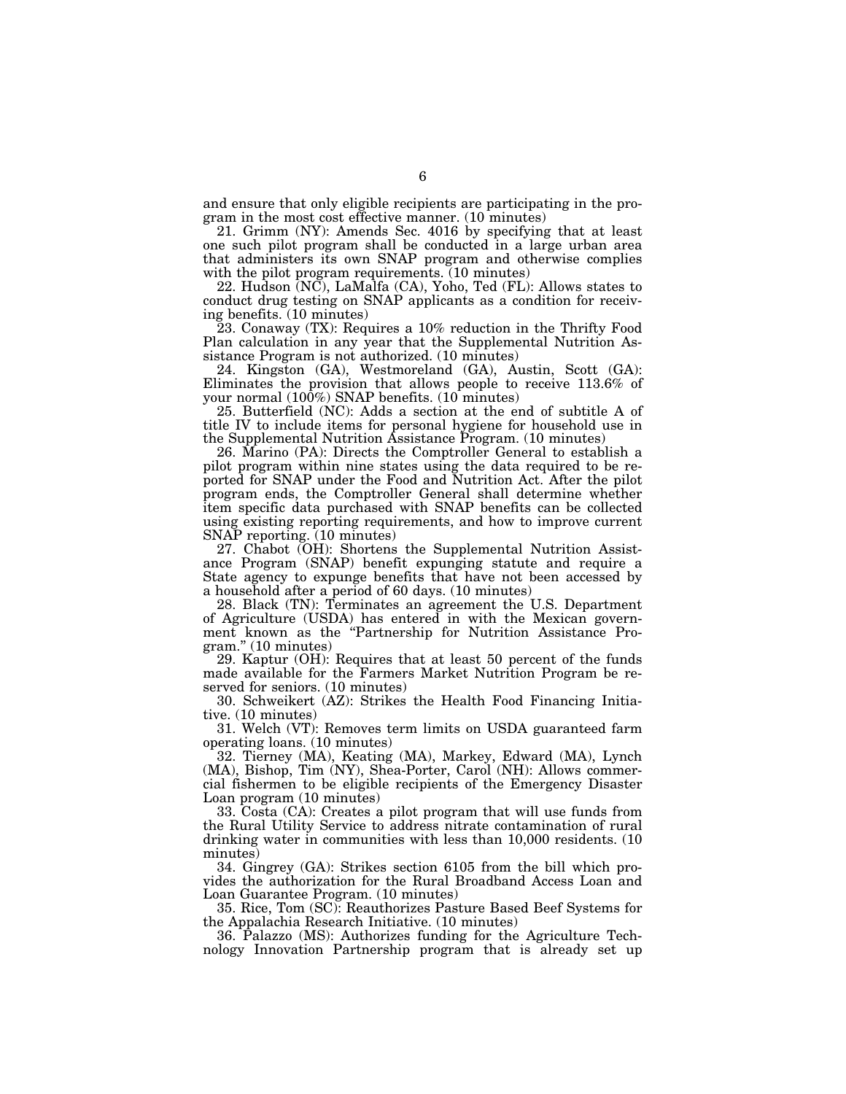and ensure that only eligible recipients are participating in the program in the most cost effective manner. (10 minutes)

21. Grimm (NY): Amends Sec. 4016 by specifying that at least one such pilot program shall be conducted in a large urban area that administers its own SNAP program and otherwise complies with the pilot program requirements. (10 minutes)

22. Hudson (NC), LaMalfa (CA), Yoho, Ted (FL): Allows states to conduct drug testing on SNAP applicants as a condition for receiving benefits. (10 minutes)

23. Conaway (TX): Requires a 10% reduction in the Thrifty Food Plan calculation in any year that the Supplemental Nutrition Assistance Program is not authorized. (10 minutes)

24. Kingston (GA), Westmoreland (GA), Austin, Scott (GA): Eliminates the provision that allows people to receive 113.6% of your normal  $(100\%)$  SNAP benefits.  $(10 \text{ minutes})$ 

25. Butterfield (NC): Adds a section at the end of subtitle A of title IV to include items for personal hygiene for household use in the Supplemental Nutrition Assistance Program. (10 minutes)

26. Marino (PA): Directs the Comptroller General to establish a pilot program within nine states using the data required to be reported for SNAP under the Food and Nutrition Act. After the pilot program ends, the Comptroller General shall determine whether item specific data purchased with SNAP benefits can be collected using existing reporting requirements, and how to improve current SNAP reporting. (10 minutes)

27. Chabot (OH): Shortens the Supplemental Nutrition Assistance Program (SNAP) benefit expunging statute and require a State agency to expunge benefits that have not been accessed by a household after a period of 60 days. (10 minutes)

28. Black (TN): Terminates an agreement the U.S. Department of Agriculture (USDA) has entered in with the Mexican government known as the ''Partnership for Nutrition Assistance Program.'' (10 minutes)

29. Kaptur (OH): Requires that at least 50 percent of the funds made available for the Farmers Market Nutrition Program be reserved for seniors. (10 minutes)

30. Schweikert (AZ): Strikes the Health Food Financing Initiative. (10 minutes)

31. Welch (VT): Removes term limits on USDA guaranteed farm operating loans. (10 minutes)

32. Tierney (MA), Keating (MA), Markey, Edward (MA), Lynch (MA), Bishop, Tim (NY), Shea-Porter, Carol (NH): Allows commercial fishermen to be eligible recipients of the Emergency Disaster Loan program (10 minutes)

33. Costa (CA): Creates a pilot program that will use funds from the Rural Utility Service to address nitrate contamination of rural drinking water in communities with less than 10,000 residents. (10 minutes)

34. Gingrey (GA): Strikes section 6105 from the bill which provides the authorization for the Rural Broadband Access Loan and Loan Guarantee Program. (10 minutes)

35. Rice, Tom (SC): Reauthorizes Pasture Based Beef Systems for the Appalachia Research Initiative. (10 minutes)

36. Palazzo (MS): Authorizes funding for the Agriculture Technology Innovation Partnership program that is already set up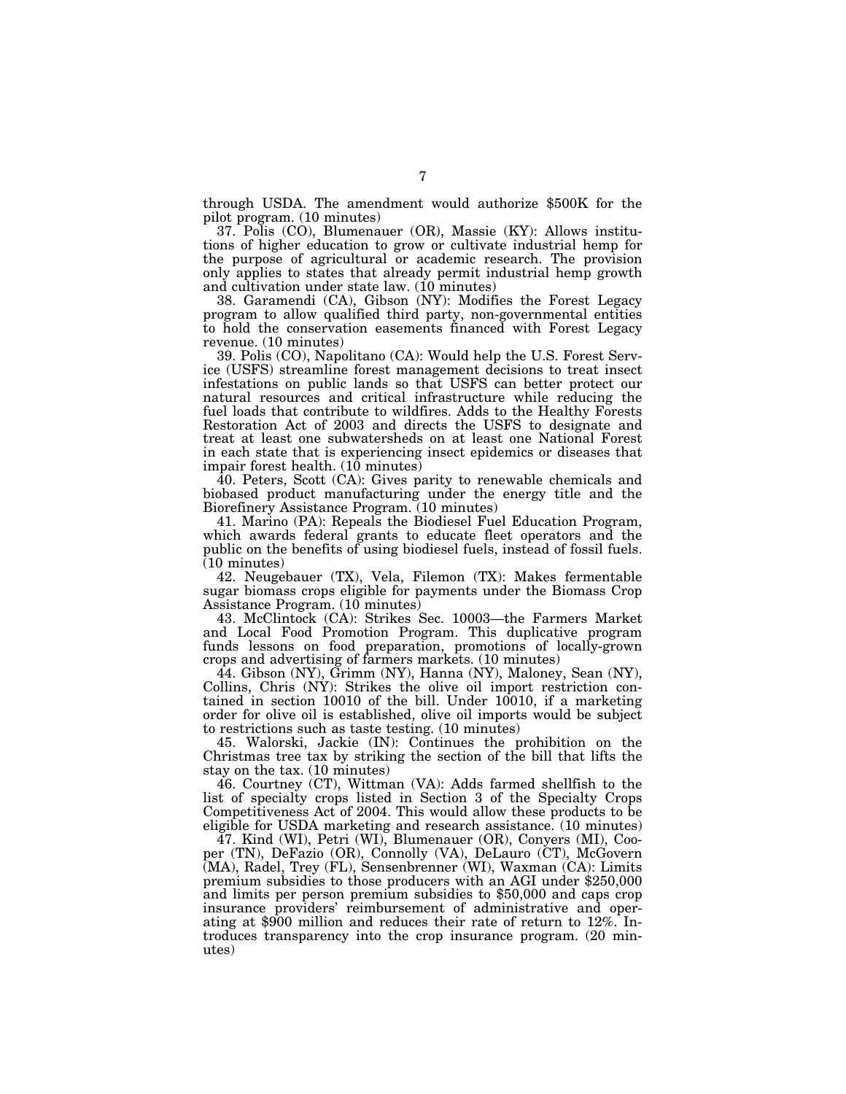through USDA. The amendment would authorize \$500K for the pilot program. (10 minutes)

37. Polis (CO), Blumenauer (OR), Massie (KY): Allows institutions of higher education to grow or cultivate industrial hemp for the purpose of agricultural or academic research. The provision only applies to states that already permit industrial hemp growth and cultivation under state law. (10 minutes)

38. Garamendi (CA), Gibson (NY): Modifies the Forest Legacy program to allow qualified third party, non-governmental entities to hold the conservation easements financed with Forest Legacy revenue. (10 minutes)

39. Polis (CO), Napolitano (CA): Would help the U.S. Forest Service (USFS) streamline forest management decisions to treat insect infestations on public lands so that USFS can better protect our natural resources and critical infrastructure while reducing the fuel loads that contribute to wildfires. Adds to the Healthy Forests Restoration Act of 2003 and directs the USFS to designate and treat at least one subwatersheds on at least one National Forest in each state that is experiencing insect epidemics or diseases that impair forest health. (10 minutes)

40. Peters, Scott (CA): Gives parity to renewable chemicals and biobased product manufacturing under the energy title and the Biorefinery Assistance Program. (10 minutes)

41. Marino (PA): Repeals the Biodiesel Fuel Education Program, which awards federal grants to educate fleet operators and the public on the benefits of using biodiesel fuels, instead of fossil fuels. (10 minutes)

42. Neugebauer (TX), Vela, Filemon (TX): Makes fermentable sugar biomass crops eligible for payments under the Biomass Crop Assistance Program. (10 minutes)

43. McClintock (CA): Strikes Sec. 10003—the Farmers Market and Local Food Promotion Program. This duplicative program funds lessons on food preparation, promotions of locally-grown crops and advertising of farmers markets. (10 minutes)

44. Gibson (NY), Grimm (NY), Hanna (NY), Maloney, Sean (NY), Collins, Chris (NY): Strikes the olive oil import restriction contained in section 10010 of the bill. Under 10010, if a marketing order for olive oil is established, olive oil imports would be subject to restrictions such as taste testing. (10 minutes)

45. Walorski, Jackie (IN): Continues the prohibition on the Christmas tree tax by striking the section of the bill that lifts the stay on the tax. (10 minutes)

46. Courtney (CT), Wittman (VA): Adds farmed shellfish to the list of specialty crops listed in Section 3 of the Specialty Crops Competitiveness Act of 2004. This would allow these products to be eligible for USDA marketing and research assistance. (10 minutes)

47. Kind (WI), Petri (WI), Blumenauer (OR), Conyers (MI), Cooper (TN), DeFazio (OR), Connolly (VA), DeLauro (CT), McGovern (MA), Radel, Trey (FL), Sensenbrenner (WI), Waxman (CA): Limits premium subsidies to those producers with an AGI under \$250,000 and limits per person premium subsidies to \$50,000 and caps crop insurance providers' reimbursement of administrative and operating at \$900 million and reduces their rate of return to 12%. Introduces transparency into the crop insurance program. (20 minutes)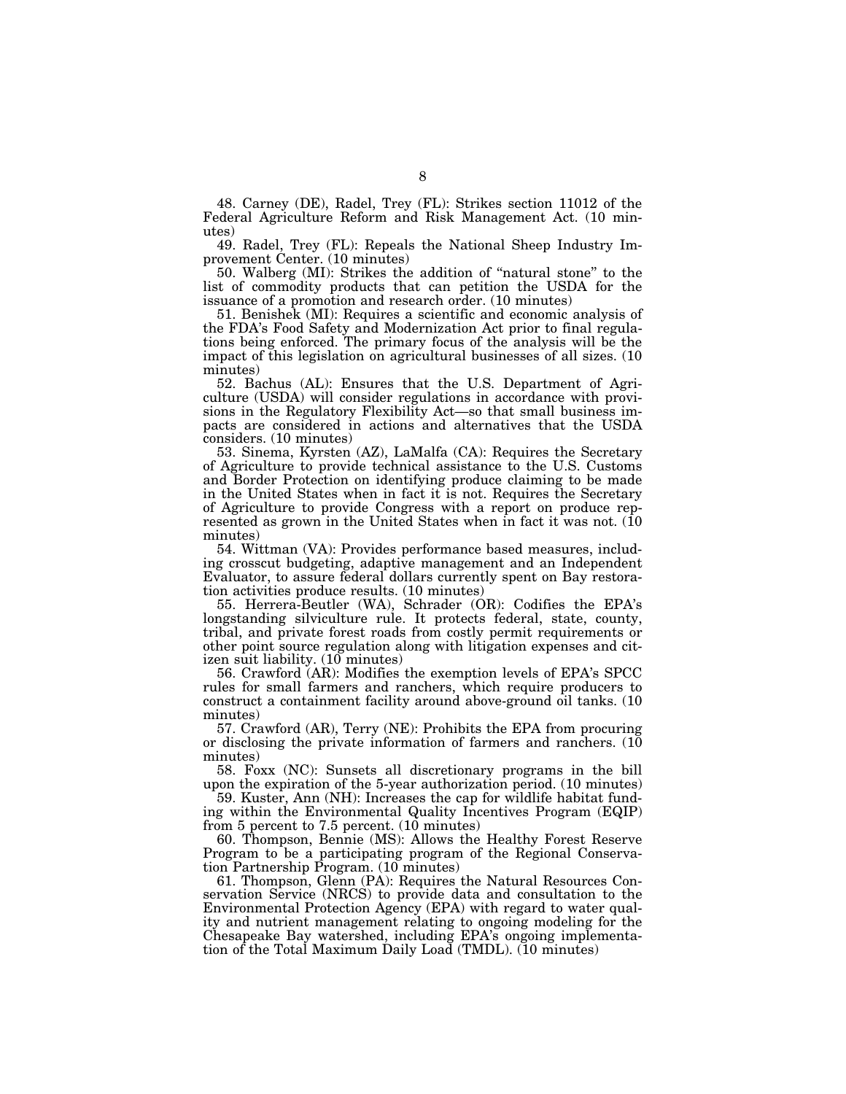48. Carney (DE), Radel, Trey (FL): Strikes section 11012 of the Federal Agriculture Reform and Risk Management Act. (10 minutes)

49. Radel, Trey (FL): Repeals the National Sheep Industry Improvement Center. (10 minutes)

50. Walberg (MI): Strikes the addition of ''natural stone'' to the list of commodity products that can petition the USDA for the issuance of a promotion and research order. (10 minutes)

51. Benishek (MI): Requires a scientific and economic analysis of the FDA's Food Safety and Modernization Act prior to final regulations being enforced. The primary focus of the analysis will be the impact of this legislation on agricultural businesses of all sizes. (10 minutes)

52. Bachus (AL): Ensures that the U.S. Department of Agriculture (USDA) will consider regulations in accordance with provisions in the Regulatory Flexibility Act—so that small business impacts are considered in actions and alternatives that the USDA considers. (10 minutes)

53. Sinema, Kyrsten (AZ), LaMalfa (CA): Requires the Secretary of Agriculture to provide technical assistance to the U.S. Customs and Border Protection on identifying produce claiming to be made in the United States when in fact it is not. Requires the Secretary of Agriculture to provide Congress with a report on produce represented as grown in the United States when in fact it was not. (10) minutes)

54. Wittman (VA): Provides performance based measures, including crosscut budgeting, adaptive management and an Independent Evaluator, to assure federal dollars currently spent on Bay restoration activities produce results. (10 minutes)

55. Herrera-Beutler (WA), Schrader (OR): Codifies the EPA's longstanding silviculture rule. It protects federal, state, county, tribal, and private forest roads from costly permit requirements or other point source regulation along with litigation expenses and citizen suit liability.  $(10 \text{ minutes})$ 

56. Crawford (AR): Modifies the exemption levels of EPA's SPCC rules for small farmers and ranchers, which require producers to construct a containment facility around above-ground oil tanks. (10 minutes)

57. Crawford (AR), Terry (NE): Prohibits the EPA from procuring or disclosing the private information of farmers and ranchers.  $(10)$ minutes)

58. Foxx (NC): Sunsets all discretionary programs in the bill upon the expiration of the 5-year authorization period. (10 minutes)

59. Kuster, Ann (NH): Increases the cap for wildlife habitat funding within the Environmental Quality Incentives Program (EQIP) from 5 percent to 7.5 percent. (10 minutes)

60. Thompson, Bennie (MS): Allows the Healthy Forest Reserve Program to be a participating program of the Regional Conservation Partnership Program. (10 minutes)

61. Thompson, Glenn (PA): Requires the Natural Resources Conservation Service (NRCS) to provide data and consultation to the Environmental Protection Agency (EPA) with regard to water quality and nutrient management relating to ongoing modeling for the Chesapeake Bay watershed, including EPA's ongoing implementation of the Total Maximum Daily Load (TMDL). (10 minutes)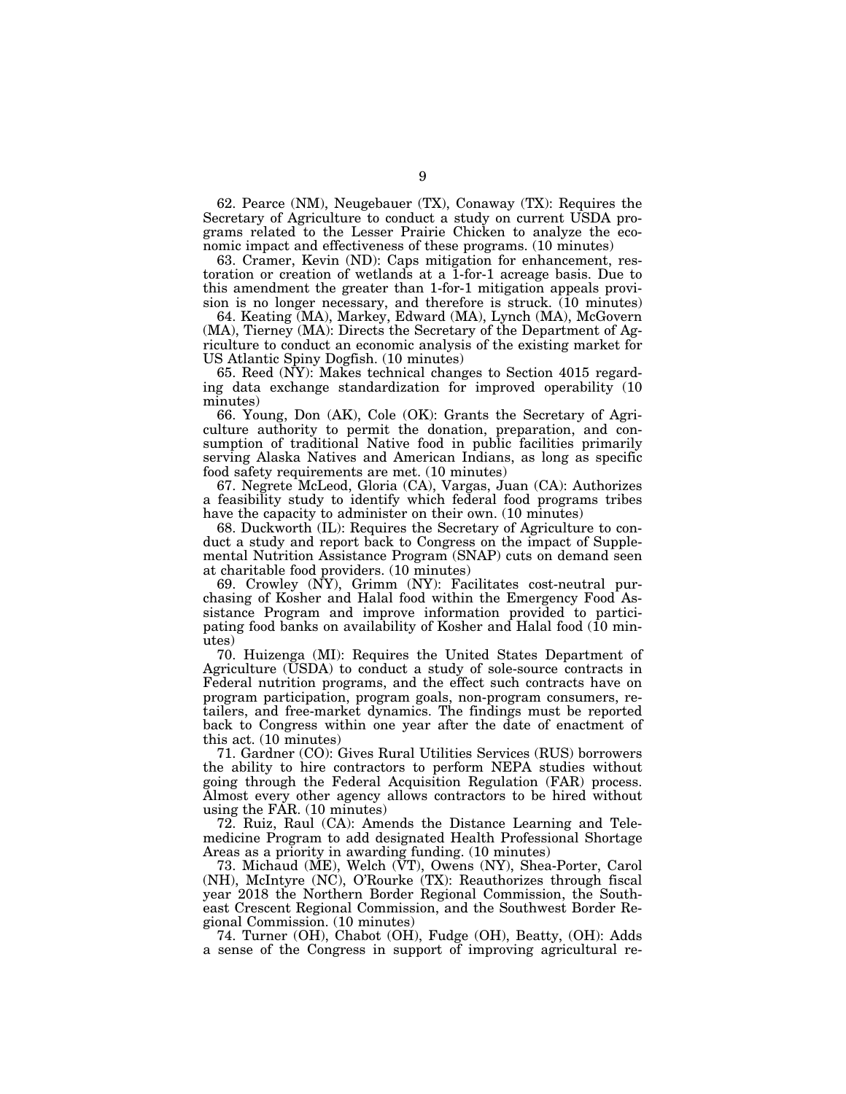62. Pearce (NM), Neugebauer (TX), Conaway (TX): Requires the Secretary of Agriculture to conduct a study on current USDA programs related to the Lesser Prairie Chicken to analyze the economic impact and effectiveness of these programs. (10 minutes)

63. Cramer, Kevin (ND): Caps mitigation for enhancement, restoration or creation of wetlands at a 1-for-1 acreage basis. Due to this amendment the greater than 1-for-1 mitigation appeals provision is no longer necessary, and therefore is struck. (10 minutes)

64. Keating (MA), Markey, Edward (MA), Lynch (MA), McGovern (MA), Tierney (MA): Directs the Secretary of the Department of Agriculture to conduct an economic analysis of the existing market for US Atlantic Spiny Dogfish. (10 minutes)

65. Reed (NY): Makes technical changes to Section 4015 regarding data exchange standardization for improved operability (10 minutes)

66. Young, Don (AK), Cole (OK): Grants the Secretary of Agriculture authority to permit the donation, preparation, and consumption of traditional Native food in public facilities primarily serving Alaska Natives and American Indians, as long as specific food safety requirements are met. (10 minutes)

67. Negrete McLeod, Gloria (CA), Vargas, Juan (CA): Authorizes a feasibility study to identify which federal food programs tribes have the capacity to administer on their own. (10 minutes)

68. Duckworth (IL): Requires the Secretary of Agriculture to conduct a study and report back to Congress on the impact of Supplemental Nutrition Assistance Program (SNAP) cuts on demand seen at charitable food providers. (10 minutes)

69. Crowley (NY), Grimm (NY): Facilitates cost-neutral purchasing of Kosher and Halal food within the Emergency Food Assistance Program and improve information provided to participating food banks on availability of Kosher and Halal food (10 minutes)

70. Huizenga (MI): Requires the United States Department of Agriculture (USDA) to conduct a study of sole-source contracts in Federal nutrition programs, and the effect such contracts have on program participation, program goals, non-program consumers, retailers, and free-market dynamics. The findings must be reported back to Congress within one year after the date of enactment of this act. (10 minutes)

71. Gardner (CO): Gives Rural Utilities Services (RUS) borrowers the ability to hire contractors to perform NEPA studies without going through the Federal Acquisition Regulation (FAR) process. Almost every other agency allows contractors to be hired without using the FAR. (10 minutes)

72. Ruiz, Raul (CA): Amends the Distance Learning and Telemedicine Program to add designated Health Professional Shortage Areas as a priority in awarding funding. (10 minutes)

73. Michaud (ME), Welch (VT), Owens (NY), Shea-Porter, Carol (NH), McIntyre (NC), O'Rourke (TX): Reauthorizes through fiscal year 2018 the Northern Border Regional Commission, the Southeast Crescent Regional Commission, and the Southwest Border Regional Commission. (10 minutes)

74. Turner (OH), Chabot (OH), Fudge (OH), Beatty, (OH): Adds a sense of the Congress in support of improving agricultural re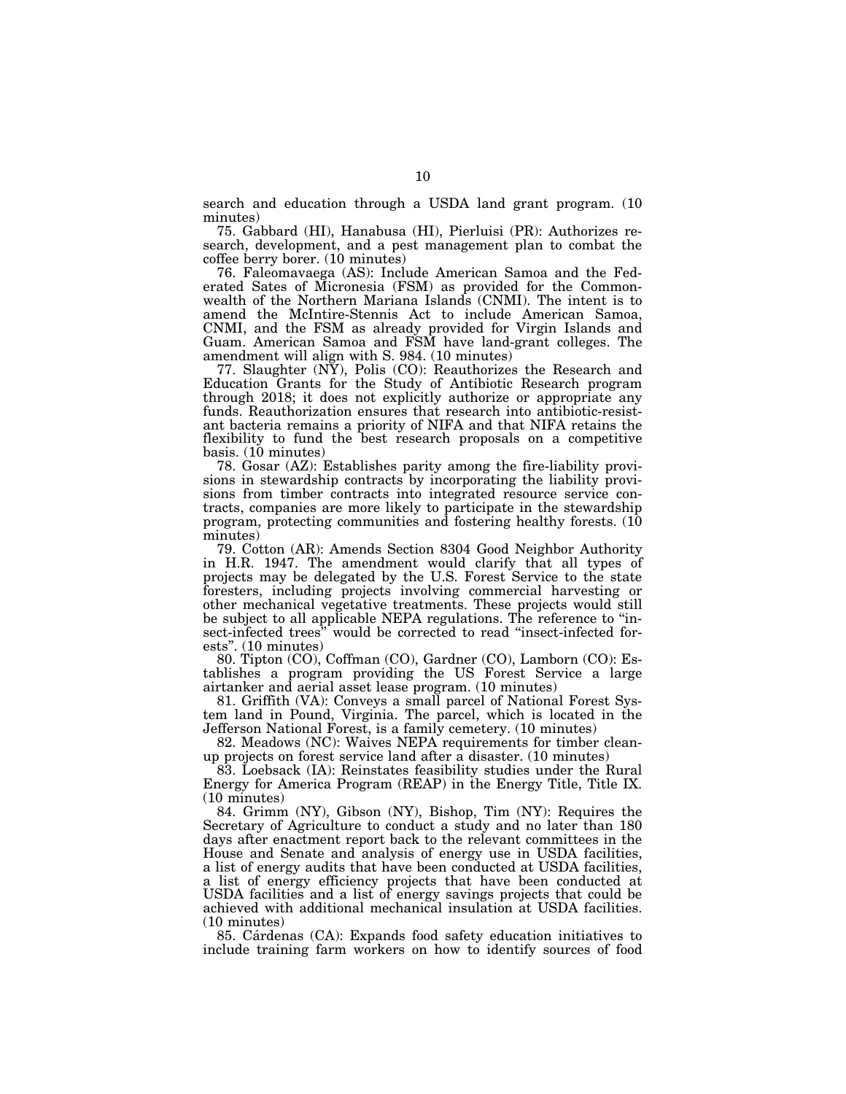search and education through a USDA land grant program. (10 minutes)

75. Gabbard (HI), Hanabusa (HI), Pierluisi (PR): Authorizes research, development, and a pest management plan to combat the coffee berry borer. (10 minutes)

76. Faleomavaega (AS): Include American Samoa and the Federated Sates of Micronesia (FSM) as provided for the Commonwealth of the Northern Mariana Islands (CNMI). The intent is to amend the McIntire-Stennis Act to include American Samoa, CNMI, and the FSM as already provided for Virgin Islands and Guam. American Samoa and FSM have land-grant colleges. The amendment will align with S. 984. (10 minutes)

77. Slaughter (NY), Polis (CO): Reauthorizes the Research and Education Grants for the Study of Antibiotic Research program through 2018; it does not explicitly authorize or appropriate any funds. Reauthorization ensures that research into antibiotic-resistant bacteria remains a priority of NIFA and that NIFA retains the flexibility to fund the best research proposals on a competitive basis. (10 minutes)

78. Gosar (AZ): Establishes parity among the fire-liability provisions in stewardship contracts by incorporating the liability provisions from timber contracts into integrated resource service contracts, companies are more likely to participate in the stewardship program, protecting communities and fostering healthy forests. (10 minutes)

79. Cotton (AR): Amends Section 8304 Good Neighbor Authority in H.R. 1947. The amendment would clarify that all types of projects may be delegated by the U.S. Forest Service to the state foresters, including projects involving commercial harvesting or other mechanical vegetative treatments. These projects would still be subject to all applicable NEPA regulations. The reference to ''insect-infected trees" would be corrected to read "insect-infected forests''. (10 minutes)

80. Tipton (CO), Coffman (CO), Gardner (CO), Lamborn (CO): Establishes a program providing the US Forest Service a large airtanker and aerial asset lease program. (10 minutes)

81. Griffith (VA): Conveys a small parcel of National Forest System land in Pound, Virginia. The parcel, which is located in the Jefferson National Forest, is a family cemetery. (10 minutes)

82. Meadows (NC): Waives NEPA requirements for timber cleanup projects on forest service land after a disaster. (10 minutes)

83. Loebsack (IA): Reinstates feasibility studies under the Rural Energy for America Program (REAP) in the Energy Title, Title IX. (10 minutes)

84. Grimm (NY), Gibson (NY), Bishop, Tim (NY): Requires the Secretary of Agriculture to conduct a study and no later than 180 days after enactment report back to the relevant committees in the House and Senate and analysis of energy use in USDA facilities, a list of energy audits that have been conducted at USDA facilities, a list of energy efficiency projects that have been conducted at USDA facilities and a list of energy savings projects that could be achieved with additional mechanical insulation at USDA facilities. (10 minutes)

85. Cárdenas (CA): Expands food safety education initiatives to include training farm workers on how to identify sources of food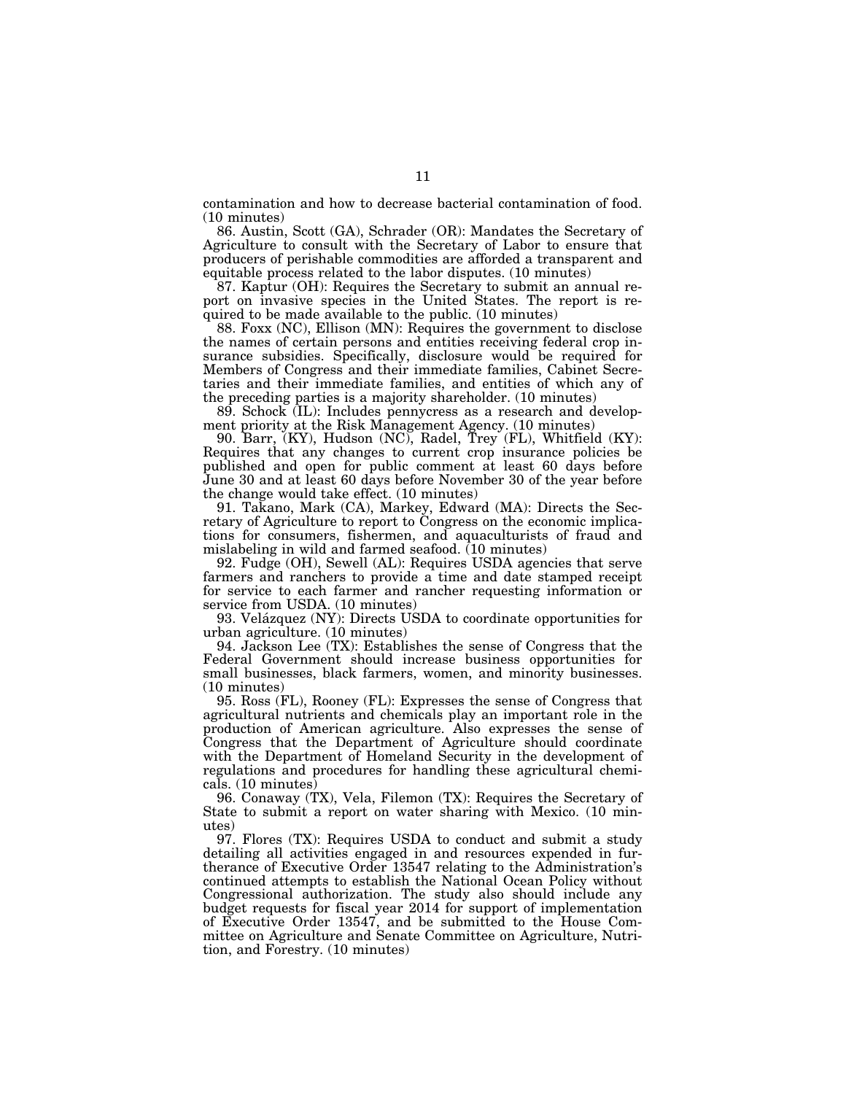contamination and how to decrease bacterial contamination of food. (10 minutes)

86. Austin, Scott (GA), Schrader (OR): Mandates the Secretary of Agriculture to consult with the Secretary of Labor to ensure that producers of perishable commodities are afforded a transparent and equitable process related to the labor disputes. (10 minutes)

87. Kaptur (OH): Requires the Secretary to submit an annual report on invasive species in the United States. The report is required to be made available to the public. (10 minutes)

88. Foxx (NC), Ellison (MN): Requires the government to disclose the names of certain persons and entities receiving federal crop insurance subsidies. Specifically, disclosure would be required for Members of Congress and their immediate families, Cabinet Secretaries and their immediate families, and entities of which any of the preceding parties is a majority shareholder. (10 minutes)

89. Schock (IL): Includes pennycress as a research and development priority at the Risk Management Agency. (10 minutes)

90. Barr, (KY), Hudson (NC), Radel, Trey (FL), Whitfield (KY): Requires that any changes to current crop insurance policies be published and open for public comment at least 60 days before June 30 and at least 60 days before November 30 of the year before the change would take effect. (10 minutes)

91. Takano, Mark (CA), Markey, Edward (MA): Directs the Secretary of Agriculture to report to Congress on the economic implications for consumers, fishermen, and aquaculturists of fraud and mislabeling in wild and farmed seafood. (10 minutes)

92. Fudge (OH), Sewell (AL): Requires USDA agencies that serve farmers and ranchers to provide a time and date stamped receipt for service to each farmer and rancher requesting information or service from USDA. (10 minutes)

93. Velázquez (NY): Directs USDA to coordinate opportunities for urban agriculture. (10 minutes)

94. Jackson Lee (TX): Establishes the sense of Congress that the Federal Government should increase business opportunities for small businesses, black farmers, women, and minority businesses. (10 minutes)

95. Ross (FL), Rooney (FL): Expresses the sense of Congress that agricultural nutrients and chemicals play an important role in the production of American agriculture. Also expresses the sense of Congress that the Department of Agriculture should coordinate with the Department of Homeland Security in the development of regulations and procedures for handling these agricultural chemicals. (10 minutes)

96. Conaway (TX), Vela, Filemon (TX): Requires the Secretary of State to submit a report on water sharing with Mexico. (10 minutes)

97. Flores (TX): Requires USDA to conduct and submit a study detailing all activities engaged in and resources expended in furtherance of Executive Order 13547 relating to the Administration's continued attempts to establish the National Ocean Policy without Congressional authorization. The study also should include any budget requests for fiscal year 2014 for support of implementation of Executive Order 13547, and be submitted to the House Committee on Agriculture and Senate Committee on Agriculture, Nutrition, and Forestry. (10 minutes)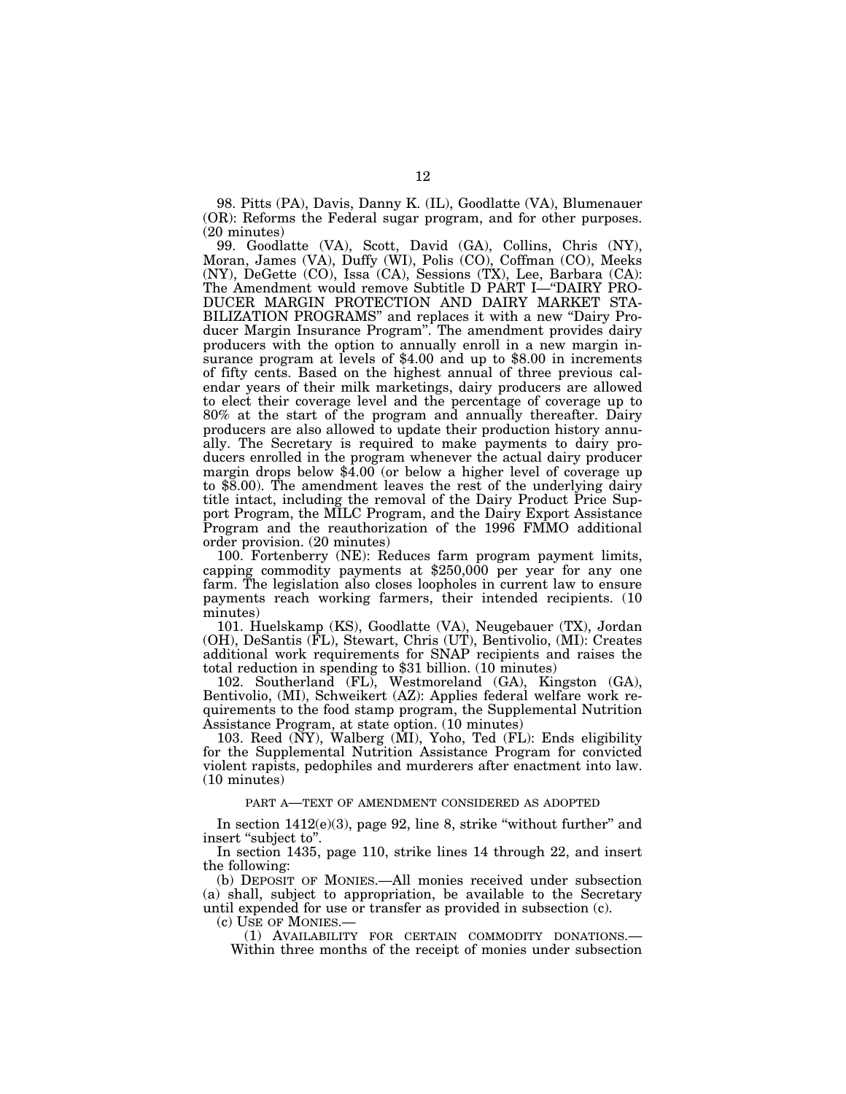98. Pitts (PA), Davis, Danny K. (IL), Goodlatte (VA), Blumenauer (OR): Reforms the Federal sugar program, and for other purposes. (20 minutes)

99. Goodlatte (VA), Scott, David (GA), Collins, Chris (NY), Moran, James (VA), Duffy (WI), Polis (CO), Coffman (CO), Meeks (NY), DeGette (CO), Issa (CA), Sessions (TX), Lee, Barbara (CA): The Amendment would remove Subtitle D PART I—''DAIRY PRO-DUCER MARGIN PROTECTION AND DAIRY MARKET STA-BILIZATION PROGRAMS" and replaces it with a new "Dairy Producer Margin Insurance Program''. The amendment provides dairy producers with the option to annually enroll in a new margin insurance program at levels of \$4.00 and up to \$8.00 in increments of fifty cents. Based on the highest annual of three previous calendar years of their milk marketings, dairy producers are allowed to elect their coverage level and the percentage of coverage up to 80% at the start of the program and annually thereafter. Dairy producers are also allowed to update their production history annually. The Secretary is required to make payments to dairy producers enrolled in the program whenever the actual dairy producer margin drops below \$4.00 (or below a higher level of coverage up to \$8.00). The amendment leaves the rest of the underlying dairy title intact, including the removal of the Dairy Product Price Support Program, the MILC Program, and the Dairy Export Assistance Program and the reauthorization of the 1996 FMMO additional order provision. (20 minutes)

100. Fortenberry (NE): Reduces farm program payment limits, capping commodity payments at \$250,000 per year for any one farm. The legislation also closes loopholes in current law to ensure payments reach working farmers, their intended recipients. (10 minutes)

101. Huelskamp (KS), Goodlatte (VA), Neugebauer (TX), Jordan (OH), DeSantis (FL), Stewart, Chris (UT), Bentivolio, (MI): Creates additional work requirements for SNAP recipients and raises the total reduction in spending to \$31 billion. (10 minutes)

102. Southerland (FL), Westmoreland (GA), Kingston (GA), Bentivolio, (MI), Schweikert (AZ): Applies federal welfare work requirements to the food stamp program, the Supplemental Nutrition Assistance Program, at state option. (10 minutes)

103. Reed (NY), Walberg (MI), Yoho, Ted (FL): Ends eligibility for the Supplemental Nutrition Assistance Program for convicted violent rapists, pedophiles and murderers after enactment into law. (10 minutes)

## PART A—TEXT OF AMENDMENT CONSIDERED AS ADOPTED

In section  $1412(e)(3)$ , page 92, line 8, strike "without further" and insert "subject to".

In section 1435, page 110, strike lines 14 through 22, and insert the following:

(b) DEPOSIT OF MONIES.—All monies received under subsection (a) shall, subject to appropriation, be available to the Secretary until expended for use or transfer as provided in subsection (c).

(c) USE OF MONIES.—

(1) AVAILABILITY FOR CERTAIN COMMODITY DONATIONS.— Within three months of the receipt of monies under subsection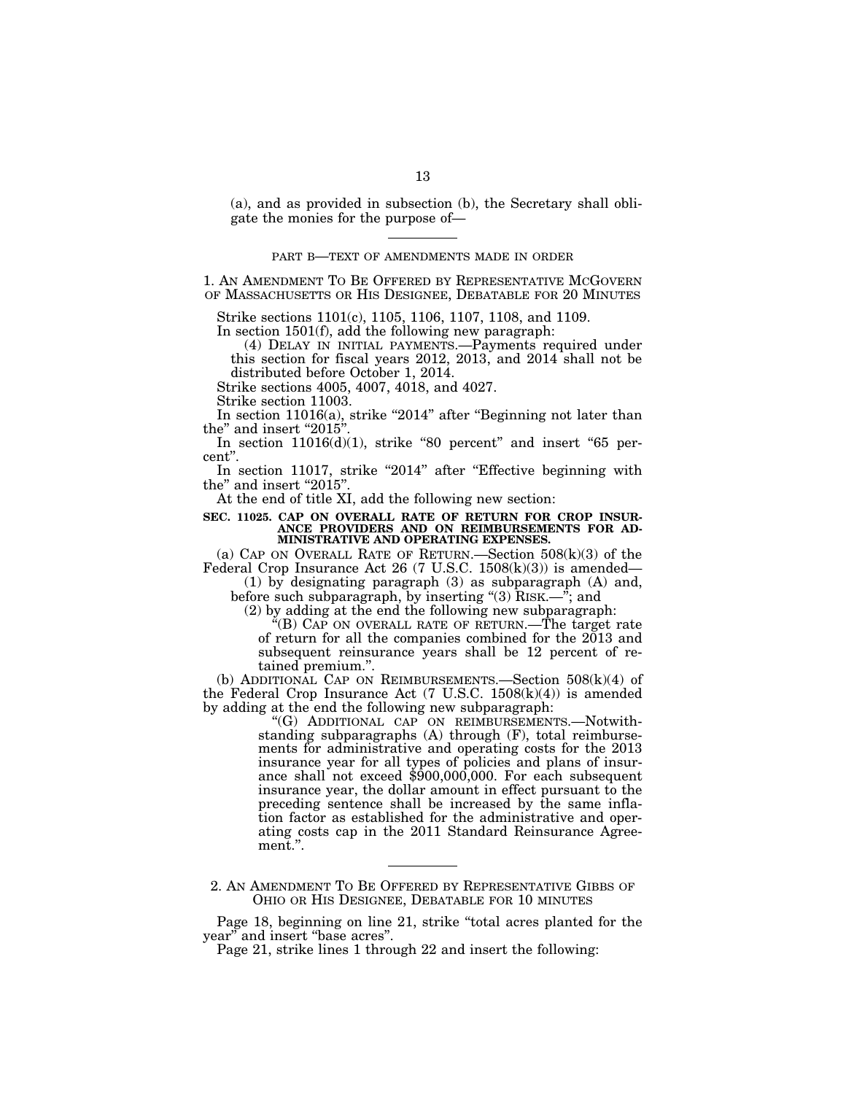(a), and as provided in subsection (b), the Secretary shall obligate the monies for the purpose of—

## PART B—TEXT OF AMENDMENTS MADE IN ORDER

1. AN AMENDMENT TO BE OFFERED BY REPRESENTATIVE MCGOVERN OF MASSACHUSETTS OR HIS DESIGNEE, DEBATABLE FOR 20 MINUTES

Strike sections 1101(c), 1105, 1106, 1107, 1108, and 1109. In section 1501(f), add the following new paragraph:

(4) DELAY IN INITIAL PAYMENTS.—Payments required under this section for fiscal years 2012, 2013, and 2014 shall not be distributed before October 1, 2014.

Strike sections 4005, 4007, 4018, and 4027.

Strike section 11003.

In section  $11016(a)$ , strike "2014" after "Beginning not later than the" and insert " $2015$ "

In section  $11016(d)(1)$ , strike "80 percent" and insert "65 percent''.

In section 11017, strike "2014" after "Effective beginning with the" and insert "2015"

At the end of title XI, add the following new section:

## **SEC. 11025. CAP ON OVERALL RATE OF RETURN FOR CROP INSUR-ANCE PROVIDERS AND ON REIMBURSEMENTS FOR AD-MINISTRATIVE AND OPERATING EXPENSES.**

(a) CAP ON OVERALL RATE OF RETURN.—Section  $508(k)(3)$  of the Federal Crop Insurance Act 26 (7 U.S.C. 1508(k)(3)) is amended—

(1) by designating paragraph (3) as subparagraph (A) and, before such subparagraph, by inserting "(3) RISK.—"; and

(2) by adding at the end the following new subparagraph:

 $E(G)$  CAP ON OVERALL RATE OF RETURN.—The target rate of return for all the companies combined for the 2013 and subsequent reinsurance years shall be 12 percent of retained premium.''.

(b) ADDITIONAL CAP ON REIMBURSEMENTS.—Section 508(k)(4) of the Federal Crop Insurance Act  $(7 \text{ U.S.C. } 1508(\text{k})(4))$  is amended by adding at the end the following new subparagraph:

> ''(G) ADDITIONAL CAP ON REIMBURSEMENTS.—Notwithstanding subparagraphs (A) through (F), total reimbursements for administrative and operating costs for the 2013 insurance year for all types of policies and plans of insurance shall not exceed  $$900,000,000$ . For each subsequent insurance year, the dollar amount in effect pursuant to the preceding sentence shall be increased by the same inflation factor as established for the administrative and operating costs cap in the 2011 Standard Reinsurance Agreement.''.

2. AN AMENDMENT TO BE OFFERED BY REPRESENTATIVE GIBBS OF OHIO OR HIS DESIGNEE, DEBATABLE FOR 10 MINUTES

Page 18, beginning on line 21, strike ''total acres planted for the year'' and insert ''base acres''.

Page 21, strike lines 1 through 22 and insert the following: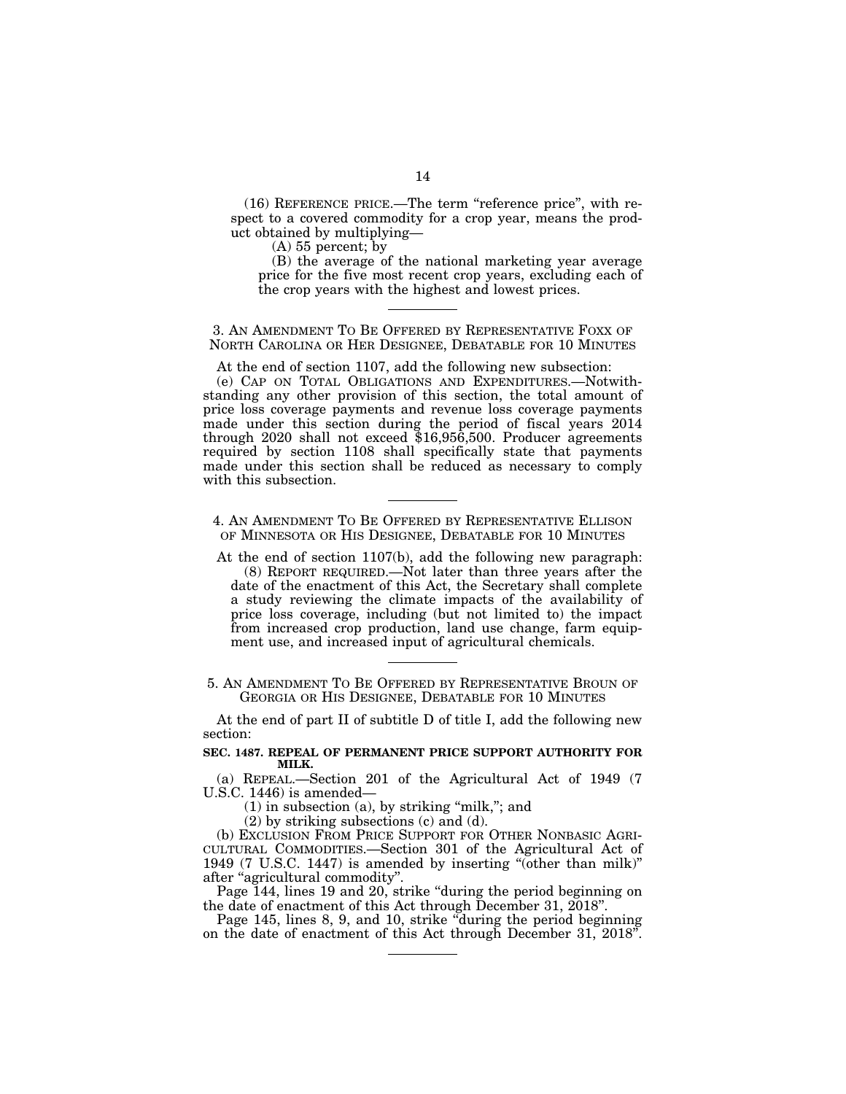(16) REFERENCE PRICE.—The term ''reference price'', with respect to a covered commodity for a crop year, means the product obtained by multiplying—

(A) 55 percent; by

(B) the average of the national marketing year average price for the five most recent crop years, excluding each of the crop years with the highest and lowest prices.

3. AN AMENDMENT TO BE OFFERED BY REPRESENTATIVE FOXX OF NORTH CAROLINA OR HER DESIGNEE, DEBATABLE FOR 10 MINUTES

At the end of section 1107, add the following new subsection:

(e) CAP ON TOTAL OBLIGATIONS AND EXPENDITURES.—Notwithstanding any other provision of this section, the total amount of price loss coverage payments and revenue loss coverage payments made under this section during the period of fiscal years 2014 through 2020 shall not exceed \$16,956,500. Producer agreements required by section 1108 shall specifically state that payments made under this section shall be reduced as necessary to comply with this subsection.

4. AN AMENDMENT TO BE OFFERED BY REPRESENTATIVE ELLISON OF MINNESOTA OR HIS DESIGNEE, DEBATABLE FOR 10 MINUTES

At the end of section 1107(b), add the following new paragraph: (8) REPORT REQUIRED.—Not later than three years after the date of the enactment of this Act, the Secretary shall complete a study reviewing the climate impacts of the availability of price loss coverage, including (but not limited to) the impact from increased crop production, land use change, farm equipment use, and increased input of agricultural chemicals.

5. AN AMENDMENT TO BE OFFERED BY REPRESENTATIVE BROUN OF GEORGIA OR HIS DESIGNEE, DEBATABLE FOR 10 MINUTES

At the end of part II of subtitle D of title I, add the following new section:

## **SEC. 1487. REPEAL OF PERMANENT PRICE SUPPORT AUTHORITY FOR MILK.**

(a) REPEAL.—Section 201 of the Agricultural Act of 1949 (7 U.S.C. 1446) is amended—

 $(1)$  in subsection  $(a)$ , by striking "milk,"; and

(2) by striking subsections (c) and (d).

(b) EXCLUSION FROM PRICE SUPPORT FOR OTHER NONBASIC AGRI-CULTURAL COMMODITIES.—Section 301 of the Agricultural Act of 1949 (7 U.S.C. 1447) is amended by inserting ''(other than milk)'' after "agricultural commodity".

Page 144, lines 19 and 20, strike "during the period beginning on the date of enactment of this Act through December 31, 2018''.

Page 145, lines 8, 9, and 10, strike "during the period beginning on the date of enactment of this Act through December 31, 2018''.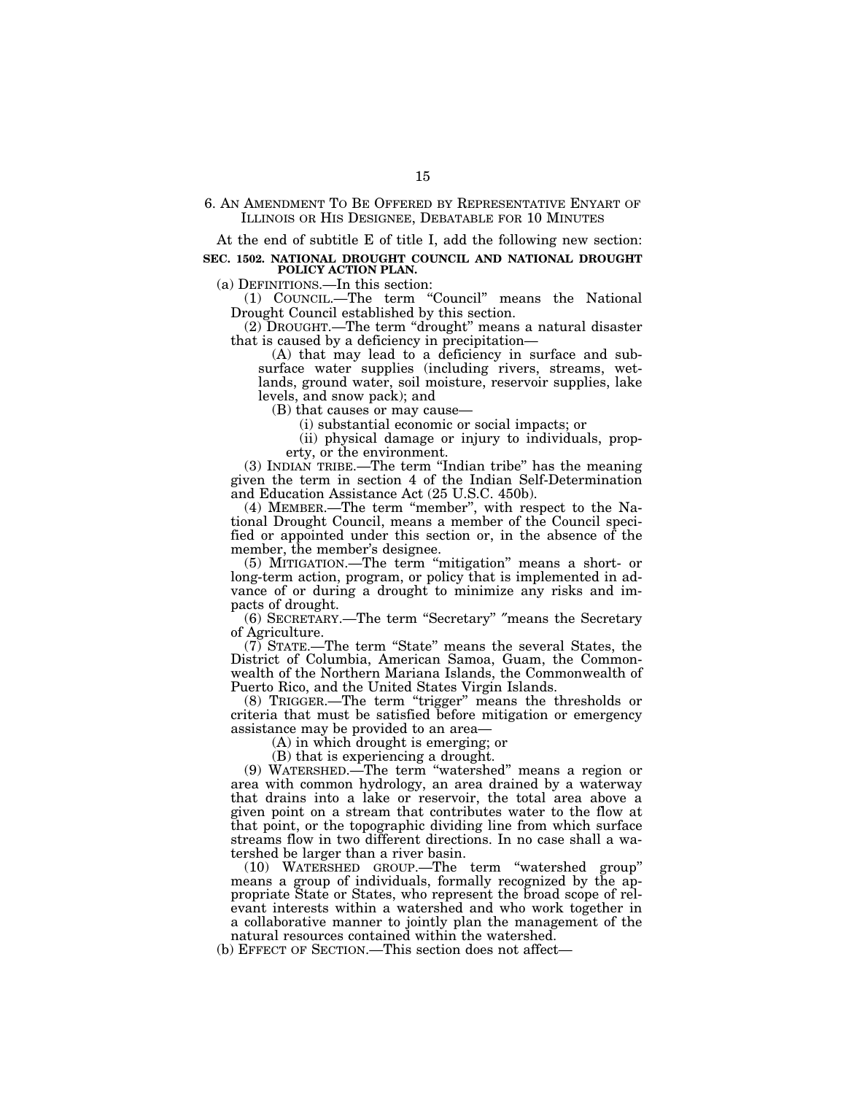6. AN AMENDMENT TO BE OFFERED BY REPRESENTATIVE ENYART OF ILLINOIS OR HIS DESIGNEE, DEBATABLE FOR 10 MINUTES

At the end of subtitle E of title I, add the following new section:

**SEC. 1502. NATIONAL DROUGHT COUNCIL AND NATIONAL DROUGHT POLICY ACTION PLAN.** 

(a) DEFINITIONS.—In this section:

(1) COUNCIL.—The term ''Council'' means the National Drought Council established by this section.

(2) DROUGHT.—The term ''drought'' means a natural disaster that is caused by a deficiency in precipitation—

(A) that may lead to a deficiency in surface and subsurface water supplies (including rivers, streams, wetlands, ground water, soil moisture, reservoir supplies, lake levels, and snow pack); and

(B) that causes or may cause—

(i) substantial economic or social impacts; or

(ii) physical damage or injury to individuals, property, or the environment.

(3) INDIAN TRIBE.—The term ''Indian tribe'' has the meaning given the term in section 4 of the Indian Self-Determination and Education Assistance Act (25 U.S.C. 450b).

(4) MEMBER.—The term ''member'', with respect to the National Drought Council, means a member of the Council specified or appointed under this section or, in the absence of the member, the member's designee.

(5) MITIGATION.—The term ''mitigation'' means a short- or long-term action, program, or policy that is implemented in advance of or during a drought to minimize any risks and impacts of drought.

(6) SECRETARY.—The term ''Secretary'' ″means the Secretary of Agriculture.

(7) STATE.—The term ''State'' means the several States, the District of Columbia, American Samoa, Guam, the Commonwealth of the Northern Mariana Islands, the Commonwealth of Puerto Rico, and the United States Virgin Islands.

(8) TRIGGER.—The term ''trigger'' means the thresholds or criteria that must be satisfied before mitigation or emergency assistance may be provided to an area—

(A) in which drought is emerging; or

(B) that is experiencing a drought.

(9) WATERSHED.—The term ''watershed'' means a region or area with common hydrology, an area drained by a waterway that drains into a lake or reservoir, the total area above a given point on a stream that contributes water to the flow at that point, or the topographic dividing line from which surface streams flow in two different directions. In no case shall a watershed be larger than a river basin.

(10) WATERSHED GROUP.—The term ''watershed group'' means a group of individuals, formally recognized by the appropriate State or States, who represent the broad scope of relevant interests within a watershed and who work together in a collaborative manner to jointly plan the management of the natural resources contained within the watershed.

(b) EFFECT OF SECTION.—This section does not affect—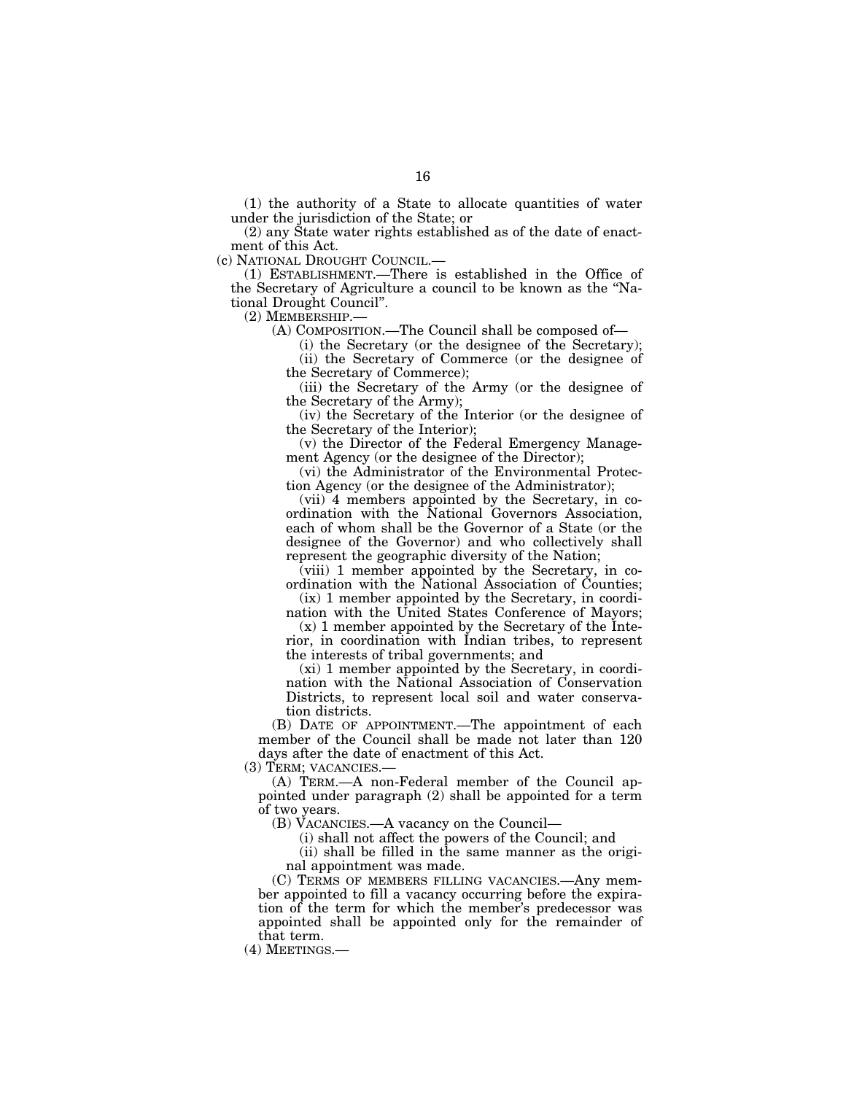(1) the authority of a State to allocate quantities of water under the jurisdiction of the State; or

(2) any State water rights established as of the date of enactment of this Act.

(c) NATIONAL DROUGHT COUNCIL.—

(1) ESTABLISHMENT.—There is established in the Office of the Secretary of Agriculture a council to be known as the ''National Drought Council''.

(2) MEMBERSHIP.—

(A) COMPOSITION.—The Council shall be composed of—

(i) the Secretary (or the designee of the Secretary); (ii) the Secretary of Commerce (or the designee of the Secretary of Commerce);

(iii) the Secretary of the Army (or the designee of the Secretary of the Army);

(iv) the Secretary of the Interior (or the designee of the Secretary of the Interior);

(v) the Director of the Federal Emergency Management Agency (or the designee of the Director);

(vi) the Administrator of the Environmental Protection Agency (or the designee of the Administrator);

(vii) 4 members appointed by the Secretary, in coordination with the National Governors Association, each of whom shall be the Governor of a State (or the designee of the Governor) and who collectively shall represent the geographic diversity of the Nation;

(viii) 1 member appointed by the Secretary, in coordination with the National Association of Counties;

(ix) 1 member appointed by the Secretary, in coordination with the United States Conference of Mayors;

(x) 1 member appointed by the Secretary of the Interior, in coordination with Indian tribes, to represent the interests of tribal governments; and

(xi) 1 member appointed by the Secretary, in coordination with the National Association of Conservation Districts, to represent local soil and water conservation districts.

(B) DATE OF APPOINTMENT.—The appointment of each member of the Council shall be made not later than 120 days after the date of enactment of this Act.

(3) TERM; VACANCIES.—

(A) TERM.—A non-Federal member of the Council appointed under paragraph (2) shall be appointed for a term of two years.

(B) VACANCIES.—A vacancy on the Council—

(i) shall not affect the powers of the Council; and

(ii) shall be filled in the same manner as the original appointment was made.

(C) TERMS OF MEMBERS FILLING VACANCIES.—Any member appointed to fill a vacancy occurring before the expiration of the term for which the member's predecessor was appointed shall be appointed only for the remainder of that term.

(4) MEETINGS.—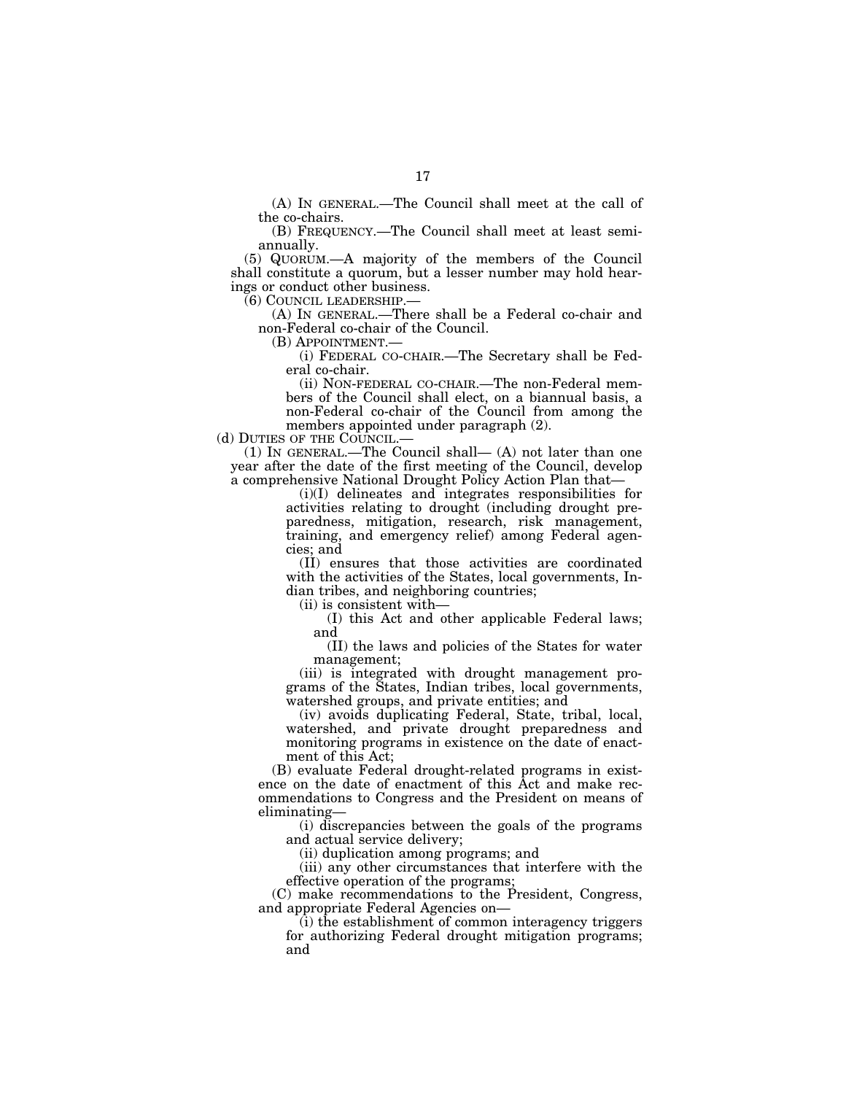(A) IN GENERAL.—The Council shall meet at the call of the co-chairs.

(B) FREQUENCY.—The Council shall meet at least semiannually.

(5) QUORUM.—A majority of the members of the Council shall constitute a quorum, but a lesser number may hold hearings or conduct other business.<br>(6) COUNCIL LEADERSHIP.—

(A) IN GENERAL.—There shall be a Federal co-chair and non-Federal co-chair of the Council.<br>(B) APPOINTMENT.—

(i) FEDERAL CO-CHAIR.—The Secretary shall be Federal co-chair.

(ii) NON-FEDERAL CO-CHAIR.—The non-Federal members of the Council shall elect, on a biannual basis, a non-Federal co-chair of the Council from among the members appointed under paragraph (2).<br>(d) DUTIES OF THE COUNCIL.—

(1) IN GENERAL.—The Council shall—  $(A)$  not later than one year after the date of the first meeting of the Council, develop a comprehensive National Drought Policy Action Plan that—

(i)(I) delineates and integrates responsibilities for activities relating to drought (including drought preparedness, mitigation, research, risk management, training, and emergency relief) among Federal agencies; and

(II) ensures that those activities are coordinated with the activities of the States, local governments, Indian tribes, and neighboring countries;

(ii) is consistent with—

(I) this Act and other applicable Federal laws; and

(II) the laws and policies of the States for water management;

(iii) is integrated with drought management programs of the States, Indian tribes, local governments, watershed groups, and private entities; and

(iv) avoids duplicating Federal, State, tribal, local, watershed, and private drought preparedness and monitoring programs in existence on the date of enactment of this Act;

(B) evaluate Federal drought-related programs in existence on the date of enactment of this Act and make recommendations to Congress and the President on means of eliminating—

(i) discrepancies between the goals of the programs and actual service delivery;

(ii) duplication among programs; and

(iii) any other circumstances that interfere with the effective operation of the programs;

(C) make recommendations to the President, Congress, and appropriate Federal Agencies on—

(i) the establishment of common interagency triggers for authorizing Federal drought mitigation programs; and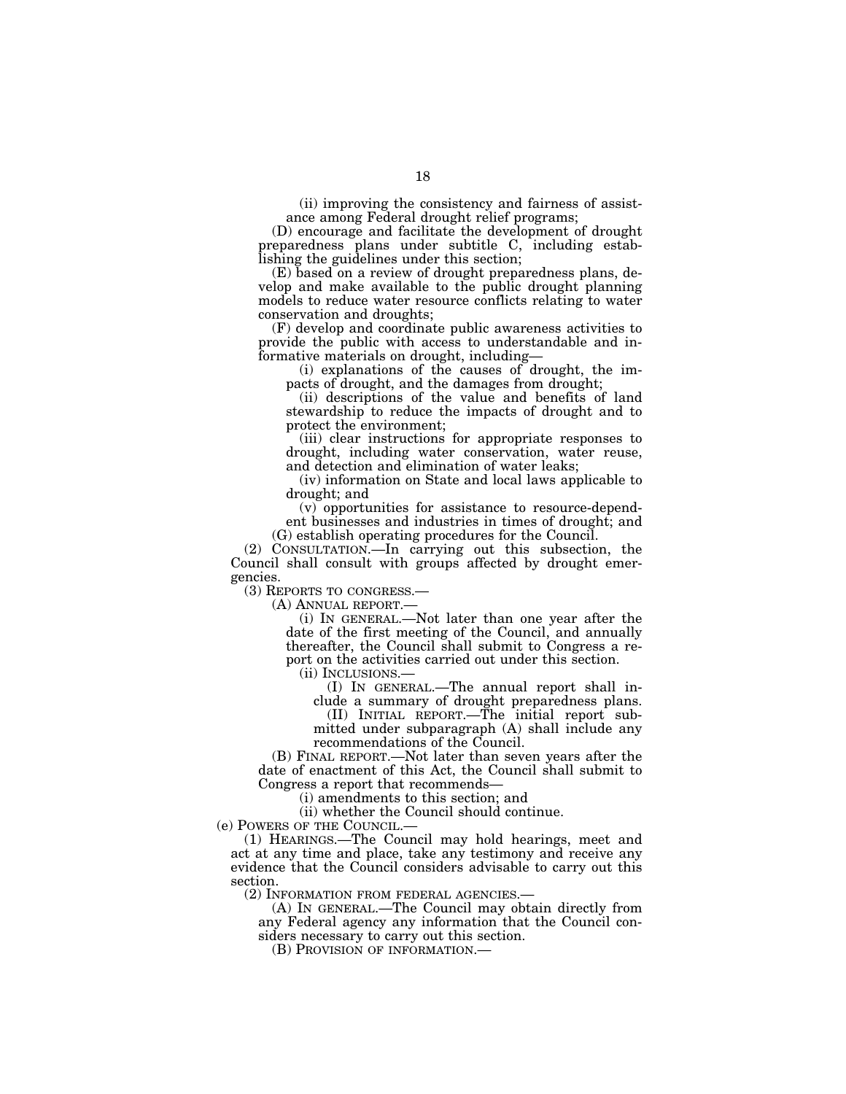(ii) improving the consistency and fairness of assistance among Federal drought relief programs;

(D) encourage and facilitate the development of drought preparedness plans under subtitle C, including establishing the guidelines under this section;

(E) based on a review of drought preparedness plans, develop and make available to the public drought planning models to reduce water resource conflicts relating to water conservation and droughts;

(F) develop and coordinate public awareness activities to provide the public with access to understandable and informative materials on drought, including—

(i) explanations of the causes of drought, the impacts of drought, and the damages from drought;

(ii) descriptions of the value and benefits of land stewardship to reduce the impacts of drought and to protect the environment;

(iii) clear instructions for appropriate responses to drought, including water conservation, water reuse, and detection and elimination of water leaks;

(iv) information on State and local laws applicable to drought; and

(v) opportunities for assistance to resource-dependent businesses and industries in times of drought; and (G) establish operating procedures for the Council.

(2) CONSULTATION.—In carrying out this subsection, the Council shall consult with groups affected by drought emergencies.

(3) REPORTS TO CONGRESS.—

(A) ANNUAL REPORT.—

(i) IN GENERAL.—Not later than one year after the date of the first meeting of the Council, and annually thereafter, the Council shall submit to Congress a report on the activities carried out under this section.<br>(ii) INCLUSIONS.—

 $(I)$  In GENERAL.—The annual report shall in-

clude a summary of drought preparedness plans. (II) INITIAL REPORT.—The initial report sub-

mitted under subparagraph (A) shall include any recommendations of the Council.

(B) FINAL REPORT.—Not later than seven years after the date of enactment of this Act, the Council shall submit to Congress a report that recommends—

(i) amendments to this section; and

(ii) whether the Council should continue.

(e) POWERS OF THE COUNCIL.—

(1) HEARINGS.—The Council may hold hearings, meet and act at any time and place, take any testimony and receive any evidence that the Council considers advisable to carry out this section.<br>(2) INFORMATION FROM FEDERAL AGENCIES.-

(A) IN GENERAL.—The Council may obtain directly from any Federal agency any information that the Council considers necessary to carry out this section.

(B) PROVISION OF INFORMATION.—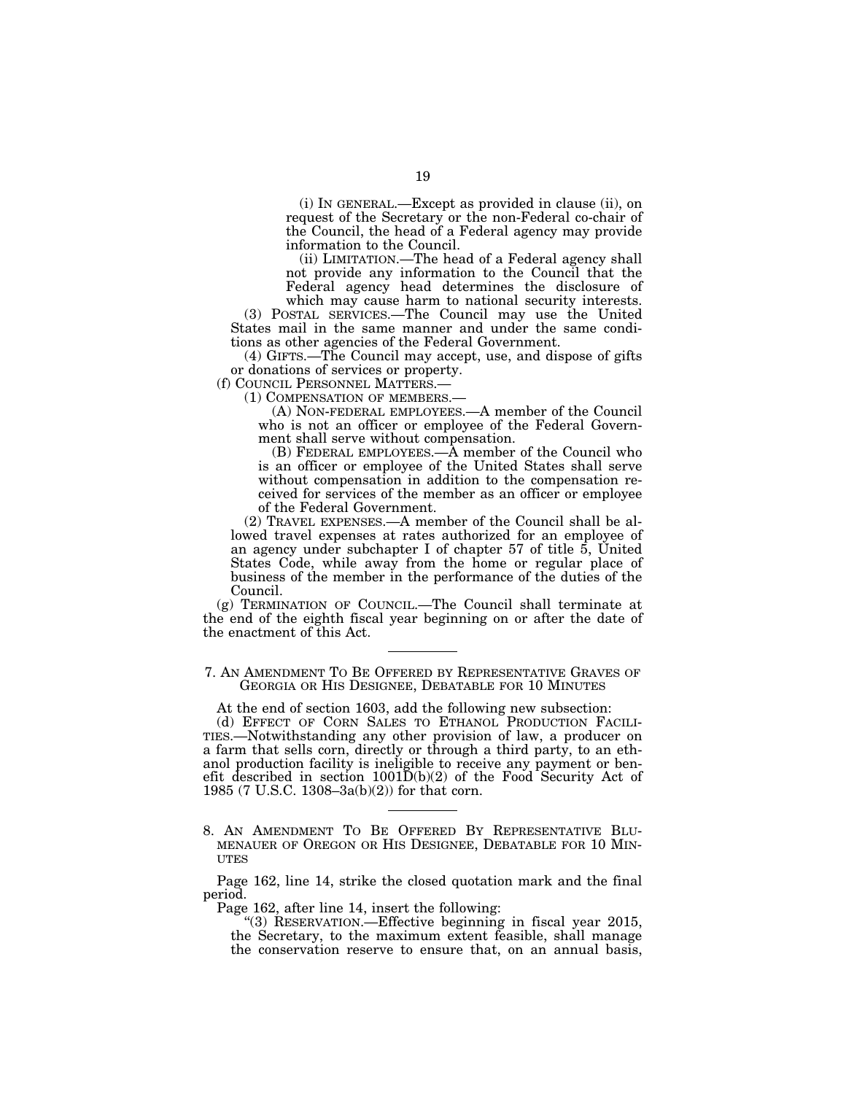(i) IN GENERAL.—Except as provided in clause (ii), on request of the Secretary or the non-Federal co-chair of the Council, the head of a Federal agency may provide information to the Council.

(ii) LIMITATION.—The head of a Federal agency shall not provide any information to the Council that the Federal agency head determines the disclosure of

which may cause harm to national security interests. (3) POSTAL SERVICES.—The Council may use the United States mail in the same manner and under the same conditions as other agencies of the Federal Government.

(4) GIFTS.—The Council may accept, use, and dispose of gifts or donations of services or property.

(f) COUNCIL PERSONNEL MATTERS.—

(1) COMPENSATION OF MEMBERS.—

(A) NON-FEDERAL EMPLOYEES.—A member of the Council who is not an officer or employee of the Federal Government shall serve without compensation.

(B) FEDERAL EMPLOYEES.—A member of the Council who is an officer or employee of the United States shall serve without compensation in addition to the compensation received for services of the member as an officer or employee of the Federal Government.

(2) TRAVEL EXPENSES.—A member of the Council shall be allowed travel expenses at rates authorized for an employee of an agency under subchapter I of chapter 57 of title 5, United States Code, while away from the home or regular place of business of the member in the performance of the duties of the Council.

(g) TERMINATION OF COUNCIL.—The Council shall terminate at the end of the eighth fiscal year beginning on or after the date of the enactment of this Act.

7. AN AMENDMENT TO BE OFFERED BY REPRESENTATIVE GRAVES OF GEORGIA OR HIS DESIGNEE, DEBATABLE FOR 10 MINUTES

At the end of section 1603, add the following new subsection:<br>(d) EFFECT OF CORN SALES TO ETHANOL PRODUCTION FACILI-(d) EFFECT OF CORN SALES TO ETHANOL PRODUCTION FACILI- TIES.—Notwithstanding any other provision of law, a producer on a farm that sells corn, directly or through a third party, to an ethanol production facility is ineligible to receive any payment or benefit described in section 1001D(b)(2) of the Food Security Act of 1985 (7 U.S.C. 1308–3a(b)(2)) for that corn.

8. AN AMENDMENT TO BE OFFERED BY REPRESENTATIVE BLU- MENAUER OF OREGON OR HIS DESIGNEE, DEBATABLE FOR 10 MIN-**ITTES** 

Page 162, line 14, strike the closed quotation mark and the final period.

Page 162, after line 14, insert the following:

''(3) RESERVATION.—Effective beginning in fiscal year 2015, the Secretary, to the maximum extent feasible, shall manage the conservation reserve to ensure that, on an annual basis,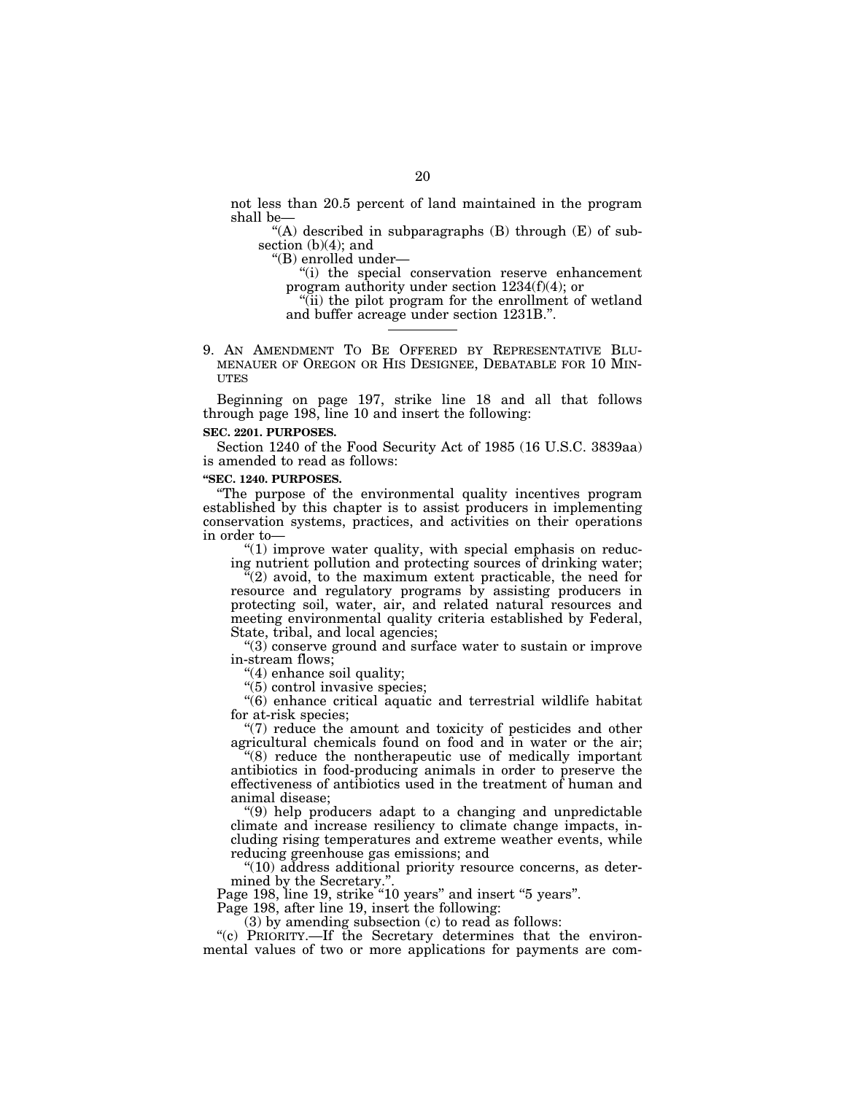not less than 20.5 percent of land maintained in the program shall be—

"(A) described in subparagraphs  $(B)$  through  $(E)$  of subsection  $(b)(4)$ ; and

''(B) enrolled under—

''(i) the special conservation reserve enhancement program authority under section 1234(f)(4); or

"(ii) the pilot program for the enrollment of wetland and buffer acreage under section 1231B.''.

9. AN AMENDMENT TO BE OFFERED BY REPRESENTATIVE BLU-MENAUER OF OREGON OR HIS DESIGNEE, DEBATABLE FOR 10 MIN-UTES

Beginning on page 197, strike line 18 and all that follows through page 198, line 10 and insert the following:

# **SEC. 2201. PURPOSES.**

Section 1240 of the Food Security Act of 1985 (16 U.S.C. 3839aa) is amended to read as follows:

## **''SEC. 1240. PURPOSES.**

''The purpose of the environmental quality incentives program established by this chapter is to assist producers in implementing conservation systems, practices, and activities on their operations in order to—

" $(1)$  improve water quality, with special emphasis on reducing nutrient pollution and protecting sources of drinking water;

 $\sqrt{2}$  avoid, to the maximum extent practicable, the need for resource and regulatory programs by assisting producers in protecting soil, water, air, and related natural resources and meeting environmental quality criteria established by Federal, State, tribal, and local agencies;

"(3) conserve ground and surface water to sustain or improve in-stream flows;

''(4) enhance soil quality;

''(5) control invasive species;

''(6) enhance critical aquatic and terrestrial wildlife habitat for at-risk species;

''(7) reduce the amount and toxicity of pesticides and other agricultural chemicals found on food and in water or the air;

''(8) reduce the nontherapeutic use of medically important antibiotics in food-producing animals in order to preserve the effectiveness of antibiotics used in the treatment of human and animal disease;

''(9) help producers adapt to a changing and unpredictable climate and increase resiliency to climate change impacts, including rising temperatures and extreme weather events, while reducing greenhouse gas emissions; and

 $"(10)$  address additional priority resource concerns, as determined by the Secretary.''.

Page 198, line 19, strike "10 years" and insert "5 years".

Page 198, after line 19, insert the following:

(3) by amending subsection (c) to read as follows:

"(c) PRIORITY.—If the Secretary determines that the environmental values of two or more applications for payments are com-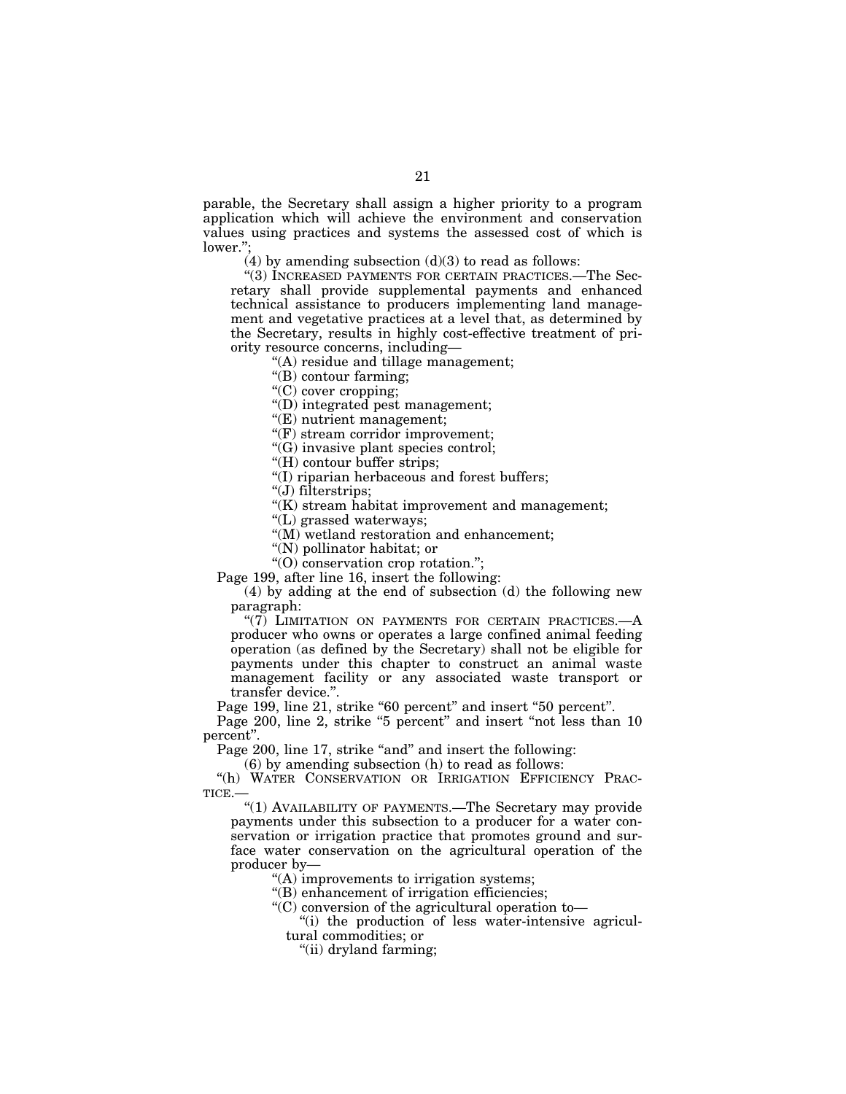parable, the Secretary shall assign a higher priority to a program application which will achieve the environment and conservation values using practices and systems the assessed cost of which is lower."

(4) by amending subsection  $(d)(3)$  to read as follows:

"(3) INCREASED PAYMENTS FOR CERTAIN PRACTICES.—The Secretary shall provide supplemental payments and enhanced technical assistance to producers implementing land management and vegetative practices at a level that, as determined by the Secretary, results in highly cost-effective treatment of priority resource concerns, including—

''(A) residue and tillage management;

''(B) contour farming;

''(C) cover cropping;

''(D) integrated pest management;

''(E) nutrient management;

''(F) stream corridor improvement;

''(G) invasive plant species control;

''(H) contour buffer strips;

''(I) riparian herbaceous and forest buffers;

''(J) filterstrips;

"(K) stream habitat improvement and management;

''(L) grassed waterways;

''(M) wetland restoration and enhancement;

''(N) pollinator habitat; or

''(O) conservation crop rotation.'';

Page 199, after line 16, insert the following:

(4) by adding at the end of subsection (d) the following new paragraph:

" $(7)$  LIMITATION ON PAYMENTS FOR CERTAIN PRACTICES. $-A$ producer who owns or operates a large confined animal feeding operation (as defined by the Secretary) shall not be eligible for payments under this chapter to construct an animal waste management facility or any associated waste transport or transfer device.''.

Page 199, line 21, strike "60 percent" and insert "50 percent".

Page 200, line 2, strike "5 percent" and insert "not less than 10 percent''.

Page 200, line 17, strike "and" and insert the following:

(6) by amending subsection (h) to read as follows:

"(h) WATER CONSERVATION OR IRRIGATION EFFICIENCY PRAC-TICE.—

"(1) AVAILABILITY OF PAYMENTS.—The Secretary may provide payments under this subsection to a producer for a water conservation or irrigation practice that promotes ground and surface water conservation on the agricultural operation of the producer by—

''(A) improvements to irrigation systems;

''(B) enhancement of irrigation efficiencies;

''(C) conversion of the agricultural operation to—

''(i) the production of less water-intensive agricultural commodities; or

''(ii) dryland farming;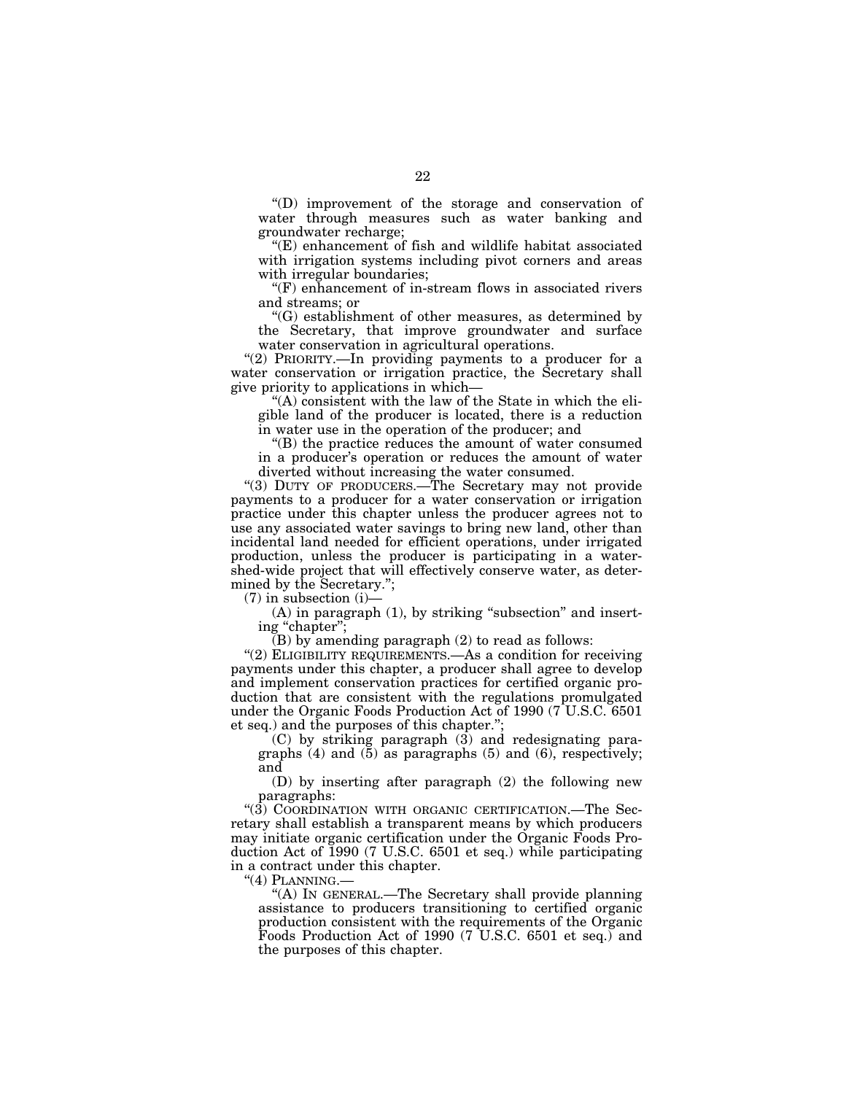''(D) improvement of the storage and conservation of water through measures such as water banking and groundwater recharge;

''(E) enhancement of fish and wildlife habitat associated with irrigation systems including pivot corners and areas with irregular boundaries;

''(F) enhancement of in-stream flows in associated rivers and streams; or

''(G) establishment of other measures, as determined by the Secretary, that improve groundwater and surface water conservation in agricultural operations.

"(2) PRIORITY.-In providing payments to a producer for a water conservation or irrigation practice, the Secretary shall give priority to applications in which—

''(A) consistent with the law of the State in which the eligible land of the producer is located, there is a reduction in water use in the operation of the producer; and

''(B) the practice reduces the amount of water consumed in a producer's operation or reduces the amount of water diverted without increasing the water consumed.

"(3) DUTY OF PRODUCERS.—The Secretary may not provide payments to a producer for a water conservation or irrigation practice under this chapter unless the producer agrees not to use any associated water savings to bring new land, other than incidental land needed for efficient operations, under irrigated production, unless the producer is participating in a watershed-wide project that will effectively conserve water, as determined by the Secretary.'';

 $(7)$  in subsection  $(i)$ —

 $(A)$  in paragraph  $(1)$ , by striking "subsection" and inserting "chapter";

 $(B)$  by amending paragraph  $(2)$  to read as follows:

"(2) ELIGIBILITY REQUIREMENTS. As a condition for receiving payments under this chapter, a producer shall agree to develop and implement conservation practices for certified organic production that are consistent with the regulations promulgated under the Organic Foods Production Act of 1990 (7 U.S.C. 6501 et seq.) and the purposes of this chapter.'';

 $(C)$  by striking paragraph  $(3)$  and redesignating paragraphs  $(4)$  and  $(5)$  as paragraphs  $(5)$  and  $(6)$ , respectively; and

(D) by inserting after paragraph (2) the following new paragraphs:

''(3) COORDINATION WITH ORGANIC CERTIFICATION.—The Secretary shall establish a transparent means by which producers may initiate organic certification under the Organic Foods Production Act of 1990 (7 U.S.C. 6501 et seq.) while participating in a contract under this chapter.

"(4) PLANNING.-

''(A) IN GENERAL.—The Secretary shall provide planning assistance to producers transitioning to certified organic production consistent with the requirements of the Organic Foods Production Act of 1990 (7 U.S.C. 6501 et seq.) and the purposes of this chapter.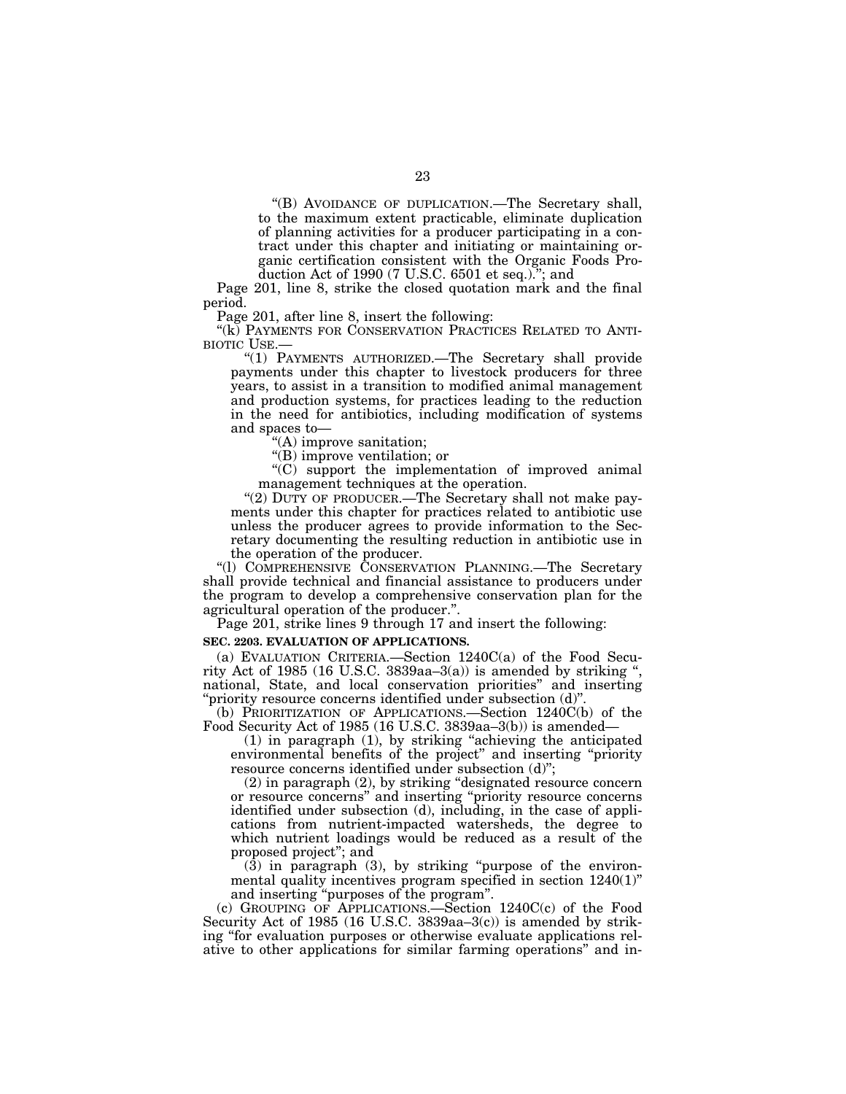''(B) AVOIDANCE OF DUPLICATION.—The Secretary shall, to the maximum extent practicable, eliminate duplication of planning activities for a producer participating in a contract under this chapter and initiating or maintaining organic certification consistent with the Organic Foods Production Act of 1990 (7 U.S.C. 6501 et seq.).''; and

Page 201, line 8, strike the closed quotation mark and the final period.

Page 201, after line 8, insert the following:

"(k) PAYMENTS FOR CONSERVATION PRACTICES RELATED TO ANTI-BIOTIC USE.—

''(1) PAYMENTS AUTHORIZED.—The Secretary shall provide payments under this chapter to livestock producers for three years, to assist in a transition to modified animal management and production systems, for practices leading to the reduction in the need for antibiotics, including modification of systems and spaces to—

''(A) improve sanitation;

''(B) improve ventilation; or

''(C) support the implementation of improved animal management techniques at the operation.

"(2) DUTY OF PRODUCER.—The Secretary shall not make payments under this chapter for practices related to antibiotic use unless the producer agrees to provide information to the Secretary documenting the resulting reduction in antibiotic use in the operation of the producer.

''(l) COMPREHENSIVE CONSERVATION PLANNING.—The Secretary shall provide technical and financial assistance to producers under the program to develop a comprehensive conservation plan for the agricultural operation of the producer.''.

Page 201, strike lines 9 through 17 and insert the following:

# **SEC. 2203. EVALUATION OF APPLICATIONS.**

(a) EVALUATION CRITERIA.—Section 1240C(a) of the Food Security Act of 1985 (16 U.S.C. 3839aa–3(a)) is amended by striking '', national, State, and local conservation priorities'' and inserting 'priority resource concerns identified under subsection (d)"

(b) PRIORITIZATION OF APPLICATIONS.—Section 1240C(b) of the Food Security Act of 1985 (16 U.S.C. 3839aa–3(b)) is amended—

(1) in paragraph (1), by striking ''achieving the anticipated environmental benefits of the project'' and inserting ''priority resource concerns identified under subsection (d)'';

(2) in paragraph (2), by striking ''designated resource concern or resource concerns'' and inserting ''priority resource concerns identified under subsection (d), including, in the case of applications from nutrient-impacted watersheds, the degree to which nutrient loadings would be reduced as a result of the proposed project''; and

 $(3)$  in paragraph  $(3)$ , by striking "purpose of the environmental quality incentives program specified in section 1240(1)'' and inserting ''purposes of the program''.

(c) GROUPING OF APPLICATIONS.—Section 1240C(c) of the Food Security Act of 1985 (16 U.S.C. 3839aa–3(c)) is amended by striking ''for evaluation purposes or otherwise evaluate applications relative to other applications for similar farming operations'' and in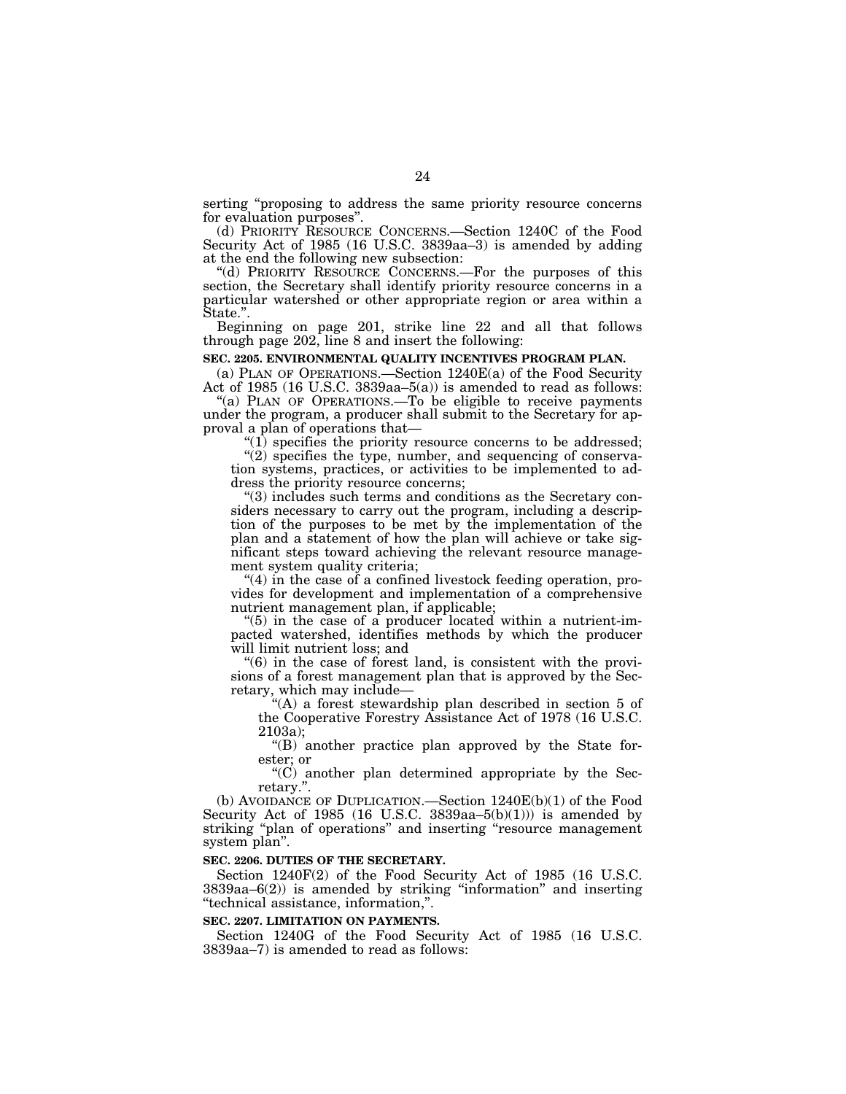serting "proposing to address the same priority resource concerns for evaluation purposes''.

(d) PRIORITY RESOURCE CONCERNS.—Section 1240C of the Food Security Act of 1985 (16 U.S.C. 3839aa–3) is amended by adding at the end the following new subsection:

''(d) PRIORITY RESOURCE CONCERNS.—For the purposes of this section, the Secretary shall identify priority resource concerns in a particular watershed or other appropriate region or area within a State.''.

Beginning on page 201, strike line 22 and all that follows through page 202, line 8 and insert the following:

# **SEC. 2205. ENVIRONMENTAL QUALITY INCENTIVES PROGRAM PLAN.**

(a) PLAN OF OPERATIONS.—Section 1240E(a) of the Food Security Act of 1985 (16 U.S.C. 3839aa–5(a)) is amended to read as follows:

"(a) PLAN OF OPERATIONS.—To be eligible to receive payments under the program, a producer shall submit to the Secretary for approval a plan of operations that—

 $(1)$  specifies the priority resource concerns to be addressed;

 $\cdot$ (2) specifies the type, number, and sequencing of conservation systems, practices, or activities to be implemented to address the priority resource concerns;

''(3) includes such terms and conditions as the Secretary considers necessary to carry out the program, including a description of the purposes to be met by the implementation of the plan and a statement of how the plan will achieve or take significant steps toward achieving the relevant resource management system quality criteria;

" $(4)$  in the case of a confined livestock feeding operation, provides for development and implementation of a comprehensive nutrient management plan, if applicable;

" $(5)$  in the case of a producer located within a nutrient-impacted watershed, identifies methods by which the producer will limit nutrient loss; and

 $\degree$ (6) in the case of forest land, is consistent with the provisions of a forest management plan that is approved by the Secretary, which may include—

''(A) a forest stewardship plan described in section 5 of the Cooperative Forestry Assistance Act of 1978 (16 U.S.C. 2103a);

''(B) another practice plan approved by the State forester; or

 $(C)$  another plan determined appropriate by the Secretary.''.

(b) AVOIDANCE OF DUPLICATION.—Section 1240E(b)(1) of the Food Security Act of 1985 (16 U.S.C. 3839aa-5(b)(1))) is amended by striking "plan of operations" and inserting "resource management system plan''.

# **SEC. 2206. DUTIES OF THE SECRETARY.**

Section 1240F(2) of the Food Security Act of 1985 (16 U.S.C. 3839aa–6(2)) is amended by striking ''information'' and inserting ''technical assistance, information,''.

## **SEC. 2207. LIMITATION ON PAYMENTS.**

Section 1240G of the Food Security Act of 1985 (16 U.S.C. 3839aa–7) is amended to read as follows: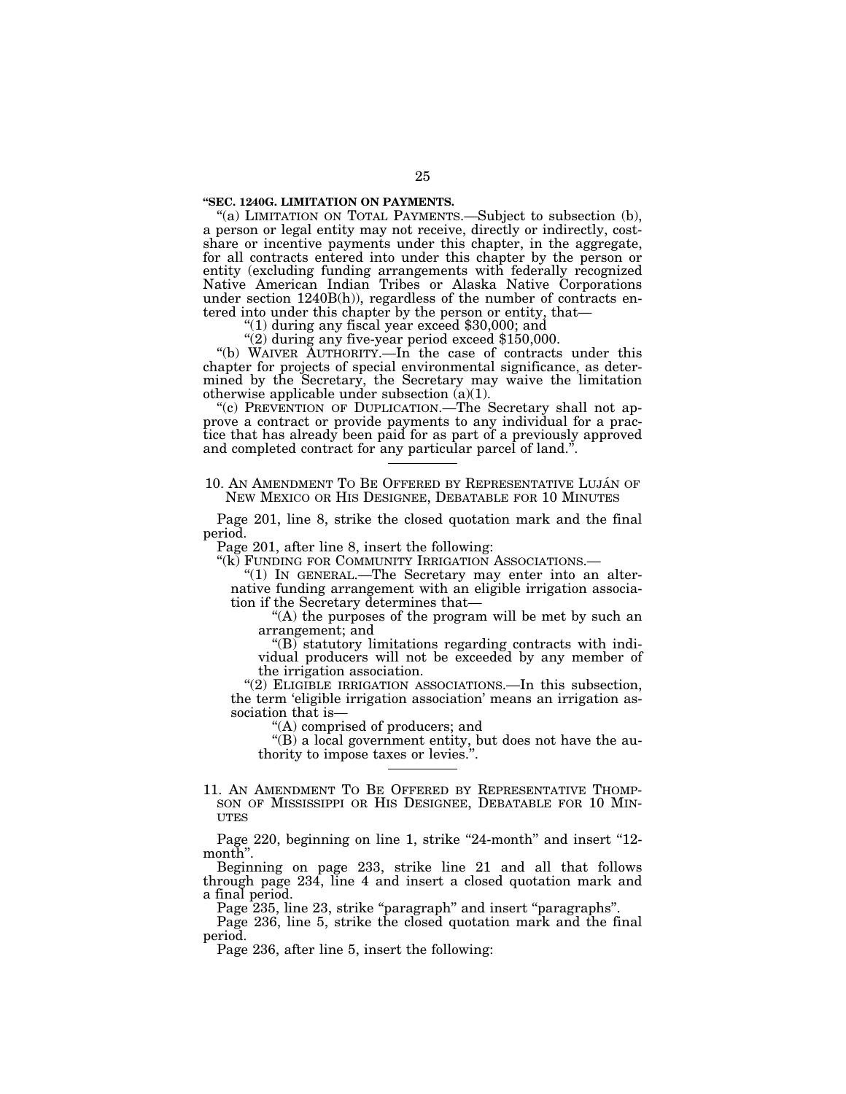# **''SEC. 1240G. LIMITATION ON PAYMENTS.**

"(a) LIMITATION ON TOTAL PAYMENTS.—Subject to subsection (b), a person or legal entity may not receive, directly or indirectly, costshare or incentive payments under this chapter, in the aggregate, for all contracts entered into under this chapter by the person or entity (excluding funding arrangements with federally recognized Native American Indian Tribes or Alaska Native Corporations under section  $1240B(h)$ , regardless of the number of contracts entered into under this chapter by the person or entity, that—<br>"(1) during any fiscal year exceed \$30,000; and

" $(2)$  during any five-year period exceed \$150,000.

''(b) WAIVER AUTHORITY.—In the case of contracts under this chapter for projects of special environmental significance, as determined by the Secretary, the Secretary may waive the limitation otherwise applicable under subsection (a)(1).

"(c) PREVENTION OF DUPLICATION.—The Secretary shall not approve a contract or provide payments to any individual for a practice that has already been paid for as part of a previously approved and completed contract for any particular parcel of land.''.

## 10. AN AMENDMENT TO BE OFFERED BY REPRESENTATIVE LUJÁN OF NEW MEXICO OR HIS DESIGNEE, DEBATABLE FOR 10 MINUTES

Page 201, line 8, strike the closed quotation mark and the final period.

Page 201, after line 8, insert the following:

''(k) FUNDING FOR COMMUNITY IRRIGATION ASSOCIATIONS.— ''(1) IN GENERAL.—The Secretary may enter into an alternative funding arrangement with an eligible irrigation association if the Secretary determines that—

"(A) the purposes of the program will be met by such an arrangement; and

''(B) statutory limitations regarding contracts with individual producers will not be exceeded by any member of the irrigation association.

"(2) ELIGIBLE IRRIGATION ASSOCIATIONS.—In this subsection, the term 'eligible irrigation association' means an irrigation association that is—

''(A) comprised of producers; and

"(B) a local government entity, but does not have the authority to impose taxes or levies.''.

11. AN AMENDMENT TO BE OFFERED BY REPRESENTATIVE THOMP-SON OF MISSISSIPPI OR HIS DESIGNEE, DEBATABLE FOR 10 MIN-**UTES** 

Page 220, beginning on line 1, strike "24-month" and insert "12month''.

Beginning on page 233, strike line 21 and all that follows through page 234, line 4 and insert a closed quotation mark and a final period.

Page 235, line 23, strike "paragraph" and insert "paragraphs".

Page 236, line 5, strike the closed quotation mark and the final period.

Page 236, after line 5, insert the following: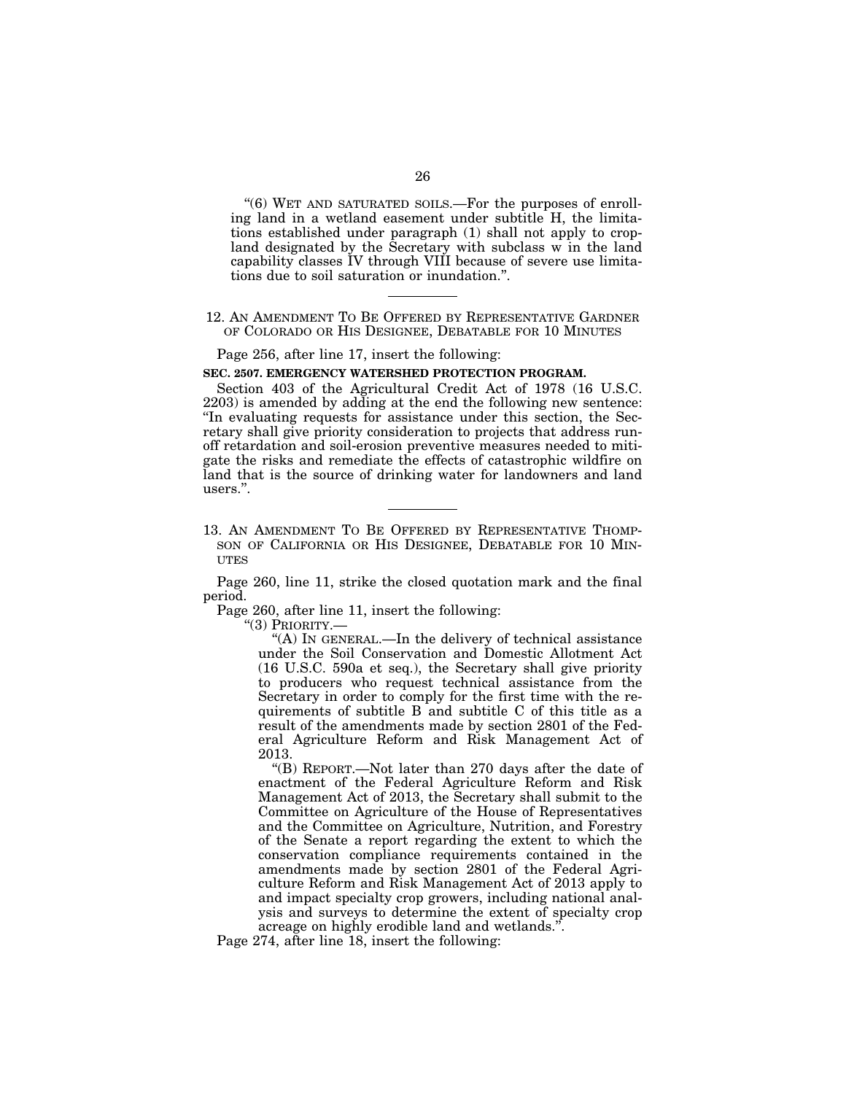''(6) WET AND SATURATED SOILS.—For the purposes of enrolling land in a wetland easement under subtitle H, the limitations established under paragraph (1) shall not apply to cropland designated by the Secretary with subclass w in the land capability classes IV through VIII because of severe use limitations due to soil saturation or inundation.''.

# 12. AN AMENDMENT TO BE OFFERED BY REPRESENTATIVE GARDNER OF COLORADO OR HIS DESIGNEE, DEBATABLE FOR 10 MINUTES

Page 256, after line 17, insert the following:

# **SEC. 2507. EMERGENCY WATERSHED PROTECTION PROGRAM.**

Section 403 of the Agricultural Credit Act of 1978 (16 U.S.C. 2203) is amended by adding at the end the following new sentence: ''In evaluating requests for assistance under this section, the Secretary shall give priority consideration to projects that address runoff retardation and soil-erosion preventive measures needed to mitigate the risks and remediate the effects of catastrophic wildfire on land that is the source of drinking water for landowners and land users.''.

13. AN AMENDMENT TO BE OFFERED BY REPRESENTATIVE THOMP-SON OF CALIFORNIA OR HIS DESIGNEE, DEBATABLE FOR 10 MIN-**UTES** 

Page 260, line 11, strike the closed quotation mark and the final period.

Page 260, after line 11, insert the following:

''(3) PRIORITY.—

''(A) IN GENERAL.—In the delivery of technical assistance under the Soil Conservation and Domestic Allotment Act (16 U.S.C. 590a et seq.), the Secretary shall give priority to producers who request technical assistance from the Secretary in order to comply for the first time with the requirements of subtitle B and subtitle C of this title as a result of the amendments made by section 2801 of the Federal Agriculture Reform and Risk Management Act of 2013.

''(B) REPORT.—Not later than 270 days after the date of enactment of the Federal Agriculture Reform and Risk Management Act of 2013, the Secretary shall submit to the Committee on Agriculture of the House of Representatives and the Committee on Agriculture, Nutrition, and Forestry of the Senate a report regarding the extent to which the conservation compliance requirements contained in the amendments made by section 2801 of the Federal Agriculture Reform and Risk Management Act of 2013 apply to and impact specialty crop growers, including national analysis and surveys to determine the extent of specialty crop acreage on highly erodible land and wetlands.''.

Page 274, after line 18, insert the following: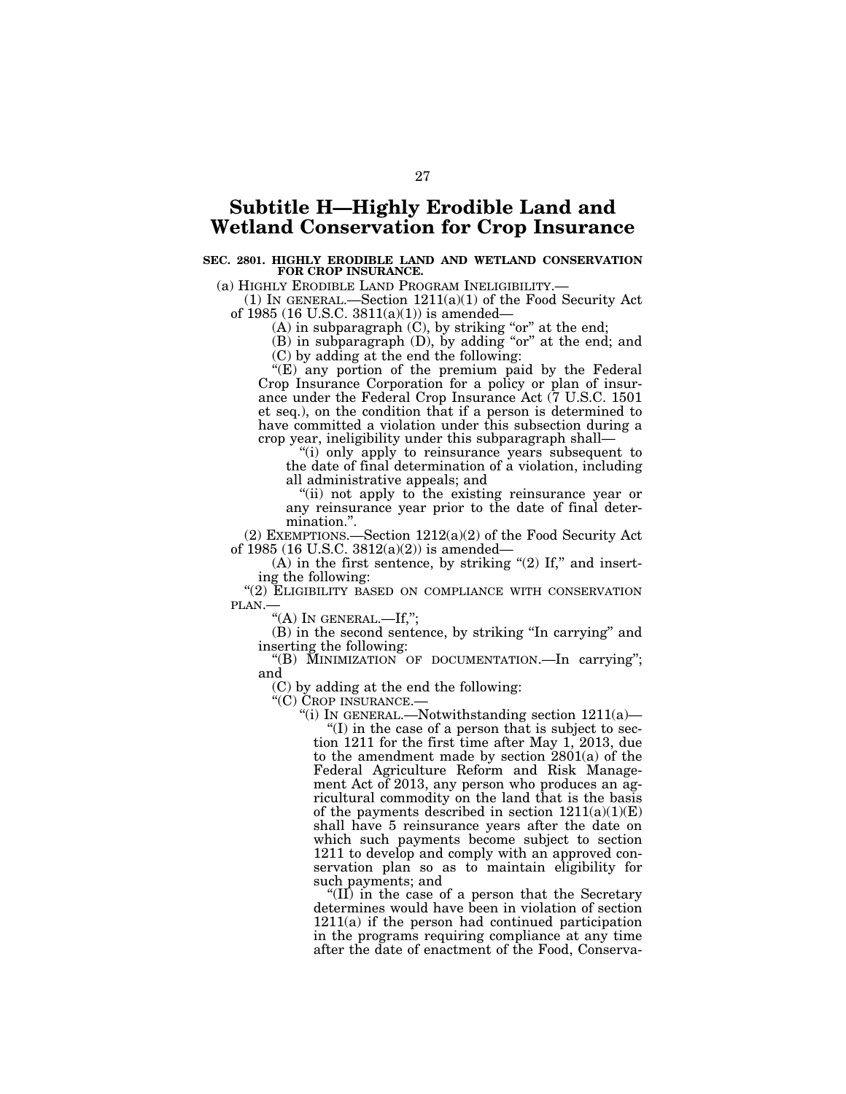# **Subtitle H—Highly Erodible Land and Wetland Conservation for Crop Insurance**

# **SEC. 2801. HIGHLY ERODIBLE LAND AND WETLAND CONSERVATION FOR CROP INSURANCE.**

(a) HIGHLY ERODIBLE LAND PROGRAM INELIGIBILITY.—

(1) IN GENERAL.—Section 1211(a)(1) of the Food Security Act of 1985 (16 U.S.C. 3811(a)(1)) is amended—

(A) in subparagraph  $(C)$ , by striking "or" at the end;

(B) in subparagraph (D), by adding "or" at the end; and (C) by adding at the end the following:

"(E) any portion of the premium paid by the Federal Crop Insurance Corporation for a policy or plan of insurance under the Federal Crop Insurance Act (7 U.S.C. 1501 et seq.), on the condition that if a person is determined to have committed a violation under this subsection during a crop year, ineligibility under this subparagraph shall—

''(i) only apply to reinsurance years subsequent to the date of final determination of a violation, including all administrative appeals; and

"(ii) not apply to the existing reinsurance year or any reinsurance year prior to the date of final determination.''.

(2) EXEMPTIONS.—Section 1212(a)(2) of the Food Security Act of 1985 (16 U.S.C.  $3812(a)(2)$ ) is amended—

 $(A)$  in the first sentence, by striking "(2) If," and inserting the following:

"(2) ELIGIBILITY BASED ON COMPLIANCE WITH CONSERVATION PLAN.

"(A) IN GENERAL.—If,";

(B) in the second sentence, by striking ''In carrying'' and inserting the following:

''(B) MINIMIZATION OF DOCUMENTATION.—In carrying''; and

(C) by adding at the end the following:

''(C) CROP INSURANCE.—

"(i) In GENERAL.—Notwithstanding section  $1211(a)$ —

''(I) in the case of a person that is subject to section 1211 for the first time after May 1, 2013, due to the amendment made by section 2801(a) of the Federal Agriculture Reform and Risk Management Act of 2013, any person who produces an agricultural commodity on the land that is the basis of the payments described in section  $1211(a)(1)(E)$ shall have 5 reinsurance years after the date on which such payments become subject to section 1211 to develop and comply with an approved conservation plan so as to maintain eligibility for such payments; and

" $(II)$  in the case of a person that the Secretary determines would have been in violation of section 1211(a) if the person had continued participation in the programs requiring compliance at any time after the date of enactment of the Food, Conserva-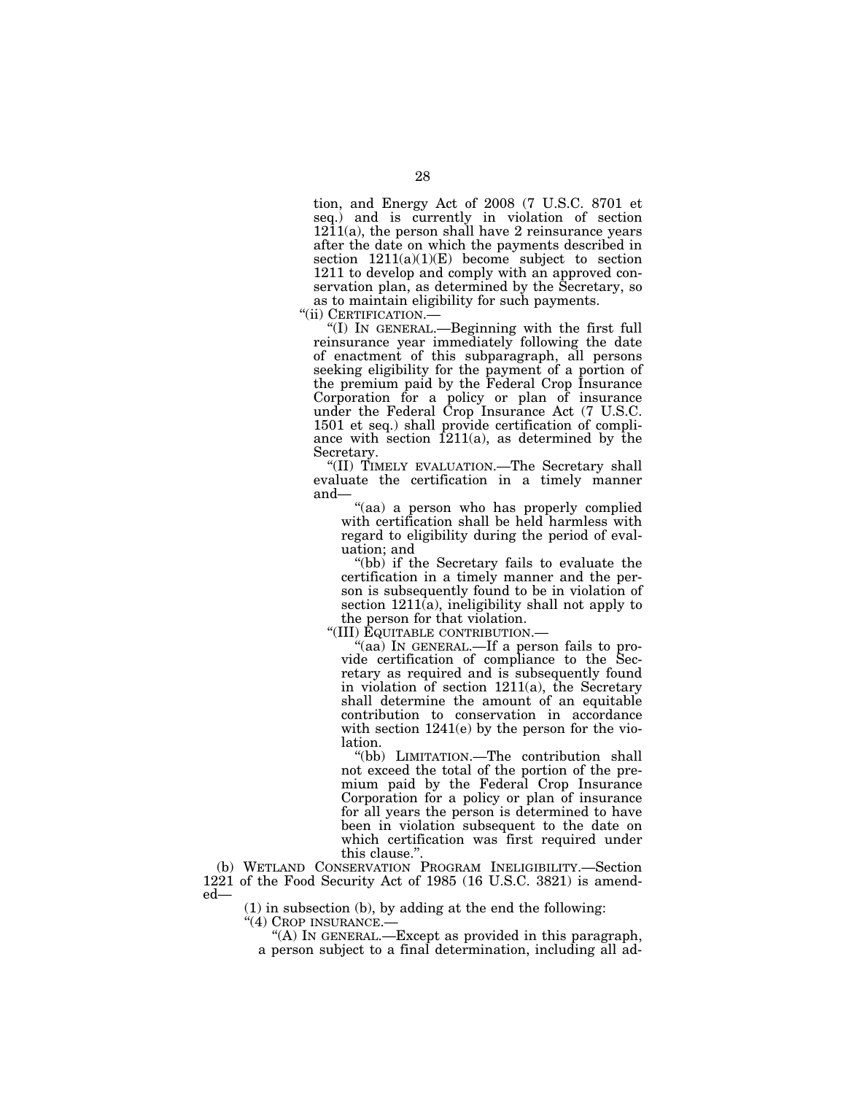tion, and Energy Act of 2008 (7 U.S.C. 8701 et seq.) and is currently in violation of section  $1211(a)$ , the person shall have 2 reinsurance years after the date on which the payments described in section  $1211(a)(1)(E)$  become subject to section 1211 to develop and comply with an approved conservation plan, as determined by the Secretary, so as to maintain eligibility for such payments.<br>"(ii) CERTIFICATION.—

"(I) IN GENERAL.—Beginning with the first full reinsurance year immediately following the date of enactment of this subparagraph, all persons seeking eligibility for the payment of a portion of the premium paid by the Federal Crop Insurance Corporation for a policy or plan of insurance under the Federal Crop Insurance Act (7 U.S.C. 1501 et seq.) shall provide certification of compliance with section  $1211(a)$ , as determined by the Secretary.

''(II) TIMELY EVALUATION.—The Secretary shall evaluate the certification in a timely manner and—

"(aa) a person who has properly complied with certification shall be held harmless with regard to eligibility during the period of evaluation; and

''(bb) if the Secretary fails to evaluate the certification in a timely manner and the person is subsequently found to be in violation of section 1211(a), ineligibility shall not apply to the person for that violation.

''(III) EQUITABLE CONTRIBUTION.—

"(aa) In GENERAL.—If a person fails to provide certification of compliance to the Secretary as required and is subsequently found in violation of section 1211(a), the Secretary shall determine the amount of an equitable contribution to conservation in accordance with section 1241(e) by the person for the violation.

''(bb) LIMITATION.—The contribution shall not exceed the total of the portion of the premium paid by the Federal Crop Insurance Corporation for a policy or plan of insurance for all years the person is determined to have been in violation subsequent to the date on which certification was first required under this clause.'

(b) WETLAND CONSERVATION PROGRAM INELIGIBILITY.—Section 1221 of the Food Security Act of 1985 (16 U.S.C. 3821) is amended—

(1) in subsection (b), by adding at the end the following:

''(4) CROP INSURANCE.—

''(A) IN GENERAL.—Except as provided in this paragraph, a person subject to a final determination, including all ad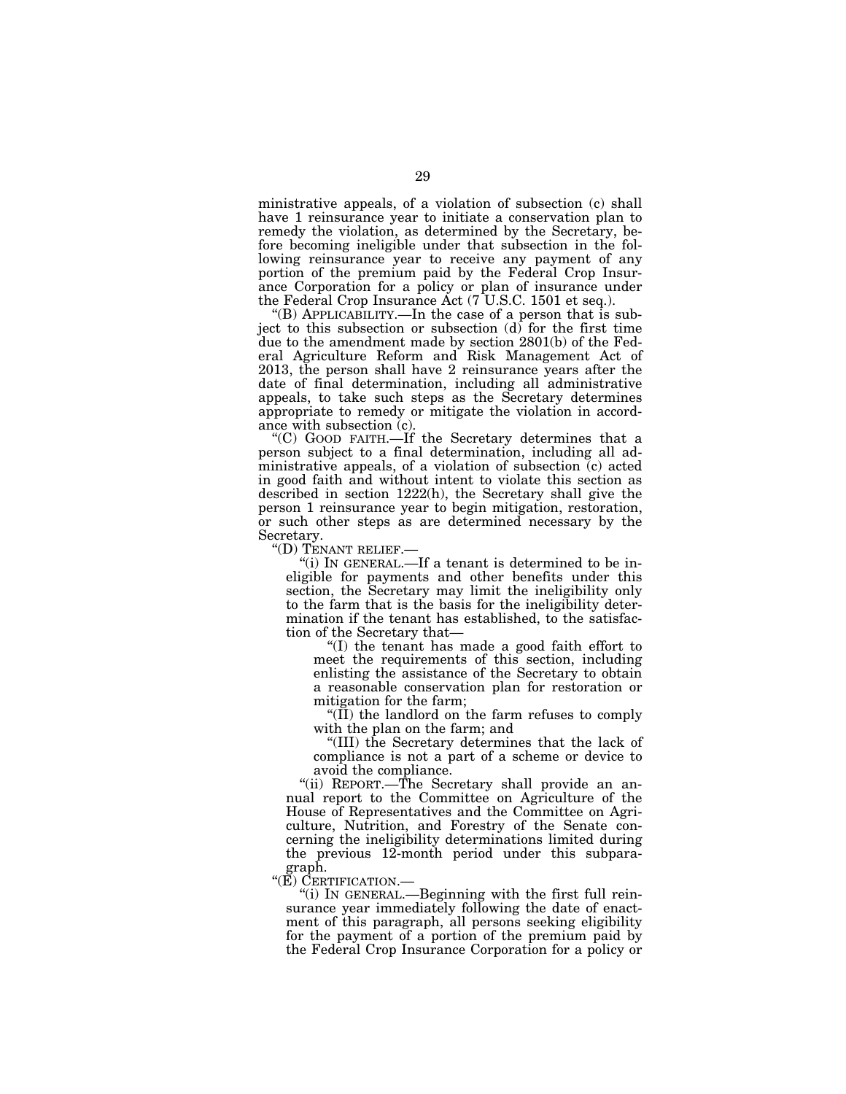ministrative appeals, of a violation of subsection (c) shall have 1 reinsurance year to initiate a conservation plan to remedy the violation, as determined by the Secretary, before becoming ineligible under that subsection in the following reinsurance year to receive any payment of any portion of the premium paid by the Federal Crop Insurance Corporation for a policy or plan of insurance under the Federal Crop Insurance Act (7 U.S.C. 1501 et seq.).

''(B) APPLICABILITY.—In the case of a person that is subject to this subsection or subsection  $(d)$  for the first time due to the amendment made by section 2801(b) of the Federal Agriculture Reform and Risk Management Act of 2013, the person shall have 2 reinsurance years after the date of final determination, including all administrative appeals, to take such steps as the Secretary determines appropriate to remedy or mitigate the violation in accordance with subsection (c).

''(C) GOOD FAITH.—If the Secretary determines that a person subject to a final determination, including all administrative appeals, of a violation of subsection (c) acted in good faith and without intent to violate this section as described in section 1222(h), the Secretary shall give the person 1 reinsurance year to begin mitigation, restoration, or such other steps as are determined necessary by the Secretary.<br>"(D) TENANT RELIEF.—

"(i) IN GENERAL.—If a tenant is determined to be ineligible for payments and other benefits under this section, the Secretary may limit the ineligibility only to the farm that is the basis for the ineligibility determination if the tenant has established, to the satisfaction of the Secretary that—

''(I) the tenant has made a good faith effort to meet the requirements of this section, including enlisting the assistance of the Secretary to obtain a reasonable conservation plan for restoration or mitigation for the farm;

 $\mathcal{H}(\Pi)$  the landlord on the farm refuses to comply with the plan on the farm; and

''(III) the Secretary determines that the lack of compliance is not a part of a scheme or device to avoid the compliance.

''(ii) REPORT.—The Secretary shall provide an annual report to the Committee on Agriculture of the House of Representatives and the Committee on Agriculture, Nutrition, and Forestry of the Senate concerning the ineligibility determinations limited during the previous 12-month period under this subpara-

graph.<br>"(E) CERTIFICATION.—

"(i) IN GENERAL.—Beginning with the first full reinsurance year immediately following the date of enactment of this paragraph, all persons seeking eligibility for the payment of a portion of the premium paid by the Federal Crop Insurance Corporation for a policy or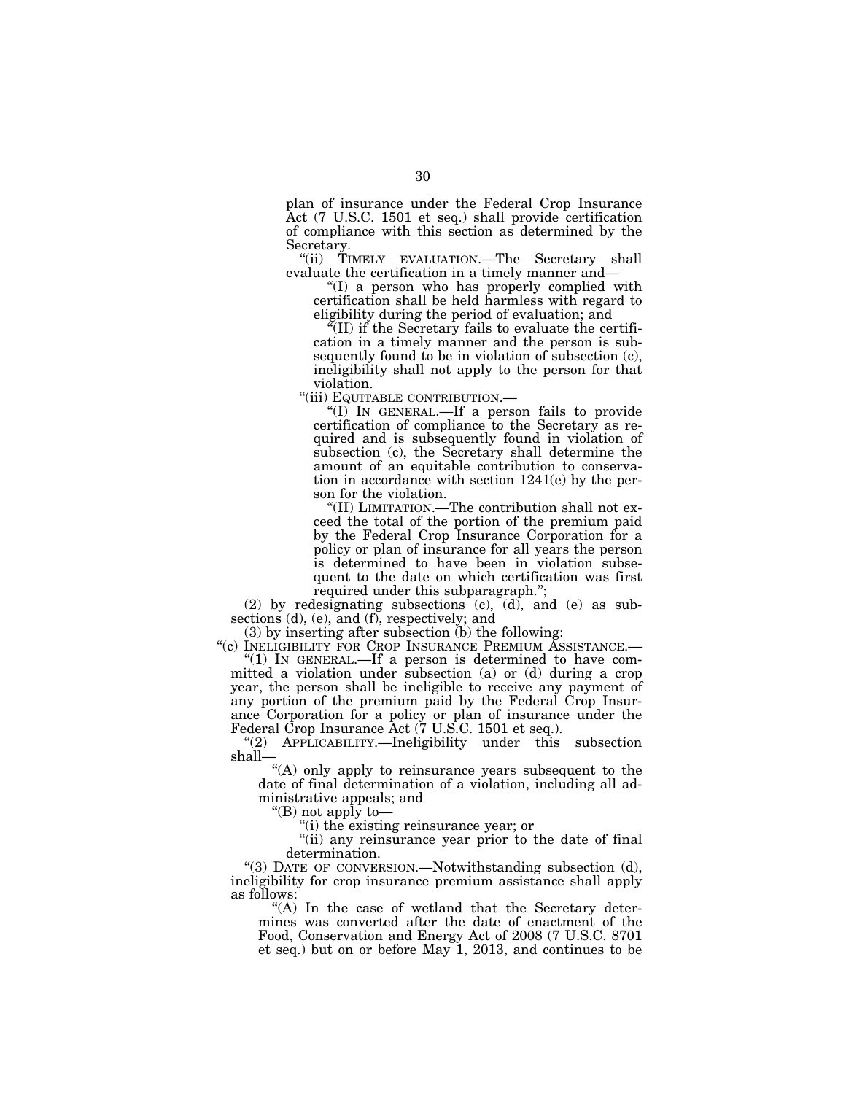plan of insurance under the Federal Crop Insurance Act (7 U.S.C. 1501 et seq.) shall provide certification of compliance with this section as determined by the Secretary.

''(ii) TIMELY EVALUATION.—The Secretary shall evaluate the certification in a timely manner and—

''(I) a person who has properly complied with certification shall be held harmless with regard to eligibility during the period of evaluation; and

 $\sqrt{\text{III}}$  if the Secretary fails to evaluate the certification in a timely manner and the person is subsequently found to be in violation of subsection (c), ineligibility shall not apply to the person for that violation.

''(iii) EQUITABLE CONTRIBUTION.—

''(I) IN GENERAL.—If a person fails to provide certification of compliance to the Secretary as required and is subsequently found in violation of subsection (c), the Secretary shall determine the amount of an equitable contribution to conservation in accordance with section 1241(e) by the person for the violation.

''(II) LIMITATION.—The contribution shall not exceed the total of the portion of the premium paid by the Federal Crop Insurance Corporation for a policy or plan of insurance for all years the person is determined to have been in violation subsequent to the date on which certification was first required under this subparagraph.'';

(2) by redesignating subsections (c), (d), and (e) as subsections (d), (e), and (f), respectively; and

(3) by inserting after subsection (b) the following:

''(c) INELIGIBILITY FOR CROP INSURANCE PREMIUM ASSISTANCE.— ''(1) IN GENERAL.—If a person is determined to have com-

mitted a violation under subsection (a) or (d) during a crop year, the person shall be ineligible to receive any payment of any portion of the premium paid by the Federal Crop Insurance Corporation for a policy or plan of insurance under the Federal Crop Insurance Act (7 U.S.C. 1501 et seq.).

''(2) APPLICABILITY.—Ineligibility under this subsection shall—

"(A) only apply to reinsurance years subsequent to the date of final determination of a violation, including all administrative appeals; and

''(B) not apply to—

''(i) the existing reinsurance year; or

"(ii) any reinsurance year prior to the date of final determination.

''(3) DATE OF CONVERSION.—Notwithstanding subsection (d), ineligibility for crop insurance premium assistance shall apply as follows:

"(A) In the case of wetland that the Secretary determines was converted after the date of enactment of the Food, Conservation and Energy Act of 2008 (7 U.S.C. 8701 et seq.) but on or before May 1, 2013, and continues to be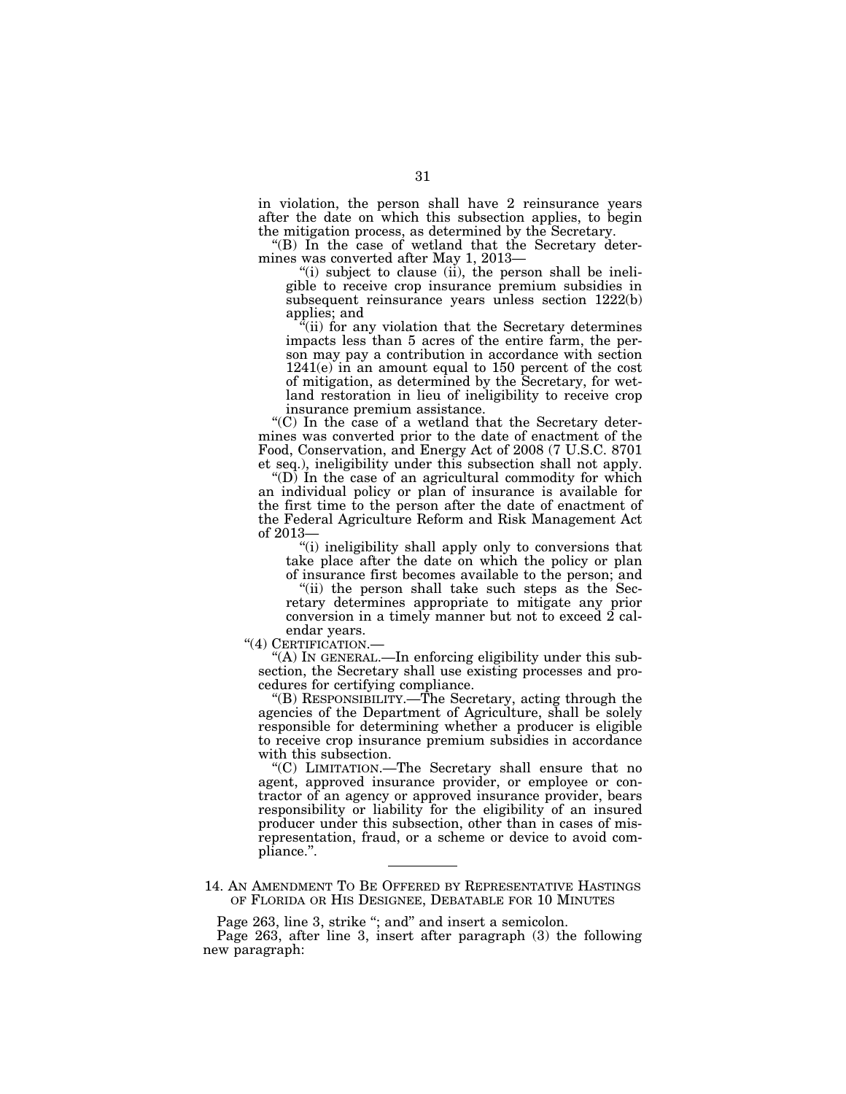in violation, the person shall have 2 reinsurance years after the date on which this subsection applies, to begin the mitigation process, as determined by the Secretary.

''(B) In the case of wetland that the Secretary determines was converted after May 1, 2013—

"(i) subject to clause (ii), the person shall be ineligible to receive crop insurance premium subsidies in subsequent reinsurance years unless section 1222(b) applies; and

(ii) for any violation that the Secretary determines impacts less than 5 acres of the entire farm, the person may pay a contribution in accordance with section 1241(e) in an amount equal to 150 percent of the cost of mitigation, as determined by the Secretary, for wetland restoration in lieu of ineligibility to receive crop insurance premium assistance.

''(C) In the case of a wetland that the Secretary determines was converted prior to the date of enactment of the Food, Conservation, and Energy Act of 2008 (7 U.S.C. 8701 et seq.), ineligibility under this subsection shall not apply.

" $(D)$  In the case of an agricultural commodity for which an individual policy or plan of insurance is available for the first time to the person after the date of enactment of the Federal Agriculture Reform and Risk Management Act of 2013—

''(i) ineligibility shall apply only to conversions that take place after the date on which the policy or plan of insurance first becomes available to the person; and

"(ii) the person shall take such steps as the Sec-

retary determines appropriate to mitigate any prior conversion in a timely manner but not to exceed 2 cal-

endar years.<br>"(4) CERTIFICATION.—

"(A) IN GENERAL.—In enforcing eligibility under this subsection, the Secretary shall use existing processes and procedures for certifying compliance.

''(B) RESPONSIBILITY.—The Secretary, acting through the agencies of the Department of Agriculture, shall be solely responsible for determining whether a producer is eligible to receive crop insurance premium subsidies in accordance with this subsection.

''(C) LIMITATION.—The Secretary shall ensure that no agent, approved insurance provider, or employee or contractor of an agency or approved insurance provider, bears responsibility or liability for the eligibility of an insured producer under this subsection, other than in cases of misrepresentation, fraud, or a scheme or device to avoid compliance.''.

14. AN AMENDMENT TO BE OFFERED BY REPRESENTATIVE HASTINGS OF FLORIDA OR HIS DESIGNEE, DEBATABLE FOR 10 MINUTES

Page 263, line 3, strike "; and" and insert a semicolon.

Page 263, after line 3, insert after paragraph (3) the following new paragraph: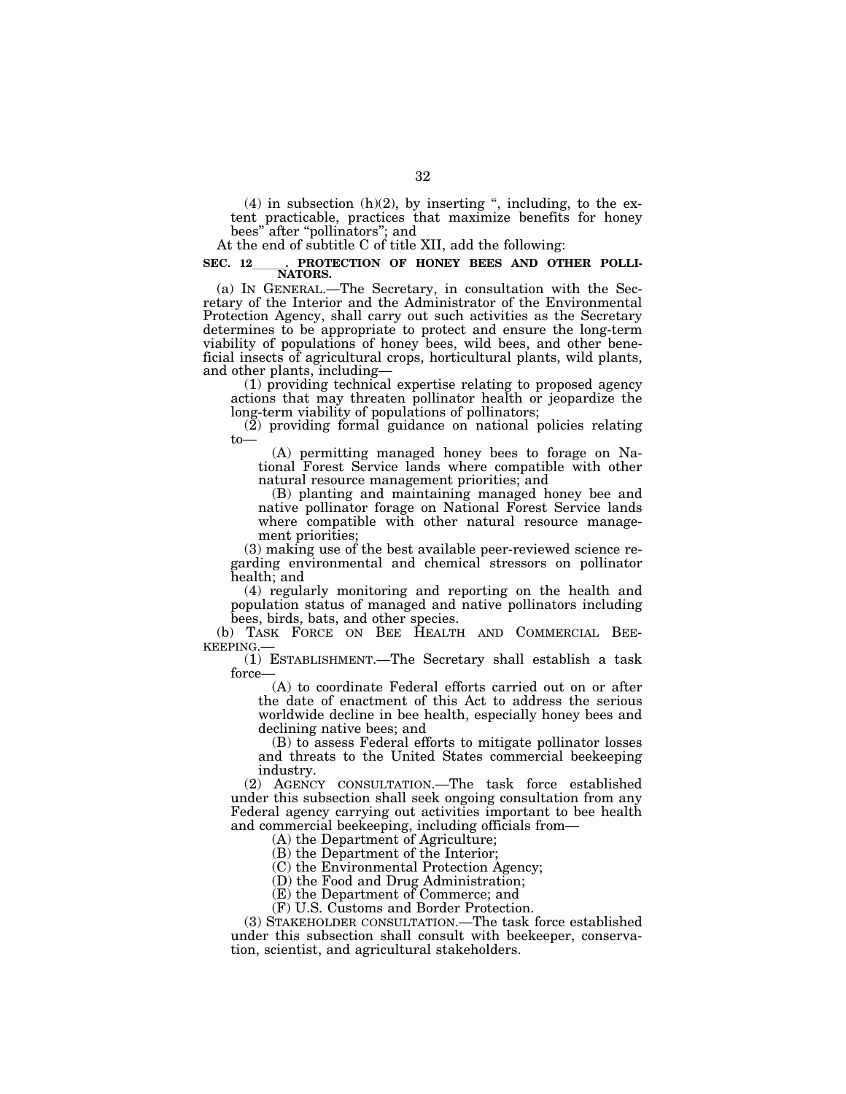$(4)$  in subsection  $(h)(2)$ , by inserting ", including, to the extent practicable, practices that maximize benefits for honey bees'' after ''pollinators''; and

At the end of subtitle C of title XII, add the following:

## SEC. 12 CPROTECTION OF HONEY BEES AND OTHER POLLI-**NATORS.**

(a) IN GENERAL.—The Secretary, in consultation with the Secretary of the Interior and the Administrator of the Environmental Protection Agency, shall carry out such activities as the Secretary determines to be appropriate to protect and ensure the long-term viability of populations of honey bees, wild bees, and other beneficial insects of agricultural crops, horticultural plants, wild plants, and other plants, including—

(1) providing technical expertise relating to proposed agency actions that may threaten pollinator health or jeopardize the long-term viability of populations of pollinators;

 $(2)$  providing formal guidance on national policies relating to—

(A) permitting managed honey bees to forage on National Forest Service lands where compatible with other natural resource management priorities; and

(B) planting and maintaining managed honey bee and native pollinator forage on National Forest Service lands where compatible with other natural resource management priorities;

(3) making use of the best available peer-reviewed science regarding environmental and chemical stressors on pollinator health; and

(4) regularly monitoring and reporting on the health and population status of managed and native pollinators including bees, birds, bats, and other species.

(b) TASK FORCE ON BEE HEALTH AND COMMERCIAL BEE-KEEPING.—

(1) ESTABLISHMENT.—The Secretary shall establish a task force—

(A) to coordinate Federal efforts carried out on or after the date of enactment of this Act to address the serious worldwide decline in bee health, especially honey bees and declining native bees; and

(B) to assess Federal efforts to mitigate pollinator losses and threats to the United States commercial beekeeping industry.

(2) AGENCY CONSULTATION.—The task force established under this subsection shall seek ongoing consultation from any Federal agency carrying out activities important to bee health and commercial beekeeping, including officials from—

(A) the Department of Agriculture;

(B) the Department of the Interior;

(C) the Environmental Protection Agency;

(D) the Food and Drug Administration;

(E) the Department of Commerce; and

(F) U.S. Customs and Border Protection.

(3) STAKEHOLDER CONSULTATION.—The task force established under this subsection shall consult with beekeeper, conservation, scientist, and agricultural stakeholders.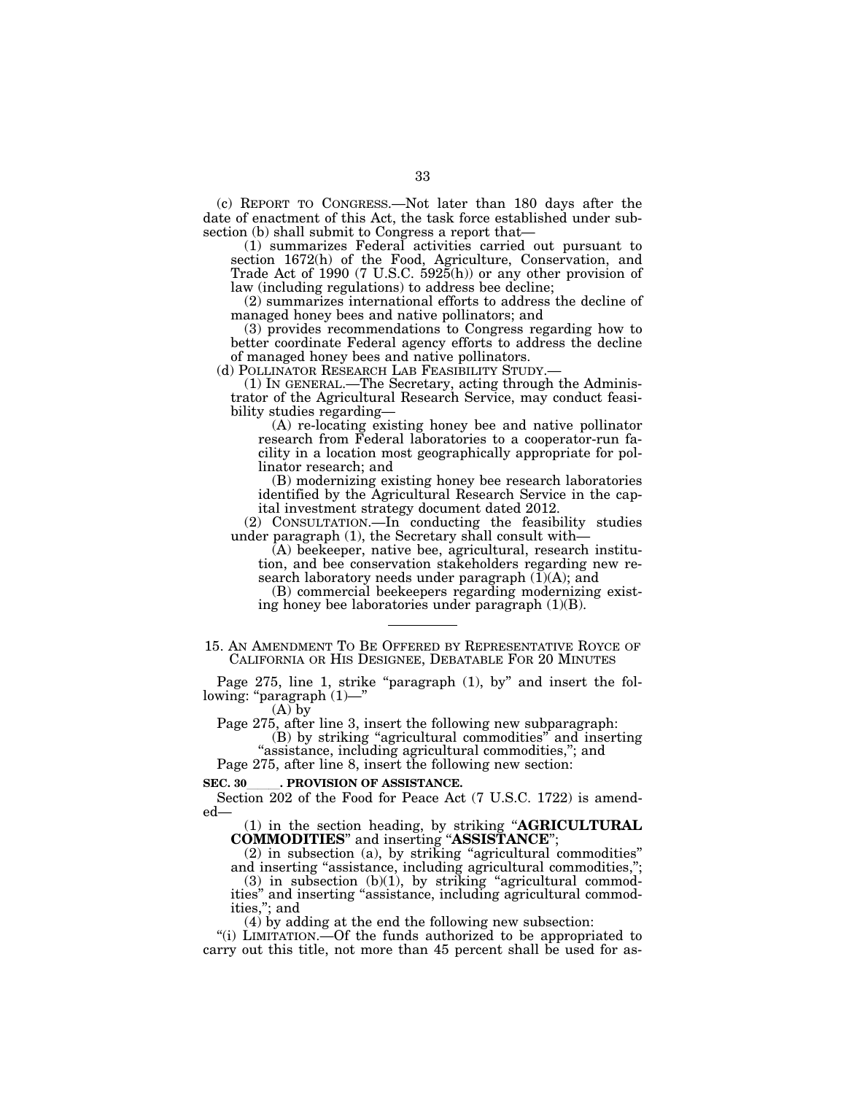(c) REPORT TO CONGRESS.—Not later than 180 days after the date of enactment of this Act, the task force established under subsection (b) shall submit to Congress a report that—

(1) summarizes Federal activities carried out pursuant to section 1672(h) of the Food, Agriculture, Conservation, and Trade Act of 1990 (7 U.S.C.  $592\overline{5}$ (h)) or any other provision of law (including regulations) to address bee decline;

(2) summarizes international efforts to address the decline of managed honey bees and native pollinators; and

(3) provides recommendations to Congress regarding how to better coordinate Federal agency efforts to address the decline of managed honey bees and native pollinators.

(d) POLLINATOR RESEARCH LAB FEASIBILITY STUDY.

(1) IN GENERAL.—The Secretary, acting through the Administrator of the Agricultural Research Service, may conduct feasibility studies regarding—

(A) re-locating existing honey bee and native pollinator research from Federal laboratories to a cooperator-run facility in a location most geographically appropriate for pollinator research; and

(B) modernizing existing honey bee research laboratories identified by the Agricultural Research Service in the capital investment strategy document dated 2012.

(2) CONSULTATION.—In conducting the feasibility studies under paragraph (1), the Secretary shall consult with—

(A) beekeeper, native bee, agricultural, research institution, and bee conservation stakeholders regarding new research laboratory needs under paragraph  $(I)(A)$ ; and

(B) commercial beekeepers regarding modernizing existing honey bee laboratories under paragraph  $(1)(B)$ .

15. AN AMENDMENT TO BE OFFERED BY REPRESENTATIVE ROYCE OF CALIFORNIA OR HIS DESIGNEE, DEBATABLE FOR 20 MINUTES

Page 275, line 1, strike "paragraph (1), by" and insert the following: "paragraph (1)—

 $(A)$  by

Page 275, after line 3, insert the following new subparagraph:

(B) by striking ''agricultural commodities'' and inserting "assistance, including agricultural commodities,"; and

Page 275, after line 8, insert the following new section:

**SEC. 30**. PROVISION OF ASSISTANCE.<br>
Section 202 of the Food for Peace Act (7 U.S.C. 1722) is amended—

(1) in the section heading, by striking ''**AGRICULTURAL COMMODITIES**'' and inserting ''**ASSISTANCE**'';

(2) in subsection (a), by striking ''agricultural commodities'' and inserting "assistance, including agricultural commodities,";

 $(3)$  in subsection  $(b)(1)$ , by striking "agricultural commodities'' and inserting ''assistance, including agricultural commodities,''; and

(4) by adding at the end the following new subsection:

"(i) LIMITATION.—Of the funds authorized to be appropriated to carry out this title, not more than 45 percent shall be used for as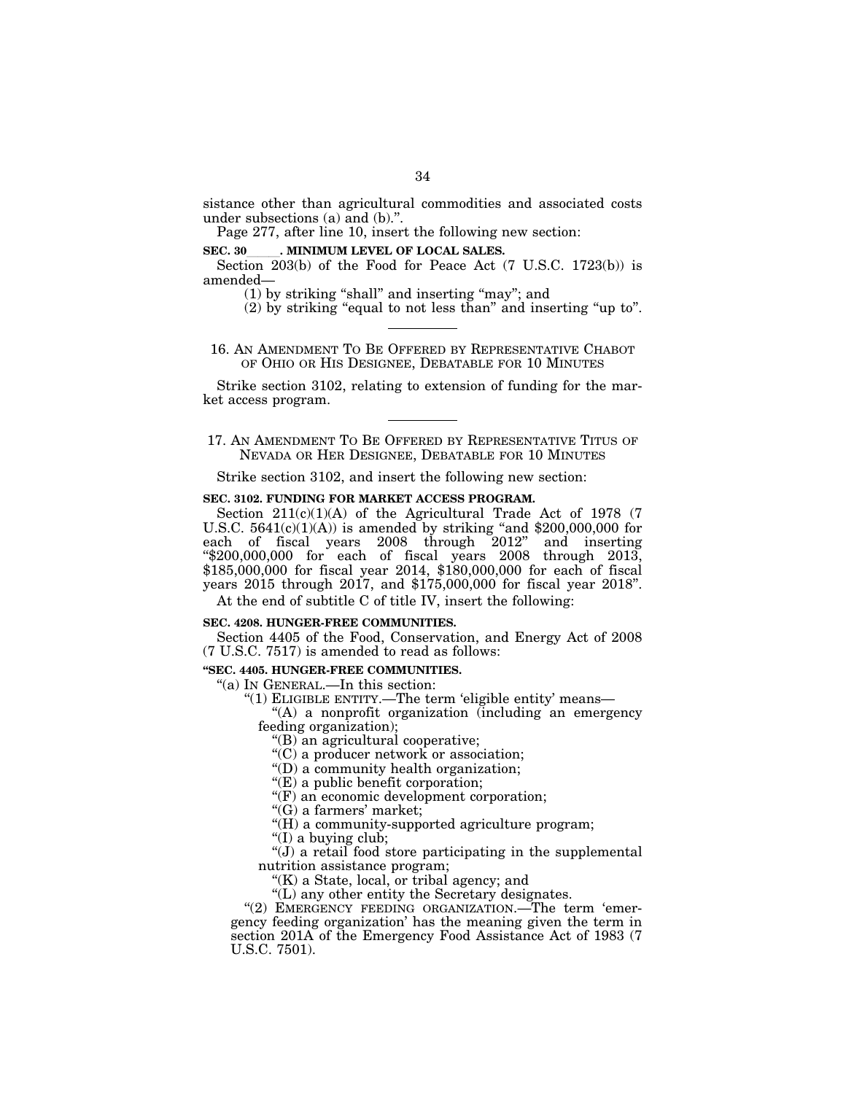sistance other than agricultural commodities and associated costs under subsections (a) and (b).''.

Page 277, after line 10, insert the following new section:

**SEC. 30** . MINIMUM LEVEL OF LOCAL SALES.

Section 203(b) of the Food for Peace Act (7 U.S.C. 1723(b)) is amended—

(1) by striking ''shall'' and inserting ''may''; and

(2) by striking ''equal to not less than'' and inserting ''up to''.

16. AN AMENDMENT TO BE OFFERED BY REPRESENTATIVE CHABOT OF OHIO OR HIS DESIGNEE, DEBATABLE FOR 10 MINUTES

Strike section 3102, relating to extension of funding for the market access program.

17. AN AMENDMENT TO BE OFFERED BY REPRESENTATIVE TITUS OF NEVADA OR HER DESIGNEE, DEBATABLE FOR 10 MINUTES

Strike section 3102, and insert the following new section:

# **SEC. 3102. FUNDING FOR MARKET ACCESS PROGRAM.**

Section 211(c)(1)(A) of the Agricultural Trade Act of 1978 (7 U.S.C.  $5641(c)(1)(A)$  is amended by striking "and \$200,000,000 for each of fiscal years 2008 through 2012'' and inserting  $\text{\textdegree$4200,000,000 for each of fiscal years } 2008 \text{ through } 2013,$ \$185,000,000 for fiscal year 2014, \$180,000,000 for each of fiscal years 2015 through 2017, and \$175,000,000 for fiscal year 2018''.

At the end of subtitle C of title IV, insert the following:

# **SEC. 4208. HUNGER-FREE COMMUNITIES.**

Section 4405 of the Food, Conservation, and Energy Act of 2008 (7 U.S.C. 7517) is amended to read as follows:

#### **''SEC. 4405. HUNGER-FREE COMMUNITIES.**

''(a) IN GENERAL.—In this section:

"(1) ELIGIBLE ENTITY.—The term 'eligible entity' means—

"(A) a nonprofit organization (including an emergency feeding organization);

''(B) an agricultural cooperative;

''(C) a producer network or association;

''(D) a community health organization;

''(E) a public benefit corporation;

''(F) an economic development corporation;

''(G) a farmers' market;

''(H) a community-supported agriculture program;

''(I) a buying club;

 $\hat{J}$ ) a retail food store participating in the supplemental nutrition assistance program;

" $(K)$  a State, local, or tribal agency; and

''(L) any other entity the Secretary designates.

"(2) EMERGENCY FEEDING ORGANIZATION.—The term 'emergency feeding organization' has the meaning given the term in section 201A of the Emergency Food Assistance Act of 1983 (7 U.S.C. 7501).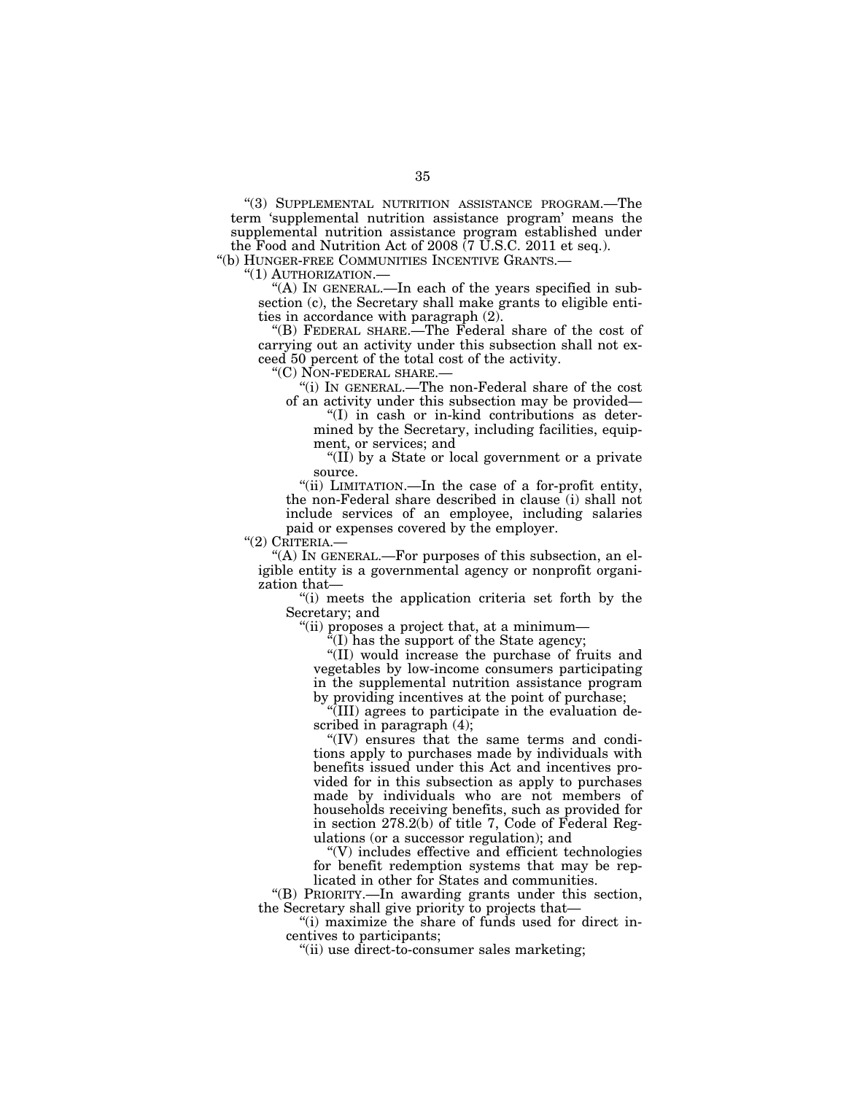''(3) SUPPLEMENTAL NUTRITION ASSISTANCE PROGRAM.—The term 'supplemental nutrition assistance program' means the supplemental nutrition assistance program established under the Food and Nutrition Act of 2008 (7 U.S.C. 2011 et seq.).

''(b) HUNGER-FREE COMMUNITIES INCENTIVE GRANTS.—

''(1) AUTHORIZATION.—

"(A) IN GENERAL.—In each of the years specified in subsection (c), the Secretary shall make grants to eligible entities in accordance with paragraph (2).

''(B) FEDERAL SHARE.—The Federal share of the cost of carrying out an activity under this subsection shall not exceed 50 percent of the total cost of the activity.

''(C) NON-FEDERAL SHARE.—

''(i) IN GENERAL.—The non-Federal share of the cost of an activity under this subsection may be provided—

''(I) in cash or in-kind contributions as determined by the Secretary, including facilities, equipment, or services; and

''(II) by a State or local government or a private source.

''(ii) LIMITATION.—In the case of a for-profit entity, the non-Federal share described in clause (i) shall not include services of an employee, including salaries paid or expenses covered by the employer.

''(2) CRITERIA.—

"(A) IN GENERAL.—For purposes of this subsection, an eligible entity is a governmental agency or nonprofit organization that—

''(i) meets the application criteria set forth by the Secretary; and

''(ii) proposes a project that, at a minimum—

 $\sqrt[\alpha]{(I)}$  has the support of the State agency;

''(II) would increase the purchase of fruits and vegetables by low-income consumers participating in the supplemental nutrition assistance program by providing incentives at the point of purchase;

''(III) agrees to participate in the evaluation described in paragraph (4);

''(IV) ensures that the same terms and conditions apply to purchases made by individuals with benefits issued under this Act and incentives provided for in this subsection as apply to purchases made by individuals who are not members of households receiving benefits, such as provided for in section 278.2(b) of title 7, Code of Federal Regulations (or a successor regulation); and

''(V) includes effective and efficient technologies for benefit redemption systems that may be replicated in other for States and communities.

''(B) PRIORITY.—In awarding grants under this section, the Secretary shall give priority to projects that—

''(i) maximize the share of funds used for direct incentives to participants;

''(ii) use direct-to-consumer sales marketing;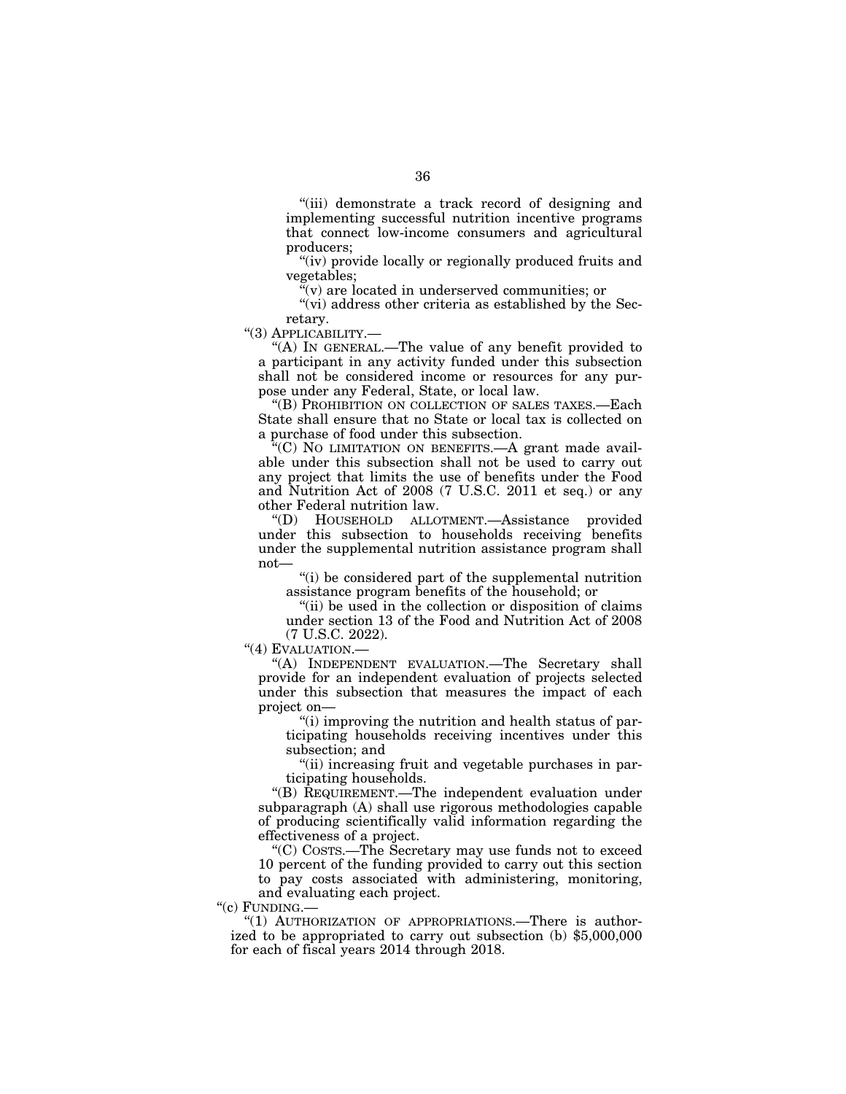''(iii) demonstrate a track record of designing and implementing successful nutrition incentive programs that connect low-income consumers and agricultural producers;

"(iv) provide locally or regionally produced fruits and vegetables;

''(v) are located in underserved communities; or

"(vi) address other criteria as established by the Secretary.

''(3) APPLICABILITY.—

"(A) IN GENERAL.—The value of any benefit provided to a participant in any activity funded under this subsection shall not be considered income or resources for any purpose under any Federal, State, or local law.

''(B) PROHIBITION ON COLLECTION OF SALES TAXES.—Each State shall ensure that no State or local tax is collected on a purchase of food under this subsection.

''(C) NO LIMITATION ON BENEFITS.—A grant made available under this subsection shall not be used to carry out any project that limits the use of benefits under the Food and Nutrition Act of 2008 (7 U.S.C. 2011 et seq.) or any other Federal nutrition law.

''(D) HOUSEHOLD ALLOTMENT.—Assistance provided under this subsection to households receiving benefits under the supplemental nutrition assistance program shall not—

''(i) be considered part of the supplemental nutrition assistance program benefits of the household; or

''(ii) be used in the collection or disposition of claims under section 13 of the Food and Nutrition Act of 2008 (7 U.S.C. 2022).

''(4) EVALUATION.—

"(A) INDEPENDENT EVALUATION.—The Secretary shall provide for an independent evaluation of projects selected under this subsection that measures the impact of each project on—

''(i) improving the nutrition and health status of participating households receiving incentives under this subsection; and

"(ii) increasing fruit and vegetable purchases in participating households.

''(B) REQUIREMENT.—The independent evaluation under subparagraph (A) shall use rigorous methodologies capable of producing scientifically valid information regarding the effectiveness of a project.

''(C) COSTS.—The Secretary may use funds not to exceed 10 percent of the funding provided to carry out this section to pay costs associated with administering, monitoring, and evaluating each project.

"(c) FUNDING.-

"(1) AUTHORIZATION OF APPROPRIATIONS.—There is authorized to be appropriated to carry out subsection (b) \$5,000,000 for each of fiscal years 2014 through 2018.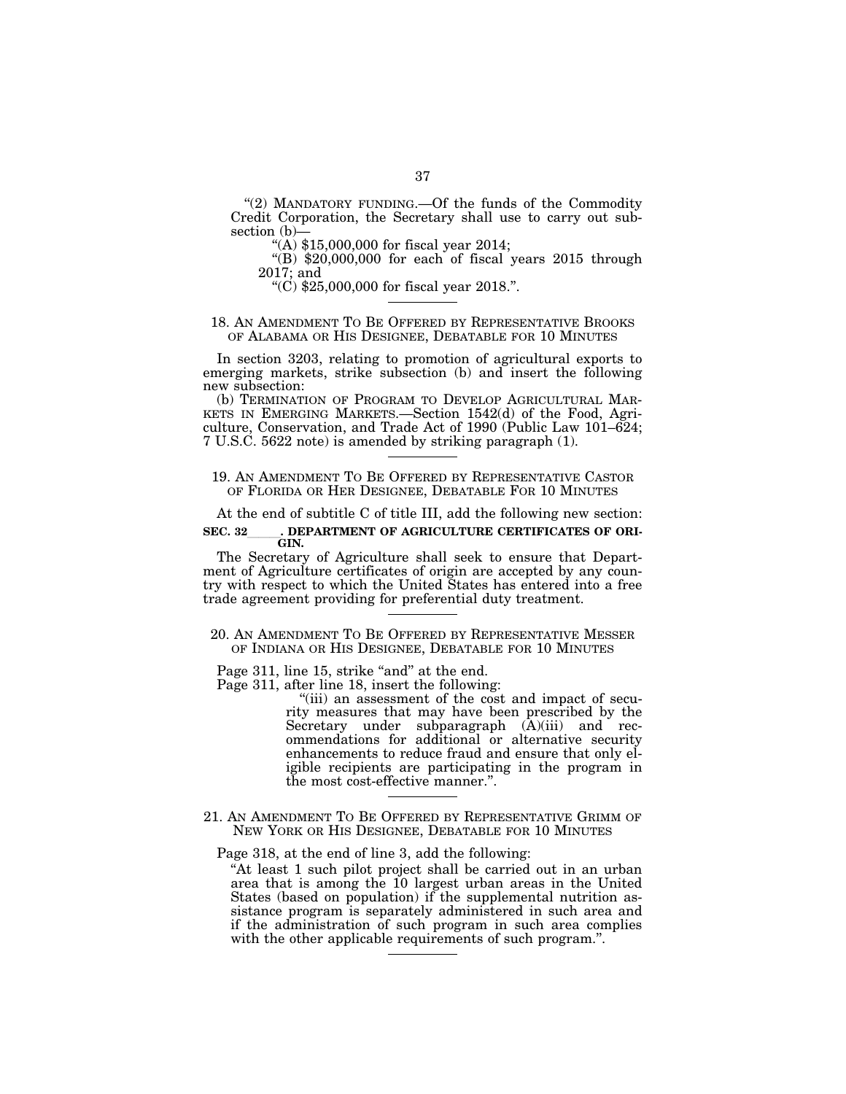''(2) MANDATORY FUNDING.—Of the funds of the Commodity Credit Corporation, the Secretary shall use to carry out subsection (b)—

 $(4)$  \$15,000,000 for fiscal year 2014;

 $!(B)$  \$20,000,000 for each of fiscal years 2015 through 2017; and

"(C)  $$25,000,000$  for fiscal year 2018.".

# 18. AN AMENDMENT TO BE OFFERED BY REPRESENTATIVE BROOKS OF ALABAMA OR HIS DESIGNEE, DEBATABLE FOR 10 MINUTES

In section 3203, relating to promotion of agricultural exports to emerging markets, strike subsection (b) and insert the following new subsection:

(b) TERMINATION OF PROGRAM TO DEVELOP AGRICULTURAL MAR-KETS IN EMERGING MARKETS.—Section 1542(d) of the Food, Agriculture, Conservation, and Trade Act of 1990 (Public Law  $101-624$ ; 7 U.S.C. 5622 note) is amended by striking paragraph (1).

# 19. AN AMENDMENT TO BE OFFERED BY REPRESENTATIVE CASTOR OF FLORIDA OR HER DESIGNEE, DEBATABLE FOR 10 MINUTES

At the end of subtitle C of title III, add the following new section: SEC. 32 DEPARTMENT OF AGRICULTURE CERTIFICATES OF ORI-**GIN.** 

The Secretary of Agriculture shall seek to ensure that Department of Agriculture certificates of origin are accepted by any country with respect to which the United States has entered into a free trade agreement providing for preferential duty treatment.

# 20. AN AMENDMENT TO BE OFFERED BY REPRESENTATIVE MESSER OF INDIANA OR HIS DESIGNEE, DEBATABLE FOR 10 MINUTES

Page 311, line 15, strike "and" at the end.

Page 311, after line 18, insert the following:

"(iii) an assessment of the cost and impact of security measures that may have been prescribed by the Secretary under subparagraph  $(\tilde{A})(iii)$  and recommendations for additional or alternative security enhancements to reduce fraud and ensure that only eligible recipients are participating in the program in the most cost-effective manner.''.

21. AN AMENDMENT TO BE OFFERED BY REPRESENTATIVE GRIMM OF NEW YORK OR HIS DESIGNEE, DEBATABLE FOR 10 MINUTES

Page 318, at the end of line 3, add the following:

"At least 1 such pilot project shall be carried out in an urban area that is among the 10 largest urban areas in the United States (based on population) if the supplemental nutrition assistance program is separately administered in such area and if the administration of such program in such area complies with the other applicable requirements of such program.".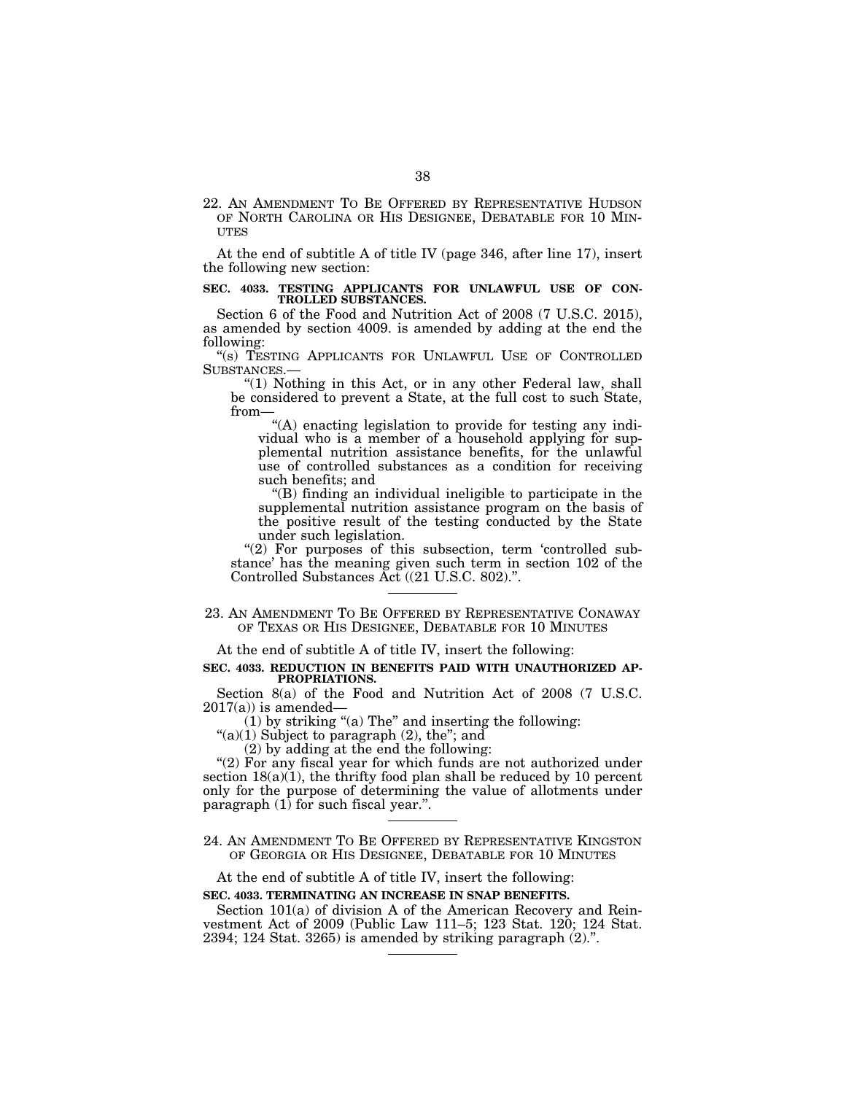22. AN AMENDMENT TO BE OFFERED BY REPRESENTATIVE HUDSON OF NORTH CAROLINA OR HIS DESIGNEE, DEBATABLE FOR 10 MIN- **UTES** 

At the end of subtitle A of title IV (page 346, after line 17), insert the following new section:

#### **SEC. 4033. TESTING APPLICANTS FOR UNLAWFUL USE OF CON-TROLLED SUBSTANCES.**

Section 6 of the Food and Nutrition Act of 2008 (7 U.S.C. 2015), as amended by section 4009. is amended by adding at the end the following:

''(s) TESTING APPLICANTS FOR UNLAWFUL USE OF CONTROLLED

SUBSTANCES.— ''(1) Nothing in this Act, or in any other Federal law, shall be considered to prevent a State, at the full cost to such State, from—

''(A) enacting legislation to provide for testing any individual who is a member of a household applying for supplemental nutrition assistance benefits, for the unlawful use of controlled substances as a condition for receiving such benefits; and

''(B) finding an individual ineligible to participate in the supplemental nutrition assistance program on the basis of the positive result of the testing conducted by the State under such legislation.

"(2) For purposes of this subsection, term 'controlled substance' has the meaning given such term in section 102 of the Controlled Substances Act ((21 U.S.C. 802).''.

23. AN AMENDMENT TO BE OFFERED BY REPRESENTATIVE CONAWAY OF TEXAS OR HIS DESIGNEE, DEBATABLE FOR 10 MINUTES

At the end of subtitle A of title IV, insert the following:

#### **SEC. 4033. REDUCTION IN BENEFITS PAID WITH UNAUTHORIZED AP-PROPRIATIONS.**

Section 8(a) of the Food and Nutrition Act of 2008 (7 U.S.C.  $2017(a)$  is amended—

 $(1)$  by striking "(a) The" and inserting the following:

" $(a)(1)$  Subject to paragraph  $(2)$ , the"; and

(2) by adding at the end the following:

"(2) For any fiscal year for which funds are not authorized under section  $18(a)(1)$ , the thrifty food plan shall be reduced by 10 percent only for the purpose of determining the value of allotments under paragraph  $(1)$  for such fiscal year.".

At the end of subtitle A of title IV, insert the following:

#### **SEC. 4033. TERMINATING AN INCREASE IN SNAP BENEFITS.**

Section 101(a) of division A of the American Recovery and Reinvestment Act of 2009 (Public Law 111–5; 123 Stat. 120; 124 Stat. 2394; 124 Stat. 3265) is amended by striking paragraph (2).''.

<sup>24.</sup> AN AMENDMENT TO BE OFFERED BY REPRESENTATIVE KINGSTON OF GEORGIA OR HIS DESIGNEE, DEBATABLE FOR 10 MINUTES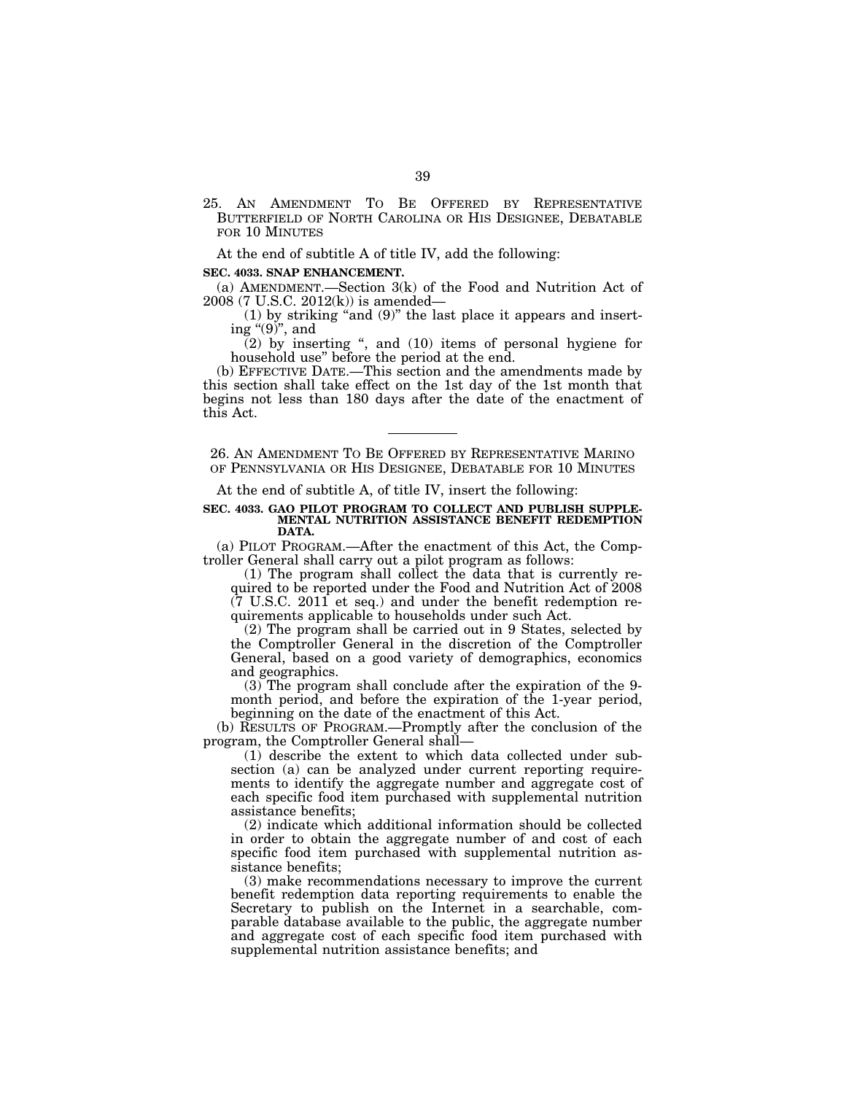25. AN AMENDMENT TO BE OFFERED BY REPRESENTATIVE BUTTERFIELD OF NORTH CAROLINA OR HIS DESIGNEE, DEBATABLE FOR 10 MINUTES

At the end of subtitle A of title IV, add the following:

# **SEC. 4033. SNAP ENHANCEMENT.**

(a) AMENDMENT.—Section 3(k) of the Food and Nutrition Act of 2008 (7 U.S.C. 2012(k)) is amended—

 $(1)$  by striking "and  $(9)$ " the last place it appears and inserting " $(9)$ ", and

 $(2)$  by inserting ", and  $(10)$  items of personal hygiene for household use'' before the period at the end.

(b) EFFECTIVE DATE.—This section and the amendments made by this section shall take effect on the 1st day of the 1st month that begins not less than 180 days after the date of the enactment of this Act.

26. AN AMENDMENT TO BE OFFERED BY REPRESENTATIVE MARINO OF PENNSYLVANIA OR HIS DESIGNEE, DEBATABLE FOR 10 MINUTES

At the end of subtitle A, of title IV, insert the following:

#### **SEC. 4033. GAO PILOT PROGRAM TO COLLECT AND PUBLISH SUPPLE-MENTAL NUTRITION ASSISTANCE BENEFIT REDEMPTION DATA.**

(a) PILOT PROGRAM.—After the enactment of this Act, the Comptroller General shall carry out a pilot program as follows:

(1) The program shall collect the data that is currently required to be reported under the Food and Nutrition Act of 2008  $(7 \text{ U.S.C. } 2011 \text{ et seq.})$  and under the benefit redemption requirements applicable to households under such Act.

(2) The program shall be carried out in 9 States, selected by the Comptroller General in the discretion of the Comptroller General, based on a good variety of demographics, economics and geographics.

(3) The program shall conclude after the expiration of the 9 month period, and before the expiration of the 1-year period, beginning on the date of the enactment of this Act.

(b) RESULTS OF PROGRAM.—Promptly after the conclusion of the program, the Comptroller General shall—

(1) describe the extent to which data collected under subsection (a) can be analyzed under current reporting requirements to identify the aggregate number and aggregate cost of each specific food item purchased with supplemental nutrition assistance benefits;

(2) indicate which additional information should be collected in order to obtain the aggregate number of and cost of each specific food item purchased with supplemental nutrition assistance benefits;

(3) make recommendations necessary to improve the current benefit redemption data reporting requirements to enable the Secretary to publish on the Internet in a searchable, comparable database available to the public, the aggregate number and aggregate cost of each specific food item purchased with supplemental nutrition assistance benefits; and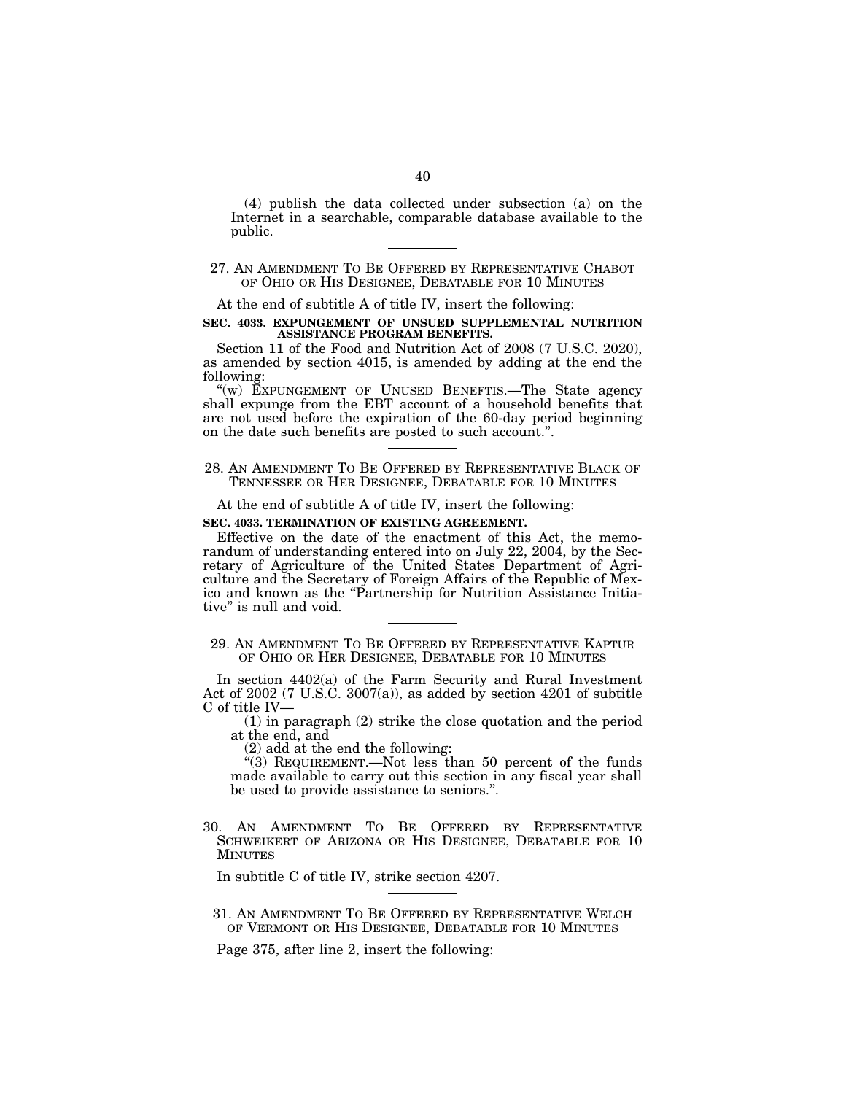(4) publish the data collected under subsection (a) on the Internet in a searchable, comparable database available to the public.

# 27. AN AMENDMENT TO BE OFFERED BY REPRESENTATIVE CHABOT OF OHIO OR HIS DESIGNEE, DEBATABLE FOR 10 MINUTES

At the end of subtitle A of title IV, insert the following:

#### **SEC. 4033. EXPUNGEMENT OF UNSUED SUPPLEMENTAL NUTRITION ASSISTANCE PROGRAM BENEFITS.**

Section 11 of the Food and Nutrition Act of 2008 (7 U.S.C. 2020), as amended by section 4015, is amended by adding at the end the following:

''(w) EXPUNGEMENT OF UNUSED BENEFTIS.—The State agency shall expunge from the EBT account of a household benefits that are not used before the expiration of the 60-day period beginning on the date such benefits are posted to such account.''.

28. AN AMENDMENT TO BE OFFERED BY REPRESENTATIVE BLACK OF TENNESSEE OR HER DESIGNEE, DEBATABLE FOR 10 MINUTES

At the end of subtitle A of title IV, insert the following:

# **SEC. 4033. TERMINATION OF EXISTING AGREEMENT.**

Effective on the date of the enactment of this Act, the memorandum of understanding entered into on July 22, 2004, by the Secretary of Agriculture of the United States Department of Agriculture and the Secretary of Foreign Affairs of the Republic of Mexico and known as the ''Partnership for Nutrition Assistance Initiative'' is null and void.

29. AN AMENDMENT TO BE OFFERED BY REPRESENTATIVE KAPTUR OF OHIO OR HER DESIGNEE, DEBATABLE FOR 10 MINUTES

In section 4402(a) of the Farm Security and Rural Investment Act of 2002 (7 U.S.C. 3007(a)), as added by section 4201 of subtitle C of title IV—

(1) in paragraph (2) strike the close quotation and the period at the end, and

(2) add at the end the following:

''(3) REQUIREMENT.—Not less than 50 percent of the funds made available to carry out this section in any fiscal year shall be used to provide assistance to seniors.''.

30. AN AMENDMENT TO BE OFFERED BY REPRESENTATIVE SCHWEIKERT OF ARIZONA OR HIS DESIGNEE, DEBATABLE FOR 10 MINUTES

In subtitle C of title IV, strike section 4207.

31. AN AMENDMENT TO BE OFFERED BY REPRESENTATIVE WELCH OF VERMONT OR HIS DESIGNEE, DEBATABLE FOR 10 MINUTES

Page 375, after line 2, insert the following: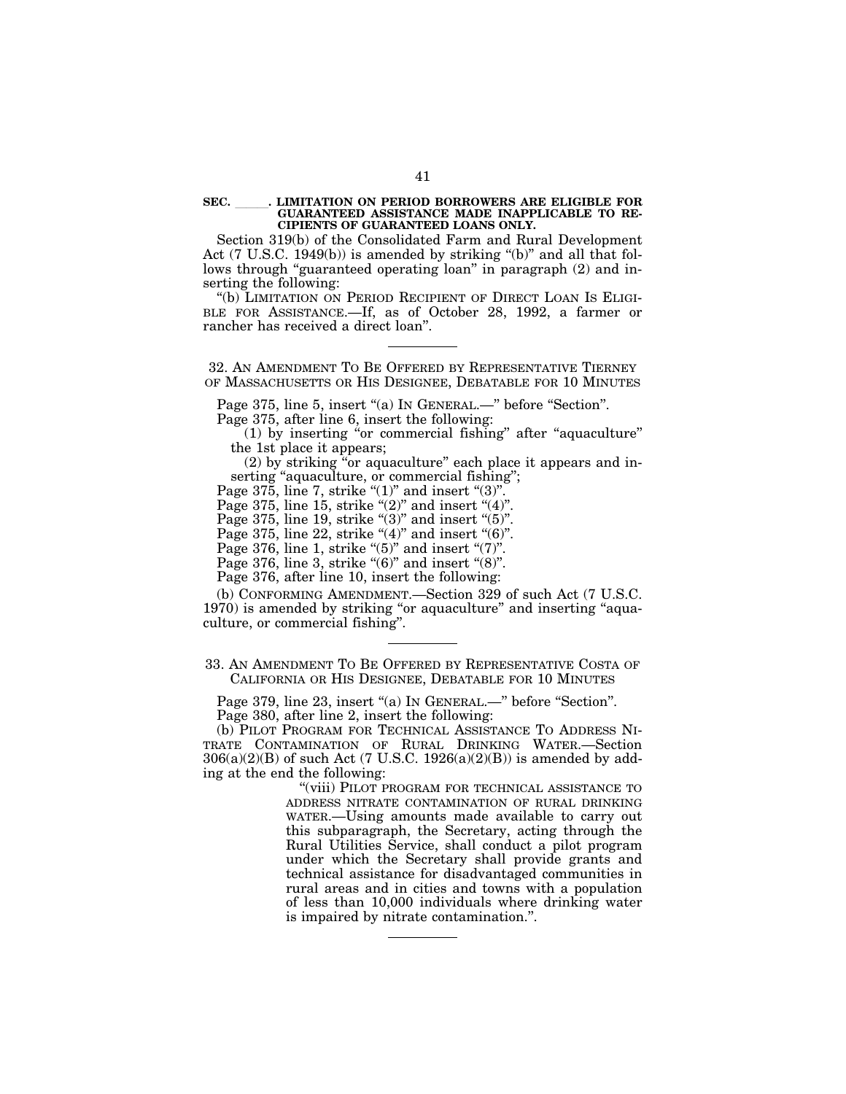#### **SEC.** lll**. LIMITATION ON PERIOD BORROWERS ARE ELIGIBLE FOR GUARANTEED ASSISTANCE MADE INAPPLICABLE TO RE-CIPIENTS OF GUARANTEED LOANS ONLY.**

Section 319(b) of the Consolidated Farm and Rural Development Act  $(7 \text{ U.S.C. } 1949(b))$  is amended by striking "(b)" and all that follows through "guaranteed operating loan" in paragraph (2) and inserting the following:

''(b) LIMITATION ON PERIOD RECIPIENT OF DIRECT LOAN IS ELIGI-BLE FOR ASSISTANCE.—If, as of October 28, 1992, a farmer or rancher has received a direct loan''.

32. AN AMENDMENT TO BE OFFERED BY REPRESENTATIVE TIERNEY OF MASSACHUSETTS OR HIS DESIGNEE, DEBATABLE FOR 10 MINUTES

Page 375, line 5, insert "(a) In GENERAL.—" before "Section".

Page 375, after line 6, insert the following:

(1) by inserting ''or commercial fishing'' after ''aquaculture'' the 1st place it appears;

(2) by striking ''or aquaculture'' each place it appears and inserting "aquaculture, or commercial fishing";

Page  $375$ , line 7, strike " $(1)$ " and insert " $(3)$ ".

Page 375, line 15, strike " $(2)$ " and insert " $(4)$ ".

Page 375, line 19, strike " $(3)$ " and insert " $(5)$ ".

Page 375, line 22, strike " $(4)$ " and insert " $(6)$ ".

Page 376, line 1, strike " $(5)$ " and insert " $(7)$ ".

Page 376, line 3, strike " $(6)$ " and insert " $(8)$ ".

Page 376, after line 10, insert the following:

(b) CONFORMING AMENDMENT.—Section 329 of such Act (7 U.S.C. 1970) is amended by striking "or aquaculture" and inserting "aquaculture, or commercial fishing''.

33. AN AMENDMENT TO BE OFFERED BY REPRESENTATIVE COSTA OF CALIFORNIA OR HIS DESIGNEE, DEBATABLE FOR 10 MINUTES

Page 379, line 23, insert "(a) In GENERAL.—" before "Section". Page 380, after line 2, insert the following:

(b) PILOT PROGRAM FOR TECHNICAL ASSISTANCE TO ADDRESS NI-TRATE CONTAMINATION OF RURAL DRINKING WATER.—Section  $306(a)(2)(B)$  of such Act (7 U.S.C. 1926(a)(2)(B)) is amended by adding at the end the following:

> "(viii) PILOT PROGRAM FOR TECHNICAL ASSISTANCE TO ADDRESS NITRATE CONTAMINATION OF RURAL DRINKING WATER.—Using amounts made available to carry out this subparagraph, the Secretary, acting through the Rural Utilities Service, shall conduct a pilot program under which the Secretary shall provide grants and technical assistance for disadvantaged communities in rural areas and in cities and towns with a population of less than 10,000 individuals where drinking water is impaired by nitrate contamination.''.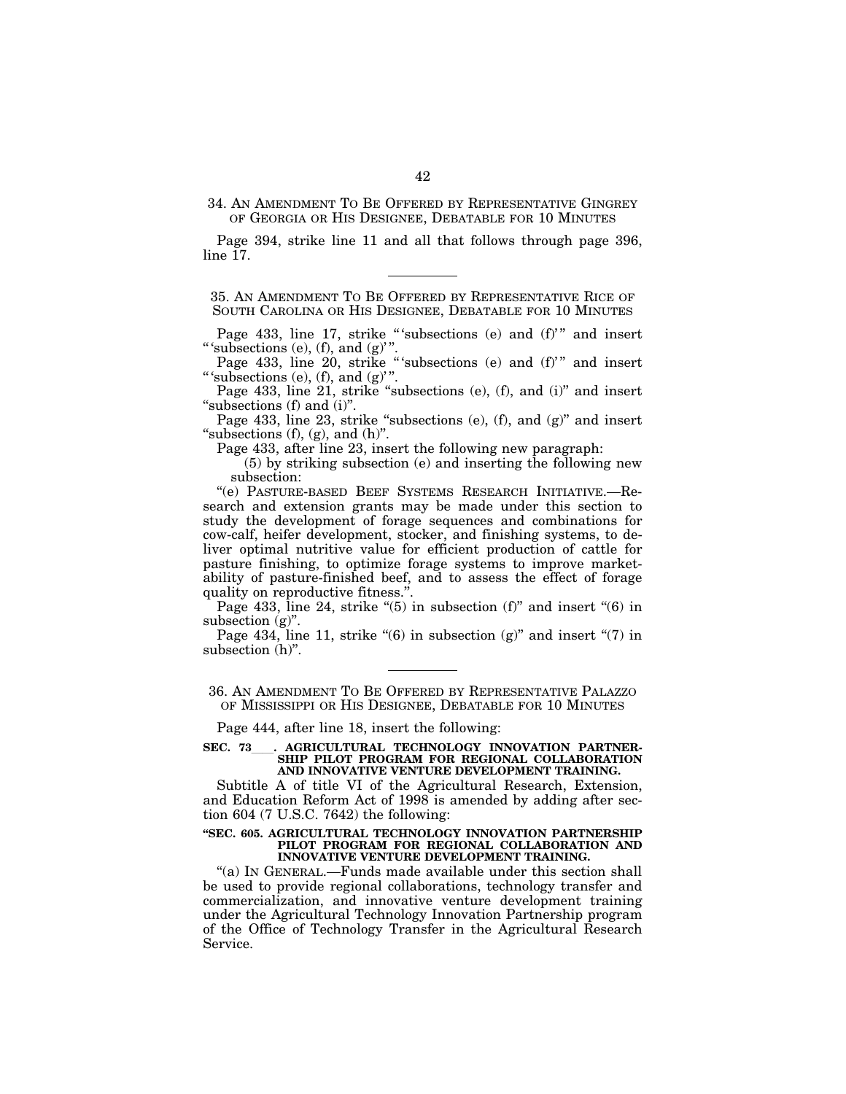34. AN AMENDMENT TO BE OFFERED BY REPRESENTATIVE GINGREY OF GEORGIA OR HIS DESIGNEE, DEBATABLE FOR 10 MINUTES

Page 394, strike line 11 and all that follows through page 396, line 17.

35. AN AMENDMENT TO BE OFFERED BY REPRESENTATIVE RICE OF SOUTH CAROLINA OR HIS DESIGNEE, DEBATABLE FOR 10 MINUTES

Page 433, line 17, strike "'subsections (e) and (f)'" and insert "' subsections  $(e)$ ,  $(f)$ , and  $(g)$ ".

Page 433, line 20, strike "subsections (e) and (f)" and insert "'subsections  $(e)$ ,  $(f)$ , and  $(g)$ ".

Page 433, line 21, strike "subsections (e), (f), and (i)" and insert "subsections (f) and (i)".

Page 433, line 23, strike "subsections (e), (f), and (g)" and insert "subsections  $(f)$ ,  $(g)$ , and  $(h)$ ".

Page 433, after line 23, insert the following new paragraph:

(5) by striking subsection (e) and inserting the following new subsection:

''(e) PASTURE-BASED BEEF SYSTEMS RESEARCH INITIATIVE.—Research and extension grants may be made under this section to study the development of forage sequences and combinations for cow-calf, heifer development, stocker, and finishing systems, to deliver optimal nutritive value for efficient production of cattle for pasture finishing, to optimize forage systems to improve marketability of pasture-finished beef, and to assess the effect of forage quality on reproductive fitness.''.

Page 433, line 24, strike " $(5)$  in subsection  $(f)$ " and insert " $(6)$  in subsection (g)".

Page 434, line 11, strike " $(6)$  in subsection  $(g)$ " and insert " $(7)$  in subsection (h)".

36. AN AMENDMENT TO BE OFFERED BY REPRESENTATIVE PALAZZO OF MISSISSIPPI OR HIS DESIGNEE, DEBATABLE FOR 10 MINUTES

Page 444, after line 18, insert the following:

**SEC. 73**ll**. AGRICULTURAL TECHNOLOGY INNOVATION PARTNER-SHIP PILOT PROGRAM FOR REGIONAL COLLABORATION AND INNOVATIVE VENTURE DEVELOPMENT TRAINING.** 

Subtitle A of title VI of the Agricultural Research, Extension, and Education Reform Act of 1998 is amended by adding after section 604 (7 U.S.C. 7642) the following:

#### **''SEC. 605. AGRICULTURAL TECHNOLOGY INNOVATION PARTNERSHIP PILOT PROGRAM FOR REGIONAL COLLABORATION AND INNOVATIVE VENTURE DEVELOPMENT TRAINING.**

"(a) IN GENERAL.—Funds made available under this section shall be used to provide regional collaborations, technology transfer and commercialization, and innovative venture development training under the Agricultural Technology Innovation Partnership program of the Office of Technology Transfer in the Agricultural Research Service.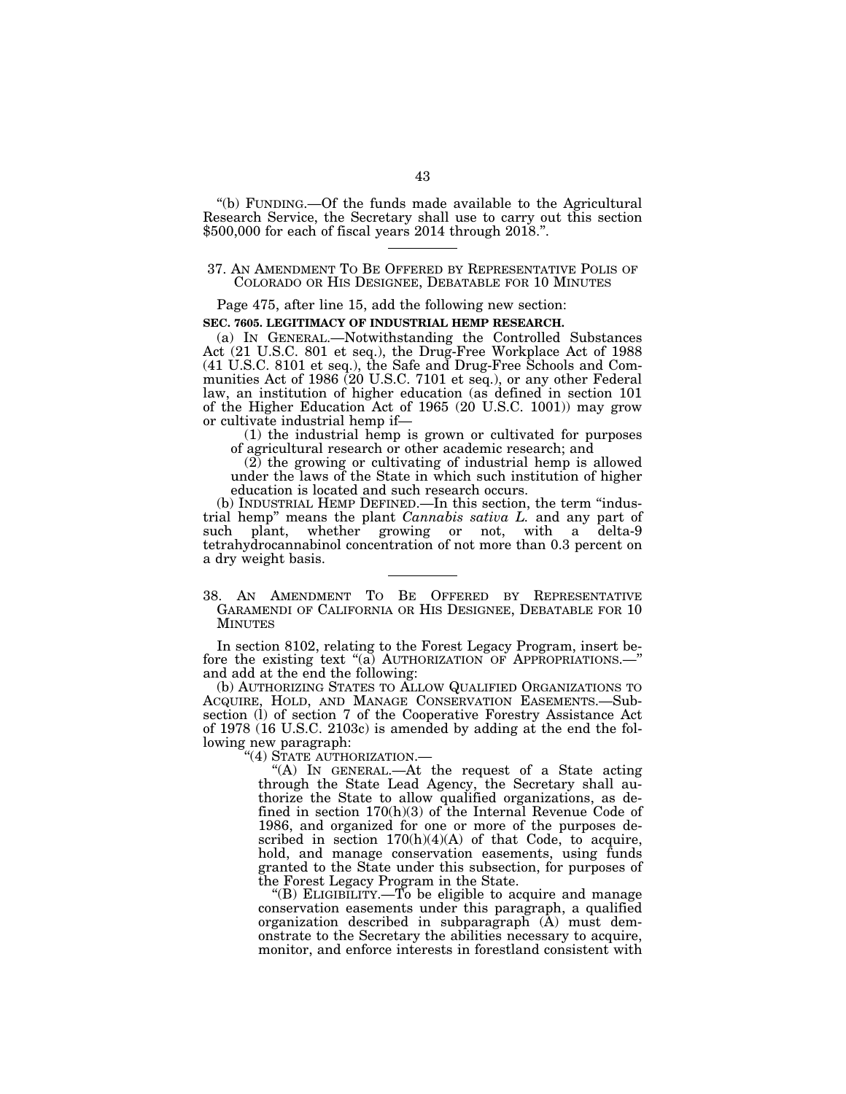''(b) FUNDING.—Of the funds made available to the Agricultural Research Service, the Secretary shall use to carry out this section \$500,000 for each of fiscal years 2014 through 2018.''.

# 37. AN AMENDMENT TO BE OFFERED BY REPRESENTATIVE POLIS OF COLORADO OR HIS DESIGNEE, DEBATABLE FOR 10 MINUTES

Page 475, after line 15, add the following new section:

# **SEC. 7605. LEGITIMACY OF INDUSTRIAL HEMP RESEARCH.**

(a) IN GENERAL.—Notwithstanding the Controlled Substances Act (21 U.S.C. 801 et seq.), the Drug-Free Workplace Act of 1988 (41 U.S.C. 8101 et seq.), the Safe and Drug-Free Schools and Communities Act of 1986 (20 U.S.C. 7101 et seq.), or any other Federal law, an institution of higher education (as defined in section 101 of the Higher Education Act of 1965 (20 U.S.C. 1001)) may grow or cultivate industrial hemp if—

(1) the industrial hemp is grown or cultivated for purposes of agricultural research or other academic research; and

(2) the growing or cultivating of industrial hemp is allowed under the laws of the State in which such institution of higher education is located and such research occurs.

(b) INDUSTRIAL HEMP DEFINED.—In this section, the term ''industrial hemp'' means the plant *Cannabis sativa L.* and any part of such plant, whether growing or not, with a delta-9 tetrahydrocannabinol concentration of not more than 0.3 percent on a dry weight basis.

# 38. AN AMENDMENT TO BE OFFERED BY REPRESENTATIVE GARAMENDI OF CALIFORNIA OR HIS DESIGNEE, DEBATABLE FOR 10 MINUTES

In section 8102, relating to the Forest Legacy Program, insert before the existing text "(a) AUTHORIZATION OF APPROPRIATIONS.—" and add at the end the following:

(b) AUTHORIZING STATES TO ALLOW QUALIFIED ORGANIZATIONS TO ACQUIRE, HOLD, AND MANAGE CONSERVATION EASEMENTS.—Subsection (l) of section 7 of the Cooperative Forestry Assistance Act of 1978 (16 U.S.C. 2103c) is amended by adding at the end the following new paragraph:

''(4) STATE AUTHORIZATION.—

"(A) IN GENERAL.—At the request of a State acting through the State Lead Agency, the Secretary shall authorize the State to allow qualified organizations, as defined in section 170(h)(3) of the Internal Revenue Code of 1986, and organized for one or more of the purposes described in section  $170(h)(4)(A)$  of that Code, to acquire, hold, and manage conservation easements, using funds granted to the State under this subsection, for purposes of the Forest Legacy Program in the State.

''(B) ELIGIBILITY.—To be eligible to acquire and manage conservation easements under this paragraph, a qualified organization described in subparagraph (A) must demonstrate to the Secretary the abilities necessary to acquire, monitor, and enforce interests in forestland consistent with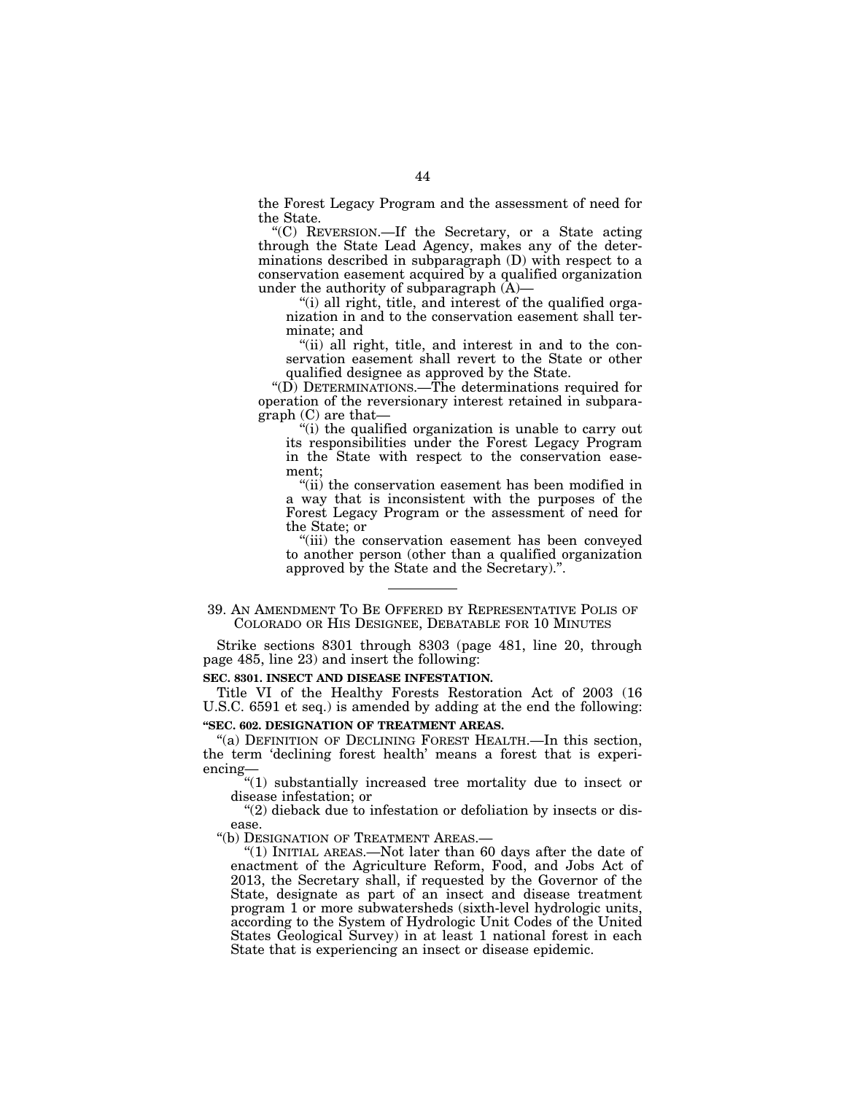the Forest Legacy Program and the assessment of need for the State.

''(C) REVERSION.—If the Secretary, or a State acting through the State Lead Agency, makes any of the determinations described in subparagraph (D) with respect to a conservation easement acquired by a qualified organization under the authority of subparagraph  $(A)$ —

''(i) all right, title, and interest of the qualified organization in and to the conservation easement shall terminate; and

"(ii) all right, title, and interest in and to the conservation easement shall revert to the State or other qualified designee as approved by the State.

''(D) DETERMINATIONS.—The determinations required for operation of the reversionary interest retained in subparagraph (C) are that—

''(i) the qualified organization is unable to carry out its responsibilities under the Forest Legacy Program in the State with respect to the conservation easement;

''(ii) the conservation easement has been modified in a way that is inconsistent with the purposes of the Forest Legacy Program or the assessment of need for the State; or

''(iii) the conservation easement has been conveyed to another person (other than a qualified organization approved by the State and the Secretary).''.

Strike sections 8301 through 8303 (page 481, line 20, through page 485, line 23) and insert the following:

#### **SEC. 8301. INSECT AND DISEASE INFESTATION.**

Title VI of the Healthy Forests Restoration Act of 2003 (16 U.S.C. 6591 et seq.) is amended by adding at the end the following:

# **''SEC. 602. DESIGNATION OF TREATMENT AREAS.**

''(a) DEFINITION OF DECLINING FOREST HEALTH.—In this section, the term 'declining forest health' means a forest that is experiencing—

''(1) substantially increased tree mortality due to insect or disease infestation; or

"(2) dieback due to infestation or defoliation by insects or disease.

"(b) DESIGNATION OF TREATMENT AREAS.-

''(1) INITIAL AREAS.—Not later than 60 days after the date of enactment of the Agriculture Reform, Food, and Jobs Act of 2013, the Secretary shall, if requested by the Governor of the State, designate as part of an insect and disease treatment program 1 or more subwatersheds (sixth-level hydrologic units, according to the System of Hydrologic Unit Codes of the United States Geological Survey) in at least 1 national forest in each State that is experiencing an insect or disease epidemic.

<sup>39.</sup> AN AMENDMENT TO BE OFFERED BY REPRESENTATIVE POLIS OF COLORADO OR HIS DESIGNEE, DEBATABLE FOR 10 MINUTES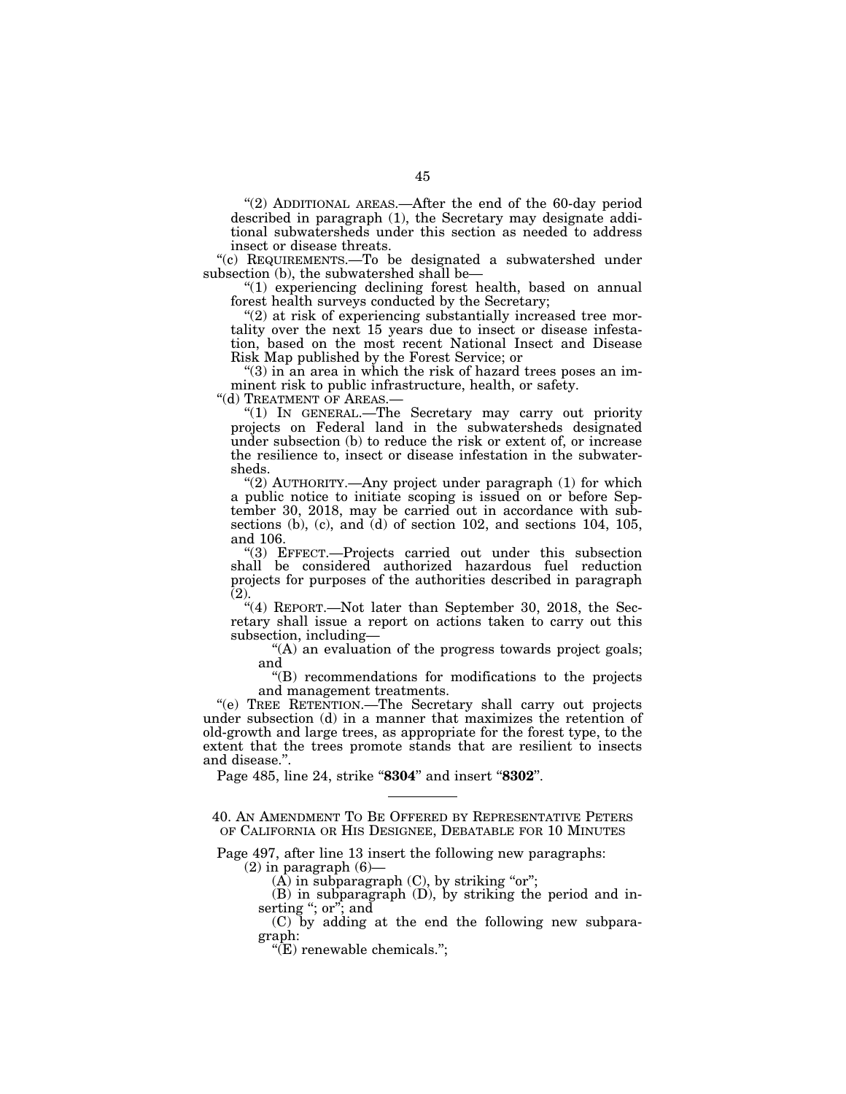"(2) ADDITIONAL AREAS.—After the end of the 60-day period described in paragraph (1), the Secretary may designate additional subwatersheds under this section as needed to address insect or disease threats.

''(c) REQUIREMENTS.—To be designated a subwatershed under subsection (b), the subwatershed shall be—

''(1) experiencing declining forest health, based on annual forest health surveys conducted by the Secretary;

 $''(2)$  at risk of experiencing substantially increased tree mortality over the next 15 years due to insect or disease infestation, based on the most recent National Insect and Disease Risk Map published by the Forest Service; or

" $(3)$  in an area in which the risk of hazard trees poses an imminent risk to public infrastructure, health, or safety.

"(d) TREATMENT OF AREAS.—

''(1) IN GENERAL.—The Secretary may carry out priority projects on Federal land in the subwatersheds designated under subsection (b) to reduce the risk or extent of, or increase the resilience to, insect or disease infestation in the subwatersheds.

"(2) AUTHORITY.—Any project under paragraph (1) for which a public notice to initiate scoping is issued on or before September 30, 2018, may be carried out in accordance with subsections (b), (c), and (d) of section 102, and sections 104, 105, and 106.

''(3) EFFECT.—Projects carried out under this subsection shall be considered authorized hazardous fuel reduction projects for purposes of the authorities described in paragraph  $\bar{(2)}$ .

"(4) REPORT.—Not later than September 30, 2018, the Secretary shall issue a report on actions taken to carry out this subsection, including—

''(A) an evaluation of the progress towards project goals; and

''(B) recommendations for modifications to the projects and management treatments.

''(e) TREE RETENTION.—The Secretary shall carry out projects under subsection (d) in a manner that maximizes the retention of old-growth and large trees, as appropriate for the forest type, to the extent that the trees promote stands that are resilient to insects and disease.''.

Page 485, line 24, strike "**8304**" and insert "**8302**".

40. AN AMENDMENT TO BE OFFERED BY REPRESENTATIVE PETERS OF CALIFORNIA OR HIS DESIGNEE, DEBATABLE FOR 10 MINUTES

Page 497, after line 13 insert the following new paragraphs:

 $(2)$  in paragraph  $(6)$ —

 $(A)$  in subparagraph  $(C)$ , by striking "or";

(B) in subparagraph (D), by striking the period and inserting "; or"; and

(C) by adding at the end the following new subparagraph:

''(E) renewable chemicals.'';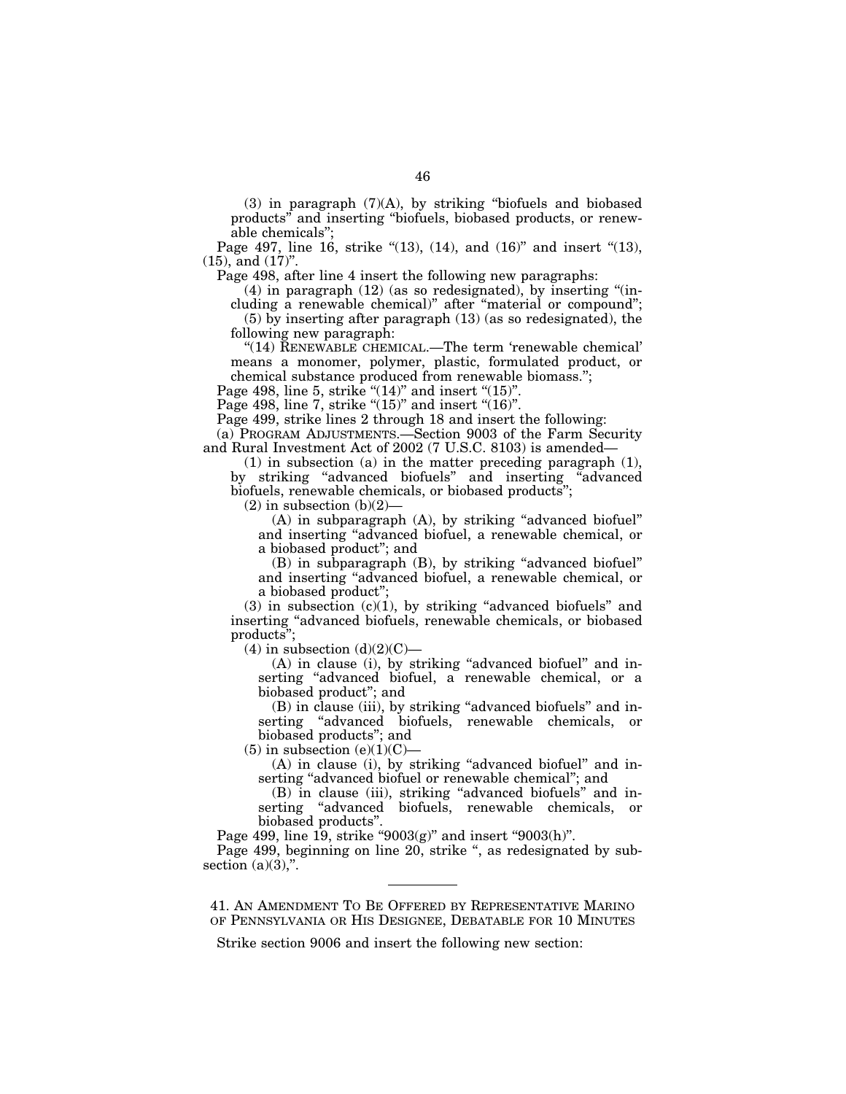(3) in paragraph (7)(A), by striking ''biofuels and biobased products'' and inserting ''biofuels, biobased products, or renewable chemicals'';

Page 497, line 16, strike "(13), (14), and (16)" and insert "(13),  $(15)$ , and  $(17)$ ".

Page 498, after line 4 insert the following new paragraphs:

 $(4)$  in paragraph  $(12)$  (as so redesignated), by inserting "(including a renewable chemical)'' after ''material or compound'';

(5) by inserting after paragraph (13) (as so redesignated), the following new paragraph:

"(14) RENEWABLE CHEMICAL.—The term 'renewable chemical' means a monomer, polymer, plastic, formulated product, or chemical substance produced from renewable biomass.'';

Page 498, line 5, strike " $(14)$ " and insert " $(15)$ ".

Page 498, line 7, strike " $(15)$ " and insert " $(16)$ ".

Page 499, strike lines 2 through 18 and insert the following:

(a) PROGRAM ADJUSTMENTS.—Section 9003 of the Farm Security and Rural Investment Act of 2002 (7 U.S.C. 8103) is amended—

(1) in subsection (a) in the matter preceding paragraph (1), by striking ''advanced biofuels'' and inserting ''advanced biofuels, renewable chemicals, or biobased products'';

 $(2)$  in subsection  $(b)(2)$ —

(A) in subparagraph (A), by striking "advanced biofuel" and inserting ''advanced biofuel, a renewable chemical, or a biobased product''; and

(B) in subparagraph (B), by striking ''advanced biofuel'' and inserting ''advanced biofuel, a renewable chemical, or a biobased product'';

 $(3)$  in subsection  $(c)(1)$ , by striking "advanced biofuels" and inserting ''advanced biofuels, renewable chemicals, or biobased products'';

 $(4)$  in subsection  $(d)(2)(C)$ —

(A) in clause (i), by striking "advanced biofuel" and inserting "advanced biofuel, a renewable chemical, or a biobased product''; and

(B) in clause (iii), by striking "advanced biofuels" and inserting ''advanced biofuels, renewable chemicals, or biobased products''; and

 $(5)$  in subsection  $(e)(1)(C)$ —

(A) in clause (i), by striking "advanced biofuel" and inserting "advanced biofuel or renewable chemical"; and

(B) in clause (iii), striking ''advanced biofuels'' and inserting ''advanced biofuels, renewable chemicals, or biobased products''.

Page 499, line 19, strike " $9003(g)$ " and insert " $9003(h)$ ".

Page 499, beginning on line 20, strike ", as redesignated by subsection  $(a)(3)$ ,".

41. AN AMENDMENT TO BE OFFERED BY REPRESENTATIVE MARINO OF PENNSYLVANIA OR HIS DESIGNEE, DEBATABLE FOR 10 MINUTES

Strike section 9006 and insert the following new section: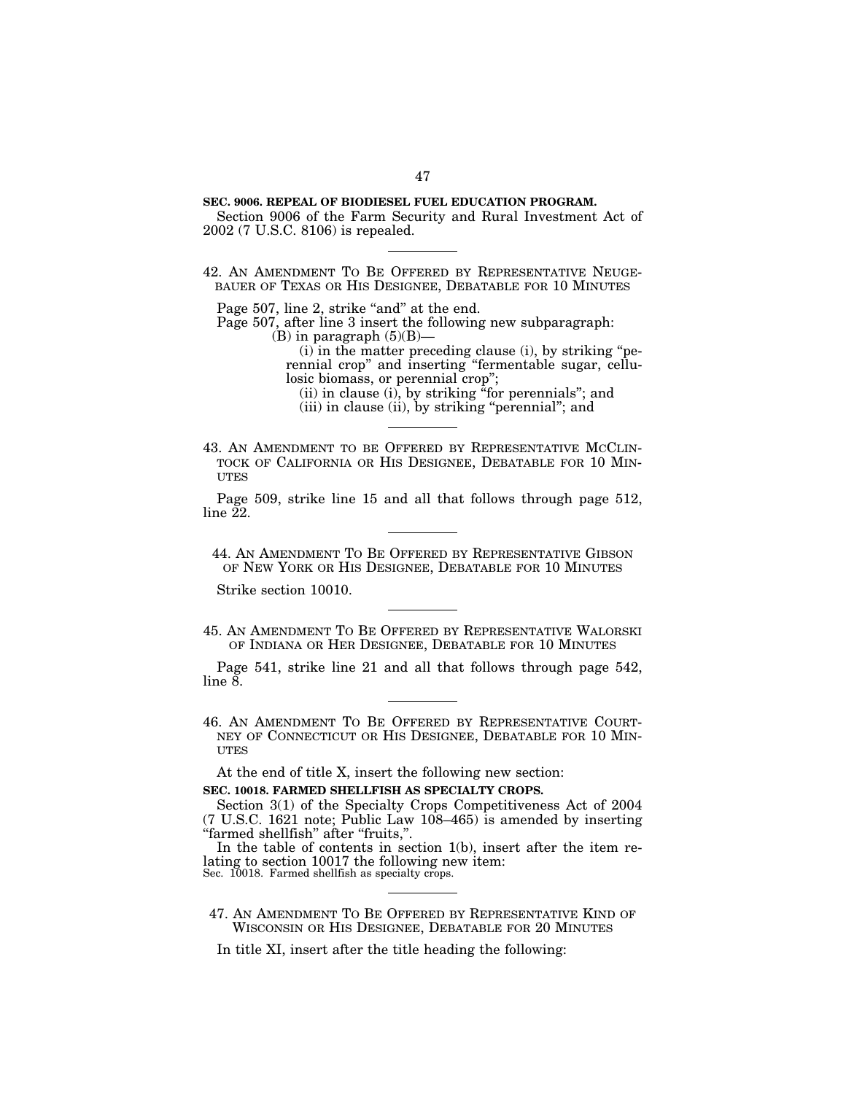# **SEC. 9006. REPEAL OF BIODIESEL FUEL EDUCATION PROGRAM.**

Section 9006 of the Farm Security and Rural Investment Act of 2002 (7 U.S.C. 8106) is repealed.

42. AN AMENDMENT TO BE OFFERED BY REPRESENTATIVE NEUGE-BAUER OF TEXAS OR HIS DESIGNEE, DEBATABLE FOR 10 MINUTES

Page 507, line 2, strike "and" at the end.

Page 507, after line 3 insert the following new subparagraph: (B) in paragraph  $(5)(B)$ —

> (i) in the matter preceding clause (i), by striking ''perennial crop'' and inserting ''fermentable sugar, cellulosic biomass, or perennial crop'';

(ii) in clause (i), by striking ''for perennials''; and

(iii) in clause (ii), by striking "perennial"; and

43. AN AMENDMENT TO BE OFFERED BY REPRESENTATIVE MCCLIN-TOCK OF CALIFORNIA OR HIS DESIGNEE, DEBATABLE FOR 10 MIN-UTES

Page 509, strike line 15 and all that follows through page 512,  $line 22$ .

44. AN AMENDMENT TO BE OFFERED BY REPRESENTATIVE GIBSON OF NEW YORK OR HIS DESIGNEE, DEBATABLE FOR 10 MINUTES

Strike section 10010.

45. AN AMENDMENT TO BE OFFERED BY REPRESENTATIVE WALORSKI OF INDIANA OR HER DESIGNEE, DEBATABLE FOR 10 MINUTES

Page 541, strike line 21 and all that follows through page 542, line 8.

46. AN AMENDMENT TO BE OFFERED BY REPRESENTATIVE COURT-NEY OF CONNECTICUT OR HIS DESIGNEE, DEBATABLE FOR 10 MIN-UTES

At the end of title X, insert the following new section:

#### **SEC. 10018. FARMED SHELLFISH AS SPECIALTY CROPS.**

Section 3(1) of the Specialty Crops Competitiveness Act of 2004 (7 U.S.C. 1621 note; Public Law 108–465) is amended by inserting "farmed shellfish" after "fruits,".

In the table of contents in section 1(b), insert after the item relating to section 10017 the following new item: Sec. 10018. Farmed shellfish as specialty crops.

47. AN AMENDMENT TO BE OFFERED BY REPRESENTATIVE KIND OF WISCONSIN OR HIS DESIGNEE, DEBATABLE FOR 20 MINUTES

In title XI, insert after the title heading the following: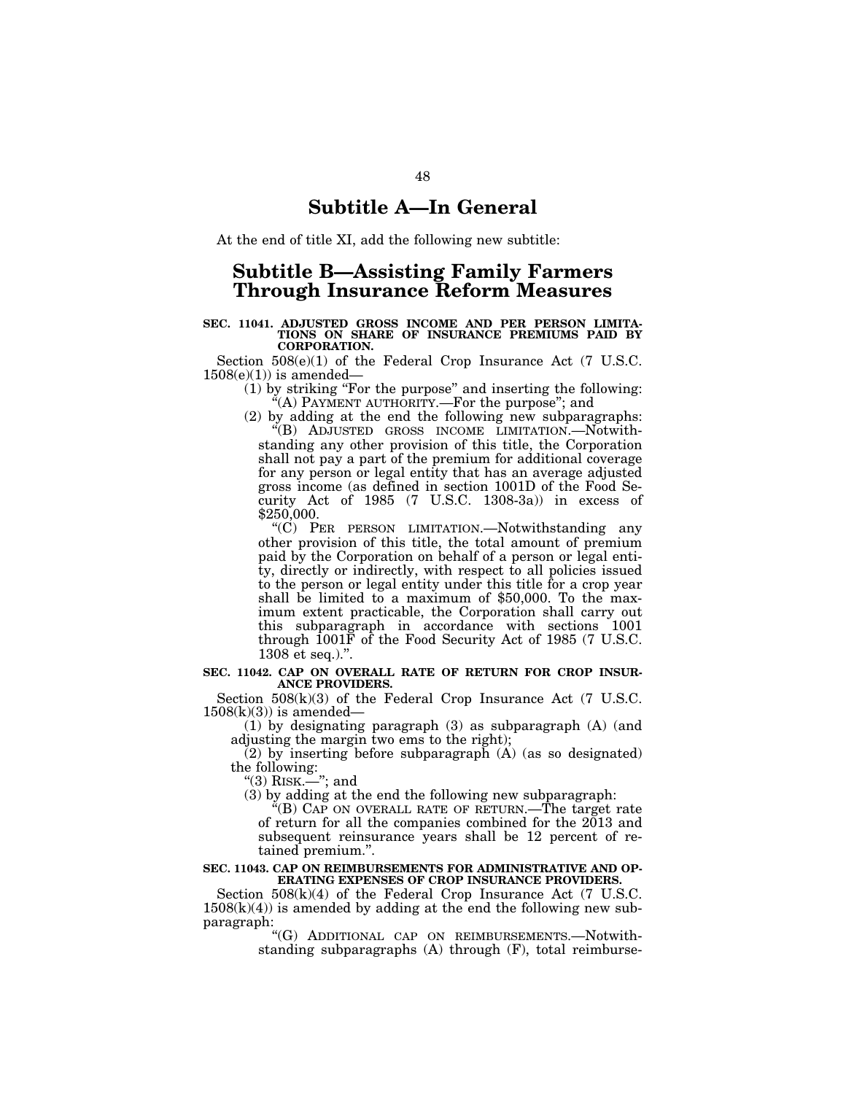# **Subtitle A—In General**

At the end of title XI, add the following new subtitle:

# **Subtitle B—Assisting Family Farmers Through Insurance Reform Measures**

#### **SEC. 11041. ADJUSTED GROSS INCOME AND PER PERSON LIMITA-TIONS ON SHARE OF INSURANCE PREMIUMS PAID BY CORPORATION.**

Section 508(e)(1) of the Federal Crop Insurance Act (7 U.S.C.  $1508(e)(1)$  is amended—

(1) by striking ''For the purpose'' and inserting the following:  $*(A)$  PAYMENT AUTHORITY.—For the purpose"; and

 $(2)$  by adding at the end the following new subparagraphs: ''(B) ADJUSTED GROSS INCOME LIMITATION.—Notwithstanding any other provision of this title, the Corporation shall not pay a part of the premium for additional coverage for any person or legal entity that has an average adjusted gross income (as defined in section 1001D of the Food Security Act of 1985 (7 U.S.C. 1308-3a)) in excess of \$250,000.

''(C) PER PERSON LIMITATION.—Notwithstanding any other provision of this title, the total amount of premium paid by the Corporation on behalf of a person or legal entity, directly or indirectly, with respect to all policies issued to the person or legal entity under this title for a crop year shall be limited to a maximum of \$50,000. To the maximum extent practicable, the Corporation shall carry out this subparagraph in accordance with sections 1001 through 1001F of the Food Security Act of 1985 (7 U.S.C. 1308 et seq.).''.

#### **SEC. 11042. CAP ON OVERALL RATE OF RETURN FOR CROP INSUR-ANCE PROVIDERS.**

Section 508(k)(3) of the Federal Crop Insurance Act (7 U.S.C.  $1508(k)(3)$  is amended—

(1) by designating paragraph (3) as subparagraph (A) (and adjusting the margin two ems to the right);

(2) by inserting before subparagraph (A) (as so designated) the following:

''(3) RISK.—''; and

(3) by adding at the end the following new subparagraph:

"(B) CAP ON OVERALL RATE OF RETURN.—The target rate of return for all the companies combined for the 2013 and subsequent reinsurance years shall be 12 percent of retained premium.''.

#### **SEC. 11043. CAP ON REIMBURSEMENTS FOR ADMINISTRATIVE AND OP-ERATING EXPENSES OF CROP INSURANCE PROVIDERS.**

Section  $508(k)(4)$  of the Federal Crop Insurance Act (7 U.S.C.  $1508(k)(4)$  is amended by adding at the end the following new subparagraph:

''(G) ADDITIONAL CAP ON REIMBURSEMENTS.—Notwithstanding subparagraphs (A) through (F), total reimburse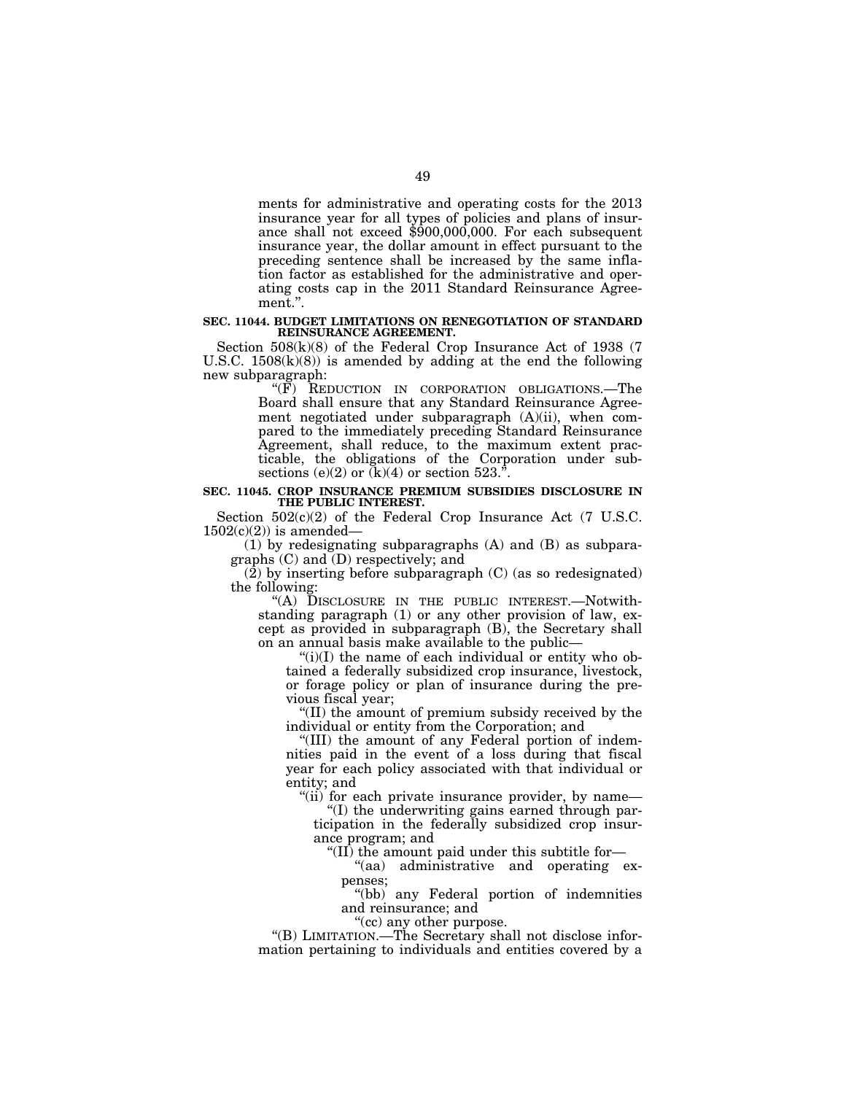ments for administrative and operating costs for the 2013 insurance year for all types of policies and plans of insurance shall not exceed  $$900,000,000$ . For each subsequent insurance year, the dollar amount in effect pursuant to the preceding sentence shall be increased by the same inflation factor as established for the administrative and operating costs cap in the 2011 Standard Reinsurance Agreement.''.

#### **SEC. 11044. BUDGET LIMITATIONS ON RENEGOTIATION OF STANDARD REINSURANCE AGREEMENT.**

Section 508(k)(8) of the Federal Crop Insurance Act of 1938 (7 U.S.C.  $1508(k)(8)$  is amended by adding at the end the following new subparagraph:

''(F) REDUCTION IN CORPORATION OBLIGATIONS.—The Board shall ensure that any Standard Reinsurance Agreement negotiated under subparagraph (A)(ii), when compared to the immediately preceding Standard Reinsurance Agreement, shall reduce, to the maximum extent practicable, the obligations of the Corporation under subsections (e)(2) or  $(k)(4)$  or section 523.<sup>"</sup>.

#### **SEC. 11045. CROP INSURANCE PREMIUM SUBSIDIES DISCLOSURE IN THE PUBLIC INTEREST.**

Section 502(c)(2) of the Federal Crop Insurance Act (7 U.S.C.  $1502(c)(2)$  is amended–

(1) by redesignating subparagraphs (A) and (B) as subparagraphs (C) and (D) respectively; and

 $(2)$  by inserting before subparagraph  $(C)$  (as so redesignated) the following:

''(A) DISCLOSURE IN THE PUBLIC INTEREST.—Notwithstanding paragraph (1) or any other provision of law, except as provided in subparagraph (B), the Secretary shall on an annual basis make available to the public—

" $(i)(I)$  the name of each individual or entity who obtained a federally subsidized crop insurance, livestock, or forage policy or plan of insurance during the previous fiscal year;

''(II) the amount of premium subsidy received by the individual or entity from the Corporation; and

''(III) the amount of any Federal portion of indemnities paid in the event of a loss during that fiscal year for each policy associated with that individual or entity; and

"(ii) for each private insurance provider, by name—

''(I) the underwriting gains earned through participation in the federally subsidized crop insurance program; and

''(II) the amount paid under this subtitle for—

"(aa) administrative and operating expenses;

''(bb) any Federal portion of indemnities and reinsurance; and

''(cc) any other purpose.

''(B) LIMITATION.—The Secretary shall not disclose information pertaining to individuals and entities covered by a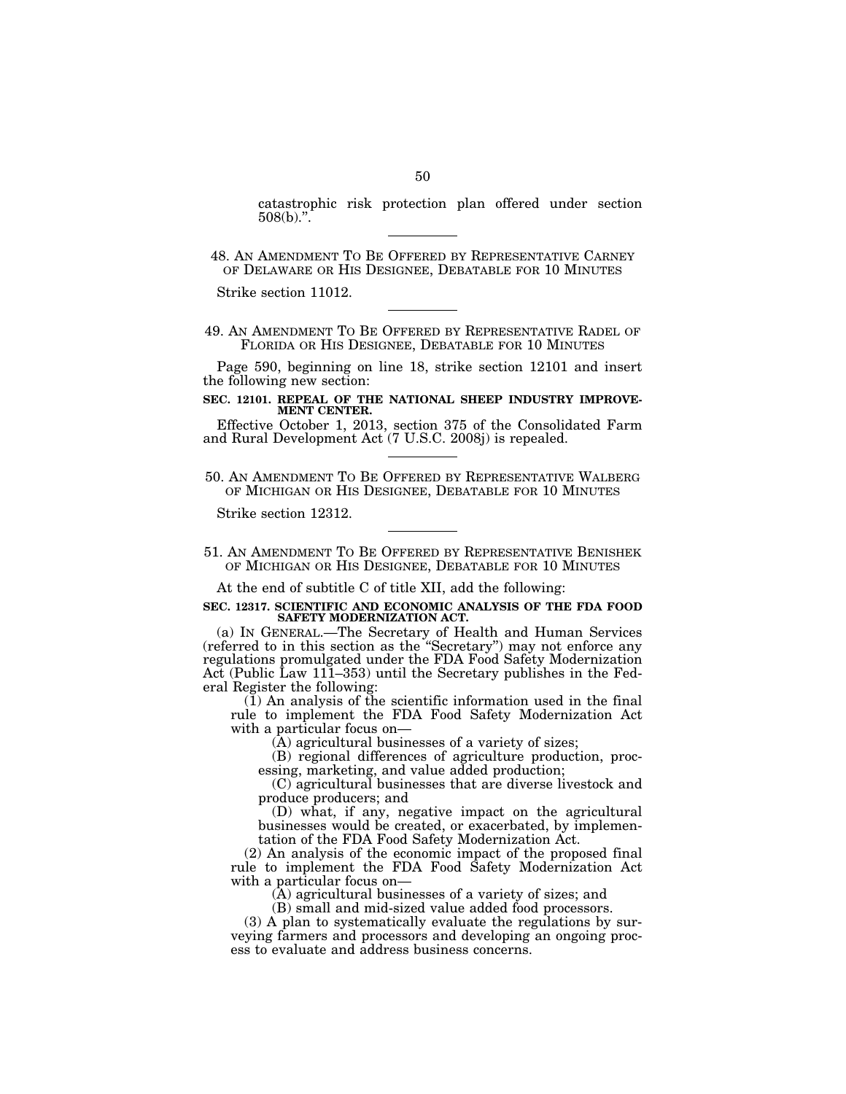catastrophic risk protection plan offered under section  $508(b)$ .".

Strike section 11012.

49. AN AMENDMENT TO BE OFFERED BY REPRESENTATIVE RADEL OF FLORIDA OR HIS DESIGNEE, DEBATABLE FOR 10 MINUTES

Page 590, beginning on line 18, strike section 12101 and insert the following new section:

#### **SEC. 12101. REPEAL OF THE NATIONAL SHEEP INDUSTRY IMPROVE-MENT CENTER.**

Effective October 1, 2013, section 375 of the Consolidated Farm and Rural Development Act (7 U.S.C. 2008j) is repealed.

50. AN AMENDMENT TO BE OFFERED BY REPRESENTATIVE WALBERG OF MICHIGAN OR HIS DESIGNEE, DEBATABLE FOR 10 MINUTES

Strike section 12312.

51. AN AMENDMENT TO BE OFFERED BY REPRESENTATIVE BENISHEK OF MICHIGAN OR HIS DESIGNEE, DEBATABLE FOR 10 MINUTES

At the end of subtitle C of title XII, add the following:

## **SEC. 12317. SCIENTIFIC AND ECONOMIC ANALYSIS OF THE FDA FOOD**  SAFETY MODERNIZATION ACT.

(a) IN GENERAL.—The Secretary of Health and Human Services (referred to in this section as the ''Secretary'') may not enforce any regulations promulgated under the FDA Food Safety Modernization Act (Public Law 111–353) until the Secretary publishes in the Federal Register the following:

 $(1)$  An analysis of the scientific information used in the final rule to implement the FDA Food Safety Modernization Act with a particular focus on—

(A) agricultural businesses of a variety of sizes;

(B) regional differences of agriculture production, processing, marketing, and value added production;

(C) agricultural businesses that are diverse livestock and produce producers; and

(D) what, if any, negative impact on the agricultural businesses would be created, or exacerbated, by implementation of the FDA Food Safety Modernization Act.

(2) An analysis of the economic impact of the proposed final rule to implement the FDA Food Safety Modernization Act with a particular focus on—

(A) agricultural businesses of a variety of sizes; and

(B) small and mid-sized value added food processors.

(3) A plan to systematically evaluate the regulations by surveying farmers and processors and developing an ongoing process to evaluate and address business concerns.

<sup>48.</sup> AN AMENDMENT TO BE OFFERED BY REPRESENTATIVE CARNEY OF DELAWARE OR HIS DESIGNEE, DEBATABLE FOR 10 MINUTES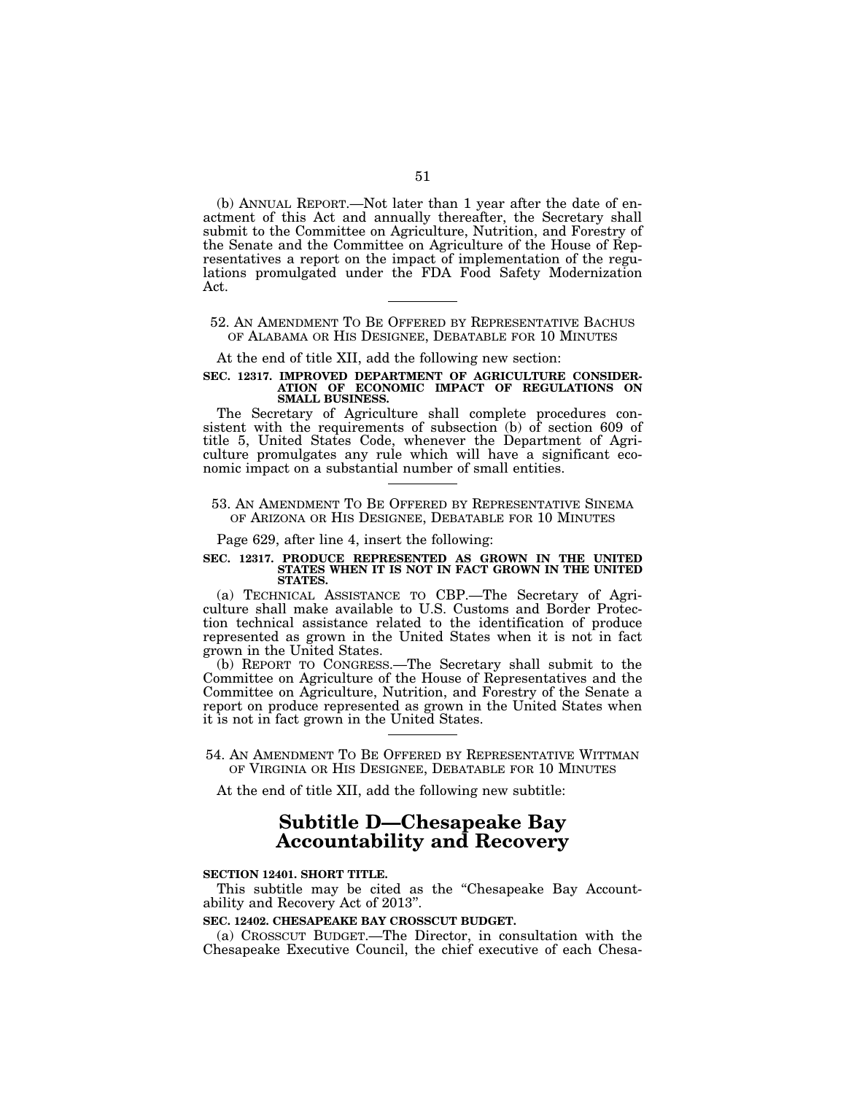(b) ANNUAL REPORT.—Not later than 1 year after the date of enactment of this Act and annually thereafter, the Secretary shall submit to the Committee on Agriculture, Nutrition, and Forestry of the Senate and the Committee on Agriculture of the House of Representatives a report on the impact of implementation of the regulations promulgated under the FDA Food Safety Modernization Act.

# 52. AN AMENDMENT TO BE OFFERED BY REPRESENTATIVE BACHUS OF ALABAMA OR HIS DESIGNEE, DEBATABLE FOR 10 MINUTES

At the end of title XII, add the following new section:

#### **SEC. 12317. IMPROVED DEPARTMENT OF AGRICULTURE CONSIDER-ATION OF ECONOMIC IMPACT OF REGULATIONS ON SMALL BUSINESS.**

The Secretary of Agriculture shall complete procedures consistent with the requirements of subsection (b) of section 609 of title 5, United States Code, whenever the Department of Agriculture promulgates any rule which will have a significant economic impact on a substantial number of small entities.

# 53. AN AMENDMENT TO BE OFFERED BY REPRESENTATIVE SINEMA OF ARIZONA OR HIS DESIGNEE, DEBATABLE FOR 10 MINUTES

Page 629, after line 4, insert the following:

#### **SEC. 12317. PRODUCE REPRESENTED AS GROWN IN THE UNITED STATES WHEN IT IS NOT IN FACT GROWN IN THE UNITED STATES.**

(a) TECHNICAL ASSISTANCE TO CBP.—The Secretary of Agriculture shall make available to U.S. Customs and Border Protection technical assistance related to the identification of produce represented as grown in the United States when it is not in fact grown in the United States.

(b) REPORT TO CONGRESS.—The Secretary shall submit to the Committee on Agriculture of the House of Representatives and the Committee on Agriculture, Nutrition, and Forestry of the Senate a report on produce represented as grown in the United States when it is not in fact grown in the United States.

# 54. AN AMENDMENT TO BE OFFERED BY REPRESENTATIVE WITTMAN OF VIRGINIA OR HIS DESIGNEE, DEBATABLE FOR 10 MINUTES

At the end of title XII, add the following new subtitle:

# **Subtitle D—Chesapeake Bay Accountability and Recovery**

#### **SECTION 12401. SHORT TITLE.**

This subtitle may be cited as the "Chesapeake Bay Accountability and Recovery Act of 2013''.

# **SEC. 12402. CHESAPEAKE BAY CROSSCUT BUDGET.**

(a) CROSSCUT BUDGET.—The Director, in consultation with the Chesapeake Executive Council, the chief executive of each Chesa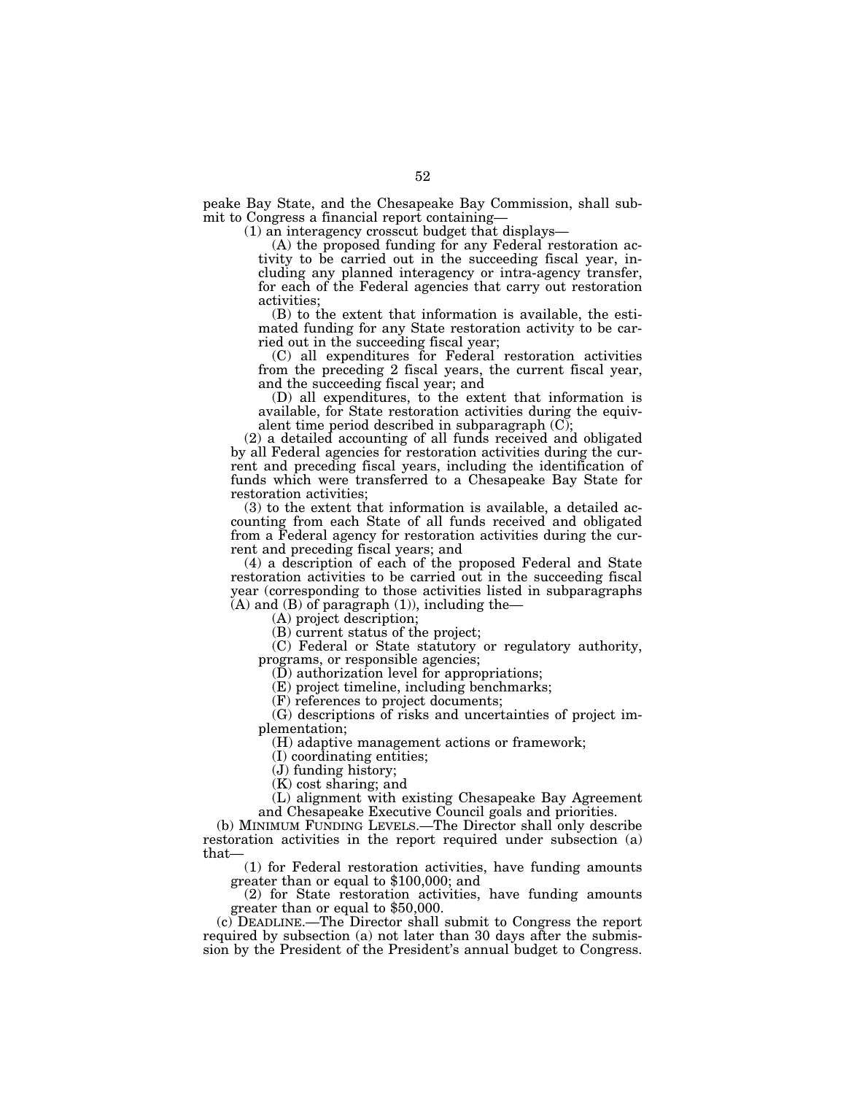peake Bay State, and the Chesapeake Bay Commission, shall submit to Congress a financial report containing—

(1) an interagency crosscut budget that displays—

(A) the proposed funding for any Federal restoration activity to be carried out in the succeeding fiscal year, including any planned interagency or intra-agency transfer, for each of the Federal agencies that carry out restoration activities;

(B) to the extent that information is available, the estimated funding for any State restoration activity to be carried out in the succeeding fiscal year;

(C) all expenditures for Federal restoration activities from the preceding 2 fiscal years, the current fiscal year, and the succeeding fiscal year; and

(D) all expenditures, to the extent that information is available, for State restoration activities during the equivalent time period described in subparagraph (C);

(2) a detailed accounting of all funds received and obligated by all Federal agencies for restoration activities during the current and preceding fiscal years, including the identification of funds which were transferred to a Chesapeake Bay State for restoration activities;

(3) to the extent that information is available, a detailed accounting from each State of all funds received and obligated from a Federal agency for restoration activities during the current and preceding fiscal years; and

(4) a description of each of the proposed Federal and State restoration activities to be carried out in the succeeding fiscal year (corresponding to those activities listed in subparagraphs (A) and (B) of paragraph (1)), including the—

(A) project description;

(B) current status of the project;

(C) Federal or State statutory or regulatory authority, programs, or responsible agencies;

(D) authorization level for appropriations;

(E) project timeline, including benchmarks;

(F) references to project documents;

(G) descriptions of risks and uncertainties of project implementation;

(H) adaptive management actions or framework;

(I) coordinating entities;

(J) funding history;

(K) cost sharing; and

(L) alignment with existing Chesapeake Bay Agreement and Chesapeake Executive Council goals and priorities.

(b) MINIMUM FUNDING LEVELS.—The Director shall only describe restoration activities in the report required under subsection (a) that—

(1) for Federal restoration activities, have funding amounts greater than or equal to \$100,000; and

(2) for State restoration activities, have funding amounts greater than or equal to \$50,000.

(c) DEADLINE.—The Director shall submit to Congress the report required by subsection (a) not later than 30 days after the submission by the President of the President's annual budget to Congress.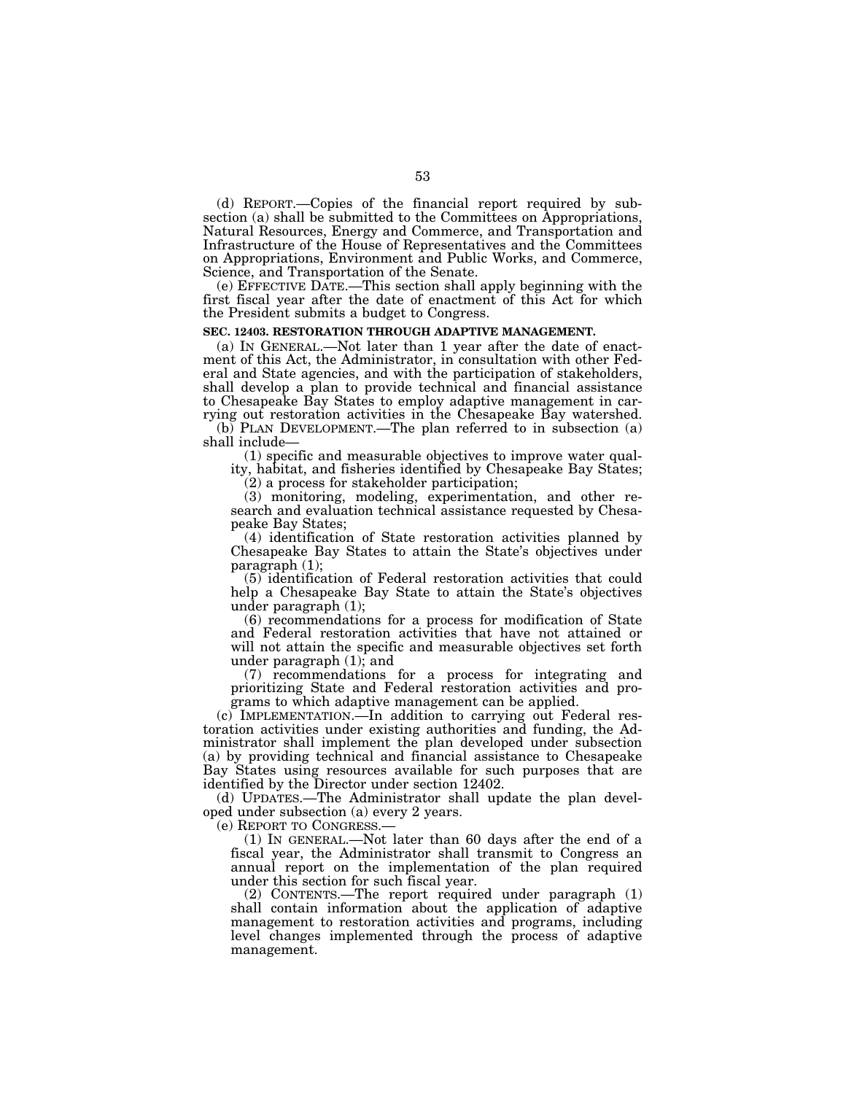(d) REPORT.—Copies of the financial report required by subsection (a) shall be submitted to the Committees on Appropriations, Natural Resources, Energy and Commerce, and Transportation and Infrastructure of the House of Representatives and the Committees on Appropriations, Environment and Public Works, and Commerce, Science, and Transportation of the Senate.

(e) EFFECTIVE DATE.—This section shall apply beginning with the first fiscal year after the date of enactment of this Act for which the President submits a budget to Congress.

#### **SEC. 12403. RESTORATION THROUGH ADAPTIVE MANAGEMENT.**

(a) IN GENERAL.—Not later than 1 year after the date of enactment of this Act, the Administrator, in consultation with other Federal and State agencies, and with the participation of stakeholders, shall develop a plan to provide technical and financial assistance to Chesapeake Bay States to employ adaptive management in carrying out restoration activities in the Chesapeake Bay watershed.

(b) PLAN DEVELOPMENT.—The plan referred to in subsection (a) shall include—

(1) specific and measurable objectives to improve water quality, habitat, and fisheries identified by Chesapeake Bay States;

(2) a process for stakeholder participation;

(3) monitoring, modeling, experimentation, and other research and evaluation technical assistance requested by Chesapeake Bay States;

(4) identification of State restoration activities planned by Chesapeake Bay States to attain the State's objectives under paragraph (1);

(5) identification of Federal restoration activities that could help a Chesapeake Bay State to attain the State's objectives under paragraph (1);

(6) recommendations for a process for modification of State and Federal restoration activities that have not attained or will not attain the specific and measurable objectives set forth under paragraph (1); and

(7) recommendations for a process for integrating and prioritizing State and Federal restoration activities and programs to which adaptive management can be applied.

(c) IMPLEMENTATION.—In addition to carrying out Federal restoration activities under existing authorities and funding, the Administrator shall implement the plan developed under subsection (a) by providing technical and financial assistance to Chesapeake Bay States using resources available for such purposes that are identified by the Director under section 12402.

(d) UPDATES.—The Administrator shall update the plan developed under subsection (a) every 2 years.

(e) REPORT TO CONGRESS.—

(1) IN GENERAL.—Not later than 60 days after the end of a fiscal year, the Administrator shall transmit to Congress an annual report on the implementation of the plan required under this section for such fiscal year.

(2) CONTENTS.—The report required under paragraph (1) shall contain information about the application of adaptive management to restoration activities and programs, including level changes implemented through the process of adaptive management.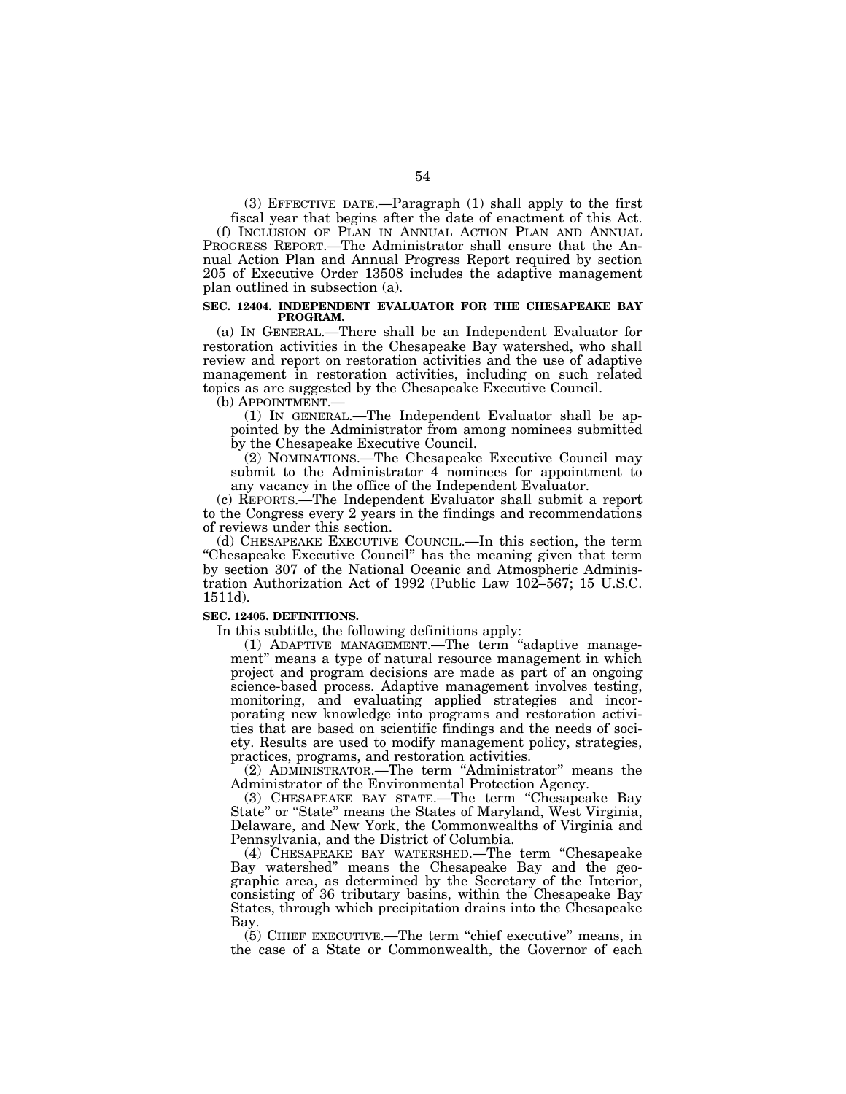(3) EFFECTIVE DATE.—Paragraph (1) shall apply to the first fiscal year that begins after the date of enactment of this Act.

(f) INCLUSION OF PLAN IN ANNUAL ACTION PLAN AND ANNUAL PROGRESS REPORT.—The Administrator shall ensure that the Annual Action Plan and Annual Progress Report required by section 205 of Executive Order 13508 includes the adaptive management plan outlined in subsection (a).

#### **SEC. 12404. INDEPENDENT EVALUATOR FOR THE CHESAPEAKE BAY PROGRAM.**

(a) IN GENERAL.—There shall be an Independent Evaluator for restoration activities in the Chesapeake Bay watershed, who shall review and report on restoration activities and the use of adaptive management in restoration activities, including on such related topics as are suggested by the Chesapeake Executive Council.

(b) APPOINTMENT.—

(1) IN GENERAL.—The Independent Evaluator shall be appointed by the Administrator from among nominees submitted by the Chesapeake Executive Council.

(2) NOMINATIONS.—The Chesapeake Executive Council may submit to the Administrator 4 nominees for appointment to any vacancy in the office of the Independent Evaluator.

(c) REPORTS.—The Independent Evaluator shall submit a report to the Congress every 2 years in the findings and recommendations of reviews under this section.

(d) CHESAPEAKE EXECUTIVE COUNCIL.—In this section, the term "Chesapeake Executive Council" has the meaning given that term by section 307 of the National Oceanic and Atmospheric Administration Authorization Act of 1992 (Public Law 102–567; 15 U.S.C. 1511d).

# **SEC. 12405. DEFINITIONS.**

In this subtitle, the following definitions apply:

(1) ADAPTIVE MANAGEMENT.—The term ''adaptive management'' means a type of natural resource management in which project and program decisions are made as part of an ongoing science-based process. Adaptive management involves testing, monitoring, and evaluating applied strategies and incorporating new knowledge into programs and restoration activities that are based on scientific findings and the needs of society. Results are used to modify management policy, strategies, practices, programs, and restoration activities.

(2) ADMINISTRATOR.—The term ''Administrator'' means the Administrator of the Environmental Protection Agency.

(3) CHESAPEAKE BAY STATE.—The term ''Chesapeake Bay State" or "State" means the States of Maryland, West Virginia, Delaware, and New York, the Commonwealths of Virginia and Pennsylvania, and the District of Columbia.

(4) CHESAPEAKE BAY WATERSHED.—The term ''Chesapeake Bay watershed'' means the Chesapeake Bay and the geographic area, as determined by the Secretary of the Interior, consisting of 36 tributary basins, within the Chesapeake Bay States, through which precipitation drains into the Chesapeake Bay.

(5) CHIEF EXECUTIVE.—The term ''chief executive'' means, in the case of a State or Commonwealth, the Governor of each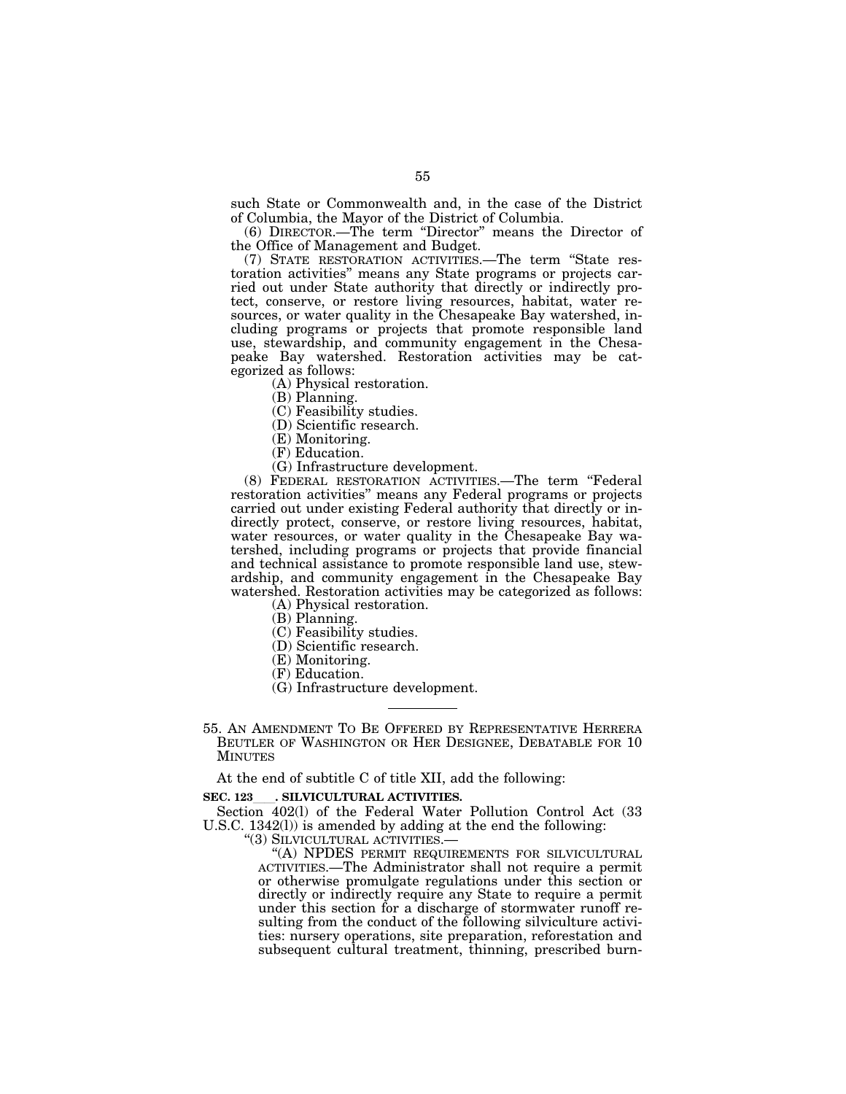such State or Commonwealth and, in the case of the District of Columbia, the Mayor of the District of Columbia.

(6) DIRECTOR.—The term ''Director'' means the Director of the Office of Management and Budget.

(7) STATE RESTORATION ACTIVITIES.—The term ''State restoration activities'' means any State programs or projects carried out under State authority that directly or indirectly protect, conserve, or restore living resources, habitat, water resources, or water quality in the Chesapeake Bay watershed, including programs or projects that promote responsible land use, stewardship, and community engagement in the Chesapeake Bay watershed. Restoration activities may be categorized as follows:

(A) Physical restoration.

(B) Planning.

(C) Feasibility studies.

(D) Scientific research.

(E) Monitoring.

(F) Education.

(G) Infrastructure development.

(8) FEDERAL RESTORATION ACTIVITIES.—The term ''Federal restoration activities'' means any Federal programs or projects carried out under existing Federal authority that directly or indirectly protect, conserve, or restore living resources, habitat, water resources, or water quality in the Chesapeake Bay watershed, including programs or projects that provide financial and technical assistance to promote responsible land use, stewardship, and community engagement in the Chesapeake Bay watershed. Restoration activities may be categorized as follows:

(A) Physical restoration.

(B) Planning.

(C) Feasibility studies.

(D) Scientific research.

- (E) Monitoring.
- (F) Education.
- (G) Infrastructure development.

# 55. AN AMENDMENT TO BE OFFERED BY REPRESENTATIVE HERRERA BEUTLER OF WASHINGTON OR HER DESIGNEE, DEBATABLE FOR 10 MINUTES

At the end of subtitle C of title XII, add the following:

SEC. 123<sub>ll</sub>. SILVICULTURAL ACTIVITIES.<br>
Section 402(1) of the Federal Water Pollution Control Act (33 U.S.C. 1342(l)) is amended by adding at the end the following:

''(3) SILVICULTURAL ACTIVITIES.—

''(A) NPDES PERMIT REQUIREMENTS FOR SILVICULTURAL ACTIVITIES.—The Administrator shall not require a permit or otherwise promulgate regulations under this section or directly or indirectly require any State to require a permit under this section for a discharge of stormwater runoff resulting from the conduct of the following silviculture activities: nursery operations, site preparation, reforestation and subsequent cultural treatment, thinning, prescribed burn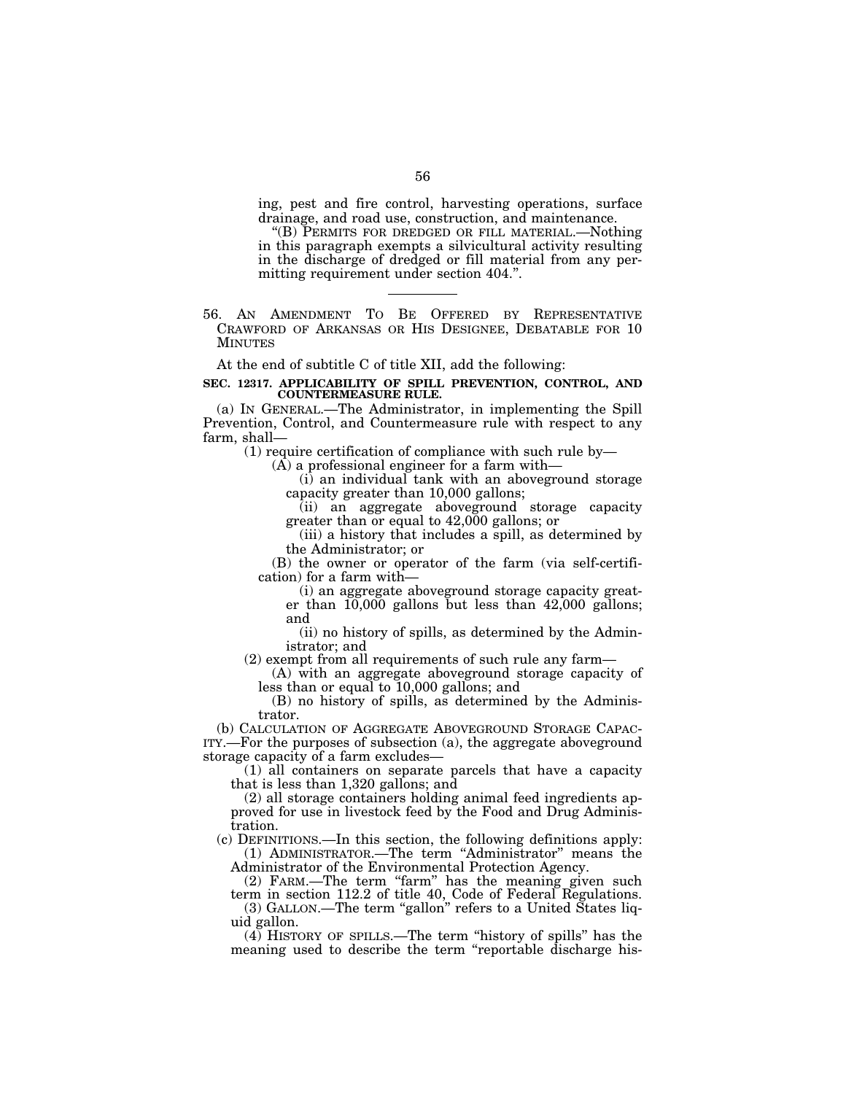ing, pest and fire control, harvesting operations, surface drainage, and road use, construction, and maintenance.

''(B) PERMITS FOR DREDGED OR FILL MATERIAL.—Nothing in this paragraph exempts a silvicultural activity resulting in the discharge of dredged or fill material from any permitting requirement under section 404.''.

56. AN AMENDMENT TO BE OFFERED BY REPRESENTATIVE CRAWFORD OF ARKANSAS OR HIS DESIGNEE, DEBATABLE FOR 10 MINUTES

At the end of subtitle C of title XII, add the following:

#### **SEC. 12317. APPLICABILITY OF SPILL PREVENTION, CONTROL, AND COUNTERMEASURE RULE.**

(a) IN GENERAL.—The Administrator, in implementing the Spill Prevention, Control, and Countermeasure rule with respect to any farm, shall—

(1) require certification of compliance with such rule by—

(A) a professional engineer for a farm with—

(i) an individual tank with an aboveground storage capacity greater than 10,000 gallons;

(ii) an aggregate aboveground storage capacity greater than or equal to 42,000 gallons; or

(iii) a history that includes a spill, as determined by the Administrator; or

(B) the owner or operator of the farm (via self-certification) for a farm with—

(i) an aggregate aboveground storage capacity greater than 10,000 gallons but less than 42,000 gallons; and

(ii) no history of spills, as determined by the Administrator; and

(2) exempt from all requirements of such rule any farm—

(A) with an aggregate aboveground storage capacity of less than or equal to 10,000 gallons; and

(B) no history of spills, as determined by the Administrator.

(b) CALCULATION OF AGGREGATE ABOVEGROUND STORAGE CAPAC-ITY.—For the purposes of subsection (a), the aggregate aboveground storage capacity of a farm excludes—

(1) all containers on separate parcels that have a capacity that is less than 1,320 gallons; and

(2) all storage containers holding animal feed ingredients approved for use in livestock feed by the Food and Drug Administration.

(c) DEFINITIONS.—In this section, the following definitions apply: (1) ADMINISTRATOR.—The term ''Administrator'' means the Administrator of the Environmental Protection Agency.

(2) FARM.—The term "farm" has the meaning given such

term in section 112.2 of title 40, Code of Federal Regulations. (3) GALLON.—The term ''gallon'' refers to a United States liq-

uid gallon.

(4) HISTORY OF SPILLS.—The term ''history of spills'' has the meaning used to describe the term "reportable discharge his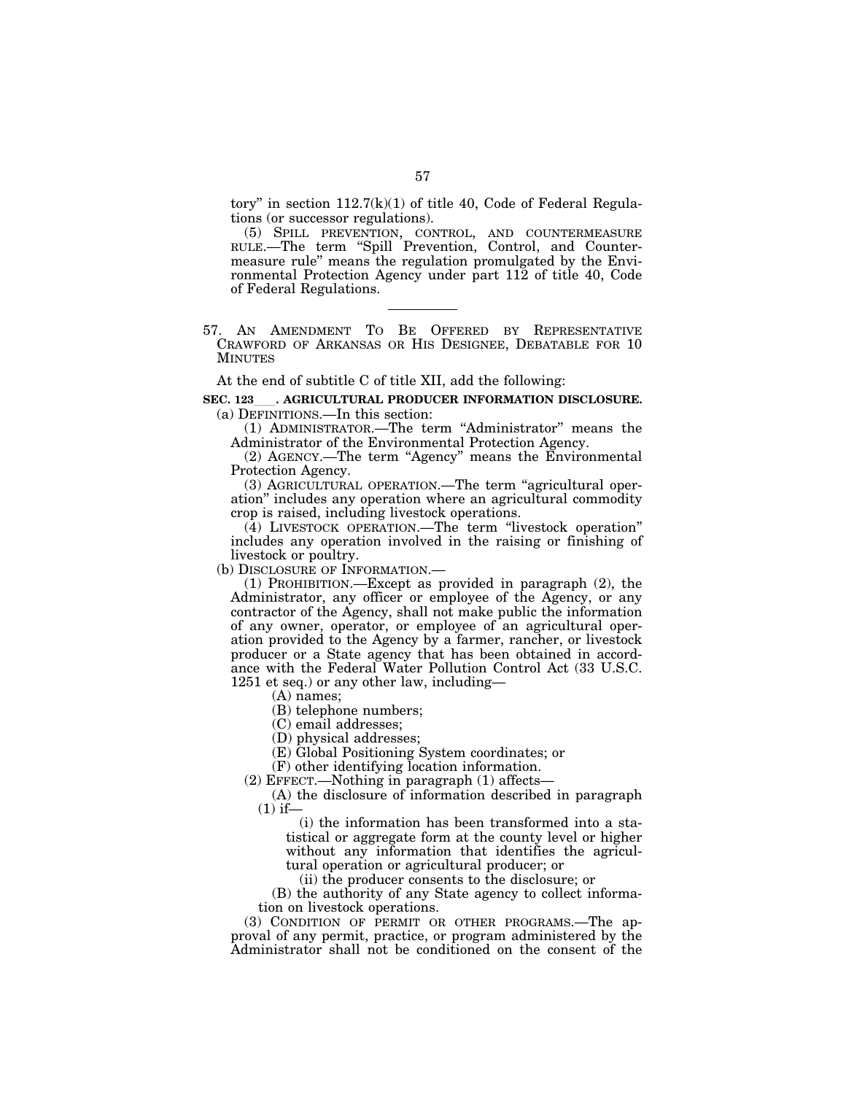tory" in section  $112.7(k)(1)$  of title 40, Code of Federal Regulations (or successor regulations).

(5) SPILL PREVENTION, CONTROL, AND COUNTERMEASURE RULE.—The term ''Spill Prevention, Control, and Countermeasure rule'' means the regulation promulgated by the Environmental Protection Agency under part 112 of title 40, Code of Federal Regulations.

57. AN AMENDMENT TO BE OFFERED BY REPRESENTATIVE CRAWFORD OF ARKANSAS OR HIS DESIGNEE, DEBATABLE FOR 10 **MINUTES** 

At the end of subtitle C of title XII, add the following:

# SEC. 123 **. AGRICULTURAL PRODUCER INFORMATION DISCLOSURE.** (a) DEFINITIONS.—In this section:

(1) ADMINISTRATOR.—The term ''Administrator'' means the Administrator of the Environmental Protection Agency.

(2) AGENCY.—The term ''Agency'' means the Environmental Protection Agency.

(3) AGRICULTURAL OPERATION.—The term ''agricultural operation'' includes any operation where an agricultural commodity crop is raised, including livestock operations.

(4) LIVESTOCK OPERATION.—The term ''livestock operation'' includes any operation involved in the raising or finishing of livestock or poultry.

(b) DISCLOSURE OF INFORMATION.—

(1) PROHIBITION.—Except as provided in paragraph (2), the Administrator, any officer or employee of the Agency, or any contractor of the Agency, shall not make public the information of any owner, operator, or employee of an agricultural operation provided to the Agency by a farmer, rancher, or livestock producer or a State agency that has been obtained in accordance with the Federal Water Pollution Control Act (33 U.S.C. 1251 et seq.) or any other law, including—

(A) names;

(B) telephone numbers;

(C) email addresses;

(D) physical addresses;

(E) Global Positioning System coordinates; or

(F) other identifying location information.

(2) EFFECT.—Nothing in paragraph (1) affects—

(A) the disclosure of information described in paragraph  $(1)$  if-

(i) the information has been transformed into a statistical or aggregate form at the county level or higher without any information that identifies the agricultural operation or agricultural producer; or

(ii) the producer consents to the disclosure; or

(B) the authority of any State agency to collect information on livestock operations.

(3) CONDITION OF PERMIT OR OTHER PROGRAMS.—The approval of any permit, practice, or program administered by the Administrator shall not be conditioned on the consent of the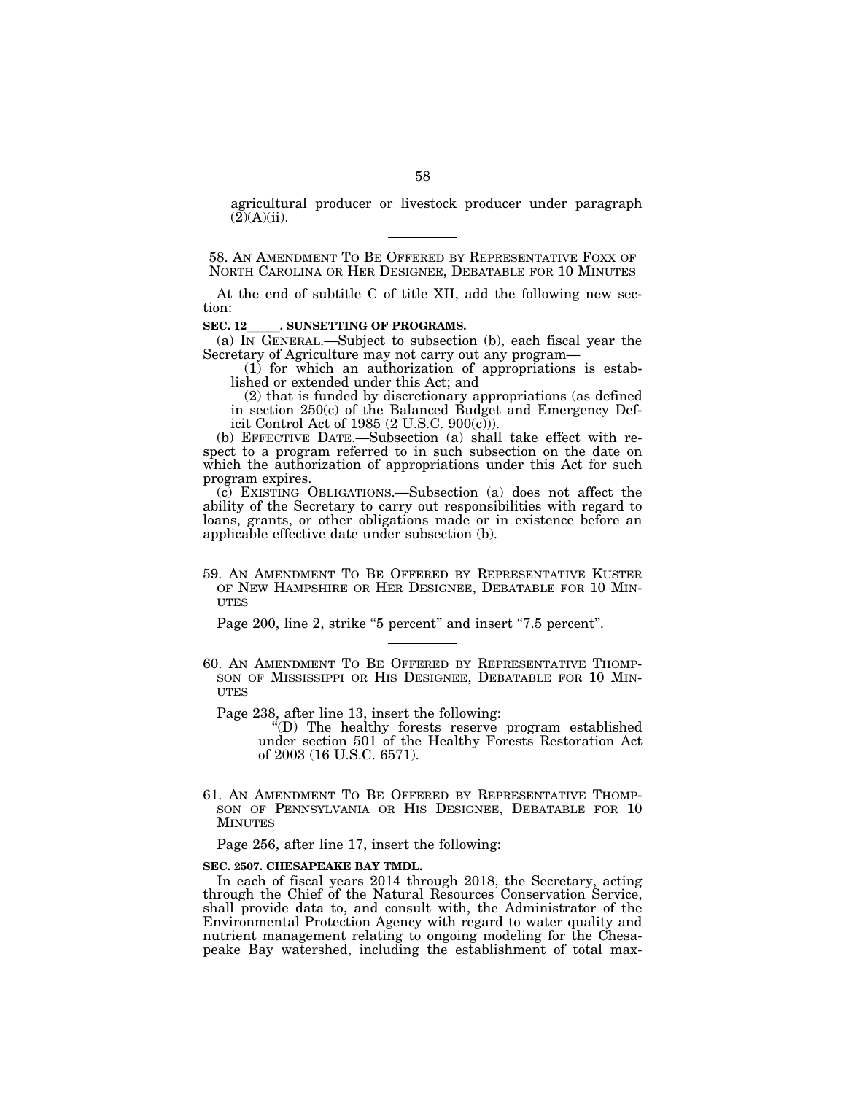agricultural producer or livestock producer under paragraph  $(2)(A)(ii)$ .

58. AN AMENDMENT TO BE OFFERED BY REPRESENTATIVE FOXX OF NORTH CAROLINA OR HER DESIGNEE, DEBATABLE FOR 10 MINUTES

At the end of subtitle C of title XII, add the following new section:

**SEC. 12**. SUNSETTING OF PROGRAMS.<br>
(a) IN GENERAL.—Subject to subsection (b), each fiscal year the Secretary of Agriculture may not carry out any program—

(1) for which an authorization of appropriations is established or extended under this Act; and

(2) that is funded by discretionary appropriations (as defined in section 250(c) of the Balanced Budget and Emergency Deficit Control Act of 1985 (2 U.S.C.  $900(c)$ )).

(b) EFFECTIVE DATE.—Subsection (a) shall take effect with respect to a program referred to in such subsection on the date on which the authorization of appropriations under this Act for such program expires.

(c) EXISTING OBLIGATIONS.—Subsection (a) does not affect the ability of the Secretary to carry out responsibilities with regard to loans, grants, or other obligations made or in existence before an applicable effective date under subsection (b).

59. AN AMENDMENT TO BE OFFERED BY REPRESENTATIVE KUSTER OF NEW HAMPSHIRE OR HER DESIGNEE, DEBATABLE FOR 10 MIN-**ITTES** 

Page 200, line 2, strike "5 percent" and insert "7.5 percent".

60. AN AMENDMENT TO BE OFFERED BY REPRESENTATIVE THOMP- SON OF MISSISSIPPI OR HIS DESIGNEE, DEBATABLE FOR 10 MIN- **UTES** 

Page 238, after line 13, insert the following:

''(D) The healthy forests reserve program established under section 501 of the Healthy Forests Restoration Act of 2003 (16 U.S.C. 6571).

61. AN AMENDMENT TO BE OFFERED BY REPRESENTATIVE THOMP-SON OF PENNSYLVANIA OR HIS DESIGNEE, DEBATABLE FOR 10 MINUTES

Page 256, after line 17, insert the following:

# **SEC. 2507. CHESAPEAKE BAY TMDL.**

In each of fiscal years 2014 through 2018, the Secretary, acting through the Chief of the Natural Resources Conservation Service, shall provide data to, and consult with, the Administrator of the Environmental Protection Agency with regard to water quality and nutrient management relating to ongoing modeling for the Chesapeake Bay watershed, including the establishment of total max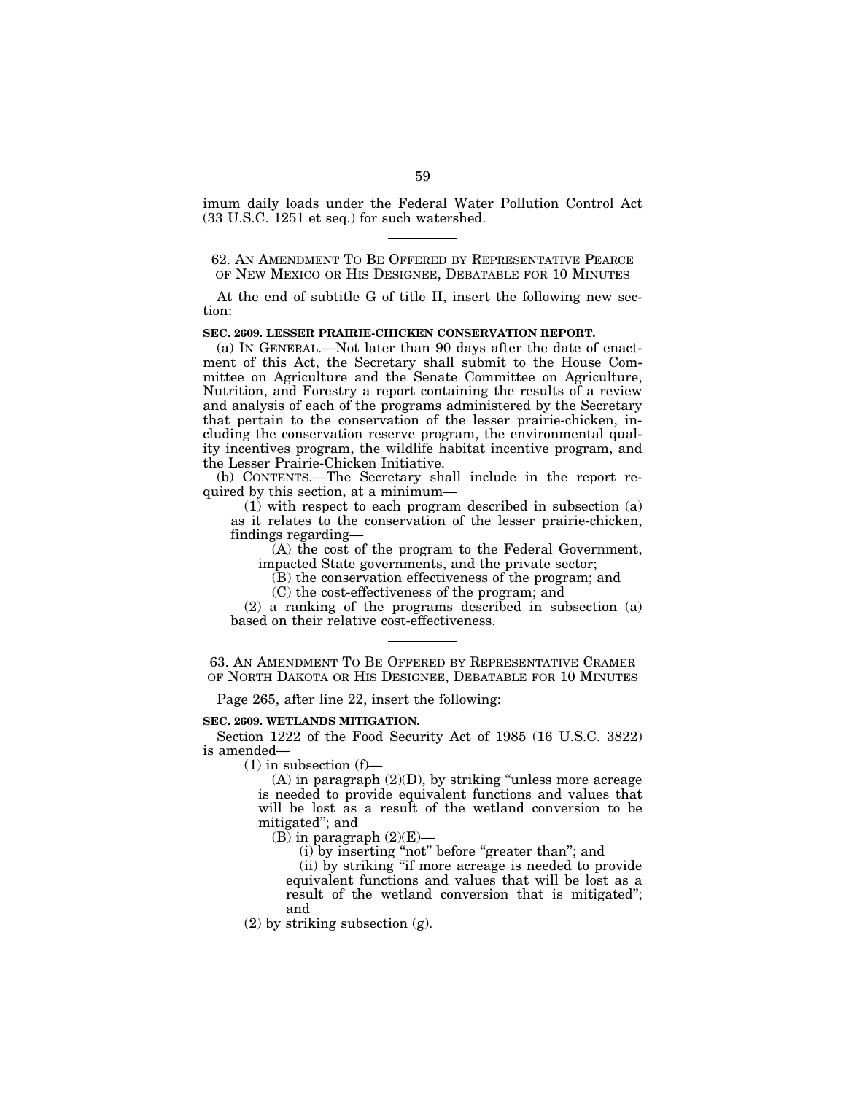imum daily loads under the Federal Water Pollution Control Act (33 U.S.C. 1251 et seq.) for such watershed.

62. AN AMENDMENT TO BE OFFERED BY REPRESENTATIVE PEARCE OF NEW MEXICO OR HIS DESIGNEE, DEBATABLE FOR 10 MINUTES

At the end of subtitle G of title II, insert the following new section:

#### **SEC. 2609. LESSER PRAIRIE-CHICKEN CONSERVATION REPORT.**

(a) IN GENERAL.—Not later than 90 days after the date of enactment of this Act, the Secretary shall submit to the House Committee on Agriculture and the Senate Committee on Agriculture, Nutrition, and Forestry a report containing the results of a review and analysis of each of the programs administered by the Secretary that pertain to the conservation of the lesser prairie-chicken, including the conservation reserve program, the environmental quality incentives program, the wildlife habitat incentive program, and the Lesser Prairie-Chicken Initiative.

(b) CONTENTS.—The Secretary shall include in the report required by this section, at a minimum—

(1) with respect to each program described in subsection (a) as it relates to the conservation of the lesser prairie-chicken, findings regarding—

(A) the cost of the program to the Federal Government, impacted State governments, and the private sector;

(B) the conservation effectiveness of the program; and (C) the cost-effectiveness of the program; and

(2) a ranking of the programs described in subsection (a) based on their relative cost-effectiveness.

63. AN AMENDMENT TO BE OFFERED BY REPRESENTATIVE CRAMER OF NORTH DAKOTA OR HIS DESIGNEE, DEBATABLE FOR 10 MINUTES

Page 265, after line 22, insert the following:

## **SEC. 2609. WETLANDS MITIGATION.**

Section 1222 of the Food Security Act of 1985 (16 U.S.C. 3822) is amended—

 $(1)$  in subsection  $(f)$ —

 $(A)$  in paragraph  $(2)(D)$ , by striking "unless more acreage is needed to provide equivalent functions and values that will be lost as a result of the wetland conversion to be mitigated''; and

(B) in paragraph  $(2)(E)$ —

(i) by inserting "not" before "greater than"; and

(ii) by striking ''if more acreage is needed to provide equivalent functions and values that will be lost as a result of the wetland conversion that is mitigated''; and

(2) by striking subsection (g).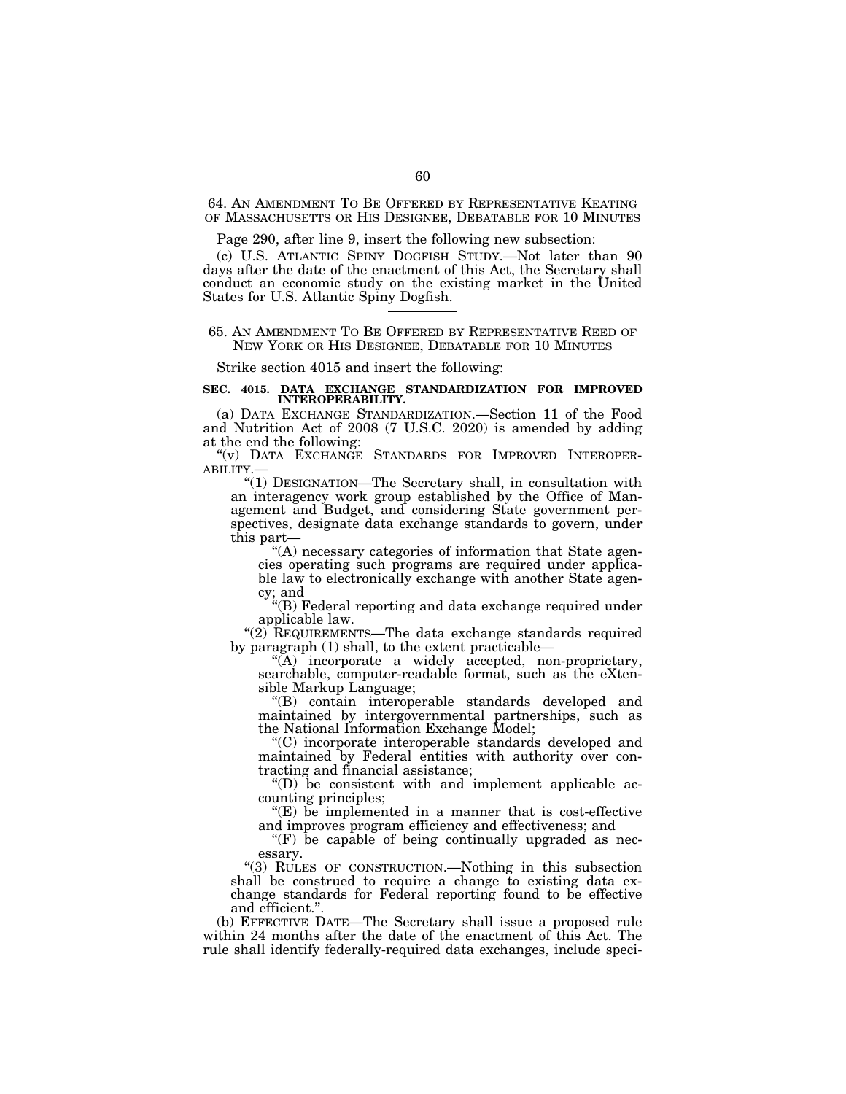64. AN AMENDMENT TO BE OFFERED BY REPRESENTATIVE KEATING OF MASSACHUSETTS OR HIS DESIGNEE, DEBATABLE FOR 10 MINUTES

Page 290, after line 9, insert the following new subsection:

(c) U.S. ATLANTIC SPINY DOGFISH STUDY.—Not later than 90 days after the date of the enactment of this Act, the Secretary shall conduct an economic study on the existing market in the United States for U.S. Atlantic Spiny Dogfish.

## 65. AN AMENDMENT TO BE OFFERED BY REPRESENTATIVE REED OF NEW YORK OR HIS DESIGNEE, DEBATABLE FOR 10 MINUTES

Strike section 4015 and insert the following:

## **SEC. 4015. DATA EXCHANGE STANDARDIZATION FOR IMPROVED INTEROPERABILITY.**

(a) DATA EXCHANGE STANDARDIZATION.—Section 11 of the Food and Nutrition Act of 2008 (7 U.S.C. 2020) is amended by adding at the end the following:

''(v) DATA EXCHANGE STANDARDS FOR IMPROVED INTEROPER- ABILITY.—

''(1) DESIGNATION—The Secretary shall, in consultation with an interagency work group established by the Office of Management and Budget, and considering State government perspectives, designate data exchange standards to govern, under this part—

''(A) necessary categories of information that State agencies operating such programs are required under applicable law to electronically exchange with another State agency; and

''(B) Federal reporting and data exchange required under applicable law.

"(2) REQUIREMENTS—The data exchange standards required by paragraph (1) shall, to the extent practicable—

''(A) incorporate a widely accepted, non-proprietary, searchable, computer-readable format, such as the eXtensible Markup Language;

''(B) contain interoperable standards developed and maintained by intergovernmental partnerships, such as the National Information Exchange Model;

''(C) incorporate interoperable standards developed and maintained by Federal entities with authority over contracting and financial assistance;

 $\mathrm{``(D)}$  be consistent with and implement applicable accounting principles;

"(E) be implemented in a manner that is cost-effective and improves program efficiency and effectiveness; and

" $(F)$  be capable of being continually upgraded as necessary.

''(3) RULES OF CONSTRUCTION.—Nothing in this subsection shall be construed to require a change to existing data exchange standards for Federal reporting found to be effective and efficient.''.

(b) EFFECTIVE DATE—The Secretary shall issue a proposed rule within 24 months after the date of the enactment of this Act. The rule shall identify federally-required data exchanges, include speci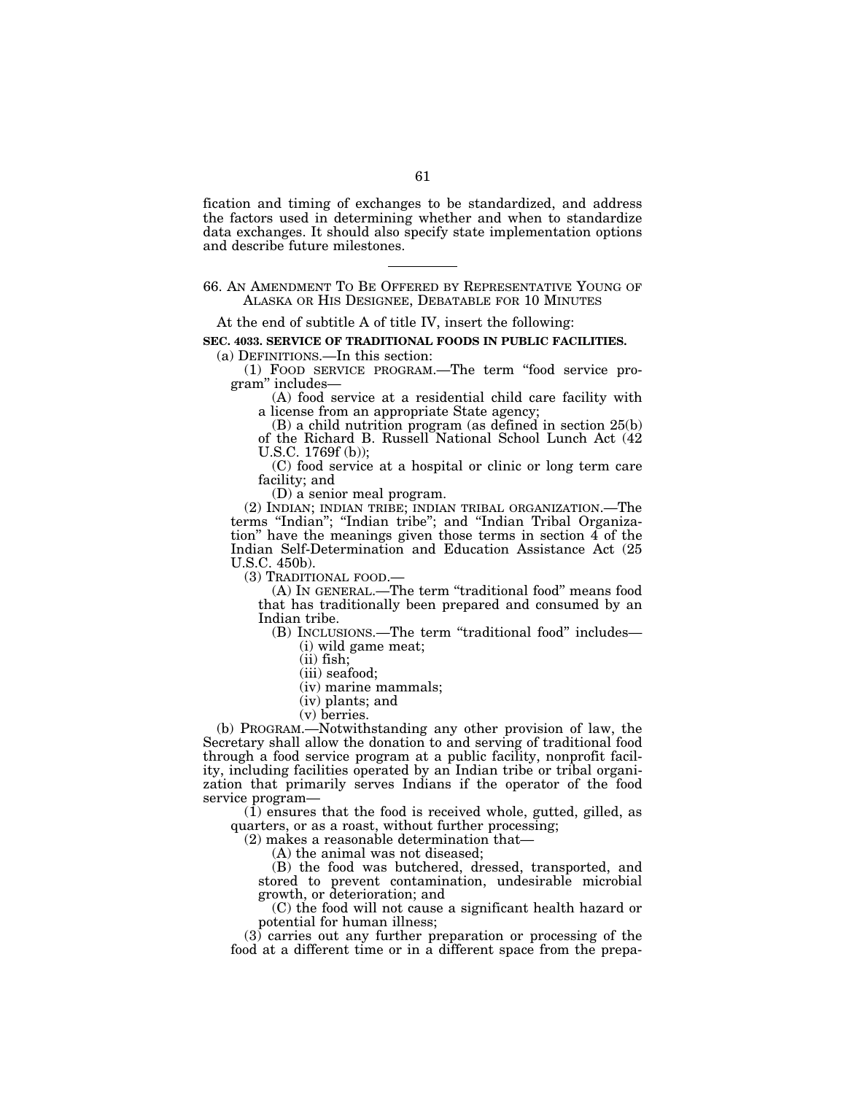fication and timing of exchanges to be standardized, and address the factors used in determining whether and when to standardize data exchanges. It should also specify state implementation options and describe future milestones.

66. AN AMENDMENT TO BE OFFERED BY REPRESENTATIVE YOUNG OF ALASKA OR HIS DESIGNEE, DEBATABLE FOR 10 MINUTES

At the end of subtitle A of title IV, insert the following:

**SEC. 4033. SERVICE OF TRADITIONAL FOODS IN PUBLIC FACILITIES.** 

(a) DEFINITIONS.—In this section:

(1) FOOD SERVICE PROGRAM.—The term ''food service program'' includes—

(A) food service at a residential child care facility with a license from an appropriate State agency;

(B) a child nutrition program (as defined in section 25(b) of the Richard B. Russell National School Lunch Act (42 U.S.C. 1769f (b));

(C) food service at a hospital or clinic or long term care facility; and

(D) a senior meal program.

(2) INDIAN; INDIAN TRIBE; INDIAN TRIBAL ORGANIZATION.—The terms "Indian"; "Indian tribe"; and "Indian Tribal Organization'' have the meanings given those terms in section 4 of the Indian Self-Determination and Education Assistance Act (25 U.S.C. 450b).

(3) TRADITIONAL FOOD.—

(A) IN GENERAL.—The term ''traditional food'' means food that has traditionally been prepared and consumed by an Indian tribe.

(B) INCLUSIONS.—The term ''traditional food'' includes— (i) wild game meat;

- (ii) fish;
- (iii) seafood;
- (iv) marine mammals;
- (iv) plants; and
- (v) berries.

(b) PROGRAM.—Notwithstanding any other provision of law, the Secretary shall allow the donation to and serving of traditional food through a food service program at a public facility, nonprofit facility, including facilities operated by an Indian tribe or tribal organization that primarily serves Indians if the operator of the food service program—

(1) ensures that the food is received whole, gutted, gilled, as quarters, or as a roast, without further processing;

(2) makes a reasonable determination that—

(A) the animal was not diseased;

(B) the food was butchered, dressed, transported, and stored to prevent contamination, undesirable microbial growth, or deterioration; and

(C) the food will not cause a significant health hazard or potential for human illness;

 $(3)$  carries out any further preparation or processing of the food at a different time or in a different space from the prepa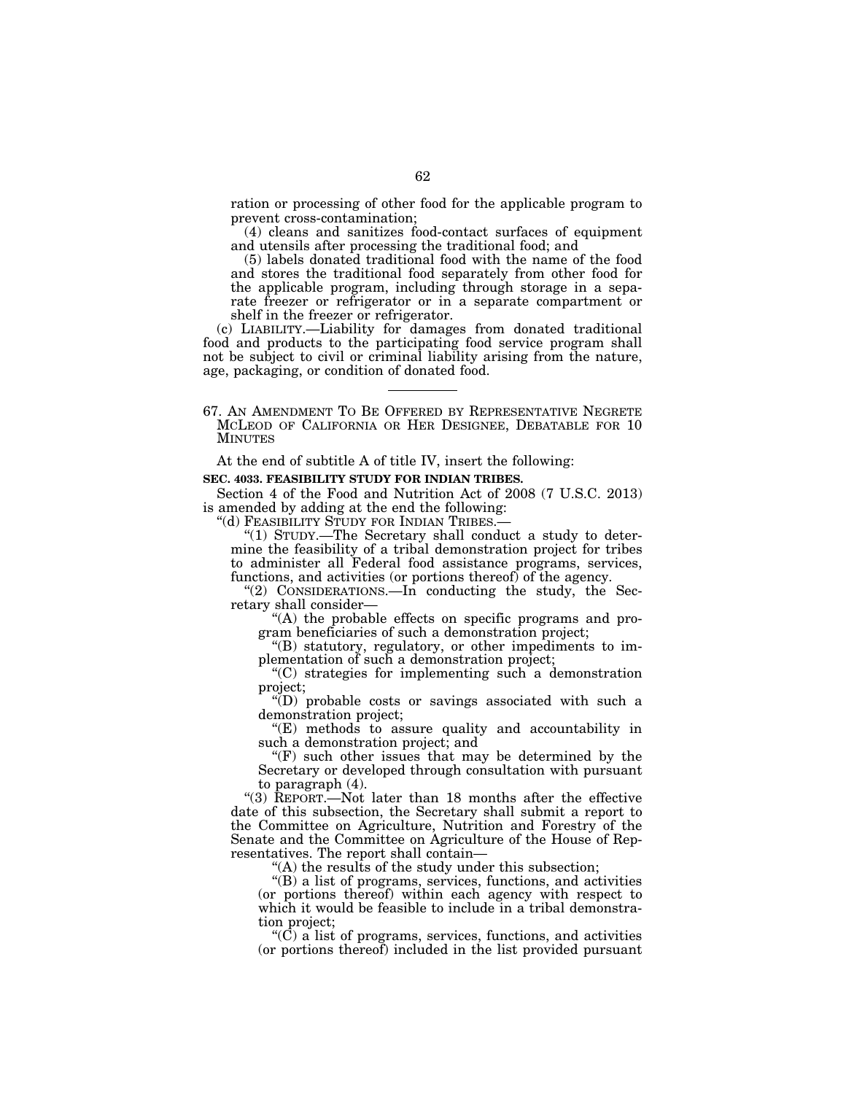ration or processing of other food for the applicable program to prevent cross-contamination;

(4) cleans and sanitizes food-contact surfaces of equipment and utensils after processing the traditional food; and

(5) labels donated traditional food with the name of the food and stores the traditional food separately from other food for the applicable program, including through storage in a separate freezer or refrigerator or in a separate compartment or shelf in the freezer or refrigerator.

(c) LIABILITY.—Liability for damages from donated traditional food and products to the participating food service program shall not be subject to civil or criminal liability arising from the nature, age, packaging, or condition of donated food.

67. AN AMENDMENT TO BE OFFERED BY REPRESENTATIVE NEGRETE MCLEOD OF CALIFORNIA OR HER DESIGNEE, DEBATABLE FOR 10 MINUTES

At the end of subtitle A of title IV, insert the following:

# **SEC. 4033. FEASIBILITY STUDY FOR INDIAN TRIBES.**

Section 4 of the Food and Nutrition Act of 2008 (7 U.S.C. 2013) is amended by adding at the end the following:<br>"(d) FEASIBILITY STUDY FOR INDIAN TRIBES.

"(1) STUDY.—The Secretary shall conduct a study to determine the feasibility of a tribal demonstration project for tribes to administer all Federal food assistance programs, services, functions, and activities (or portions thereof) of the agency.

"(2) CONSIDERATIONS.—In conducting the study, the Secretary shall consider—

''(A) the probable effects on specific programs and program beneficiaries of such a demonstration project;

''(B) statutory, regulatory, or other impediments to implementation of such a demonstration project;

''(C) strategies for implementing such a demonstration project;

''(D) probable costs or savings associated with such a demonstration project;

''(E) methods to assure quality and accountability in such a demonstration project; and

 $f(F)$  such other issues that may be determined by the Secretary or developed through consultation with pursuant to paragraph (4).

''(3) REPORT.—Not later than 18 months after the effective date of this subsection, the Secretary shall submit a report to the Committee on Agriculture, Nutrition and Forestry of the Senate and the Committee on Agriculture of the House of Representatives. The report shall contain—

 $(A)$  the results of the study under this subsection;

''(B) a list of programs, services, functions, and activities (or portions thereof) within each agency with respect to which it would be feasible to include in a tribal demonstration project;

 $(C)$  a list of programs, services, functions, and activities (or portions thereof) included in the list provided pursuant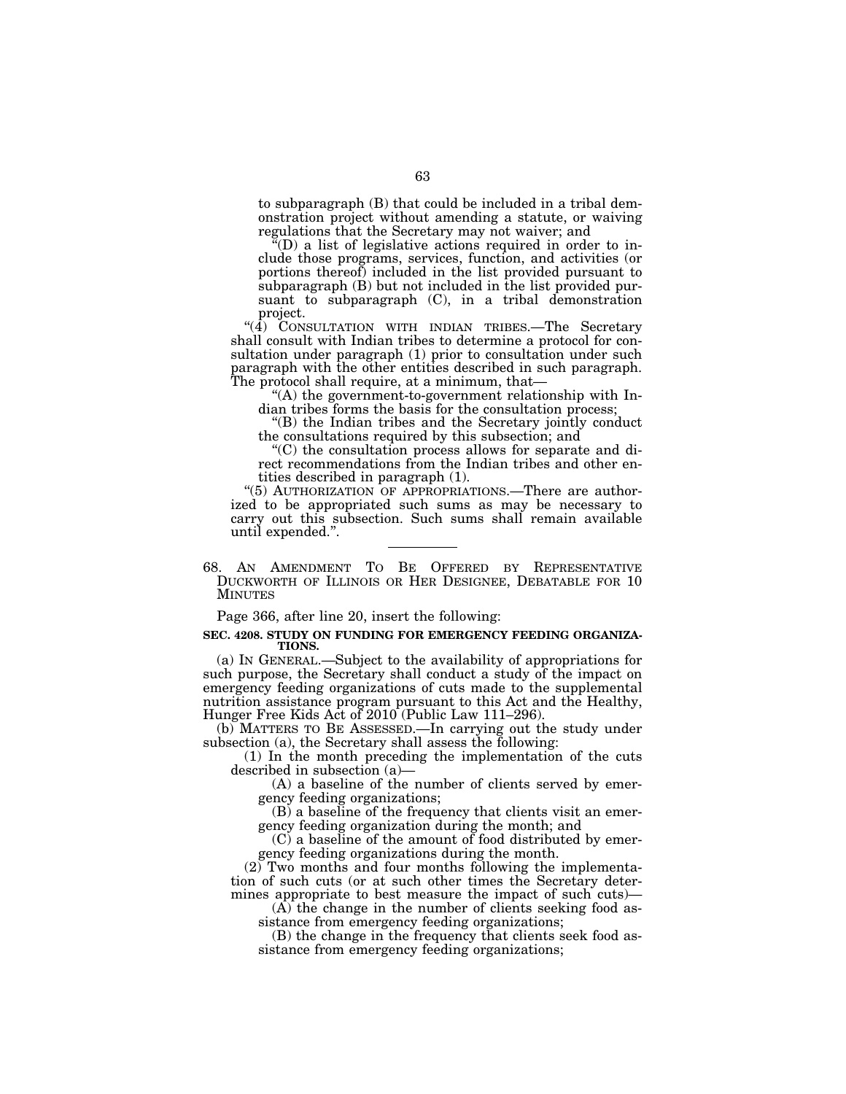to subparagraph (B) that could be included in a tribal demonstration project without amending a statute, or waiving regulations that the Secretary may not waiver; and

 $\tilde{H}(D)$  a list of legislative actions required in order to include those programs, services, function, and activities (or portions thereof) included in the list provided pursuant to subparagraph (B) but not included in the list provided pursuant to subparagraph (C), in a tribal demonstration project.

 $(4)$  CONSULTATION WITH INDIAN TRIBES.—The Secretary shall consult with Indian tribes to determine a protocol for consultation under paragraph (1) prior to consultation under such paragraph with the other entities described in such paragraph. The protocol shall require, at a minimum, that—

''(A) the government-to-government relationship with Indian tribes forms the basis for the consultation process;

''(B) the Indian tribes and the Secretary jointly conduct the consultations required by this subsection; and

''(C) the consultation process allows for separate and direct recommendations from the Indian tribes and other entities described in paragraph (1).

"(5) AUTHORIZATION OF APPROPRIATIONS.—There are authorized to be appropriated such sums as may be necessary to carry out this subsection. Such sums shall remain available until expended.''.

68. AN AMENDMENT TO BE OFFERED BY REPRESENTATIVE DUCKWORTH OF ILLINOIS OR HER DESIGNEE, DEBATABLE FOR 10 MINUTES

Page 366, after line 20, insert the following:

#### **SEC. 4208. STUDY ON FUNDING FOR EMERGENCY FEEDING ORGANIZA-TIONS.**

(a) IN GENERAL.—Subject to the availability of appropriations for such purpose, the Secretary shall conduct a study of the impact on emergency feeding organizations of cuts made to the supplemental nutrition assistance program pursuant to this Act and the Healthy, Hunger Free Kids Act of 2010 (Public Law 111–296).

(b) MATTERS TO BE ASSESSED.—In carrying out the study under subsection (a), the Secretary shall assess the following:

(1) In the month preceding the implementation of the cuts described in subsection (a)—

(A) a baseline of the number of clients served by emergency feeding organizations;

(B) a baseline of the frequency that clients visit an emergency feeding organization during the month; and

(C) a baseline of the amount of food distributed by emergency feeding organizations during the month.

(2) Two months and four months following the implementation of such cuts (or at such other times the Secretary determines appropriate to best measure the impact of such cuts)—

 $(\widehat{A})$  the change in the number of clients seeking food assistance from emergency feeding organizations;

(B) the change in the frequency that clients seek food assistance from emergency feeding organizations;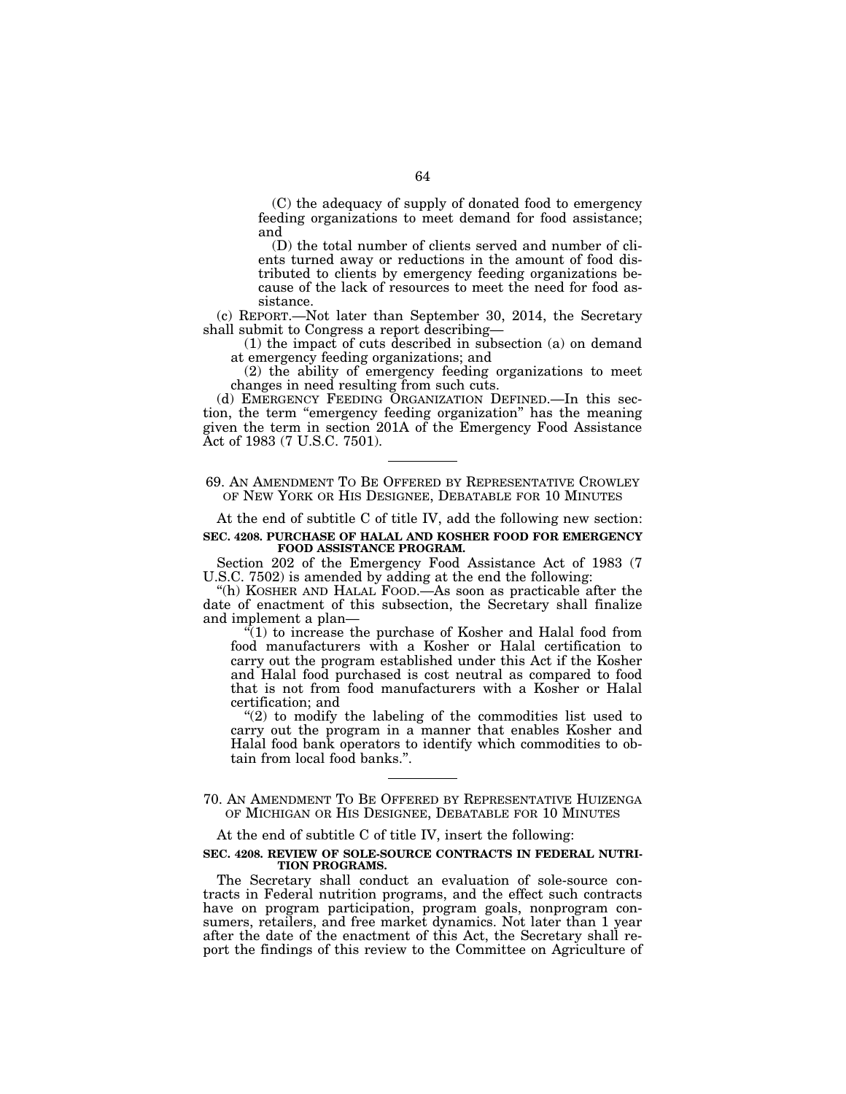(C) the adequacy of supply of donated food to emergency feeding organizations to meet demand for food assistance; and

(D) the total number of clients served and number of clients turned away or reductions in the amount of food distributed to clients by emergency feeding organizations because of the lack of resources to meet the need for food assistance.

(c) REPORT.—Not later than September 30, 2014, the Secretary shall submit to Congress a report describing—

(1) the impact of cuts described in subsection (a) on demand at emergency feeding organizations; and

(2) the ability of emergency feeding organizations to meet changes in need resulting from such cuts.

(d) EMERGENCY FEEDING ORGANIZATION DEFINED.—In this section, the term ''emergency feeding organization'' has the meaning given the term in section 201A of the Emergency Food Assistance Act of 1983 (7 U.S.C. 7501).

# 69. AN AMENDMENT TO BE OFFERED BY REPRESENTATIVE CROWLEY OF NEW YORK OR HIS DESIGNEE, DEBATABLE FOR 10 MINUTES

At the end of subtitle C of title IV, add the following new section:

#### **SEC. 4208. PURCHASE OF HALAL AND KOSHER FOOD FOR EMERGENCY FOOD ASSISTANCE PROGRAM.**

Section 202 of the Emergency Food Assistance Act of 1983 (7 U.S.C. 7502) is amended by adding at the end the following:

''(h) KOSHER AND HALAL FOOD.—As soon as practicable after the date of enactment of this subsection, the Secretary shall finalize and implement a plan—

''(1) to increase the purchase of Kosher and Halal food from food manufacturers with a Kosher or Halal certification to carry out the program established under this Act if the Kosher and Halal food purchased is cost neutral as compared to food that is not from food manufacturers with a Kosher or Halal certification; and

" $(2)$  to modify the labeling of the commodities list used to carry out the program in a manner that enables Kosher and Halal food bank operators to identify which commodities to obtain from local food banks.''.

70. AN AMENDMENT TO BE OFFERED BY REPRESENTATIVE HUIZENGA OF MICHIGAN OR HIS DESIGNEE, DEBATABLE FOR 10 MINUTES

At the end of subtitle C of title IV, insert the following:

#### **SEC. 4208. REVIEW OF SOLE-SOURCE CONTRACTS IN FEDERAL NUTRI-TION PROGRAMS.**

The Secretary shall conduct an evaluation of sole-source contracts in Federal nutrition programs, and the effect such contracts have on program participation, program goals, nonprogram consumers, retailers, and free market dynamics. Not later than 1 year after the date of the enactment of this Act, the Secretary shall report the findings of this review to the Committee on Agriculture of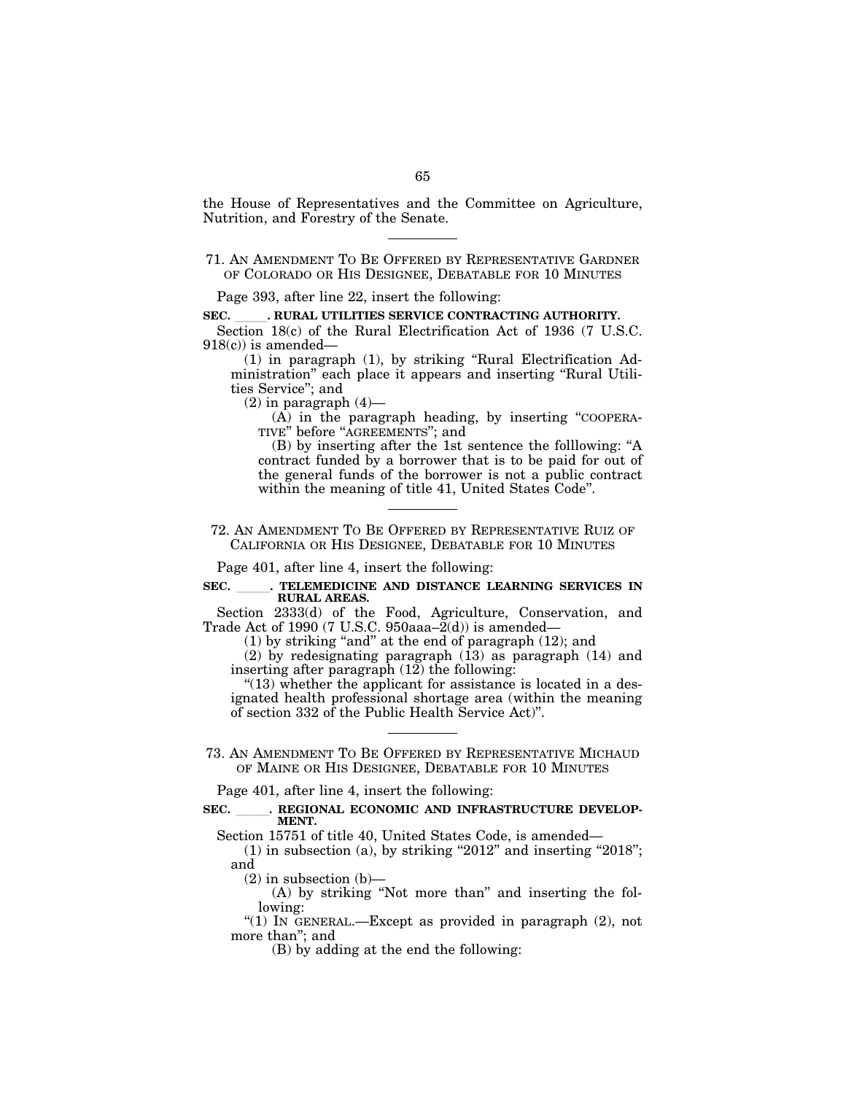the House of Representatives and the Committee on Agriculture, Nutrition, and Forestry of the Senate.

Page 393, after line 22, insert the following:

**SEC.** . RURAL UTILITIES SERVICE CONTRACTING AUTHORITY.

Section 18(c) of the Rural Electrification Act of 1936 (7 U.S.C.  $918(c)$  is amended–

(1) in paragraph (1), by striking ''Rural Electrification Administration'' each place it appears and inserting ''Rural Utilities Service''; and

 $(2)$  in paragraph  $(4)$ —

(A) in the paragraph heading, by inserting ''COOPERA-TIVE" before "AGREEMENTS"; and

(B) by inserting after the 1st sentence the folllowing: ''A contract funded by a borrower that is to be paid for out of the general funds of the borrower is not a public contract within the meaning of title 41, United States Code''.

72. AN AMENDMENT TO BE OFFERED BY REPRESENTATIVE RUIZ OF CALIFORNIA OR HIS DESIGNEE, DEBATABLE FOR 10 MINUTES

Page 401, after line 4, insert the following:

# SEC. TELEMEDICINE AND DISTANCE LEARNING SERVICES IN **RURAL AREAS.**

Section 2333(d) of the Food, Agriculture, Conservation, and Trade Act of 1990 (7 U.S.C. 950aaa–2(d)) is amended—

 $(1)$  by striking "and" at the end of paragraph  $(12)$ ; and

(2) by redesignating paragraph  $(13)$  as paragraph  $(14)$  and inserting after paragraph  $(12)$  the following:

 $''(13)$  whether the applicant for assistance is located in a designated health professional shortage area (within the meaning of section 332 of the Public Health Service Act)''.

73. AN AMENDMENT TO BE OFFERED BY REPRESENTATIVE MICHAUD OF MAINE OR HIS DESIGNEE, DEBATABLE FOR 10 MINUTES

Page 401, after line 4, insert the following:

# SEC. REGIONAL ECONOMIC AND INFRASTRUCTURE DEVELOP-**MENT.**

Section 15751 of title 40, United States Code, is amended—

 $(1)$  in subsection  $(a)$ , by striking "2012" and inserting "2018"; and

 $(2)$  in subsection  $(b)$ —

(A) by striking ''Not more than'' and inserting the following:

''(1) IN GENERAL.—Except as provided in paragraph (2), not more than''; and

(B) by adding at the end the following:

<sup>71.</sup> AN AMENDMENT TO BE OFFERED BY REPRESENTATIVE GARDNER OF COLORADO OR HIS DESIGNEE, DEBATABLE FOR 10 MINUTES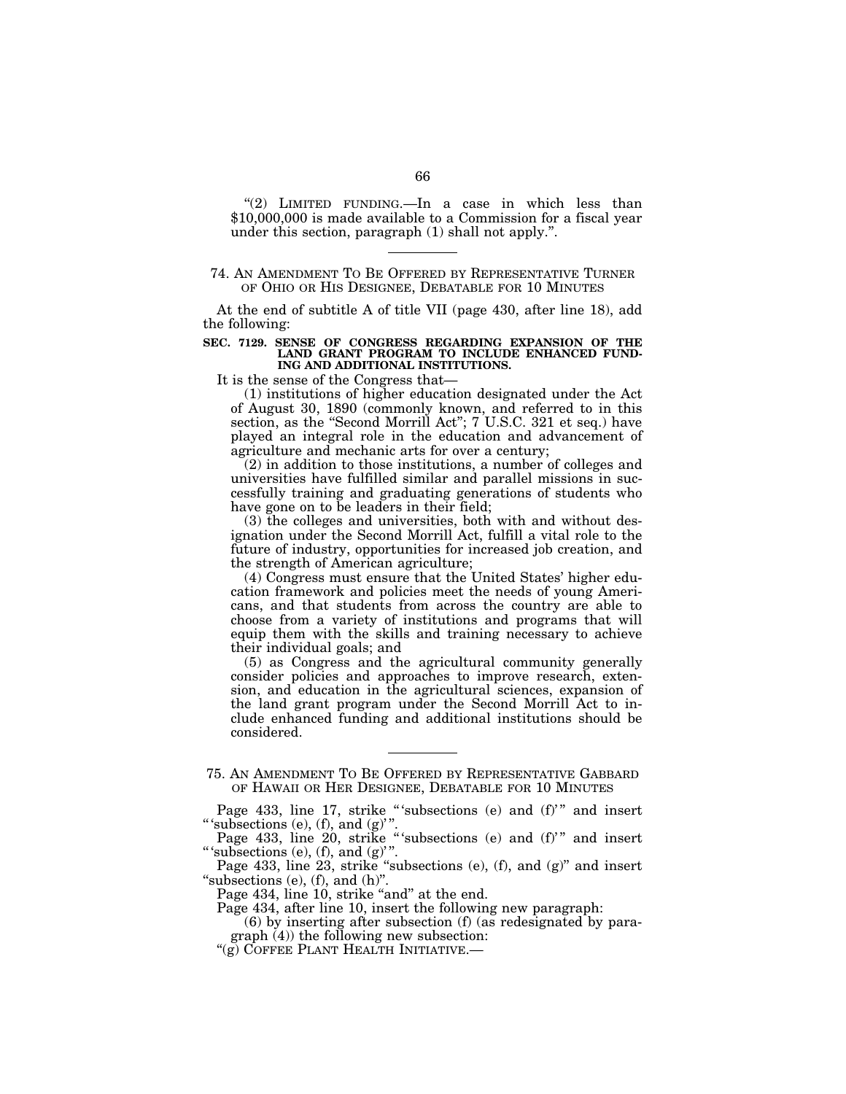" $(2)$  LIMITED FUNDING.—In a case in which less than \$10,000,000 is made available to a Commission for a fiscal year under this section, paragraph (1) shall not apply.''.

# 74. AN AMENDMENT TO BE OFFERED BY REPRESENTATIVE TURNER OF OHIO OR HIS DESIGNEE, DEBATABLE FOR 10 MINUTES

At the end of subtitle A of title VII (page 430, after line 18), add the following:

#### **SEC. 7129. SENSE OF CONGRESS REGARDING EXPANSION OF THE LAND GRANT PROGRAM TO INCLUDE ENHANCED FUND-ING AND ADDITIONAL INSTITUTIONS.**

It is the sense of the Congress that—

(1) institutions of higher education designated under the Act of August 30, 1890 (commonly known, and referred to in this section, as the "Second Morrill Act"; 7 U.S.C. 321 et seq.) have played an integral role in the education and advancement of agriculture and mechanic arts for over a century;

(2) in addition to those institutions, a number of colleges and universities have fulfilled similar and parallel missions in successfully training and graduating generations of students who have gone on to be leaders in their field;

(3) the colleges and universities, both with and without designation under the Second Morrill Act, fulfill a vital role to the future of industry, opportunities for increased job creation, and the strength of American agriculture;

(4) Congress must ensure that the United States' higher education framework and policies meet the needs of young Americans, and that students from across the country are able to choose from a variety of institutions and programs that will equip them with the skills and training necessary to achieve their individual goals; and

(5) as Congress and the agricultural community generally consider policies and approaches to improve research, extension, and education in the agricultural sciences, expansion of the land grant program under the Second Morrill Act to include enhanced funding and additional institutions should be considered.

Page 433, line 23, strike "subsections (e), (f), and (g)" and insert "subsections  $(e)$ ,  $(f)$ , and  $(h)$ ".

Page 434, line 10, strike "and" at the end.

Page 434, after line 10, insert the following new paragraph:

(6) by inserting after subsection (f) (as redesignated by paragraph (4)) the following new subsection:

"(g) COFFEE PLANT HEALTH INITIATIVE.

<sup>75.</sup> AN AMENDMENT TO BE OFFERED BY REPRESENTATIVE GABBARD OF HAWAII OR HER DESIGNEE, DEBATABLE FOR 10 MINUTES

Page 433, line 17, strike "'subsections (e) and (f)'" and insert "' subsections  $(e)$ ,  $(f)$ , and  $(g)$ "

Page 433, line 20, strike "'subsections (e) and (f)'" and insert "' 'subsections  $(e)$ ,  $(f)$ , and  $(g)$ ".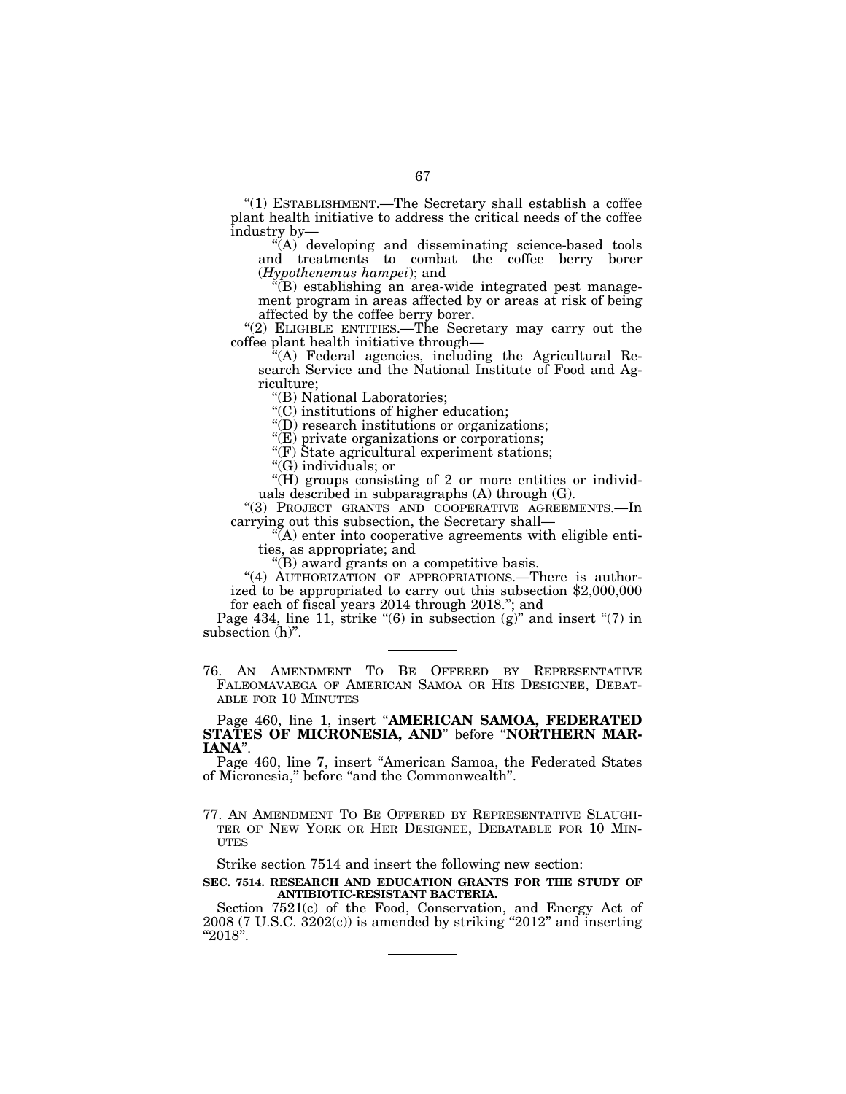''(1) ESTABLISHMENT.—The Secretary shall establish a coffee plant health initiative to address the critical needs of the coffee industry by—

"(A) developing and disseminating science-based tools and treatments to combat the coffee berry borer (*Hypothenemus hampei*); and

 $E(E)$  establishing an area-wide integrated pest management program in areas affected by or areas at risk of being affected by the coffee berry borer.

"(2) ELIGIBLE ENTITIES.—The Secretary may carry out the coffee plant health initiative through—

''(A) Federal agencies, including the Agricultural Research Service and the National Institute of Food and Agriculture;

''(B) National Laboratories;

''(C) institutions of higher education;

''(D) research institutions or organizations;

''(E) private organizations or corporations;

''(F) State agricultural experiment stations;

''(G) individuals; or

"(H) groups consisting of 2 or more entities or individuals described in subparagraphs (A) through (G).

"(3) PROJECT GRANTS AND COOPERATIVE AGREEMENTS.-In carrying out this subsection, the Secretary shall—

''(A) enter into cooperative agreements with eligible entities, as appropriate; and

''(B) award grants on a competitive basis.

"(4) AUTHORIZATION OF APPROPRIATIONS.—There is authorized to be appropriated to carry out this subsection \$2,000,000 for each of fiscal years 2014 through 2018.''; and

Page 434, line 11, strike " $(6)$  in subsection  $(g)$ " and insert " $(7)$  in subsection  $(h)$ ".

76. AN AMENDMENT TO BE OFFERED BY REPRESENTATIVE FALEOMAVAEGA OF AMERICAN SAMOA OR HIS DESIGNEE, DEBAT-ABLE FOR 10 MINUTES

Page 460, line 1, insert ''**AMERICAN SAMOA, FEDERATED STATES OF MICRONESIA, AND**'' before ''**NORTHERN MAR-IANA**''.

Page 460, line 7, insert ''American Samoa, the Federated States of Micronesia,'' before ''and the Commonwealth''.

77. AN AMENDMENT TO BE OFFERED BY REPRESENTATIVE SLAUGH- TER OF NEW YORK OR HER DESIGNEE, DEBATABLE FOR 10 MIN-UTES

Strike section 7514 and insert the following new section:

**SEC. 7514. RESEARCH AND EDUCATION GRANTS FOR THE STUDY OF ANTIBIOTIC-RESISTANT BACTERIA.** 

Section 7521(c) of the Food, Conservation, and Energy Act of  $2008$  (7 U.S.C.  $3202(c)$ ) is amended by striking " $2012$ " and inserting  $"2018"$ .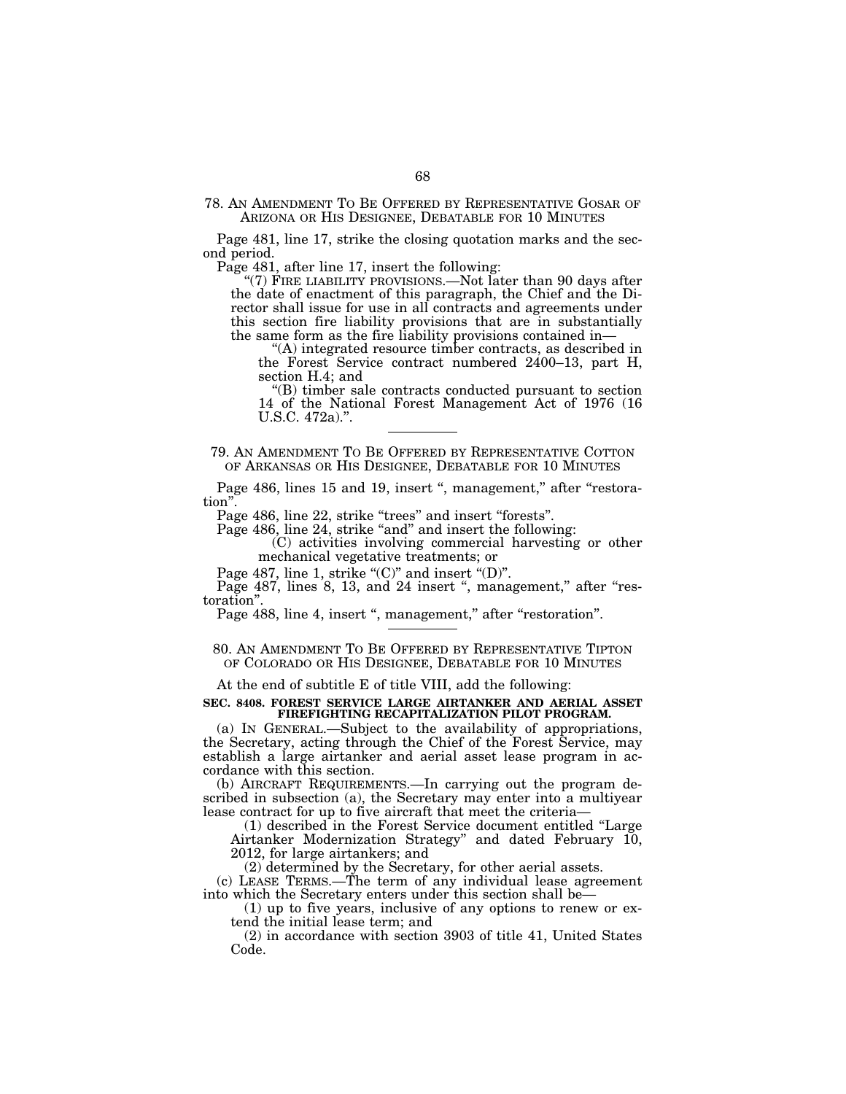78. AN AMENDMENT TO BE OFFERED BY REPRESENTATIVE GOSAR OF ARIZONA OR HIS DESIGNEE, DEBATABLE FOR 10 MINUTES

Page 481, line 17, strike the closing quotation marks and the second period.

Page 481, after line 17, insert the following:

"(7) FIRE LIABILITY PROVISIONS.—Not later than 90 days after the date of enactment of this paragraph, the Chief and the Director shall issue for use in all contracts and agreements under this section fire liability provisions that are in substantially the same form as the fire liability provisions contained in—

''(A) integrated resource timber contracts, as described in the Forest Service contract numbered 2400–13, part H, section H.4; and

''(B) timber sale contracts conducted pursuant to section 14 of the National Forest Management Act of 1976 (16 U.S.C. 472a).''.

79. AN AMENDMENT TO BE OFFERED BY REPRESENTATIVE COTTON OF ARKANSAS OR HIS DESIGNEE, DEBATABLE FOR 10 MINUTES

Page 486, lines 15 and 19, insert ", management," after "restoration''.

Page 486, line 22, strike "trees" and insert "forests".

Page 486, line 24, strike "and" and insert the following:

(C) activities involving commercial harvesting or other mechanical vegetative treatments; or

Page 487, line 1, strike "(C)" and insert "(D)".

Page  $487$ , lines  $8$ , 13, and  $24$  insert ", management," after "restoration''.

Page 488, line 4, insert ", management," after "restoration".

80. AN AMENDMENT TO BE OFFERED BY REPRESENTATIVE TIPTON OF COLORADO OR HIS DESIGNEE, DEBATABLE FOR 10 MINUTES

At the end of subtitle E of title VIII, add the following:

# **SEC. 8408. FOREST SERVICE LARGE AIRTANKER AND AERIAL ASSET FIREFIGHTING RECAPITALIZATION PILOT PROGRAM.**

(a) IN GENERAL.—Subject to the availability of appropriations, the Secretary, acting through the Chief of the Forest Service, may establish a large airtanker and aerial asset lease program in accordance with this section.

(b) AIRCRAFT REQUIREMENTS.—In carrying out the program described in subsection (a), the Secretary may enter into a multiyear lease contract for up to five aircraft that meet the criteria—

(1) described in the Forest Service document entitled ''Large Airtanker Modernization Strategy'' and dated February 10, 2012, for large airtankers; and

(2) determined by the Secretary, for other aerial assets.

(c) LEASE TERMS.—The term of any individual lease agreement into which the Secretary enters under this section shall be—

(1) up to five years, inclusive of any options to renew or extend the initial lease term; and

(2) in accordance with section 3903 of title 41, United States Code.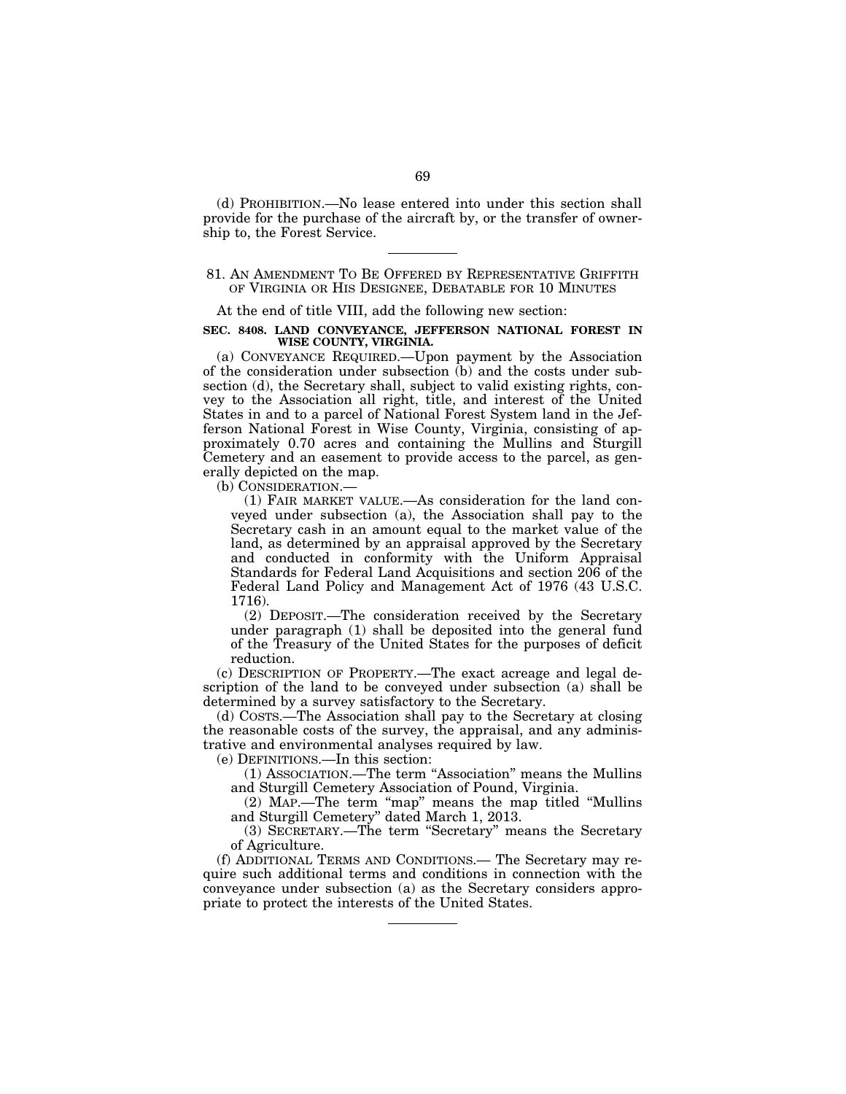(d) PROHIBITION.—No lease entered into under this section shall provide for the purchase of the aircraft by, or the transfer of ownership to, the Forest Service.

# 81. AN AMENDMENT TO BE OFFERED BY REPRESENTATIVE GRIFFITH OF VIRGINIA OR HIS DESIGNEE, DEBATABLE FOR 10 MINUTES

At the end of title VIII, add the following new section:

#### **SEC. 8408. LAND CONVEYANCE, JEFFERSON NATIONAL FOREST IN WISE COUNTY, VIRGINIA.**

(a) CONVEYANCE REQUIRED.—Upon payment by the Association of the consideration under subsection (b) and the costs under subsection (d), the Secretary shall, subject to valid existing rights, convey to the Association all right, title, and interest of the United States in and to a parcel of National Forest System land in the Jefferson National Forest in Wise County, Virginia, consisting of approximately 0.70 acres and containing the Mullins and Sturgill Cemetery and an easement to provide access to the parcel, as generally depicted on the map.

(b) CONSIDERATION.—

(1) FAIR MARKET VALUE.—As consideration for the land conveyed under subsection (a), the Association shall pay to the Secretary cash in an amount equal to the market value of the land, as determined by an appraisal approved by the Secretary and conducted in conformity with the Uniform Appraisal Standards for Federal Land Acquisitions and section 206 of the Federal Land Policy and Management Act of 1976 (43 U.S.C. 1716).

(2) DEPOSIT.—The consideration received by the Secretary under paragraph (1) shall be deposited into the general fund of the Treasury of the United States for the purposes of deficit reduction.

(c) DESCRIPTION OF PROPERTY.—The exact acreage and legal description of the land to be conveyed under subsection (a) shall be determined by a survey satisfactory to the Secretary.

(d) COSTS.—The Association shall pay to the Secretary at closing the reasonable costs of the survey, the appraisal, and any administrative and environmental analyses required by law.

(e) DEFINITIONS.—In this section:

(1) ASSOCIATION.—The term ''Association'' means the Mullins and Sturgill Cemetery Association of Pound, Virginia.

(2) MAP.—The term ''map'' means the map titled ''Mullins and Sturgill Cemetery'' dated March 1, 2013.

(3) SECRETARY.—The term ''Secretary'' means the Secretary of Agriculture.

(f) ADDITIONAL TERMS AND CONDITIONS.— The Secretary may require such additional terms and conditions in connection with the conveyance under subsection (a) as the Secretary considers appropriate to protect the interests of the United States.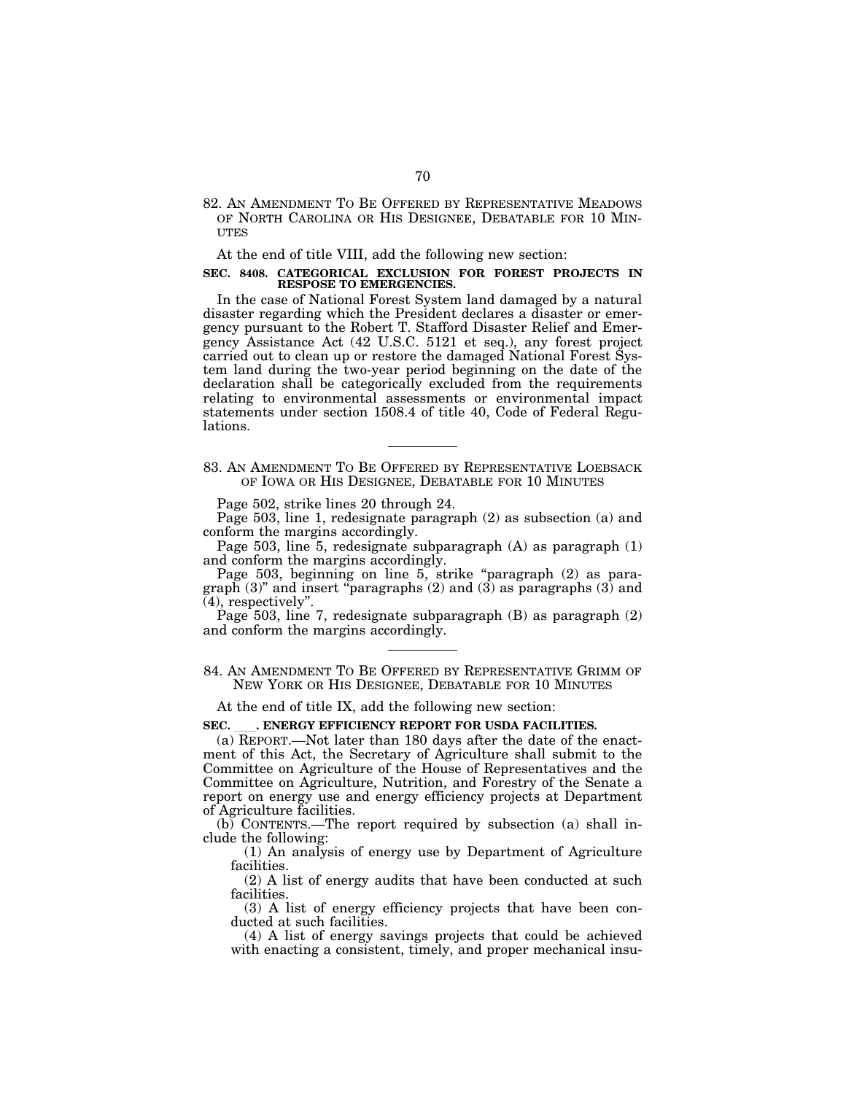82. AN AMENDMENT TO BE OFFERED BY REPRESENTATIVE MEADOWS OF NORTH CAROLINA OR HIS DESIGNEE, DEBATABLE FOR 10 MIN-**UTES** 

At the end of title VIII, add the following new section:

#### **SEC. 8408. CATEGORICAL EXCLUSION FOR FOREST PROJECTS IN RESPOSE TO EMERGENCIES.**

In the case of National Forest System land damaged by a natural disaster regarding which the President declares a disaster or emergency pursuant to the Robert T. Stafford Disaster Relief and Emergency Assistance Act (42 U.S.C. 5121 et seq.), any forest project carried out to clean up or restore the damaged National Forest System land during the two-year period beginning on the date of the declaration shall be categorically excluded from the requirements relating to environmental assessments or environmental impact statements under section 1508.4 of title 40, Code of Federal Regulations.

83. AN AMENDMENT TO BE OFFERED BY REPRESENTATIVE LOEBSACK OF IOWA OR HIS DESIGNEE, DEBATABLE FOR 10 MINUTES

Page 502, strike lines 20 through 24.

Page 503, line 1, redesignate paragraph (2) as subsection (a) and conform the margins accordingly.

Page 503, line 5, redesignate subparagraph (A) as paragraph (1) and conform the margins accordingly.

Page 503, beginning on line 5, strike "paragraph (2) as paragraph (3)'' and insert ''paragraphs (2) and (3) as paragraphs (3) and (4), respectively''.

Page 503, line 7, redesignate subparagraph (B) as paragraph (2) and conform the margins accordingly.

84. AN AMENDMENT TO BE OFFERED BY REPRESENTATIVE GRIMM OF NEW YORK OR HIS DESIGNEE, DEBATABLE FOR 10 MINUTES

At the end of title IX, add the following new section:

SEC. **. ENERGY EFFICIENCY REPORT FOR USDA FACILITIES.** 

(a) REPORT.—Not later than 180 days after the date of the enactment of this Act, the Secretary of Agriculture shall submit to the Committee on Agriculture of the House of Representatives and the Committee on Agriculture, Nutrition, and Forestry of the Senate a report on energy use and energy efficiency projects at Department of Agriculture facilities.

(b) CONTENTS.—The report required by subsection (a) shall include the following:

(1) An analysis of energy use by Department of Agriculture facilities.

(2) A list of energy audits that have been conducted at such facilities.

(3) A list of energy efficiency projects that have been conducted at such facilities.

(4) A list of energy savings projects that could be achieved with enacting a consistent, timely, and proper mechanical insu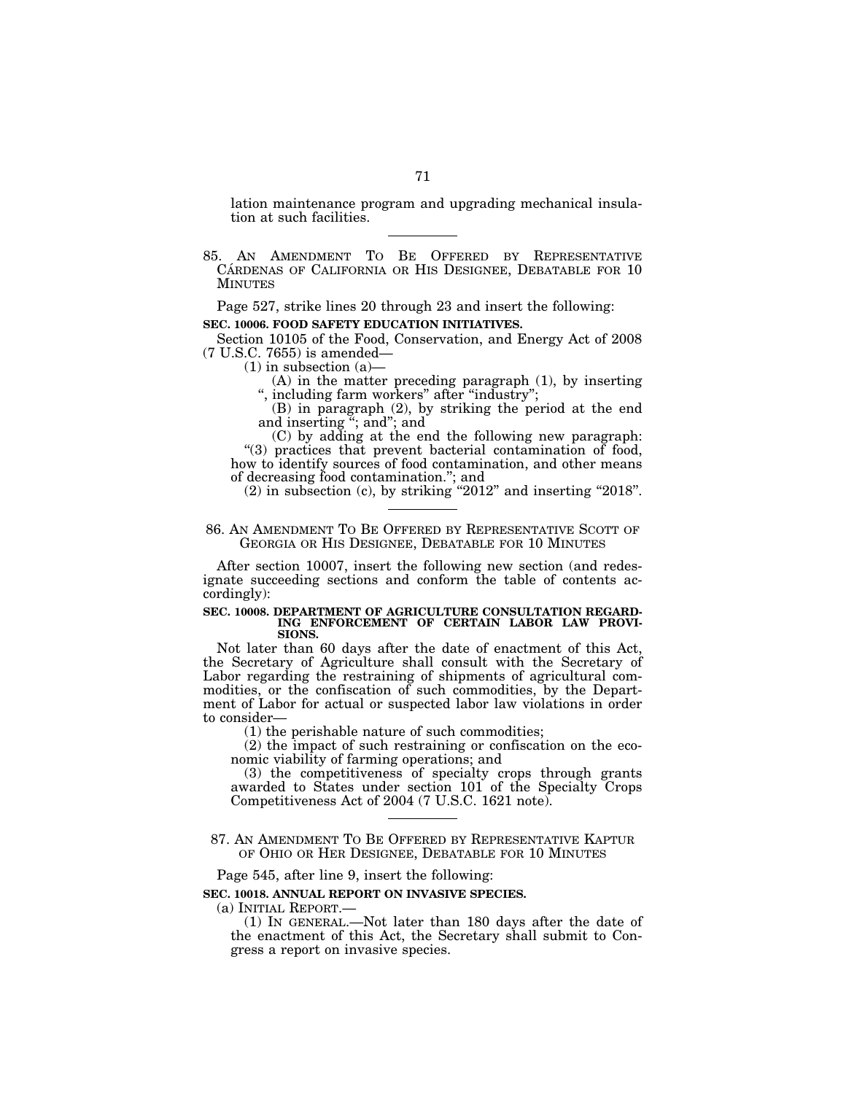lation maintenance program and upgrading mechanical insulation at such facilities.

85. AN AMENDMENT TO BE OFFERED BY REPRESENTATIVE CÁRDENAS OF CALIFORNIA OR HIS DESIGNEE, DEBATABLE FOR 10 MINUTES

Page 527, strike lines 20 through 23 and insert the following:

# **SEC. 10006. FOOD SAFETY EDUCATION INITIATIVES.**

Section 10105 of the Food, Conservation, and Energy Act of 2008 (7 U.S.C. 7655) is amended—

 $(1)$  in subsection  $(a)$ —

(A) in the matter preceding paragraph (1), by inserting ", including farm workers" after "industry";

(B) in paragraph (2), by striking the period at the end and inserting ''; and''; and

(C) by adding at the end the following new paragraph: "(3) practices that prevent bacterial contamination of food, how to identify sources of food contamination, and other means of decreasing food contamination.''; and

 $(2)$  in subsection  $(c)$ , by striking "2012" and inserting "2018".

# 86. AN AMENDMENT TO BE OFFERED BY REPRESENTATIVE SCOTT OF GEORGIA OR HIS DESIGNEE, DEBATABLE FOR 10 MINUTES

After section 10007, insert the following new section (and redesignate succeeding sections and conform the table of contents accordingly):

#### **SEC. 10008. DEPARTMENT OF AGRICULTURE CONSULTATION REGARD-ING ENFORCEMENT OF CERTAIN LABOR LAW PROVI-SIONS.**

Not later than 60 days after the date of enactment of this Act, the Secretary of Agriculture shall consult with the Secretary of Labor regarding the restraining of shipments of agricultural commodities, or the confiscation of such commodities, by the Department of Labor for actual or suspected labor law violations in order to consider—

(1) the perishable nature of such commodities;

(2) the impact of such restraining or confiscation on the economic viability of farming operations; and

(3) the competitiveness of specialty crops through grants awarded to States under section 101 of the Specialty Crops Competitiveness Act of 2004 (7 U.S.C. 1621 note).

87. AN AMENDMENT TO BE OFFERED BY REPRESENTATIVE KAPTUR OF OHIO OR HER DESIGNEE, DEBATABLE FOR 10 MINUTES

Page 545, after line 9, insert the following:

# **SEC. 10018. ANNUAL REPORT ON INVASIVE SPECIES.**

(a) INITIAL REPORT.—

(1) IN GENERAL.—Not later than 180 days after the date of the enactment of this Act, the Secretary shall submit to Congress a report on invasive species.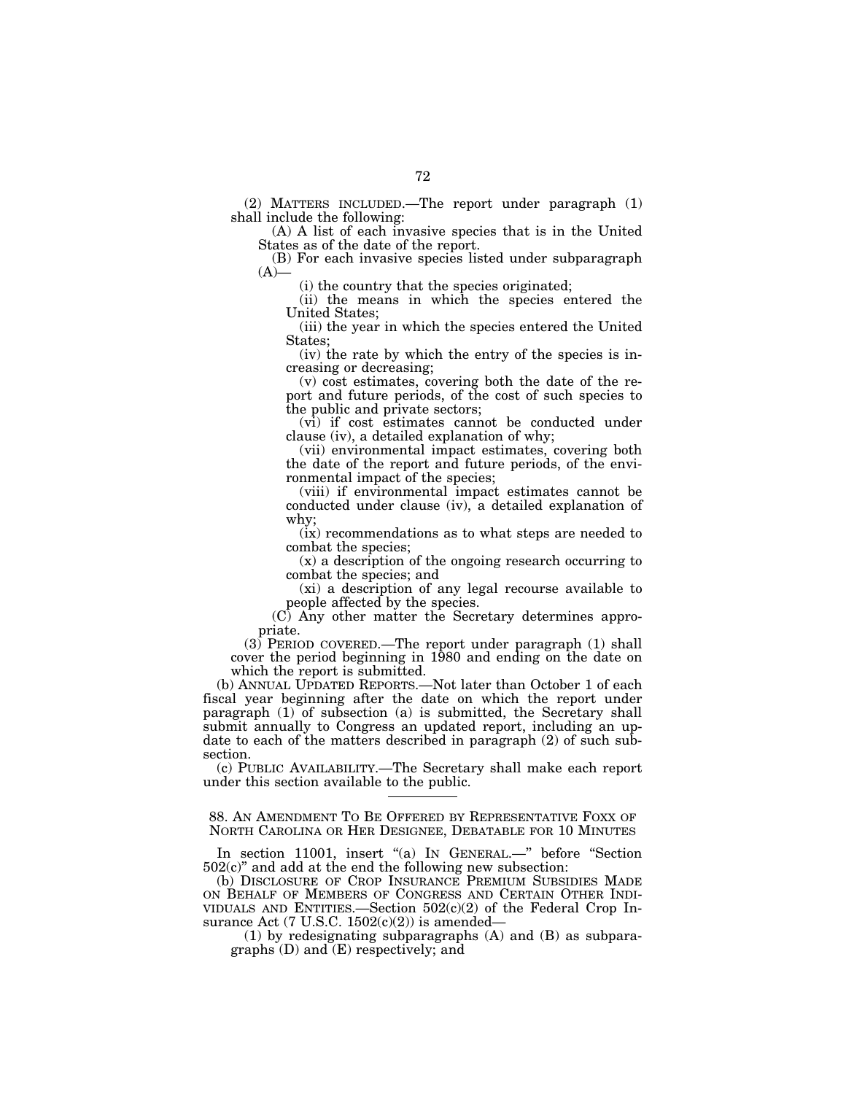(2) MATTERS INCLUDED.—The report under paragraph (1) shall include the following:

(A) A list of each invasive species that is in the United States as of the date of the report.

(B) For each invasive species listed under subparagraph  $(A)$ —

(i) the country that the species originated;

(ii) the means in which the species entered the United States;

(iii) the year in which the species entered the United States;

(iv) the rate by which the entry of the species is increasing or decreasing;

(v) cost estimates, covering both the date of the report and future periods, of the cost of such species to the public and private sectors;

(vi) if cost estimates cannot be conducted under clause (iv), a detailed explanation of why;

(vii) environmental impact estimates, covering both the date of the report and future periods, of the environmental impact of the species;

(viii) if environmental impact estimates cannot be conducted under clause (iv), a detailed explanation of why;

(ix) recommendations as to what steps are needed to combat the species;

(x) a description of the ongoing research occurring to combat the species; and

(xi) a description of any legal recourse available to people affected by the species.

(C) Any other matter the Secretary determines appropriate.

 $(3)$  PERIOD COVERED.—The report under paragraph  $(1)$  shall cover the period beginning in 1980 and ending on the date on which the report is submitted.

(b) ANNUAL UPDATED REPORTS.—Not later than October 1 of each fiscal year beginning after the date on which the report under paragraph (1) of subsection (a) is submitted, the Secretary shall submit annually to Congress an updated report, including an update to each of the matters described in paragraph (2) of such subsection.

(c) PUBLIC AVAILABILITY.—The Secretary shall make each report under this section available to the public.

88. AN AMENDMENT TO BE OFFERED BY REPRESENTATIVE FOXX OF NORTH CAROLINA OR HER DESIGNEE, DEBATABLE FOR 10 MINUTES

In section 11001, insert "(a) In GENERAL.-" before "Section  $502(c)$ " and add at the end the following new subsection:

(b) DISCLOSURE OF CROP INSURANCE PREMIUM SUBSIDIES MADE ON BEHALF OF MEMBERS OF CONGRESS AND CERTAIN OTHER INDI- VIDUALS AND ENTITIES.—Section  $502(c)(2)$  of the Federal Crop Insurance Act (7 U.S.C.  $1502(c)(2)$ ) is amended—

(1) by redesignating subparagraphs (A) and (B) as subparagraphs (D) and (E) respectively; and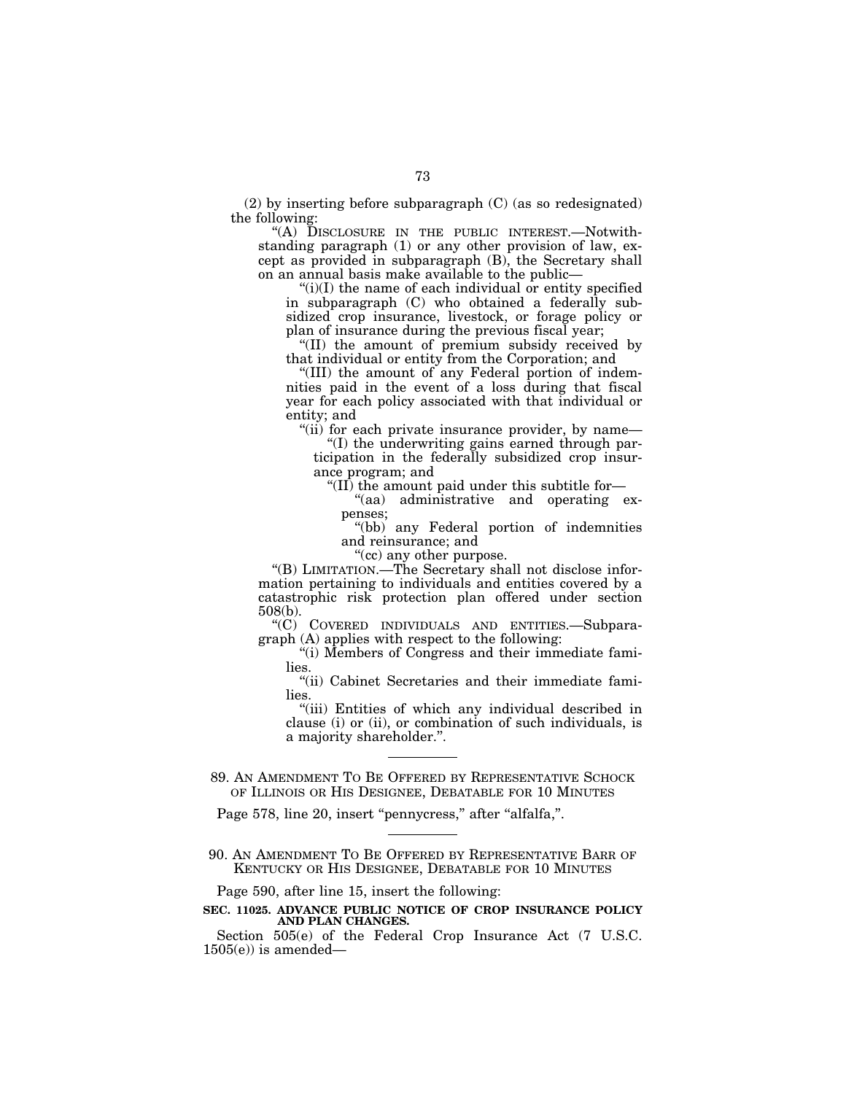(2) by inserting before subparagraph (C) (as so redesignated) the following:

''(A) DISCLOSURE IN THE PUBLIC INTEREST.—Notwithstanding paragraph (1) or any other provision of law, except as provided in subparagraph (B), the Secretary shall on an annual basis make available to the public—

" $(i)(I)$  the name of each individual or entity specified in subparagraph (C) who obtained a federally subsidized crop insurance, livestock, or forage policy or plan of insurance during the previous fiscal year;

''(II) the amount of premium subsidy received by that individual or entity from the Corporation; and

"(III) the amount of any Federal portion of indemnities paid in the event of a loss during that fiscal year for each policy associated with that individual or entity; and

''(ii) for each private insurance provider, by name—

''(I) the underwriting gains earned through participation in the federally subsidized crop insurance program; and

"(II) the amount paid under this subtitle for-

''(aa) administrative and operating expenses;

''(bb) any Federal portion of indemnities and reinsurance; and

''(cc) any other purpose.

''(B) LIMITATION.—The Secretary shall not disclose information pertaining to individuals and entities covered by a catastrophic risk protection plan offered under section 508(b).

''(C) COVERED INDIVIDUALS AND ENTITIES.—Subparagraph (A) applies with respect to the following:

"(i) Members of Congress and their immediate families.

"(ii) Cabinet Secretaries and their immediate families.

"(iii) Entities of which any individual described in clause (i) or (ii), or combination of such individuals, is a majority shareholder.''.

89. AN AMENDMENT TO BE OFFERED BY REPRESENTATIVE SCHOCK OF ILLINOIS OR HIS DESIGNEE, DEBATABLE FOR 10 MINUTES

Page 578, line 20, insert "pennycress," after "alfalfa,".

90. AN AMENDMENT TO BE OFFERED BY REPRESENTATIVE BARR OF KENTUCKY OR HIS DESIGNEE, DEBATABLE FOR 10 MINUTES

Page 590, after line 15, insert the following:

## **SEC. 11025. ADVANCE PUBLIC NOTICE OF CROP INSURANCE POLICY AND PLAN CHANGES.**

Section 505(e) of the Federal Crop Insurance Act (7 U.S.C.  $1505(e)$ ) is amended—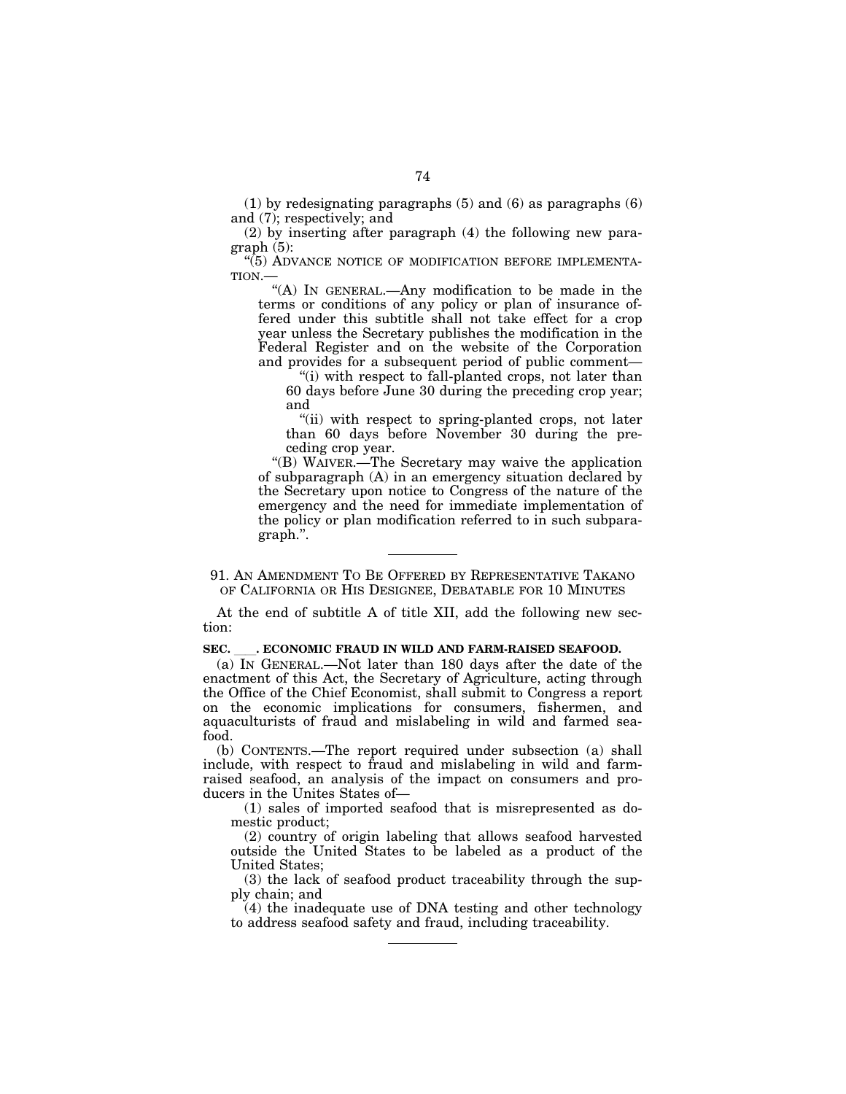(1) by redesignating paragraphs (5) and (6) as paragraphs (6) and (7); respectively; and

(2) by inserting after paragraph (4) the following new paragraph (5):

"(5) ADVANCE NOTICE OF MODIFICATION BEFORE IMPLEMENTA-TION.—

''(A) IN GENERAL.—Any modification to be made in the terms or conditions of any policy or plan of insurance offered under this subtitle shall not take effect for a crop year unless the Secretary publishes the modification in the Federal Register and on the website of the Corporation and provides for a subsequent period of public comment—

"(i) with respect to fall-planted crops, not later than 60 days before June 30 during the preceding crop year; and

''(ii) with respect to spring-planted crops, not later than 60 days before November 30 during the preceding crop year.

''(B) WAIVER.—The Secretary may waive the application of subparagraph (A) in an emergency situation declared by the Secretary upon notice to Congress of the nature of the emergency and the need for immediate implementation of the policy or plan modification referred to in such subparagraph.''.

91. AN AMENDMENT TO BE OFFERED BY REPRESENTATIVE TAKANO OF CALIFORNIA OR HIS DESIGNEE, DEBATABLE FOR 10 MINUTES

At the end of subtitle A of title XII, add the following new section:

#### **SEC.** ll**. ECONOMIC FRAUD IN WILD AND FARM-RAISED SEAFOOD.**

(a) IN GENERAL.—Not later than 180 days after the date of the enactment of this Act, the Secretary of Agriculture, acting through the Office of the Chief Economist, shall submit to Congress a report on the economic implications for consumers, fishermen, and aquaculturists of fraud and mislabeling in wild and farmed seafood.

(b) CONTENTS.—The report required under subsection (a) shall include, with respect to fraud and mislabeling in wild and farmraised seafood, an analysis of the impact on consumers and producers in the Unites States of—

(1) sales of imported seafood that is misrepresented as domestic product;

(2) country of origin labeling that allows seafood harvested outside the United States to be labeled as a product of the United States;

(3) the lack of seafood product traceability through the supply chain; and

(4) the inadequate use of DNA testing and other technology to address seafood safety and fraud, including traceability.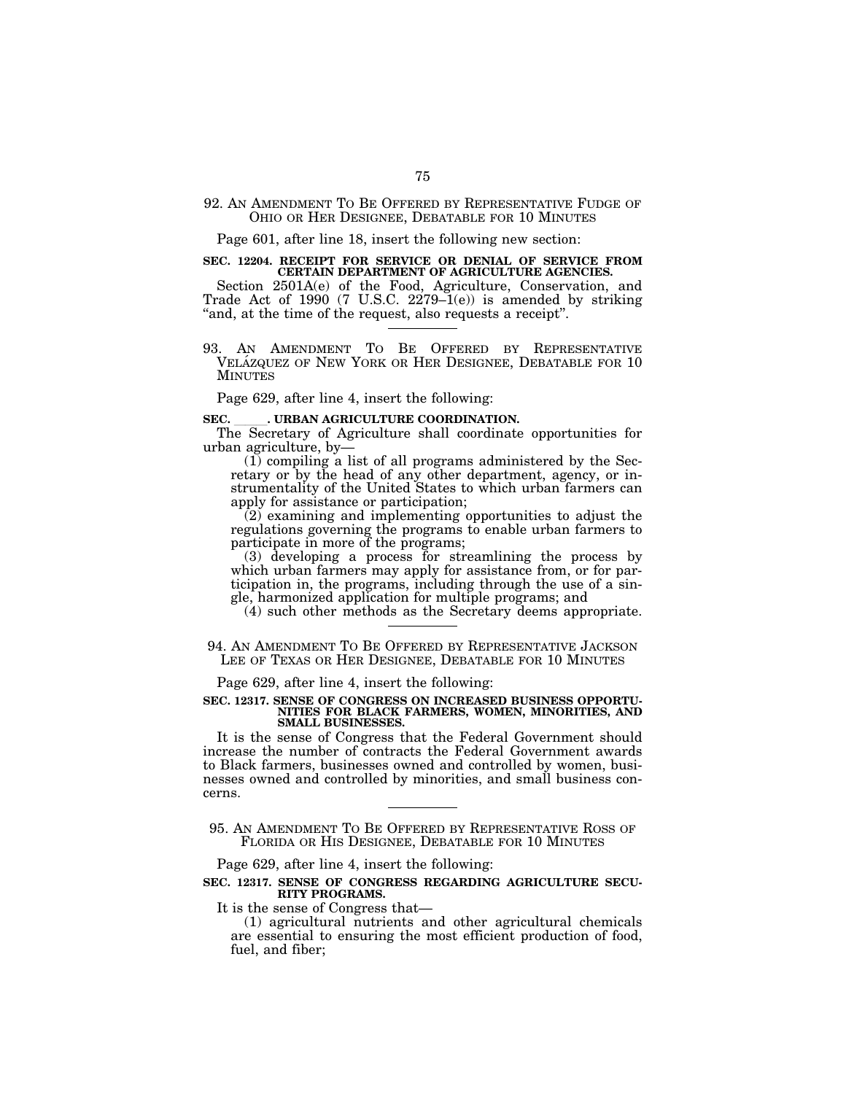## 92. AN AMENDMENT TO BE OFFERED BY REPRESENTATIVE FUDGE OF OHIO OR HER DESIGNEE, DEBATABLE FOR 10 MINUTES

Page 601, after line 18, insert the following new section:

# **SEC. 12204. RECEIPT FOR SERVICE OR DENIAL OF SERVICE FROM CERTAIN DEPARTMENT OF AGRICULTURE AGENCIES.**

Section 2501A(e) of the Food, Agriculture, Conservation, and Trade Act of 1990 (7 U.S.C. 2279–1(e)) is amended by striking " and, at the time of the request, also requests a receipt".

93. AN AMENDMENT TO BE OFFERED BY REPRESENTATIVE VELÁZQUEZ OF NEW YORK OR HER DESIGNEE, DEBATABLE FOR 10 **MINUTES** 

Page 629, after line 4, insert the following:

## SEC. **IRBAN AGRICULTURE COORDINATION.**

The Secretary of Agriculture shall coordinate opportunities for urban agriculture, by—

(1) compiling a list of all programs administered by the Secretary or by the head of any other department, agency, or instrumentality of the United States to which urban farmers can apply for assistance or participation;

(2) examining and implementing opportunities to adjust the regulations governing the programs to enable urban farmers to participate in more of the programs;

(3) developing a process for streamlining the process by which urban farmers may apply for assistance from, or for participation in, the programs, including through the use of a single, harmonized application for multiple programs; and

(4) such other methods as the Secretary deems appropriate.

94. AN AMENDMENT TO BE OFFERED BY REPRESENTATIVE JACKSON LEE OF TEXAS OR HER DESIGNEE, DEBATABLE FOR 10 MINUTES

Page 629, after line 4, insert the following:

#### **SEC. 12317. SENSE OF CONGRESS ON INCREASED BUSINESS OPPORTU-NITIES FOR BLACK FARMERS, WOMEN, MINORITIES, AND SMALL BUSINESSES.**

It is the sense of Congress that the Federal Government should increase the number of contracts the Federal Government awards to Black farmers, businesses owned and controlled by women, businesses owned and controlled by minorities, and small business concerns.

95. AN AMENDMENT TO BE OFFERED BY REPRESENTATIVE ROSS OF FLORIDA OR HIS DESIGNEE, DEBATABLE FOR 10 MINUTES

Page 629, after line 4, insert the following:

## **SEC. 12317. SENSE OF CONGRESS REGARDING AGRICULTURE SECU-RITY PROGRAMS.**

It is the sense of Congress that—

(1) agricultural nutrients and other agricultural chemicals are essential to ensuring the most efficient production of food, fuel, and fiber;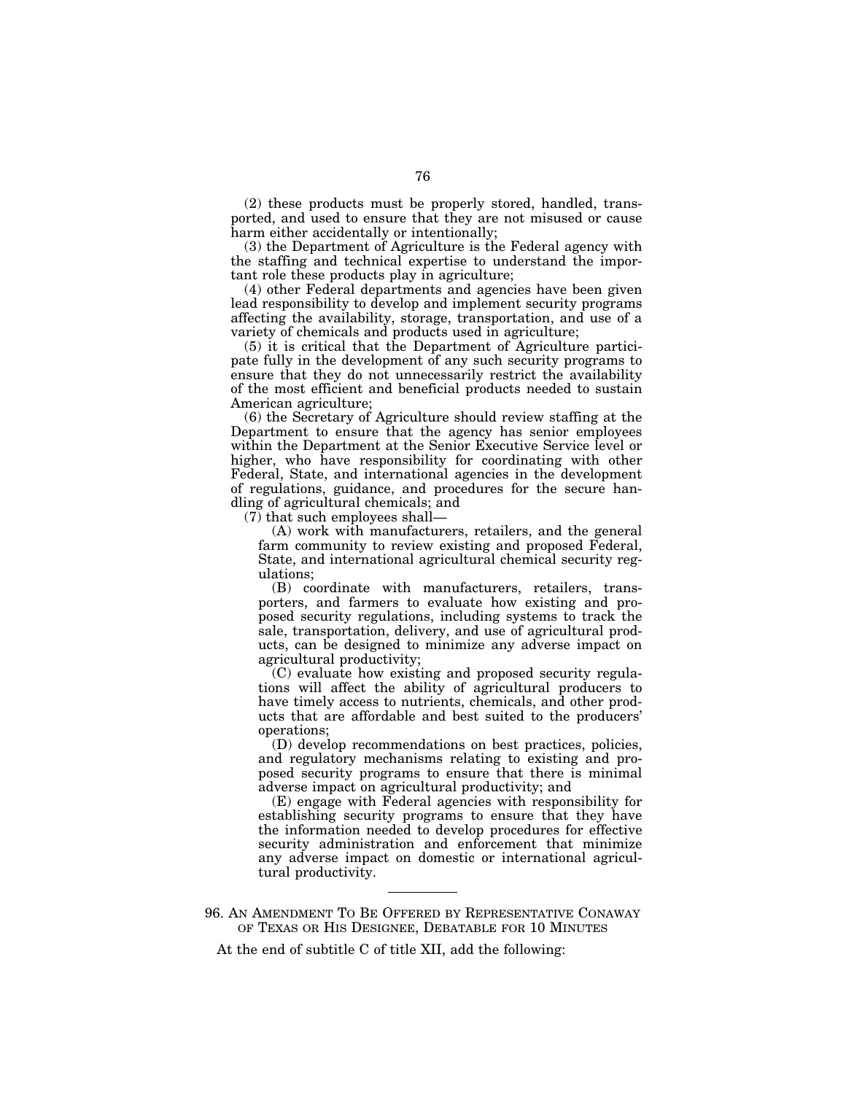(2) these products must be properly stored, handled, transported, and used to ensure that they are not misused or cause harm either accidentally or intentionally;

(3) the Department of Agriculture is the Federal agency with the staffing and technical expertise to understand the important role these products play in agriculture;

(4) other Federal departments and agencies have been given lead responsibility to develop and implement security programs affecting the availability, storage, transportation, and use of a variety of chemicals and products used in agriculture;

(5) it is critical that the Department of Agriculture participate fully in the development of any such security programs to ensure that they do not unnecessarily restrict the availability of the most efficient and beneficial products needed to sustain American agriculture;

(6) the Secretary of Agriculture should review staffing at the Department to ensure that the agency has senior employees within the Department at the Senior Executive Service level or higher, who have responsibility for coordinating with other Federal, State, and international agencies in the development of regulations, guidance, and procedures for the secure handling of agricultural chemicals; and

(7) that such employees shall—

(A) work with manufacturers, retailers, and the general farm community to review existing and proposed Federal, State, and international agricultural chemical security regulations;

(B) coordinate with manufacturers, retailers, transporters, and farmers to evaluate how existing and proposed security regulations, including systems to track the sale, transportation, delivery, and use of agricultural products, can be designed to minimize any adverse impact on agricultural productivity;

(C) evaluate how existing and proposed security regulations will affect the ability of agricultural producers to have timely access to nutrients, chemicals, and other products that are affordable and best suited to the producers' operations;

(D) develop recommendations on best practices, policies, and regulatory mechanisms relating to existing and proposed security programs to ensure that there is minimal adverse impact on agricultural productivity; and

(E) engage with Federal agencies with responsibility for establishing security programs to ensure that they have the information needed to develop procedures for effective security administration and enforcement that minimize any adverse impact on domestic or international agricultural productivity.

At the end of subtitle C of title XII, add the following:

<sup>96.</sup> AN AMENDMENT TO BE OFFERED BY REPRESENTATIVE CONAWAY OF TEXAS OR HIS DESIGNEE, DEBATABLE FOR 10 MINUTES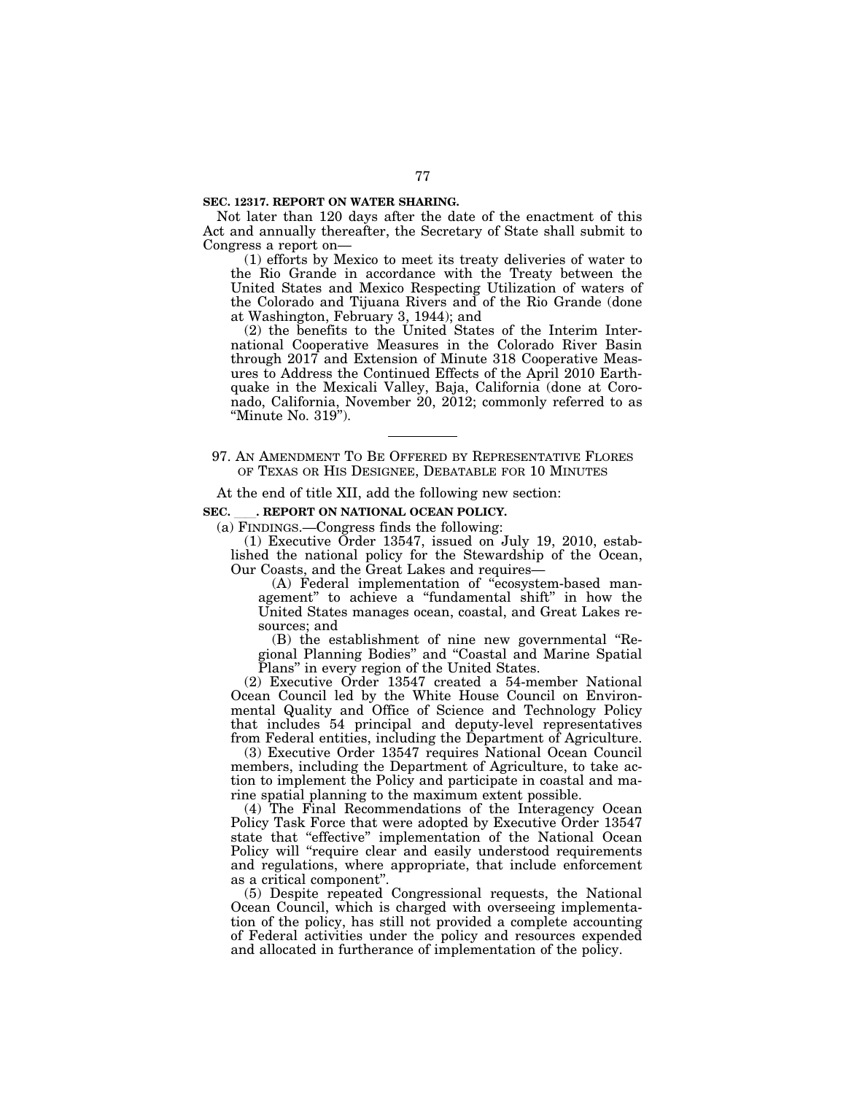#### **SEC. 12317. REPORT ON WATER SHARING.**

Not later than 120 days after the date of the enactment of this Act and annually thereafter, the Secretary of State shall submit to Congress a report on—

(1) efforts by Mexico to meet its treaty deliveries of water to the Rio Grande in accordance with the Treaty between the United States and Mexico Respecting Utilization of waters of the Colorado and Tijuana Rivers and of the Rio Grande (done at Washington, February 3, 1944); and

(2) the benefits to the United States of the Interim International Cooperative Measures in the Colorado River Basin through 2017 and Extension of Minute 318 Cooperative Measures to Address the Continued Effects of the April 2010 Earthquake in the Mexicali Valley, Baja, California (done at Coronado, California, November 20, 2012; commonly referred to as ''Minute No. 319'').

97. AN AMENDMENT TO BE OFFERED BY REPRESENTATIVE FLORES OF TEXAS OR HIS DESIGNEE, DEBATABLE FOR 10 MINUTES

At the end of title XII, add the following new section:

## SEC. **.** REPORT ON NATIONAL OCEAN POLICY.

(a) FINDINGS.—Congress finds the following:

(1) Executive Order 13547, issued on July 19, 2010, established the national policy for the Stewardship of the Ocean, Our Coasts, and the Great Lakes and requires—

(A) Federal implementation of ''ecosystem-based management'' to achieve a ''fundamental shift'' in how the United States manages ocean, coastal, and Great Lakes resources; and

(B) the establishment of nine new governmental ''Regional Planning Bodies'' and ''Coastal and Marine Spatial Plans" in every region of the United States.

(2) Executive Order 13547 created a 54-member National Ocean Council led by the White House Council on Environmental Quality and Office of Science and Technology Policy that includes 54 principal and deputy-level representatives from Federal entities, including the Department of Agriculture.

(3) Executive Order 13547 requires National Ocean Council members, including the Department of Agriculture, to take action to implement the Policy and participate in coastal and marine spatial planning to the maximum extent possible.

(4) The Final Recommendations of the Interagency Ocean Policy Task Force that were adopted by Executive Order 13547 state that "effective" implementation of the National Ocean Policy will "require clear and easily understood requirements and regulations, where appropriate, that include enforcement as a critical component''.

(5) Despite repeated Congressional requests, the National Ocean Council, which is charged with overseeing implementation of the policy, has still not provided a complete accounting of Federal activities under the policy and resources expended and allocated in furtherance of implementation of the policy.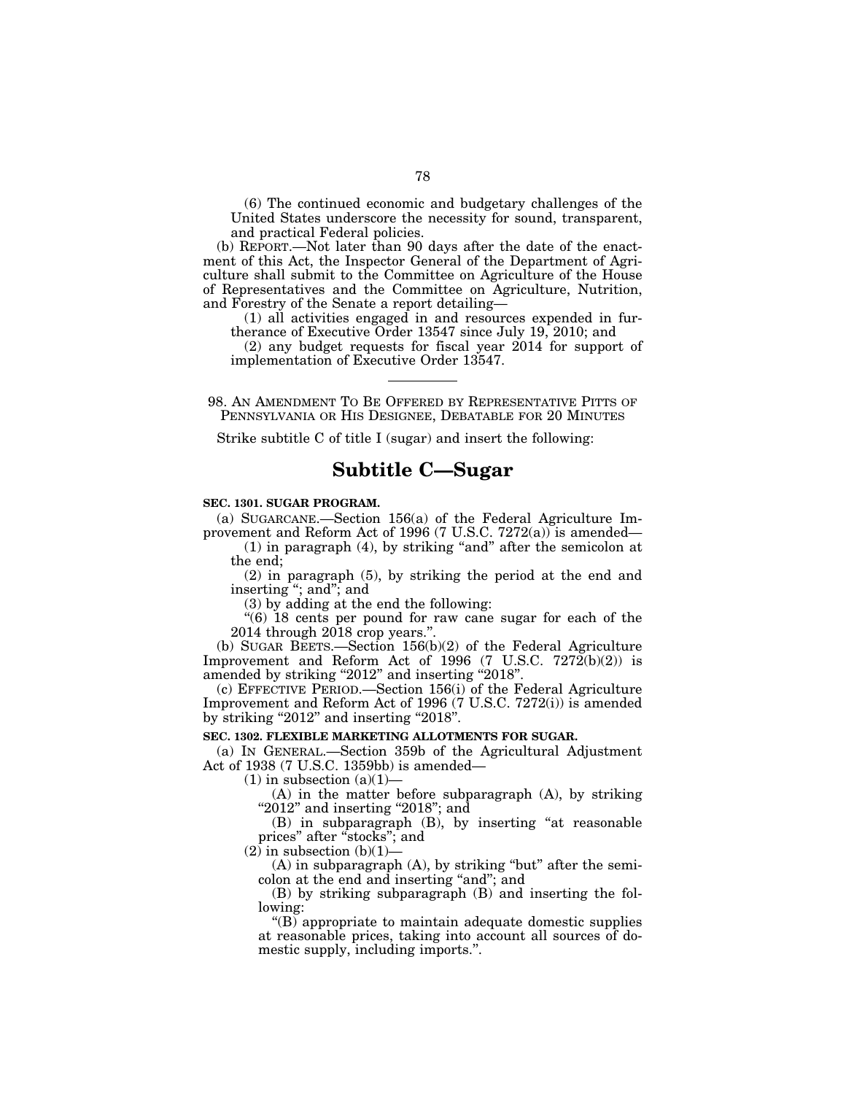(6) The continued economic and budgetary challenges of the United States underscore the necessity for sound, transparent, and practical Federal policies.

(b) REPORT.—Not later than 90 days after the date of the enactment of this Act, the Inspector General of the Department of Agriculture shall submit to the Committee on Agriculture of the House of Representatives and the Committee on Agriculture, Nutrition, and Forestry of the Senate a report detailing—

(1) all activities engaged in and resources expended in furtherance of Executive Order 13547 since July 19, 2010; and

(2) any budget requests for fiscal year 2014 for support of implementation of Executive Order 13547.

98. AN AMENDMENT TO BE OFFERED BY REPRESENTATIVE PITTS OF PENNSYLVANIA OR HIS DESIGNEE, DEBATABLE FOR 20 MINUTES

Strike subtitle C of title I (sugar) and insert the following:

# **Subtitle C—Sugar**

## **SEC. 1301. SUGAR PROGRAM.**

(a) SUGARCANE.—Section 156(a) of the Federal Agriculture Improvement and Reform Act of 1996 (7 U.S.C. 7272(a)) is amended—

(1) in paragraph (4), by striking ''and'' after the semicolon at the end;

(2) in paragraph (5), by striking the period at the end and inserting ''; and''; and

(3) by adding at the end the following:

''(6) 18 cents per pound for raw cane sugar for each of the 2014 through 2018 crop years.''.

(b) SUGAR BEETS.—Section 156(b)(2) of the Federal Agriculture Improvement and Reform Act of 1996 (7 U.S.C.  $7272(b)(2)$ ) is amended by striking "2012" and inserting "2018".

(c) EFFECTIVE PERIOD.—Section 156(i) of the Federal Agriculture Improvement and Reform Act of 1996 (7 U.S.C. 7272(i)) is amended by striking "2012" and inserting "2018".

## **SEC. 1302. FLEXIBLE MARKETING ALLOTMENTS FOR SUGAR.**

(a) IN GENERAL.—Section 359b of the Agricultural Adjustment Act of 1938 (7 U.S.C. 1359bb) is amended—

 $(1)$  in subsection  $(a)(1)$ —

(A) in the matter before subparagraph (A), by striking " $2012$ " and inserting " $2018$ "; and

(B) in subparagraph (B), by inserting ''at reasonable prices'' after ''stocks''; and

 $(2)$  in subsection  $(b)(1)$ —

 $(A)$  in subparagraph  $(A)$ , by striking "but" after the semicolon at the end and inserting "and"; and

(B) by striking subparagraph (B) and inserting the following:

 $\mathrm{``(B)}$  appropriate to maintain adequate domestic supplies at reasonable prices, taking into account all sources of domestic supply, including imports.''.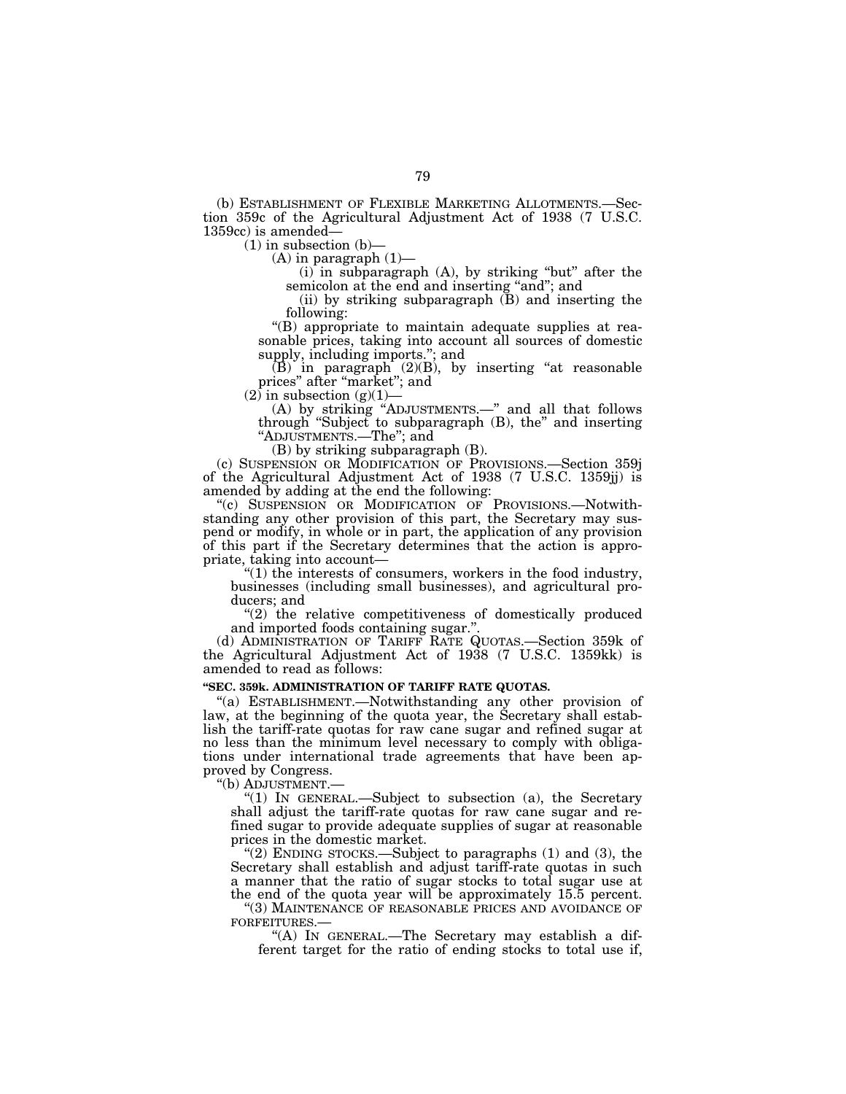(b) ESTABLISHMENT OF FLEXIBLE MARKETING ALLOTMENTS.—Section 359c of the Agricultural Adjustment Act of 1938 (7 U.S.C. 1359cc) is amended—

 $(1)$  in subsection  $(b)$ –

 $(A)$  in paragraph  $(1)$ —

 $(i)$  in subparagraph  $(A)$ , by striking "but" after the semicolon at the end and inserting "and"; and

(ii) by striking subparagraph  $(B)$  and inserting the following:

''(B) appropriate to maintain adequate supplies at reasonable prices, taking into account all sources of domestic supply, including imports.''; and

 $(B)$  in paragraph  $(2)(B)$ , by inserting "at reasonable prices" after "market"; and

 $(2)$  in subsection  $(g)(1)$ 

(A) by striking ''ADJUSTMENTS.—'' and all that follows through ''Subject to subparagraph (B), the'' and inserting ''ADJUSTMENTS.—The''; and

(B) by striking subparagraph (B).

(c) SUSPENSION OR MODIFICATION OF PROVISIONS.—Section 359j of the Agricultural Adjustment Act of 1938 (7 U.S.C. 1359jj) is amended by adding at the end the following:

"(c) SUSPENSION OR MODIFICATION OF PROVISIONS.-Notwithstanding any other provision of this part, the Secretary may suspend or modify, in whole or in part, the application of any provision of this part if the Secretary determines that the action is appropriate, taking into account—

''(1) the interests of consumers, workers in the food industry, businesses (including small businesses), and agricultural producers; and

 $''(2)$  the relative competitiveness of domestically produced and imported foods containing sugar.''.

(d) ADMINISTRATION OF TARIFF RATE QUOTAS.—Section 359k of the Agricultural Adjustment Act of 1938 (7 U.S.C. 1359kk) is amended to read as follows:

## **''SEC. 359k. ADMINISTRATION OF TARIFF RATE QUOTAS.**

''(a) ESTABLISHMENT.—Notwithstanding any other provision of law, at the beginning of the quota year, the Secretary shall establish the tariff-rate quotas for raw cane sugar and refined sugar at no less than the minimum level necessary to comply with obligations under international trade agreements that have been approved by Congress.

''(b) ADJUSTMENT.—

''(1) IN GENERAL.—Subject to subsection (a), the Secretary shall adjust the tariff-rate quotas for raw cane sugar and refined sugar to provide adequate supplies of sugar at reasonable prices in the domestic market.

"(2) ENDING STOCKS.—Subject to paragraphs  $(1)$  and  $(3)$ , the Secretary shall establish and adjust tariff-rate quotas in such a manner that the ratio of sugar stocks to total sugar use at the end of the quota year will be approximately 15.5 percent.

''(3) MAINTENANCE OF REASONABLE PRICES AND AVOIDANCE OF FORFEITURES.—

''(A) IN GENERAL.—The Secretary may establish a different target for the ratio of ending stocks to total use if,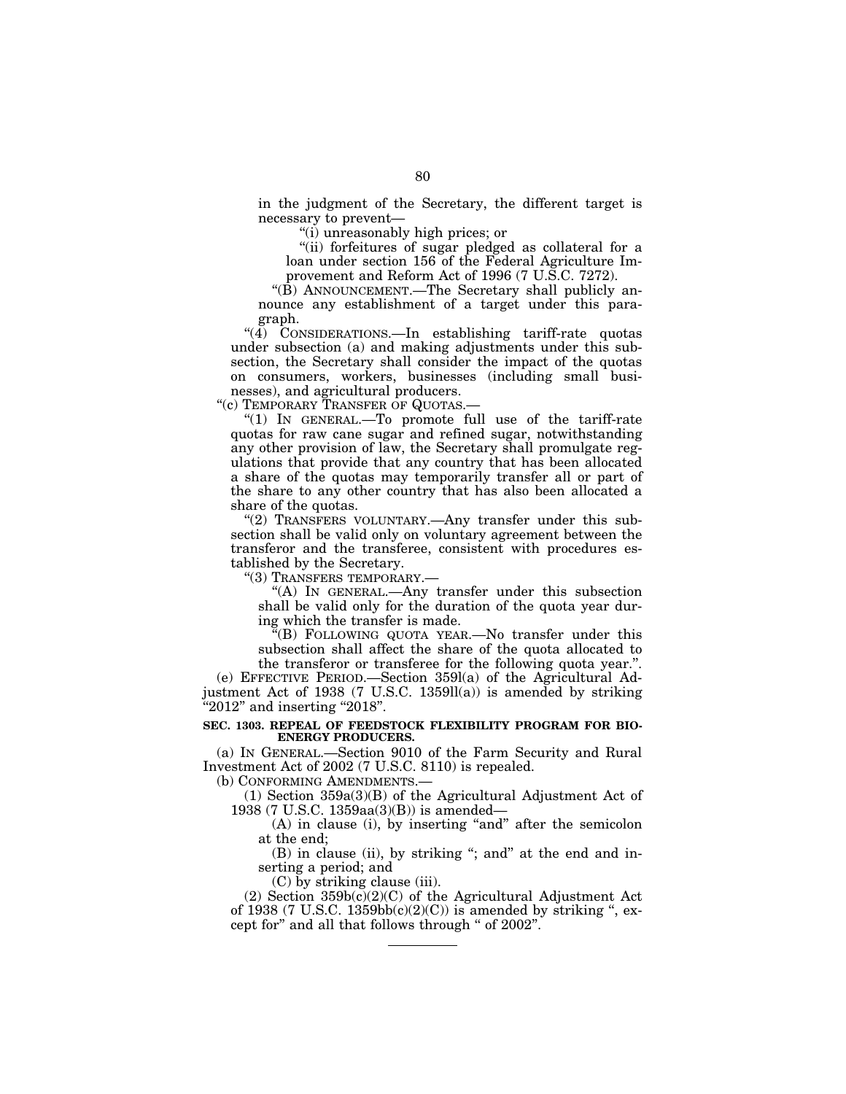in the judgment of the Secretary, the different target is necessary to prevent—

''(i) unreasonably high prices; or

"(ii) forfeitures of sugar pledged as collateral for a loan under section 156 of the Federal Agriculture Improvement and Reform Act of 1996 (7 U.S.C. 7272).

''(B) ANNOUNCEMENT.—The Secretary shall publicly announce any establishment of a target under this paragraph.

"(4) CONSIDERATIONS.—In establishing tariff-rate quotas under subsection (a) and making adjustments under this subsection, the Secretary shall consider the impact of the quotas on consumers, workers, businesses (including small businesses), and agricultural producers.

"(c) TEMPORARY TRANSFER OF QUOTAS.-

" $(1)$  IN GENERAL.—To promote full use of the tariff-rate quotas for raw cane sugar and refined sugar, notwithstanding any other provision of law, the Secretary shall promulgate regulations that provide that any country that has been allocated a share of the quotas may temporarily transfer all or part of the share to any other country that has also been allocated a share of the quotas.

''(2) TRANSFERS VOLUNTARY.—Any transfer under this subsection shall be valid only on voluntary agreement between the transferor and the transferee, consistent with procedures established by the Secretary.

''(3) TRANSFERS TEMPORARY.—

''(A) IN GENERAL.—Any transfer under this subsection shall be valid only for the duration of the quota year during which the transfer is made.

''(B) FOLLOWING QUOTA YEAR.—No transfer under this subsection shall affect the share of the quota allocated to the transferor or transferee for the following quota year.''.

(e) EFFECTIVE PERIOD.—Section 359l(a) of the Agricultural Adjustment Act of 1938 (7 U.S.C. 1359ll(a)) is amended by striking "2012" and inserting "2018".

## **SEC. 1303. REPEAL OF FEEDSTOCK FLEXIBILITY PROGRAM FOR BIO-ENERGY PRODUCERS.**

(a) IN GENERAL.—Section 9010 of the Farm Security and Rural Investment Act of 2002 (7 U.S.C. 8110) is repealed.

(b) CONFORMING AMENDMENTS.—

(1) Section 359a(3)(B) of the Agricultural Adjustment Act of 1938 (7 U.S.C. 1359aa(3)(B)) is amended—

(A) in clause (i), by inserting "and" after the semicolon at the end;

(B) in clause (ii), by striking "; and" at the end and inserting a period; and

(C) by striking clause (iii).

(2) Section  $359b(c)(2)(C)$  of the Agricultural Adjustment Act of 1938 (7 U.S.C. 1359bb $(c)(2)(C)$ ) is amended by striking ", except for'' and all that follows through '' of 2002''.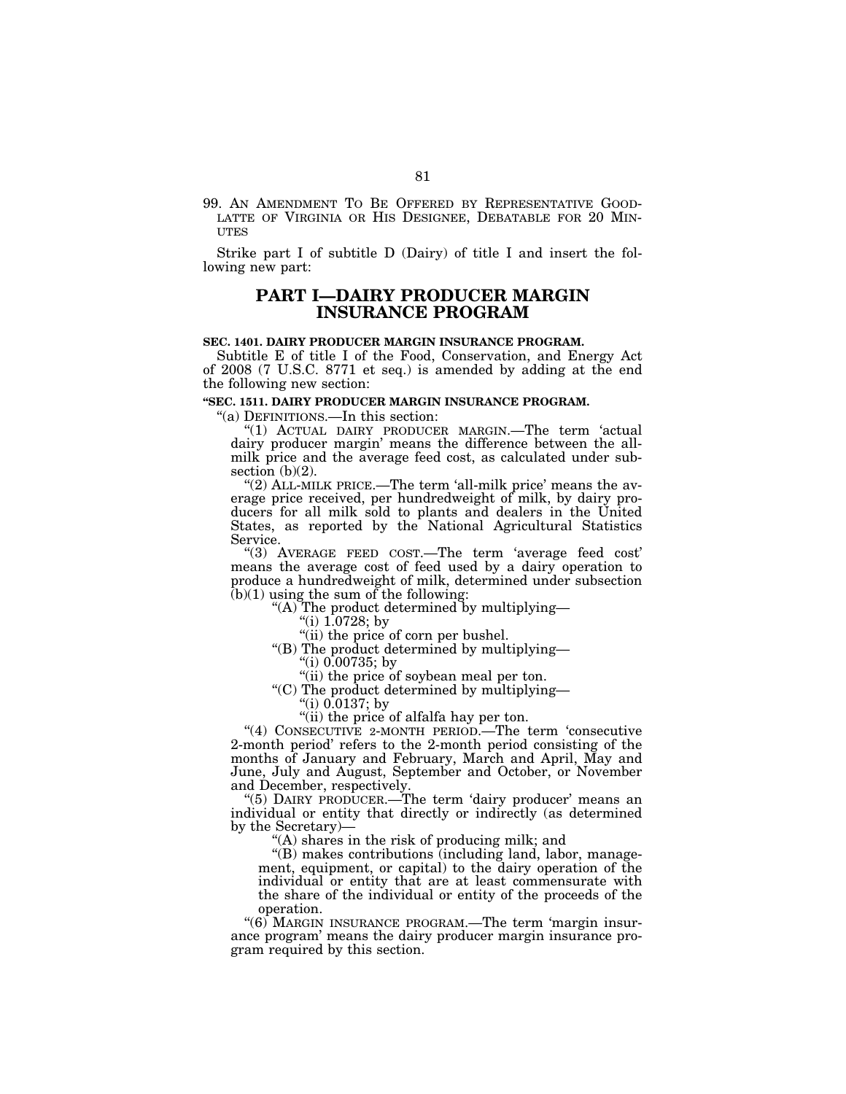99. AN AMENDMENT TO BE OFFERED BY REPRESENTATIVE GOOD- LATTE OF VIRGINIA OR HIS DESIGNEE, DEBATABLE FOR 20 MIN- UTES

Strike part I of subtitle D (Dairy) of title I and insert the following new part:

## **PART I—DAIRY PRODUCER MARGIN INSURANCE PROGRAM**

#### **SEC. 1401. DAIRY PRODUCER MARGIN INSURANCE PROGRAM.**

Subtitle E of title I of the Food, Conservation, and Energy Act of 2008 (7 U.S.C. 8771 et seq.) is amended by adding at the end the following new section:

#### **''SEC. 1511. DAIRY PRODUCER MARGIN INSURANCE PROGRAM.**

''(a) DEFINITIONS.—In this section:

''(1) ACTUAL DAIRY PRODUCER MARGIN.—The term 'actual dairy producer margin' means the difference between the allmilk price and the average feed cost, as calculated under subsection  $(b)(2)$ .

" $(2)$  ALL-MILK PRICE.—The term 'all-milk price' means the average price received, per hundredweight of milk, by dairy producers for all milk sold to plants and dealers in the United States, as reported by the National Agricultural Statistics Service.

''(3) AVERAGE FEED COST.—The term 'average feed cost' means the average cost of feed used by a dairy operation to produce a hundredweight of milk, determined under subsection  $(b)(1)$  using the sum of the following:

''(A) The product determined by multiplying—

- ''(i) 1.0728; by
- "(ii) the price of corn per bushel.
- ''(B) The product determined by multiplying—
	- $^{\circ}$ (i) 0.00735; by

"(ii) the price of soybean meal per ton.

''(C) The product determined by multiplying—

- "(i)  $0.0137$ ; by
- "(ii) the price of alfalfa hay per ton.

"(4) CONSECUTIVE 2-MONTH PERIOD.—The term 'consecutive 2-month period' refers to the 2-month period consisting of the months of January and February, March and April, May and June, July and August, September and October, or November and December, respectively.

"(5) DAIRY PRODUCER.—The term 'dairy producer' means an individual or entity that directly or indirectly (as determined by the Secretary)—

"(A) shares in the risk of producing milk; and

''(B) makes contributions (including land, labor, management, equipment, or capital) to the dairy operation of the individual or entity that are at least commensurate with the share of the individual or entity of the proceeds of the operation.

''(6) MARGIN INSURANCE PROGRAM.—The term 'margin insurance program' means the dairy producer margin insurance program required by this section.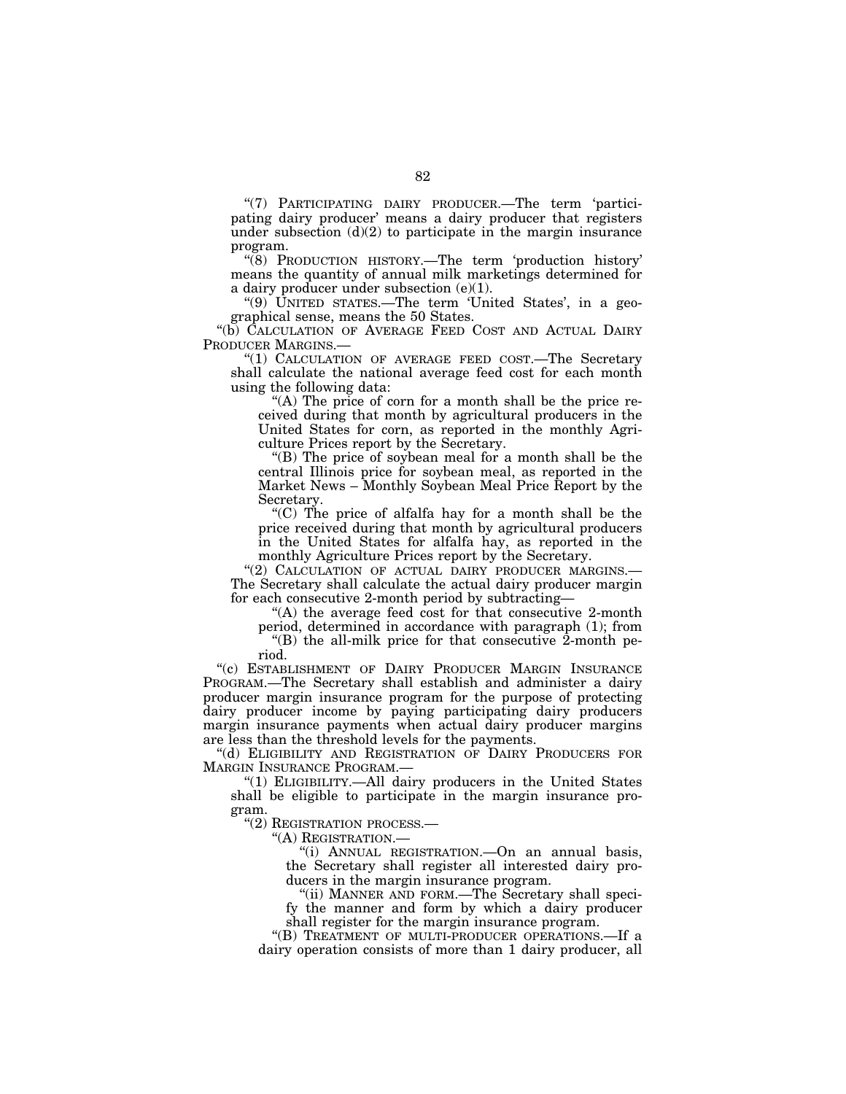"(7) PARTICIPATING DAIRY PRODUCER.—The term 'participating dairy producer' means a dairy producer that registers under subsection  $(d)(2)$  to participate in the margin insurance program.

''(8) PRODUCTION HISTORY.—The term 'production history' means the quantity of annual milk marketings determined for a dairy producer under subsection (e)(1).

"(9) UNITED STATES.—The term 'United States', in a geographical sense, means the 50 States.

''(b) CALCULATION OF AVERAGE FEED COST AND ACTUAL DAIRY PRODUCER MARGINS.—

''(1) CALCULATION OF AVERAGE FEED COST.—The Secretary shall calculate the national average feed cost for each month using the following data:

"(A) The price of corn for a month shall be the price received during that month by agricultural producers in the United States for corn, as reported in the monthly Agriculture Prices report by the Secretary.

''(B) The price of soybean meal for a month shall be the central Illinois price for soybean meal, as reported in the Market News – Monthly Soybean Meal Price Report by the Secretary.

''(C) The price of alfalfa hay for a month shall be the price received during that month by agricultural producers in the United States for alfalfa hay, as reported in the monthly Agriculture Prices report by the Secretary.

"(2) CALCULATION OF ACTUAL DAIRY PRODUCER MARGINS. The Secretary shall calculate the actual dairy producer margin

for each consecutive 2-month period by subtracting—

"(A) the average feed cost for that consecutive 2-month period, determined in accordance with paragraph (1); from

" $(B)$  the all-milk price for that consecutive 2-month period.

''(c) ESTABLISHMENT OF DAIRY PRODUCER MARGIN INSURANCE PROGRAM.—The Secretary shall establish and administer a dairy producer margin insurance program for the purpose of protecting dairy producer income by paying participating dairy producers margin insurance payments when actual dairy producer margins are less than the threshold levels for the payments.

''(d) ELIGIBILITY AND REGISTRATION OF DAIRY PRODUCERS FOR MARGIN INSURANCE PROGRAM.—

"(1) ELIGIBILITY.—All dairy producers in the United States shall be eligible to participate in the margin insurance program.

''(2) REGISTRATION PROCESS.—

''(A) REGISTRATION.—

''(i) ANNUAL REGISTRATION.—On an annual basis, the Secretary shall register all interested dairy producers in the margin insurance program.

''(ii) MANNER AND FORM.—The Secretary shall specify the manner and form by which a dairy producer shall register for the margin insurance program.

"(B) TREATMENT OF MULTI-PRODUCER OPERATIONS.-If a dairy operation consists of more than 1 dairy producer, all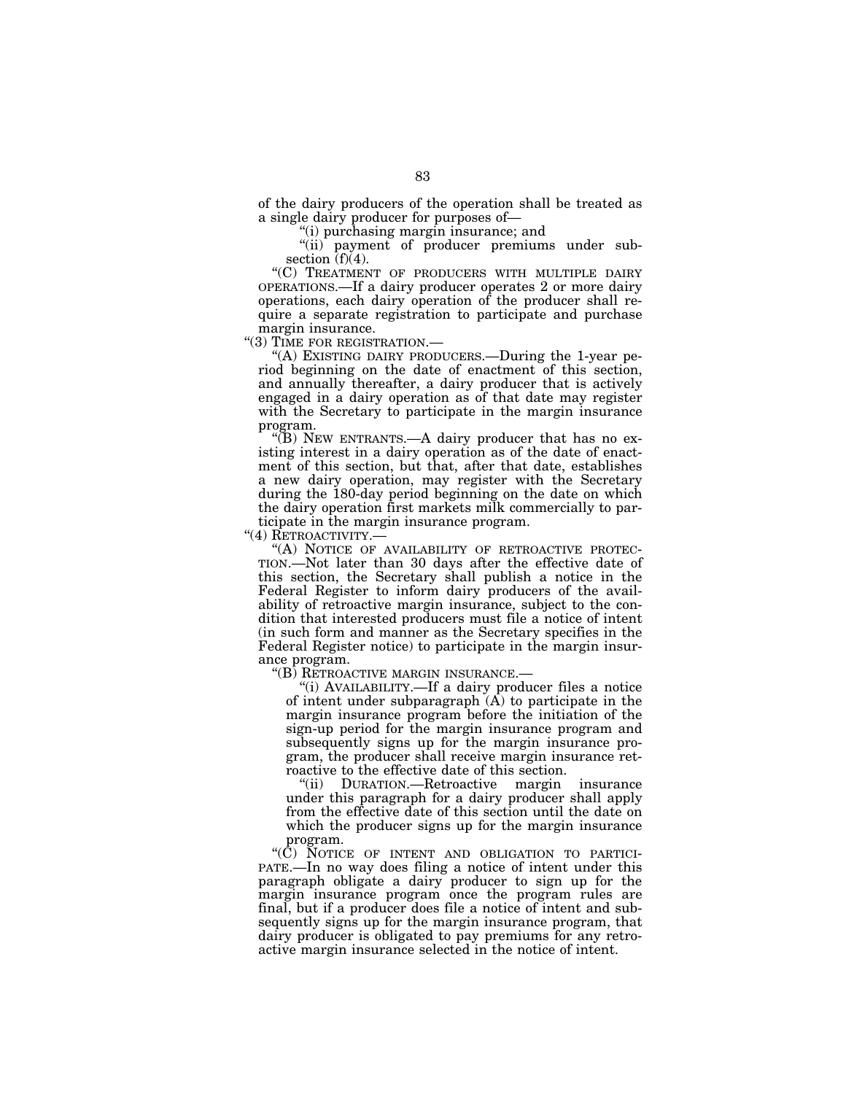of the dairy producers of the operation shall be treated as a single dairy producer for purposes of—

''(i) purchasing margin insurance; and

"(ii) payment of producer premiums under subsection  $(f)(4)$ .

''(C) TREATMENT OF PRODUCERS WITH MULTIPLE DAIRY OPERATIONS.—If a dairy producer operates 2 or more dairy operations, each dairy operation of the producer shall require a separate registration to participate and purchase

margin insurance.<br>"(3) TIME FOR REGISTRATION.-

"(A) EXISTING DAIRY PRODUCERS.—During the 1-year period beginning on the date of enactment of this section, and annually thereafter, a dairy producer that is actively engaged in a dairy operation as of that date may register with the Secretary to participate in the margin insurance program.

" $(B)$  NEW ENTRANTS.—A dairy producer that has no existing interest in a dairy operation as of the date of enactment of this section, but that, after that date, establishes a new dairy operation, may register with the Secretary during the 180-day period beginning on the date on which the dairy operation first markets milk commercially to participate in the margin insurance program.<br>"(4) RETROACTIVITY.—

"(A) NOTICE OF AVAILABILITY OF RETROACTIVE PROTECTION.—Not later than 30 days after the effective date of this section, the Secretary shall publish a notice in the Federal Register to inform dairy producers of the availability of retroactive margin insurance, subject to the condition that interested producers must file a notice of intent (in such form and manner as the Secretary specifies in the Federal Register notice) to participate in the margin insurance program.<br>"(B) RETROACTIVE MARGIN INSURANCE.—

"(i) AVAILABILITY.—If a dairy producer files a notice of intent under subparagraph  $(\overline{A})$  to participate in the margin insurance program before the initiation of the sign-up period for the margin insurance program and subsequently signs up for the margin insurance program, the producer shall receive margin insurance retroactive to the effective date of this section.

''(ii) DURATION.—Retroactive margin insurance under this paragraph for a dairy producer shall apply from the effective date of this section until the date on which the producer signs up for the margin insurance program.

"(C) NOTICE OF INTENT AND OBLIGATION TO PARTICI-PATE.—In no way does filing a notice of intent under this paragraph obligate a dairy producer to sign up for the margin insurance program once the program rules are final, but if a producer does file a notice of intent and subsequently signs up for the margin insurance program, that dairy producer is obligated to pay premiums for any retroactive margin insurance selected in the notice of intent.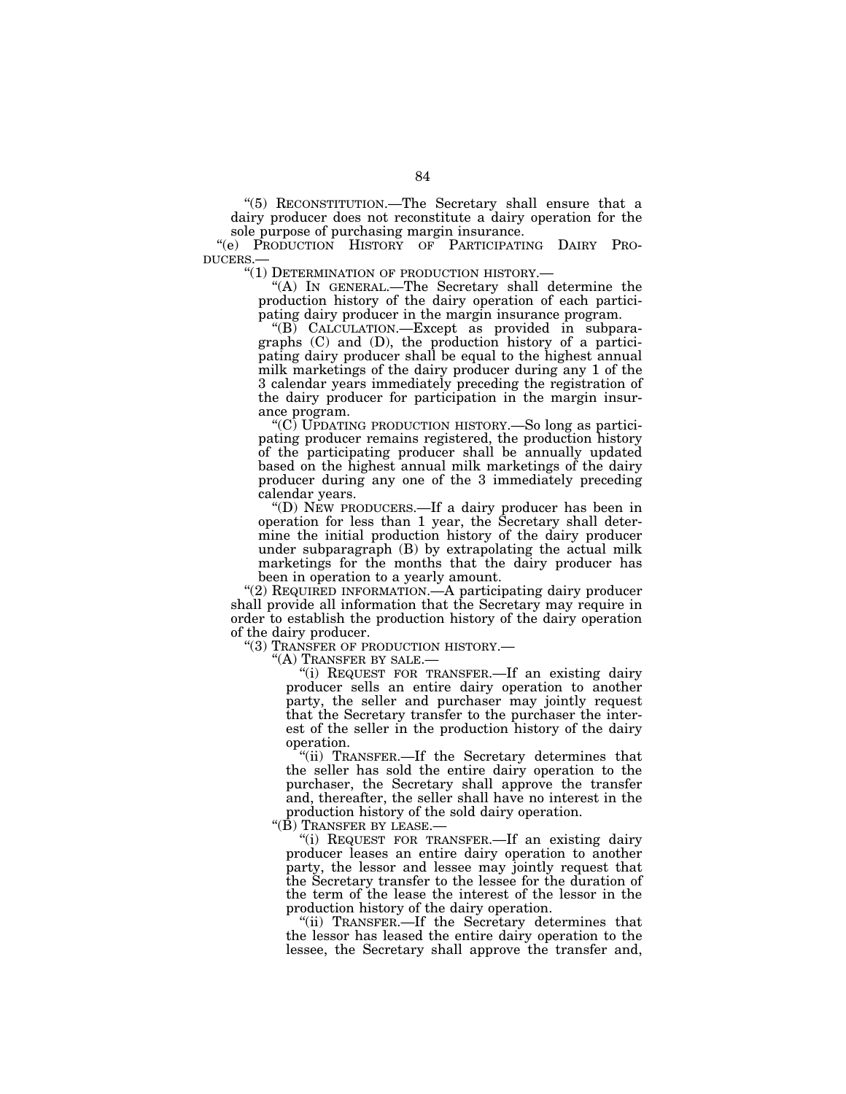''(5) RECONSTITUTION.—The Secretary shall ensure that a dairy producer does not reconstitute a dairy operation for the sole purpose of purchasing margin insurance.

"(e) PRODUCTION HISTORY OF PARTICIPATING DAIRY PRODUCERS.—<br>DUCERS.— "(1) DETERMINATION OF PRODUCTION HISTORY.—

"(A) IN GENERAL.—The Secretary shall determine the production history of the dairy operation of each participating dairy producer in the margin insurance program.

"(B) CALCULATION.—Except as provided in subparagraphs (C) and (D), the production history of a participating dairy producer shall be equal to the highest annual milk marketings of the dairy producer during any 1 of the 3 calendar years immediately preceding the registration of the dairy producer for participation in the margin insurance program.

''(C) UPDATING PRODUCTION HISTORY.—So long as participating producer remains registered, the production history of the participating producer shall be annually updated based on the highest annual milk marketings of the dairy producer during any one of the 3 immediately preceding calendar years.

''(D) NEW PRODUCERS.—If a dairy producer has been in operation for less than 1 year, the Secretary shall determine the initial production history of the dairy producer under subparagraph (B) by extrapolating the actual milk marketings for the months that the dairy producer has been in operation to a yearly amount.

''(2) REQUIRED INFORMATION.—A participating dairy producer shall provide all information that the Secretary may require in order to establish the production history of the dairy operation of the dairy producer.

''(3) TRANSFER OF PRODUCTION HISTORY.— ''(A) TRANSFER BY SALE.—

''(i) REQUEST FOR TRANSFER.—If an existing dairy producer sells an entire dairy operation to another party, the seller and purchaser may jointly request that the Secretary transfer to the purchaser the interest of the seller in the production history of the dairy operation.

"(ii) TRANSFER.—If the Secretary determines that the seller has sold the entire dairy operation to the purchaser, the Secretary shall approve the transfer and, thereafter, the seller shall have no interest in the production history of the sold dairy operation.

''(B) TRANSFER BY LEASE.—

''(i) REQUEST FOR TRANSFER.—If an existing dairy producer leases an entire dairy operation to another party, the lessor and lessee may jointly request that the Secretary transfer to the lessee for the duration of the term of the lease the interest of the lessor in the production history of the dairy operation.

''(ii) TRANSFER.—If the Secretary determines that the lessor has leased the entire dairy operation to the lessee, the Secretary shall approve the transfer and,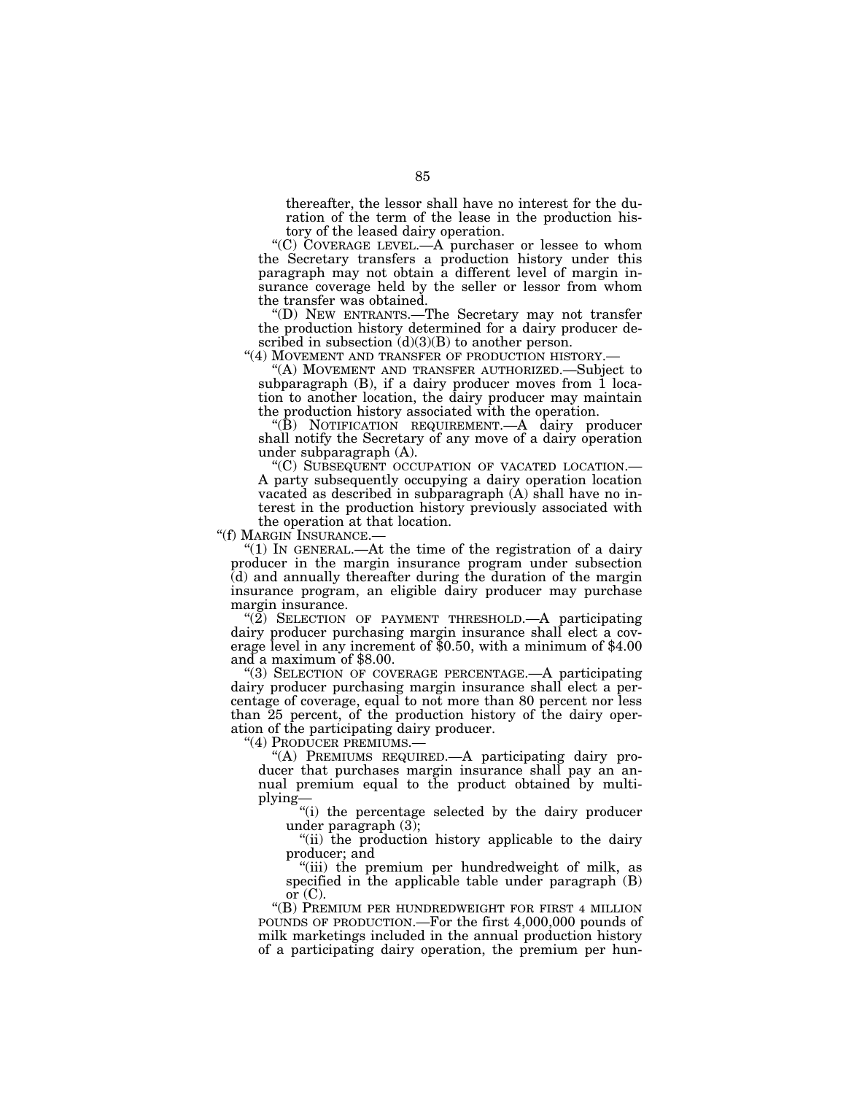thereafter, the lessor shall have no interest for the duration of the term of the lease in the production history of the leased dairy operation.

''(C) COVERAGE LEVEL.—A purchaser or lessee to whom the Secretary transfers a production history under this paragraph may not obtain a different level of margin insurance coverage held by the seller or lessor from whom the transfer was obtained.

''(D) NEW ENTRANTS.—The Secretary may not transfer the production history determined for a dairy producer described in subsection  $(d)(3)(B)$  to another person.

"(4) MOVEMENT AND TRANSFER OF PRODUCTION HISTORY.-

''(A) MOVEMENT AND TRANSFER AUTHORIZED.—Subject to subparagraph (B), if a dairy producer moves from 1 location to another location, the dairy producer may maintain the production history associated with the operation.

''(B) NOTIFICATION REQUIREMENT.—A dairy producer shall notify the Secretary of any move of a dairy operation under subparagraph (A).

''(C) SUBSEQUENT OCCUPATION OF VACATED LOCATION.— A party subsequently occupying a dairy operation location vacated as described in subparagraph (A) shall have no interest in the production history previously associated with the operation at that location.<br>"(f) MARGIN INSURANCE.—

"(1) IN GENERAL.—At the time of the registration of a dairy producer in the margin insurance program under subsection (d) and annually thereafter during the duration of the margin insurance program, an eligible dairy producer may purchase margin insurance.

" $(2)$  SELECTION OF PAYMENT THRESHOLD.—A participating dairy producer purchasing margin insurance shall elect a coverage level in any increment of \$0.50, with a minimum of \$4.00 and a maximum of \$8.00.

''(3) SELECTION OF COVERAGE PERCENTAGE.—A participating dairy producer purchasing margin insurance shall elect a percentage of coverage, equal to not more than 80 percent nor less than 25 percent, of the production history of the dairy operation of the participating dairy producer.

"(4) PRODUCER PREMIUMS.-

''(A) PREMIUMS REQUIRED.—A participating dairy producer that purchases margin insurance shall pay an annual premium equal to the product obtained by multiplying—

''(i) the percentage selected by the dairy producer under paragraph (3);

''(ii) the production history applicable to the dairy producer; and

"(iii) the premium per hundredweight of milk, as specified in the applicable table under paragraph (B) or  $(C)$ .

''(B) PREMIUM PER HUNDREDWEIGHT FOR FIRST 4 MILLION POUNDS OF PRODUCTION.—For the first 4,000,000 pounds of milk marketings included in the annual production history of a participating dairy operation, the premium per hun-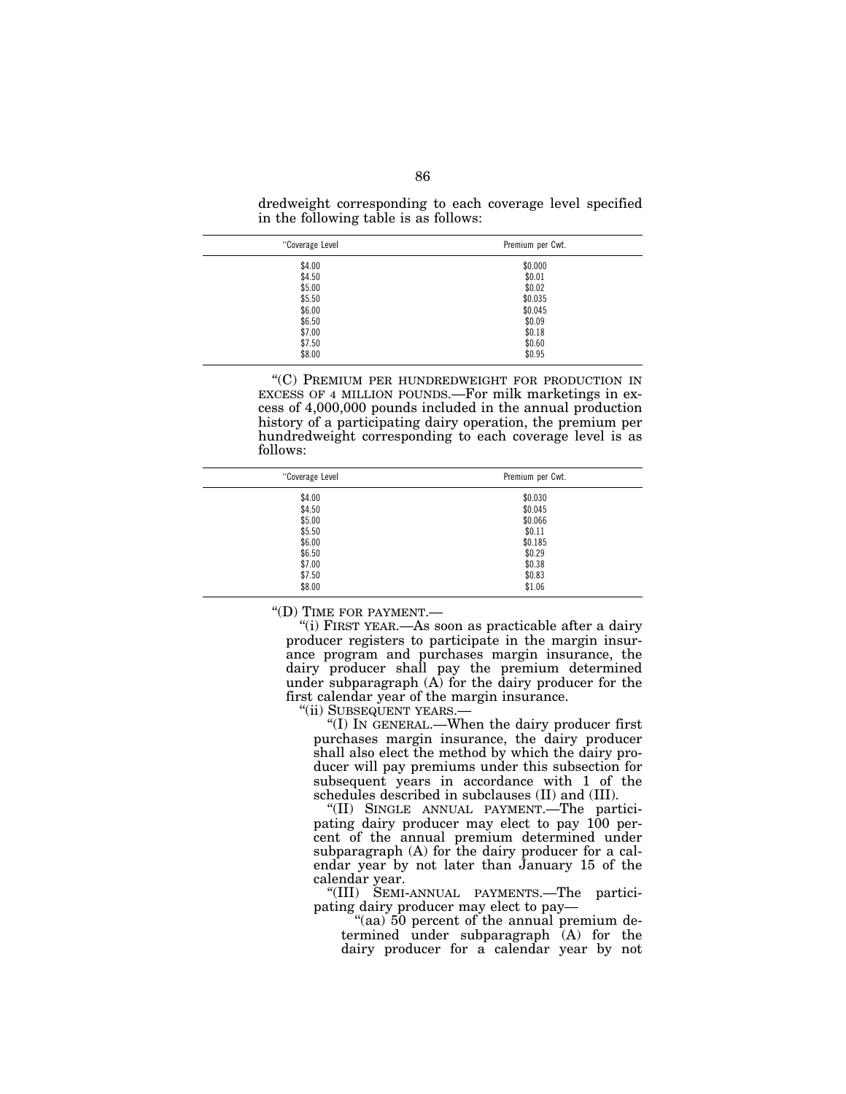dredweight corresponding to each coverage level specified in the following table is as follows:

| "Coverage Level | Premium per Cwt. |
|-----------------|------------------|
| \$4.00          | \$0.000          |
| \$4.50          | \$0.01           |
| \$5.00          | \$0.02           |
| \$5.50          | \$0.035          |
| \$6.00          | \$0.045          |
| \$6.50          | \$0.09           |
| \$7.00          | \$0.18           |
| \$7.50          | \$0.60           |
| \$8.00          | \$0.95           |

"(C) PREMIUM PER HUNDREDWEIGHT FOR PRODUCTION IN EXCESS OF 4 MILLION POUNDS.—For milk marketings in excess of 4,000,000 pounds included in the annual production history of a participating dairy operation, the premium per hundredweight corresponding to each coverage level is as follows:

| "Coverage Level | Premium per Cwt. |
|-----------------|------------------|
| \$4.00          | \$0.030          |
| \$4.50          | \$0.045          |
| \$5.00          | \$0.066          |
| \$5.50          | \$0.11           |
| \$6.00          | \$0.185          |
| \$6.50          | \$0.29           |
| \$7.00          | \$0.38           |
| \$7.50          | \$0.83           |
| \$8.00          | \$1.06           |

''(D) TIME FOR PAYMENT.—

''(i) FIRST YEAR.—As soon as practicable after a dairy producer registers to participate in the margin insurance program and purchases margin insurance, the dairy producer shall pay the premium determined under subparagraph  $(A)$  for the dairy producer for the first calendar year of the margin insurance.

''(ii) SUBSEQUENT YEARS.—

''(I) IN GENERAL.—When the dairy producer first purchases margin insurance, the dairy producer shall also elect the method by which the dairy producer will pay premiums under this subsection for subsequent years in accordance with 1 of the schedules described in subclauses (II) and (III).

''(II) SINGLE ANNUAL PAYMENT.—The participating dairy producer may elect to pay 100 percent of the annual premium determined under subparagraph (A) for the dairy producer for a calendar year by not later than January 15 of the calendar year.

''(III) SEMI-ANNUAL PAYMENTS.—The participating dairy producer may elect to pay—

"(aa) 50 percent of the annual premium determined under subparagraph (A) for the dairy producer for a calendar year by not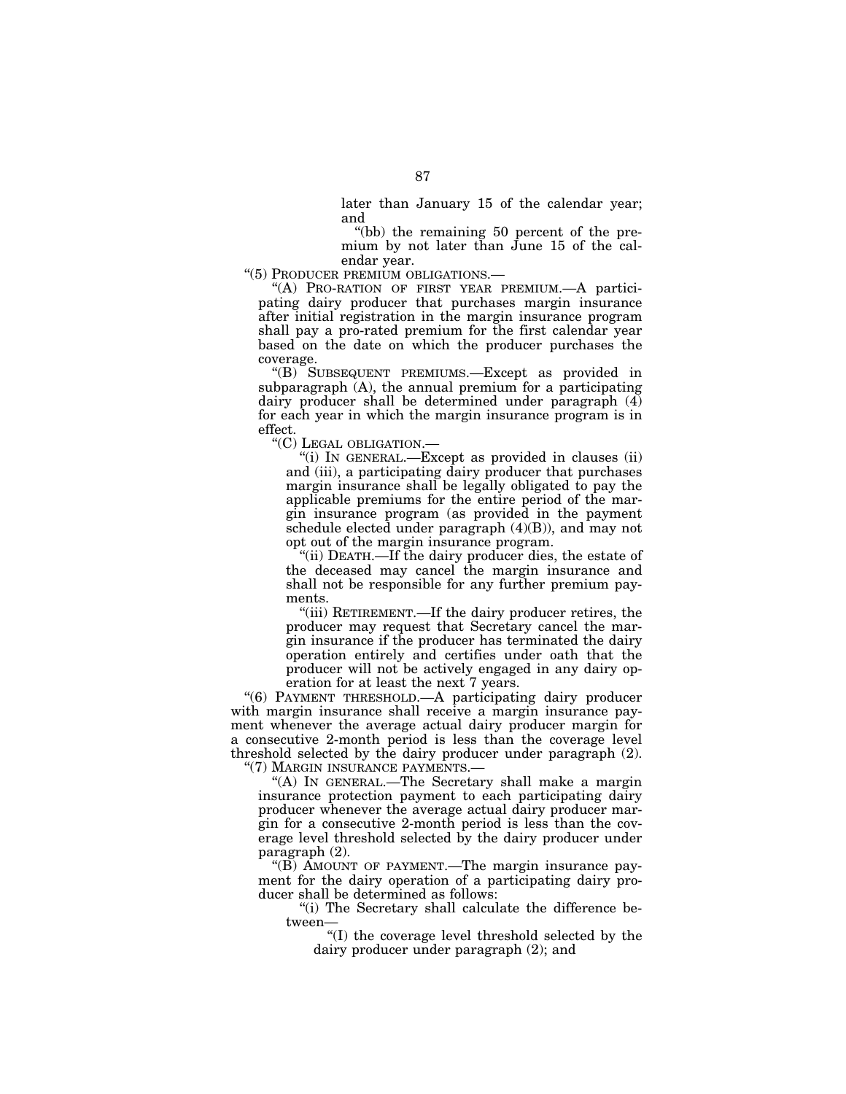later than January 15 of the calendar year; and

''(bb) the remaining 50 percent of the premium by not later than June 15 of the calendar year.

''(5) PRODUCER PREMIUM OBLIGATIONS.—

''(A) PRO-RATION OF FIRST YEAR PREMIUM.—A participating dairy producer that purchases margin insurance after initial registration in the margin insurance program shall pay a pro-rated premium for the first calendar year based on the date on which the producer purchases the coverage.

''(B) SUBSEQUENT PREMIUMS.—Except as provided in subparagraph (A), the annual premium for a participating dairy producer shall be determined under paragraph (4) for each year in which the margin insurance program is in effect.

''(C) LEGAL OBLIGATION.—

''(i) IN GENERAL.—Except as provided in clauses (ii) and (iii), a participating dairy producer that purchases margin insurance shall be legally obligated to pay the applicable premiums for the entire period of the margin insurance program (as provided in the payment schedule elected under paragraph (4)(B)), and may not opt out of the margin insurance program.

''(ii) DEATH.—If the dairy producer dies, the estate of the deceased may cancel the margin insurance and shall not be responsible for any further premium payments.

''(iii) RETIREMENT.—If the dairy producer retires, the producer may request that Secretary cancel the margin insurance if the producer has terminated the dairy operation entirely and certifies under oath that the producer will not be actively engaged in any dairy operation for at least the next 7 years.

"(6) PAYMENT THRESHOLD.—A participating dairy producer with margin insurance shall receive a margin insurance payment whenever the average actual dairy producer margin for a consecutive 2-month period is less than the coverage level threshold selected by the dairy producer under paragraph (2). ''(7) MARGIN INSURANCE PAYMENTS.—

''(A) IN GENERAL.—The Secretary shall make a margin insurance protection payment to each participating dairy producer whenever the average actual dairy producer margin for a consecutive 2-month period is less than the coverage level threshold selected by the dairy producer under paragraph (2).

''(B) AMOUNT OF PAYMENT.—The margin insurance payment for the dairy operation of a participating dairy producer shall be determined as follows:

''(i) The Secretary shall calculate the difference between—

''(I) the coverage level threshold selected by the dairy producer under paragraph (2); and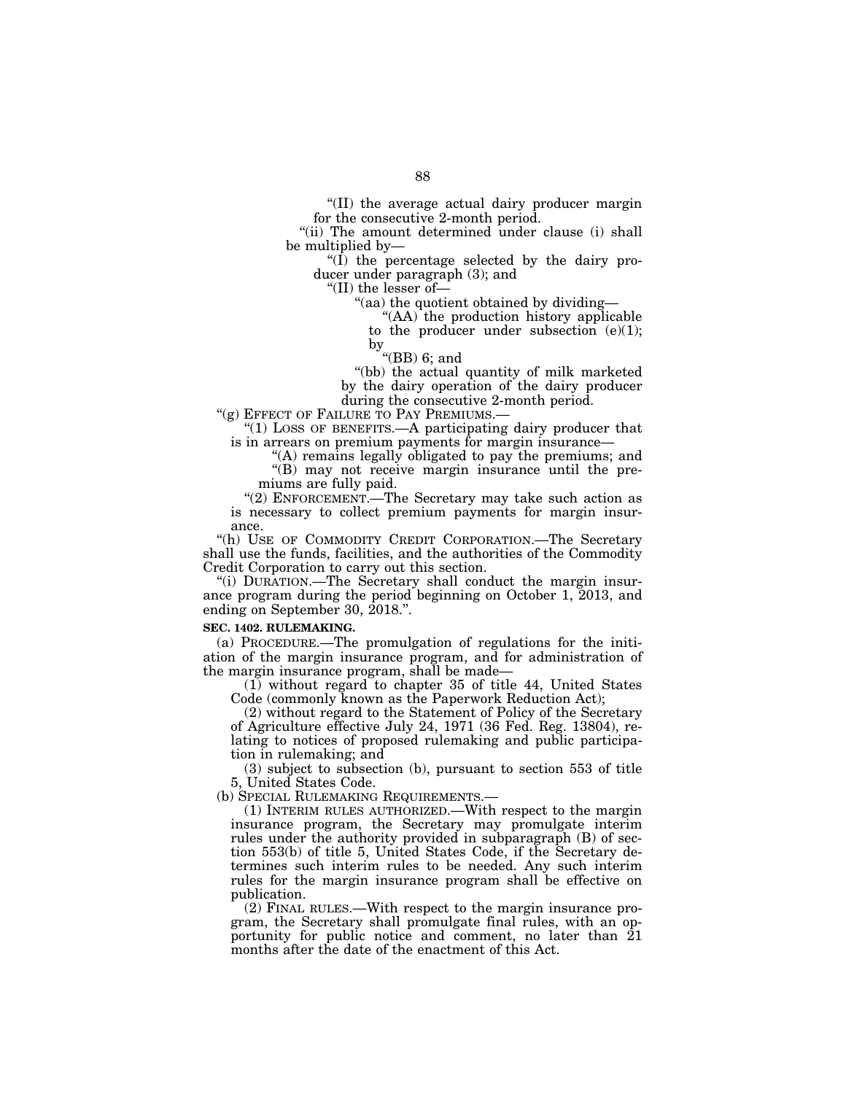''(II) the average actual dairy producer margin for the consecutive 2-month period.

"(ii) The amount determined under clause (i) shall be multiplied by—

" $(I)$  the percentage selected by the dairy producer under paragraph (3); and

''(II) the lesser of—

''(aa) the quotient obtained by dividing—

''(AA) the production history applicable to the producer under subsection (e)(1);

by

''(BB) 6; and

''(bb) the actual quantity of milk marketed by the dairy operation of the dairy producer during the consecutive 2-month period.

"(g) EFFECT OF FAILURE TO PAY PREMIUMS.-

" $(1)$  LOSS OF BENEFITS.—A participating dairy producer that is in arrears on premium payments for margin insurance—

"(A) remains legally obligated to pay the premiums; and

''(B) may not receive margin insurance until the premiums are fully paid.

"(2) ENFORCEMENT.—The Secretary may take such action as is necessary to collect premium payments for margin insurance.

"(h) USE OF COMMODITY CREDIT CORPORATION.—The Secretary shall use the funds, facilities, and the authorities of the Commodity Credit Corporation to carry out this section.

"(i) DURATION.—The Secretary shall conduct the margin insurance program during the period beginning on October 1, 2013, and ending on September 30, 2018.''.

#### **SEC. 1402. RULEMAKING.**

(a) PROCEDURE.—The promulgation of regulations for the initiation of the margin insurance program, and for administration of the margin insurance program, shall be made—

(1) without regard to chapter 35 of title 44, United States Code (commonly known as the Paperwork Reduction Act);

(2) without regard to the Statement of Policy of the Secretary of Agriculture effective July 24, 1971 (36 Fed. Reg. 13804), relating to notices of proposed rulemaking and public participation in rulemaking; and

(3) subject to subsection (b), pursuant to section 553 of title 5, United States Code.

(b) SPECIAL RULEMAKING REQUIREMENTS.—

(1) INTERIM RULES AUTHORIZED.—With respect to the margin insurance program, the Secretary may promulgate interim rules under the authority provided in subparagraph (B) of section 553(b) of title 5, United States Code, if the Secretary determines such interim rules to be needed. Any such interim rules for the margin insurance program shall be effective on publication.

(2) FINAL RULES.—With respect to the margin insurance program, the Secretary shall promulgate final rules, with an opportunity for public notice and comment, no later than 21 months after the date of the enactment of this Act.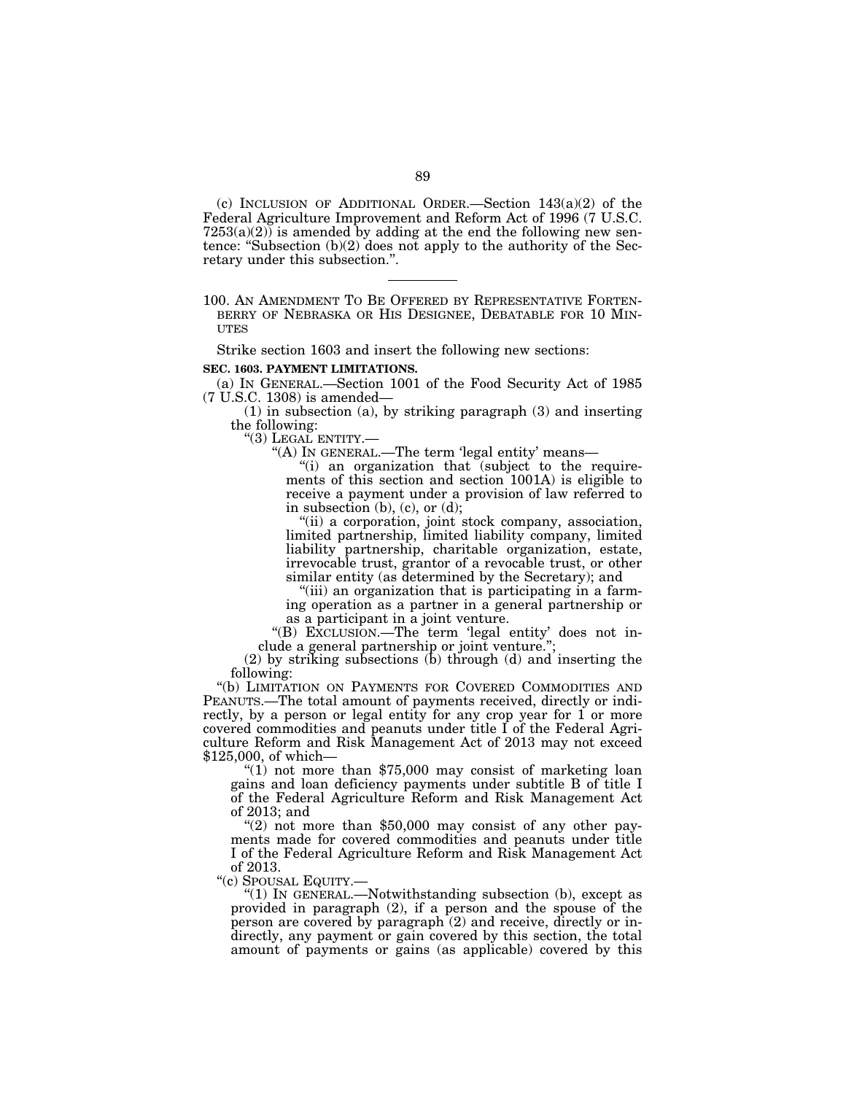(c) INCLUSION OF ADDITIONAL ORDER.—Section 143(a)(2) of the Federal Agriculture Improvement and Reform Act of 1996 (7 U.S.C.  $7253(a)(2)$  is amended by adding at the end the following new sentence: ''Subsection (b)(2) does not apply to the authority of the Secretary under this subsection.''.

## 100. AN AMENDMENT TO BE OFFERED BY REPRESENTATIVE FORTEN- BERRY OF NEBRASKA OR HIS DESIGNEE, DEBATABLE FOR 10 MIN- UTES

Strike section 1603 and insert the following new sections:

#### **SEC. 1603. PAYMENT LIMITATIONS.**

(a) IN GENERAL.—Section 1001 of the Food Security Act of 1985 (7 U.S.C. 1308) is amended—

(1) in subsection (a), by striking paragraph (3) and inserting the following:

''(3) LEGAL ENTITY.—

''(A) IN GENERAL.—The term 'legal entity' means—

"(i) an organization that (subject to the requirements of this section and section 1001A) is eligible to receive a payment under a provision of law referred to in subsection (b), (c), or (d);

''(ii) a corporation, joint stock company, association, limited partnership, limited liability company, limited liability partnership, charitable organization, estate, irrevocable trust, grantor of a revocable trust, or other similar entity (as determined by the Secretary); and

''(iii) an organization that is participating in a farming operation as a partner in a general partnership or as a participant in a joint venture.

''(B) EXCLUSION.—The term 'legal entity' does not include a general partnership or joint venture.'';

(2) by striking subsections  $(b)$  through  $(d)$  and inserting the following:

''(b) LIMITATION ON PAYMENTS FOR COVERED COMMODITIES AND PEANUTS.—The total amount of payments received, directly or indirectly, by a person or legal entity for any crop year for 1 or more covered commodities and peanuts under title I of the Federal Agriculture Reform and Risk Management Act of 2013 may not exceed \$125,000, of which—

" $(1)$  not more than \$75,000 may consist of marketing loan gains and loan deficiency payments under subtitle B of title I of the Federal Agriculture Reform and Risk Management Act of 2013; and

" $(2)$  not more than \$50,000 may consist of any other payments made for covered commodities and peanuts under title I of the Federal Agriculture Reform and Risk Management Act of 2013.

''(c) SPOUSAL EQUITY.—

''(1) IN GENERAL.—Notwithstanding subsection (b), except as provided in paragraph (2), if a person and the spouse of the person are covered by paragraph (2) and receive, directly or indirectly, any payment or gain covered by this section, the total amount of payments or gains (as applicable) covered by this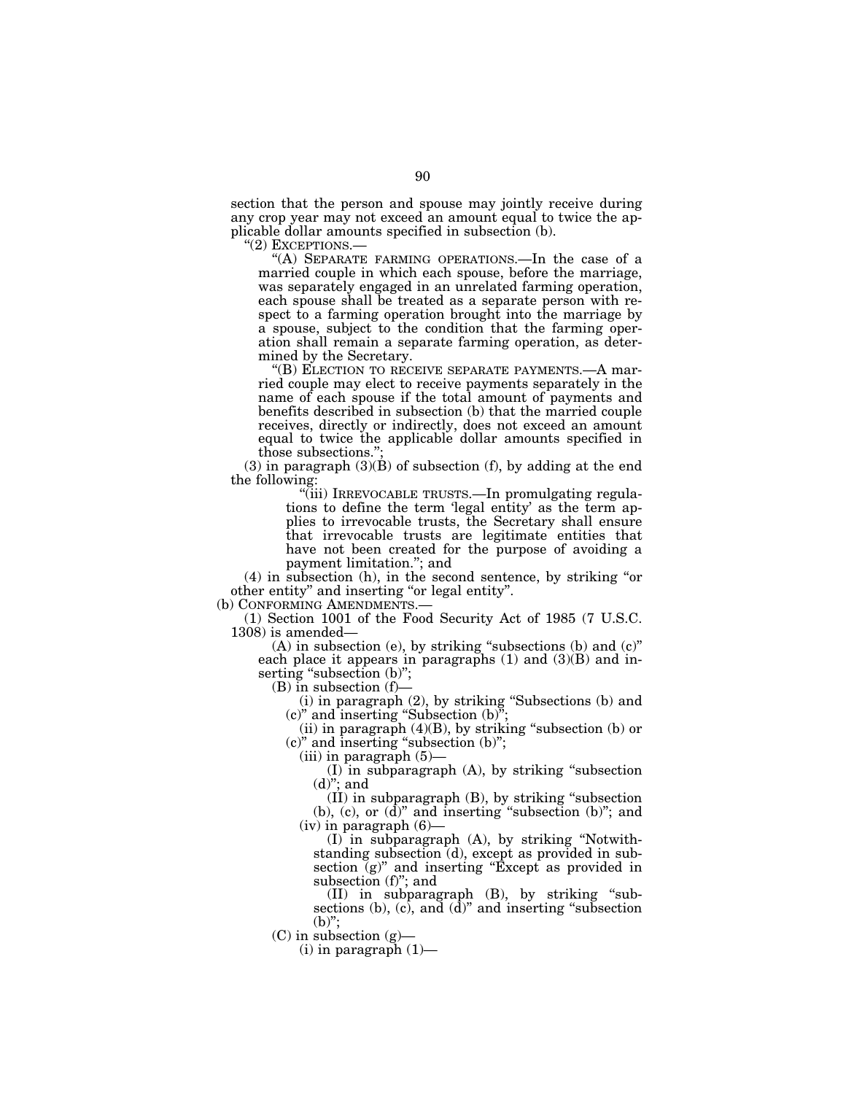section that the person and spouse may jointly receive during any crop year may not exceed an amount equal to twice the applicable dollar amounts specified in subsection (b).<br>"(2) EXCEPTIONS.—

"(A) SEPARATE FARMING OPERATIONS.—In the case of a married couple in which each spouse, before the marriage, was separately engaged in an unrelated farming operation, each spouse shall be treated as a separate person with respect to a farming operation brought into the marriage by a spouse, subject to the condition that the farming operation shall remain a separate farming operation, as determined by the Secretary.

''(B) ELECTION TO RECEIVE SEPARATE PAYMENTS.—A married couple may elect to receive payments separately in the name of each spouse if the total amount of payments and benefits described in subsection (b) that the married couple receives, directly or indirectly, does not exceed an amount equal to twice the applicable dollar amounts specified in those subsections."

 $(3)$  in paragraph  $(3)(B)$  of subsection  $(f)$ , by adding at the end the following:

''(iii) IRREVOCABLE TRUSTS.—In promulgating regulations to define the term 'legal entity' as the term applies to irrevocable trusts, the Secretary shall ensure that irrevocable trusts are legitimate entities that have not been created for the purpose of avoiding a payment limitation.''; and

(4) in subsection (h), in the second sentence, by striking ''or other entity'' and inserting ''or legal entity''.

(b) CONFORMING AMENDMENTS.—

(1) Section 1001 of the Food Security Act of 1985 (7 U.S.C. 1308) is amended—

(A) in subsection (e), by striking "subsections (b) and (c)" each place it appears in paragraphs  $(1)$  and  $(3)(B)$  and inserting "subsection (b)";

 $(B)$  in subsection  $(f)$ –

(i) in paragraph (2), by striking ''Subsections (b) and (c)'' and inserting ''Subsection (b)'';

(ii) in paragraph  $(4)(B)$ , by striking "subsection (b) or (c)'' and inserting ''subsection (b)'';

 $(iii)$  in paragraph  $(5)$ 

(I) in subparagraph (A), by striking ''subsection  $(d)$ "; and

(II) in subparagraph (B), by striking ''subsection  $(b)$ ,  $(c)$ , or  $(d)$ " and inserting "subsection  $(b)$ "; and  $(iv)$  in paragraph  $(6)$ –

(I) in subparagraph (A), by striking ''Notwithstanding subsection (d), except as provided in subsection (g)" and inserting "Except as provided in subsection (f)"; and

(II) in subparagraph (B), by striking ''subsections (b),  $(c)$ , and  $(d)$ " and inserting "subsection  $(b)$ ":

 $(C)$  in subsection  $(g)$ —

 $(i)$  in paragraph  $(1)$ —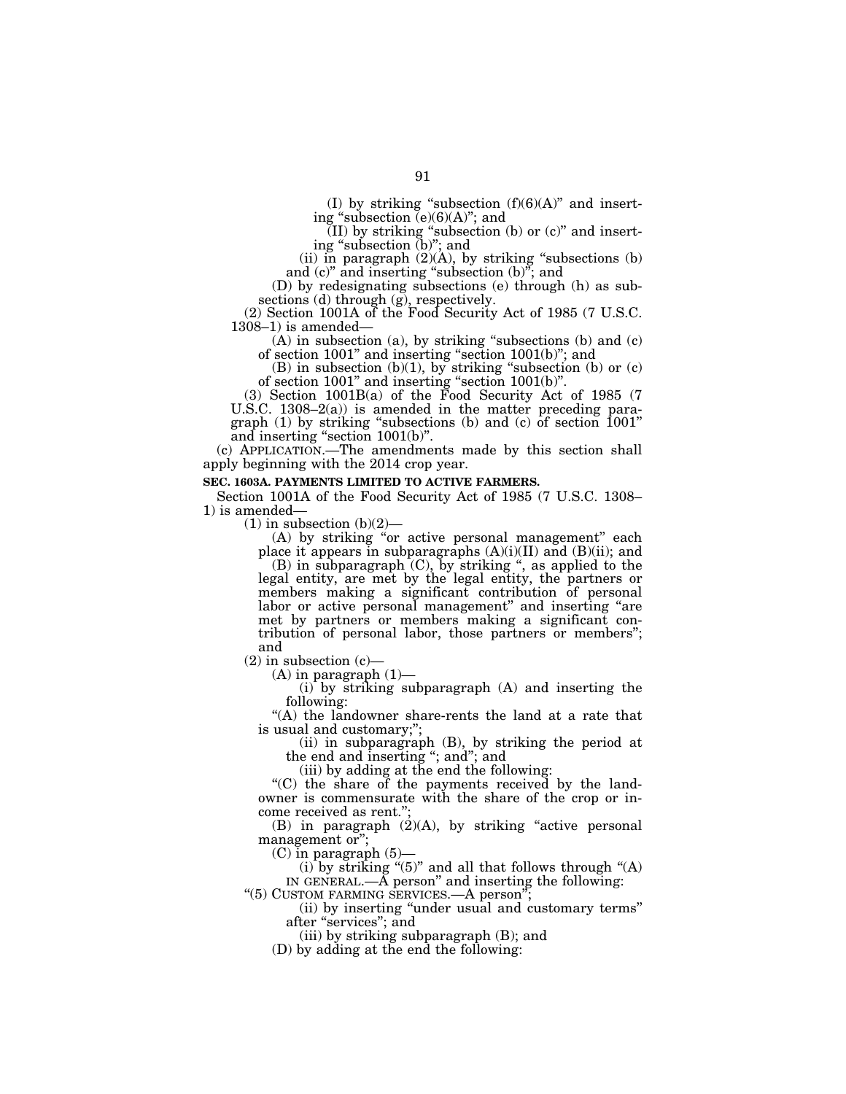(I) by striking "subsection  $(f)(6)(A)$ " and inserting "subsection  $\bar{e}(6)(6)(A)$ "; and

 $(II)$  by striking "subsection (b) or  $(c)$ " and inserting ''subsection (b)''; and

(ii) in paragraph  $(2)(A)$ , by striking "subsections (b) and  $(c)$ " and inserting "subsection  $(b)$ "; and

(D) by redesignating subsections (e) through (h) as subsections (d) through (g), respectively.

(2) Section 1001A of the Food Security Act of 1985 (7 U.S.C. 1308–1) is amended—

 $(A)$  in subsection (a), by striking "subsections (b) and (c) of section 1001'' and inserting ''section 1001(b)''; and

 $(B)$  in subsection  $(b)(1)$ , by striking "subsection  $(b)$  or  $(c)$ of section  $1001$ " and inserting "section  $1001(b)$ ".

(3) Section 1001B(a) of the Food Security Act of 1985 (7 U.S.C. 1308–2(a)) is amended in the matter preceding paragraph (1) by striking ''subsections (b) and (c) of section 1001'' and inserting ''section 1001(b)''.

(c) APPLICATION.—The amendments made by this section shall apply beginning with the 2014 crop year.

## **SEC. 1603A. PAYMENTS LIMITED TO ACTIVE FARMERS.**

Section 1001A of the Food Security Act of 1985 (7 U.S.C. 1308– 1) is amended—

 $(1)$  in subsection  $(b)(2)$ —

(A) by striking "or active personal management" each place it appears in subparagraphs  $(A)(i)(II)$  and  $(B)(ii)$ ; and  $(B)$  in subparagraph  $(C)$ , by striking ", as applied to the

legal entity, are met by the legal entity, the partners or members making a significant contribution of personal labor or active personal management" and inserting "are met by partners or members making a significant contribution of personal labor, those partners or members''; and

 $(2)$  in subsection  $(c)$ –

 $(A)$  in paragraph  $(1)$ —

(i) by striking subparagraph (A) and inserting the following:

"(A) the landowner share-rents the land at a rate that is usual and customary;";

(ii) in subparagraph (B), by striking the period at the end and inserting "; and"; and

(iii) by adding at the end the following:

"(C) the share of the payments received by the landowner is commensurate with the share of the crop or income received as rent.'';

(B) in paragraph  $(2)(A)$ , by striking "active personal management or";

 $(C)$  in paragraph  $(5)$ –

(i) by striking "(5)" and all that follows through "(A) IN GENERAL. $-\tilde{A}$  person" and inserting the following:

"(5) CUSTOM FARMING SERVICES.—A person"

(ii) by inserting ''under usual and customary terms'' after ''services''; and

(iii) by striking subparagraph (B); and

(D) by adding at the end the following: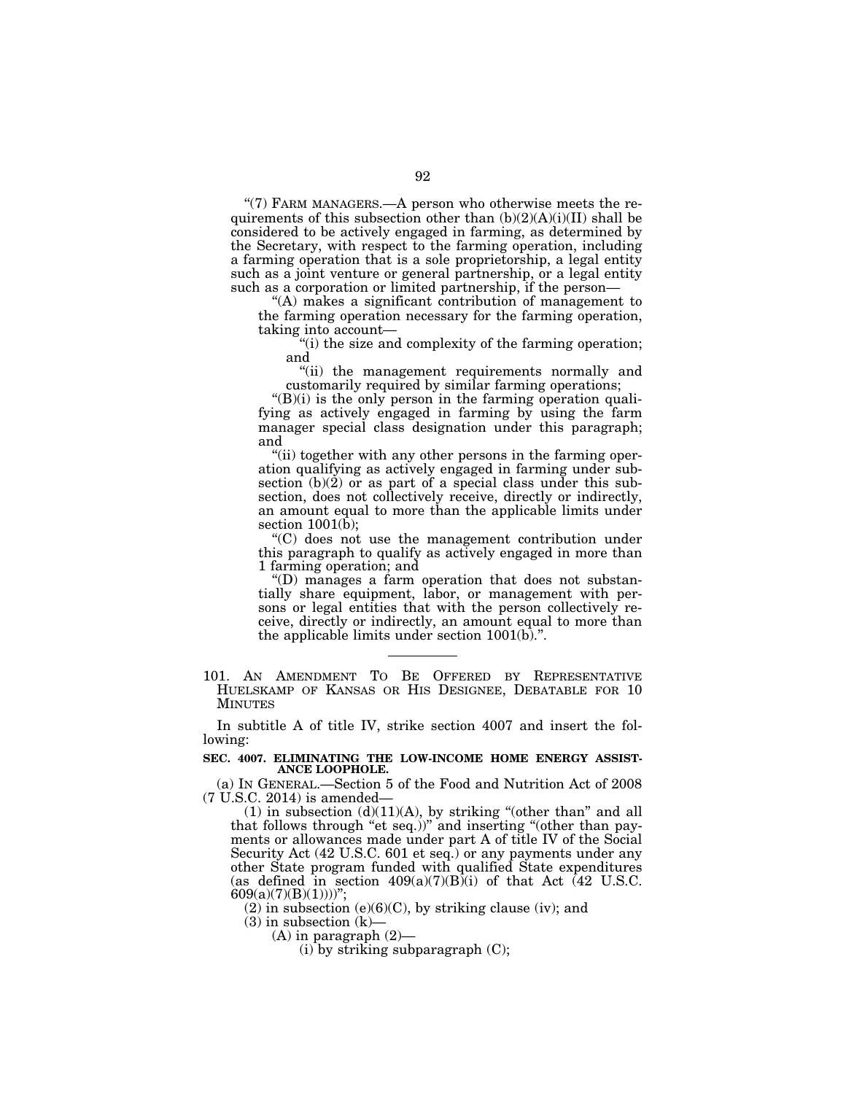" $(7)$  FARM MANAGERS.—A person who otherwise meets the requirements of this subsection other than  $(b)(2)(A)(i)(II)$  shall be considered to be actively engaged in farming, as determined by the Secretary, with respect to the farming operation, including a farming operation that is a sole proprietorship, a legal entity such as a joint venture or general partnership, or a legal entity such as a corporation or limited partnership, if the person—

''(A) makes a significant contribution of management to the farming operation necessary for the farming operation, taking into account—

''(i) the size and complexity of the farming operation; and

''(ii) the management requirements normally and customarily required by similar farming operations;

 $"(B)(i)$  is the only person in the farming operation qualifying as actively engaged in farming by using the farm manager special class designation under this paragraph; and

''(ii) together with any other persons in the farming operation qualifying as actively engaged in farming under subsection (b)(2) or as part of a special class under this subsection, does not collectively receive, directly or indirectly, an amount equal to more than the applicable limits under section  $1001(\bar{b})$ ;

''(C) does not use the management contribution under this paragraph to qualify as actively engaged in more than 1 farming operation; and

''(D) manages a farm operation that does not substantially share equipment, labor, or management with persons or legal entities that with the person collectively receive, directly or indirectly, an amount equal to more than the applicable limits under section 1001(b).''.

101. AN AMENDMENT TO BE OFFERED BY REPRESENTATIVE HUELSKAMP OF KANSAS OR HIS DESIGNEE, DEBATABLE FOR 10 MINUTES

In subtitle A of title IV, strike section 4007 and insert the following:

#### **SEC. 4007. ELIMINATING THE LOW-INCOME HOME ENERGY ASSIST-ANCE LOOPHOLE.**

(a) IN GENERAL.—Section 5 of the Food and Nutrition Act of 2008 (7 U.S.C. 2014) is amended—

(1) in subsection  $(d)(11)(A)$ , by striking "(other than" and all that follows through "et seq.))" and inserting "(other than payments or allowances made under part A of title IV of the Social Security Act (42 U.S.C. 601 et seq.) or any payments under any other State program funded with qualified State expenditures (as defined in section  $409(a)(7)(B)(i)$  of that Act (42 U.S.C.  $609(a)(7)(B)(1))))$ ";

 $(2)$  in subsection  $(e)(6)(C)$ , by striking clause (iv); and

 $(3)$  in subsection  $(k)$ –

 $(A)$  in paragraph  $(2)$ —

 $(i)$  by striking subparagraph  $(C)$ ;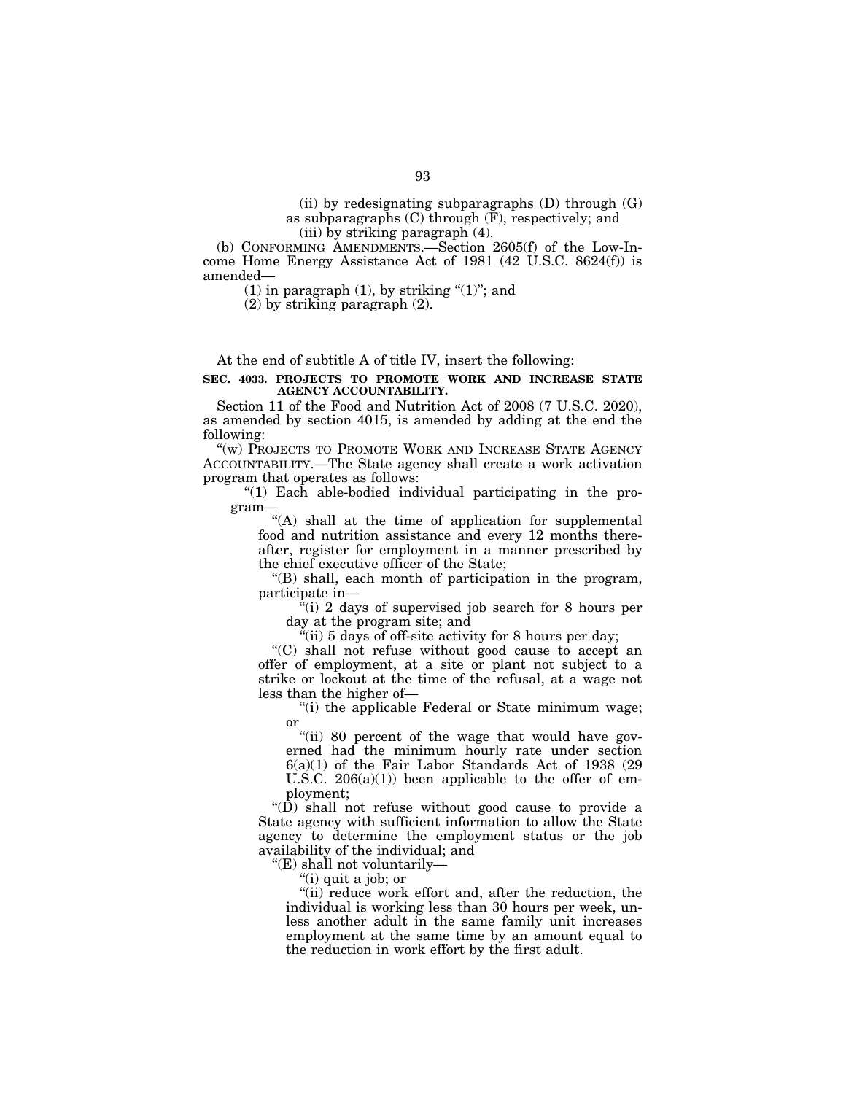(ii) by redesignating subparagraphs  $(D)$  through  $(G)$ as subparagraphs  $(C)$  through  $(F)$ , respectively; and (iii) by striking paragraph (4).

(b) CONFORMING AMENDMENTS.—Section 2605(f) of the Low-Income Home Energy Assistance Act of 1981 (42 U.S.C. 8624(f)) is amended—

(1) in paragraph (1), by striking " $(1)$ "; and

(2) by striking paragraph (2).

At the end of subtitle A of title IV, insert the following:

## **SEC. 4033. PROJECTS TO PROMOTE WORK AND INCREASE STATE AGENCY ACCOUNTABILITY.**

Section 11 of the Food and Nutrition Act of 2008 (7 U.S.C. 2020), as amended by section 4015, is amended by adding at the end the following:

"(w) PROJECTS TO PROMOTE WORK AND INCREASE STATE AGENCY ACCOUNTABILITY.—The State agency shall create a work activation program that operates as follows:

" $(1)$  Each able-bodied individual participating in the program—

"(A) shall at the time of application for supplemental food and nutrition assistance and every 12 months thereafter, register for employment in a manner prescribed by the chief executive officer of the State;

''(B) shall, each month of participation in the program, participate in—

''(i) 2 days of supervised job search for 8 hours per day at the program site; and

 $\ddot{H}$ (ii) 5 days of off-site activity for 8 hours per day;

''(C) shall not refuse without good cause to accept an offer of employment, at a site or plant not subject to a strike or lockout at the time of the refusal, at a wage not less than the higher of—

"(i) the applicable Federal or State minimum wage; or

"(ii) 80 percent of the wage that would have governed had the minimum hourly rate under section 6(a)(1) of the Fair Labor Standards Act of 1938 (29 U.S.C.  $206(a)(1)$  been applicable to the offer of employment;

''(D) shall not refuse without good cause to provide a State agency with sufficient information to allow the State agency to determine the employment status or the job availability of the individual; and

''(E) shall not voluntarily—

''(i) quit a job; or

"(ii) reduce work effort and, after the reduction, the individual is working less than 30 hours per week, unless another adult in the same family unit increases employment at the same time by an amount equal to the reduction in work effort by the first adult.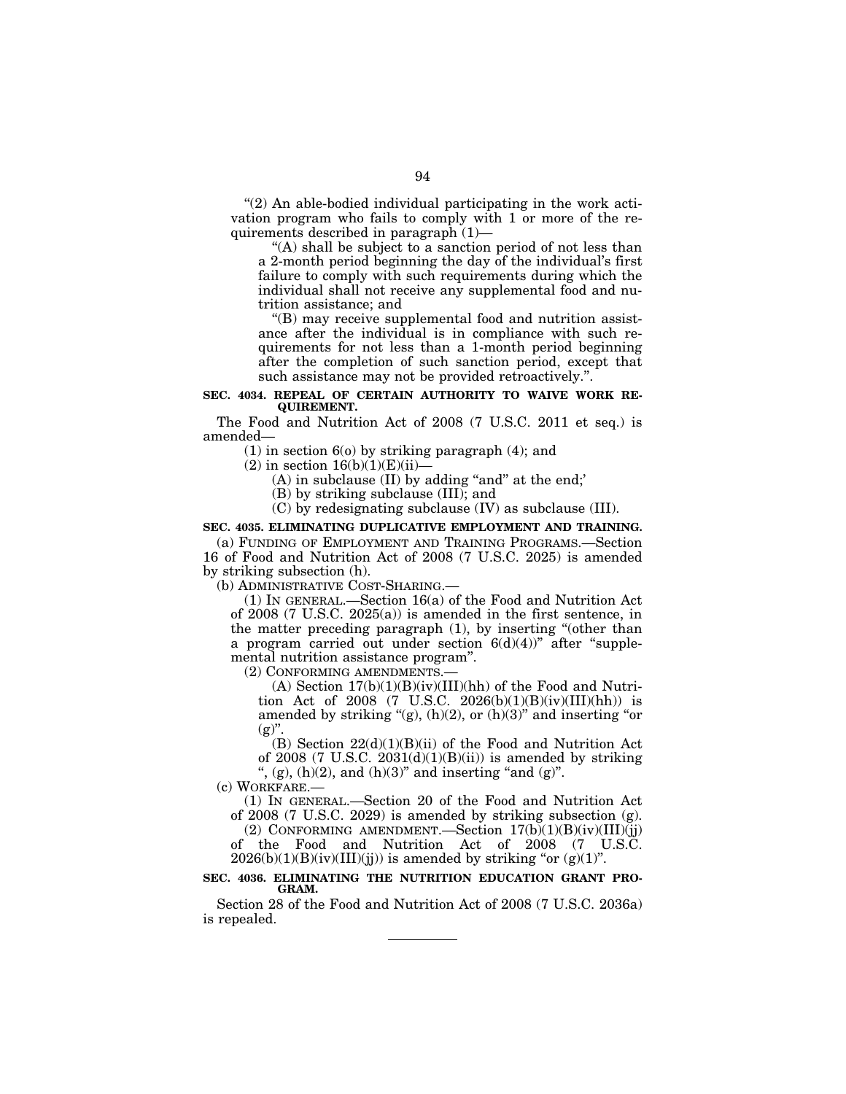$''(2)$  An able-bodied individual participating in the work activation program who fails to comply with 1 or more of the requirements described in paragraph (1)—

''(A) shall be subject to a sanction period of not less than a 2-month period beginning the day of the individual's first failure to comply with such requirements during which the individual shall not receive any supplemental food and nutrition assistance; and

''(B) may receive supplemental food and nutrition assistance after the individual is in compliance with such requirements for not less than a 1-month period beginning after the completion of such sanction period, except that such assistance may not be provided retroactively.''.

## **SEC. 4034. REPEAL OF CERTAIN AUTHORITY TO WAIVE WORK RE-QUIREMENT.**

The Food and Nutrition Act of 2008 (7 U.S.C. 2011 et seq.) is amended—

(1) in section 6(o) by striking paragraph (4); and

 $(2)$  in section  $16(b)(1)(E)(ii)$ 

 $(A)$  in subclause  $(II)$  by adding "and" at the end;

(B) by striking subclause (III); and

(C) by redesignating subclause (IV) as subclause (III).

## **SEC. 4035. ELIMINATING DUPLICATIVE EMPLOYMENT AND TRAINING.**

(a) FUNDING OF EMPLOYMENT AND TRAINING PROGRAMS.—Section 16 of Food and Nutrition Act of 2008 (7 U.S.C. 2025) is amended by striking subsection (h).

(b) ADMINISTRATIVE COST-SHARING.—

(1) IN GENERAL.—Section 16(a) of the Food and Nutrition Act of 2008 (7 U.S.C. 2025(a)) is amended in the first sentence, in the matter preceding paragraph (1), by inserting ''(other than a program carried out under section  $6(d)(4)$ " after "supplemental nutrition assistance program''.

(2) CONFORMING AMENDMENTS.—

(A) Section  $17(b)(1)(B)(iv)(III)(hh)$  of the Food and Nutrition Act of 2008 (7 U.S.C. 2026(b)(1)(B)(iv)(III)(hh)) is amended by striking " $(g)$ ,  $(h)(2)$ , or  $(h)(3)$ " and inserting "or  $(g)$ ".

(B) Section  $22(d)(1)(B)(ii)$  of the Food and Nutrition Act of 2008 (7 U.S.C. 2031(d)(1)(B)(ii)) is amended by striking ",  $(g)$ ,  $(h)(2)$ , and  $(h)(3)$ " and inserting "and  $(g)$ ".

(c) WORKFARE.—

(1) IN GENERAL.—Section 20 of the Food and Nutrition Act of 2008 (7 U.S.C. 2029) is amended by striking subsection (g).

(2) CONFORMING AMENDMENT.—Section  $17(b)(1)(B)(iv)(III)(jj)$ of the Food and Nutrition Act of 2008 (7 U.S.C.  $2026(b)(1)(B)(iv)(III)(jj))$  is amended by striking "or  $(g)(1)$ ".

#### **SEC. 4036. ELIMINATING THE NUTRITION EDUCATION GRANT PRO-GRAM.**

Section 28 of the Food and Nutrition Act of 2008 (7 U.S.C. 2036a) is repealed.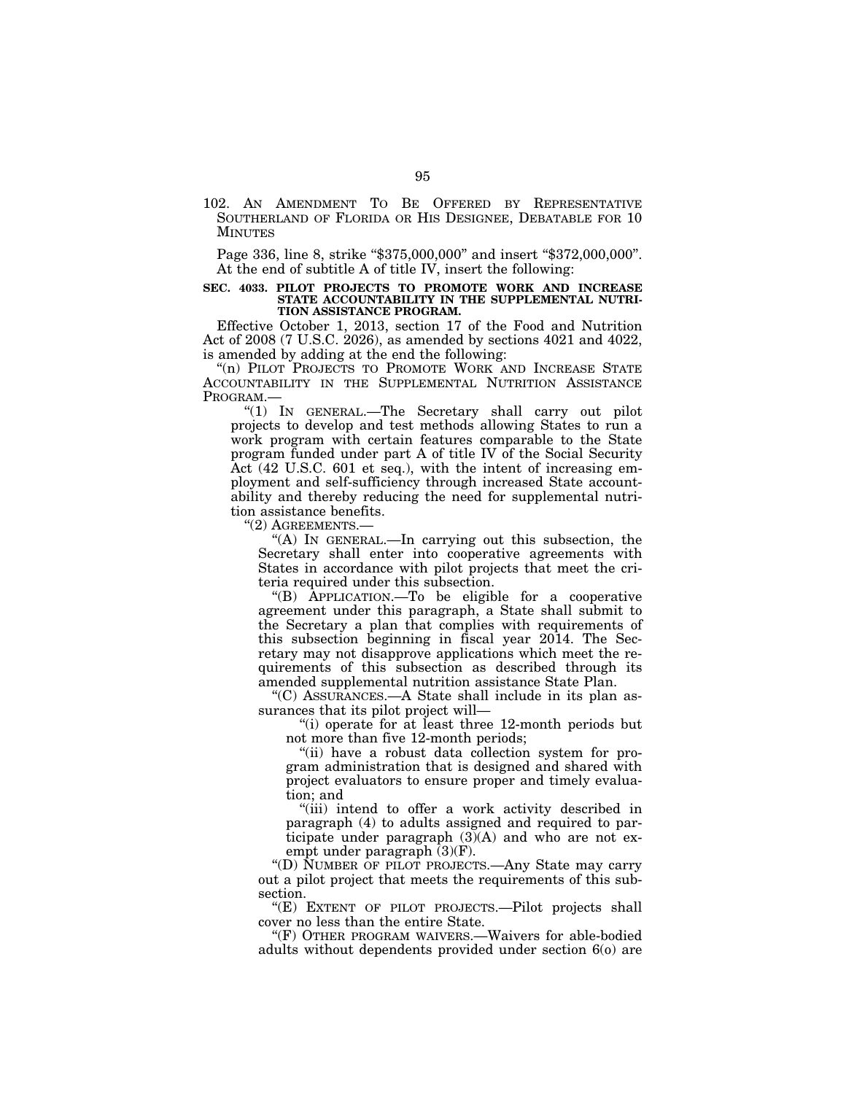102. AN AMENDMENT TO BE OFFERED BY REPRESENTATIVE SOUTHERLAND OF FLORIDA OR HIS DESIGNEE, DEBATABLE FOR 10 MINUTES

Page 336, line 8, strike "\$375,000,000" and insert "\$372,000,000". At the end of subtitle A of title IV, insert the following:

#### **SEC. 4033. PILOT PROJECTS TO PROMOTE WORK AND INCREASE STATE ACCOUNTABILITY IN THE SUPPLEMENTAL NUTRI-TION ASSISTANCE PROGRAM.**

Effective October 1, 2013, section 17 of the Food and Nutrition Act of 2008 (7 U.S.C. 2026), as amended by sections 4021 and 4022, is amended by adding at the end the following:

"(n) PILOT PROJECTS TO PROMOTE WORK AND INCREASE STATE ACCOUNTABILITY IN THE SUPPLEMENTAL NUTRITION ASSISTANCE PROGRAM.—

''(1) IN GENERAL.—The Secretary shall carry out pilot projects to develop and test methods allowing States to run a work program with certain features comparable to the State program funded under part A of title IV of the Social Security Act (42 U.S.C. 601 et seq.), with the intent of increasing employment and self-sufficiency through increased State accountability and thereby reducing the need for supplemental nutrition assistance benefits.

''(2) AGREEMENTS.—

''(A) IN GENERAL.—In carrying out this subsection, the Secretary shall enter into cooperative agreements with States in accordance with pilot projects that meet the criteria required under this subsection.

''(B) APPLICATION.—To be eligible for a cooperative agreement under this paragraph, a State shall submit to the Secretary a plan that complies with requirements of this subsection beginning in fiscal year 2014. The Secretary may not disapprove applications which meet the requirements of this subsection as described through its amended supplemental nutrition assistance State Plan.

''(C) ASSURANCES.—A State shall include in its plan assurances that its pilot project will—

''(i) operate for at least three 12-month periods but not more than five 12-month periods;

''(ii) have a robust data collection system for program administration that is designed and shared with project evaluators to ensure proper and timely evaluation; and

''(iii) intend to offer a work activity described in paragraph (4) to adults assigned and required to participate under paragraph  $(3)(A)$  and who are not exempt under paragraph (3)(F).

''(D) NUMBER OF PILOT PROJECTS.—Any State may carry out a pilot project that meets the requirements of this subsection.

"(E) EXTENT OF PILOT PROJECTS.—Pilot projects shall cover no less than the entire State.

"(F) OTHER PROGRAM WAIVERS.—Waivers for able-bodied adults without dependents provided under section 6(o) are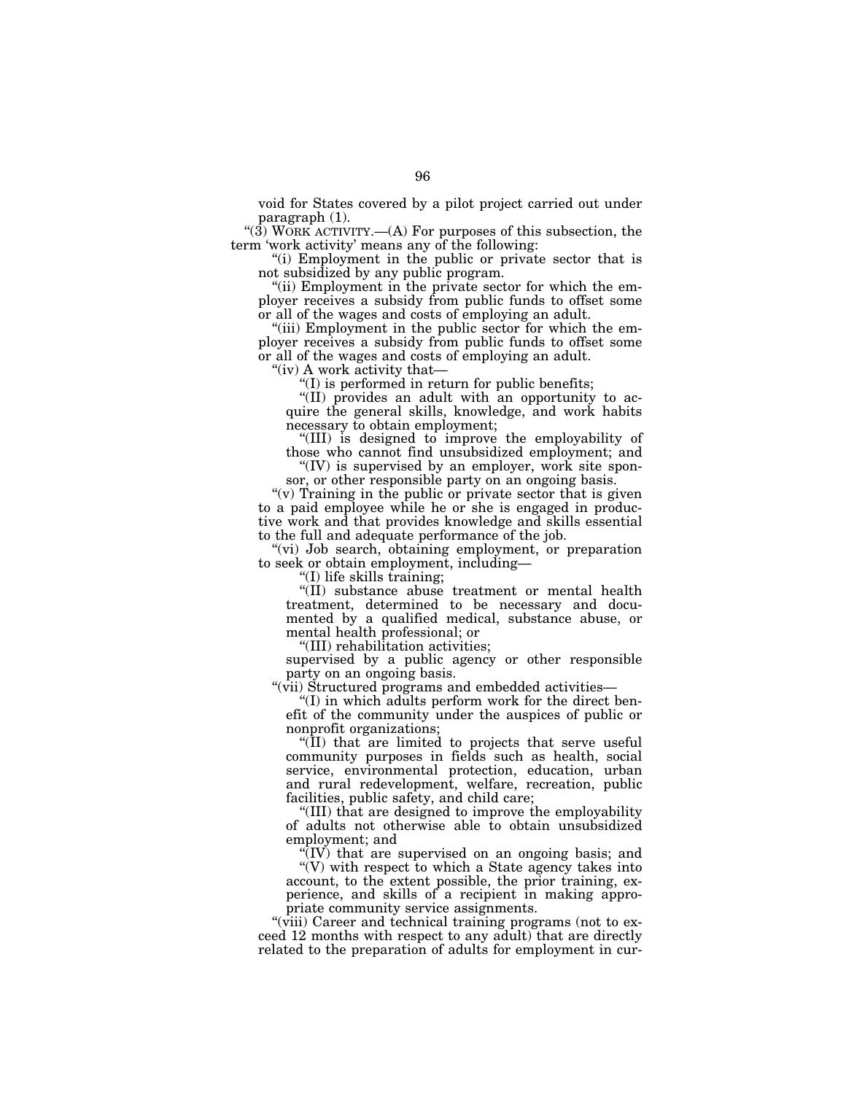void for States covered by a pilot project carried out under paragraph (1).

"(3) WORK ACTIVITY.—(A) For purposes of this subsection, the term 'work activity' means any of the following:

''(i) Employment in the public or private sector that is not subsidized by any public program.

"(ii) Employment in the private sector for which the employer receives a subsidy from public funds to offset some or all of the wages and costs of employing an adult.

"(iii) Employment in the public sector for which the employer receives a subsidy from public funds to offset some or all of the wages and costs of employing an adult.

"(iv) A work activity that-

''(I) is performed in return for public benefits;

"(II) provides an adult with an opportunity to acquire the general skills, knowledge, and work habits necessary to obtain employment;

''(III) is designed to improve the employability of those who cannot find unsubsidized employment; and

" $(IV)$  is supervised by an employer, work site sponsor, or other responsible party on an ongoing basis.

"(v) Training in the public or private sector that is given to a paid employee while he or she is engaged in productive work and that provides knowledge and skills essential to the full and adequate performance of the job.

''(vi) Job search, obtaining employment, or preparation to seek or obtain employment, including—

"(I) life skills training;

''(II) substance abuse treatment or mental health treatment, determined to be necessary and documented by a qualified medical, substance abuse, or mental health professional; or

''(III) rehabilitation activities;

supervised by a public agency or other responsible party on an ongoing basis.

"(vii) Structured programs and embedded activities-

''(I) in which adults perform work for the direct benefit of the community under the auspices of public or nonprofit organizations;

''(II) that are limited to projects that serve useful community purposes in fields such as health, social service, environmental protection, education, urban and rural redevelopment, welfare, recreation, public facilities, public safety, and child care;

''(III) that are designed to improve the employability of adults not otherwise able to obtain unsubsidized employment; and

 $\sqrt{\rm T(V)}$  that are supervised on an ongoing basis; and

''(V) with respect to which a State agency takes into account, to the extent possible, the prior training, experience, and skills of a recipient in making appropriate community service assignments.

"(viii) Career and technical training programs (not to exceed 12 months with respect to any adult) that are directly related to the preparation of adults for employment in cur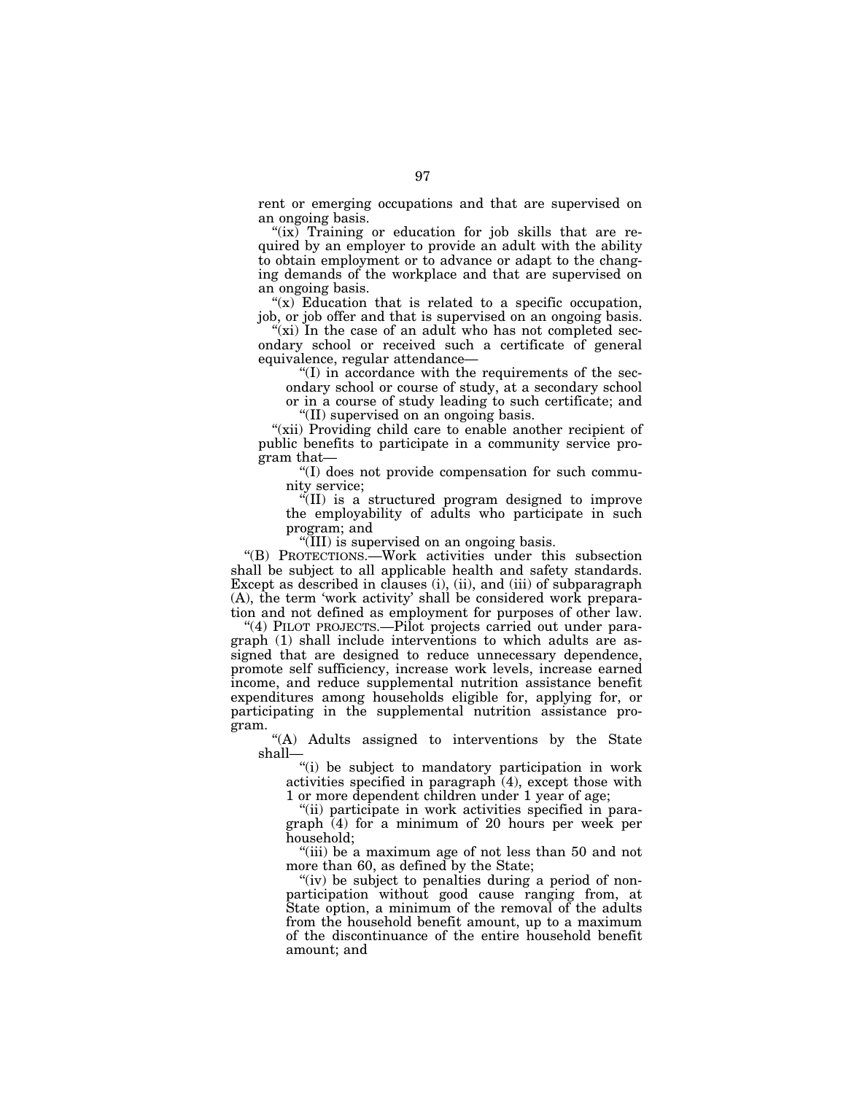rent or emerging occupations and that are supervised on an ongoing basis.

"(ix) Training or education for job skills that are required by an employer to provide an adult with the ability to obtain employment or to advance or adapt to the changing demands of the workplace and that are supervised on an ongoing basis.

" $(x)$  Education that is related to a specific occupation, job, or job offer and that is supervised on an ongoing basis.

" $(xi)$  In the case of an adult who has not completed secondary school or received such a certificate of general equivalence, regular attendance—

 $\degree$ (I) in accordance with the requirements of the secondary school or course of study, at a secondary school or in a course of study leading to such certificate; and ''(II) supervised on an ongoing basis.

"(xii) Providing child care to enable another recipient of public benefits to participate in a community service program that—

''(I) does not provide compensation for such community service;

''(II) is a structured program designed to improve the employability of adults who participate in such program; and

''(III) is supervised on an ongoing basis.

''(B) PROTECTIONS.—Work activities under this subsection shall be subject to all applicable health and safety standards. Except as described in clauses (i), (ii), and (iii) of subparagraph (A), the term 'work activity' shall be considered work preparation and not defined as employment for purposes of other law.

"(4) PILOT PROJECTS.—Pilot projects carried out under paragraph (1) shall include interventions to which adults are assigned that are designed to reduce unnecessary dependence, promote self sufficiency, increase work levels, increase earned income, and reduce supplemental nutrition assistance benefit expenditures among households eligible for, applying for, or participating in the supplemental nutrition assistance program.

''(A) Adults assigned to interventions by the State shall—

''(i) be subject to mandatory participation in work activities specified in paragraph (4), except those with 1 or more dependent children under 1 year of age;

''(ii) participate in work activities specified in paragraph (4) for a minimum of 20 hours per week per household;

''(iii) be a maximum age of not less than 50 and not more than 60, as defined by the State;

"(iv) be subject to penalties during a period of nonparticipation without good cause ranging from, at State option, a minimum of the removal of the adults from the household benefit amount, up to a maximum of the discontinuance of the entire household benefit amount; and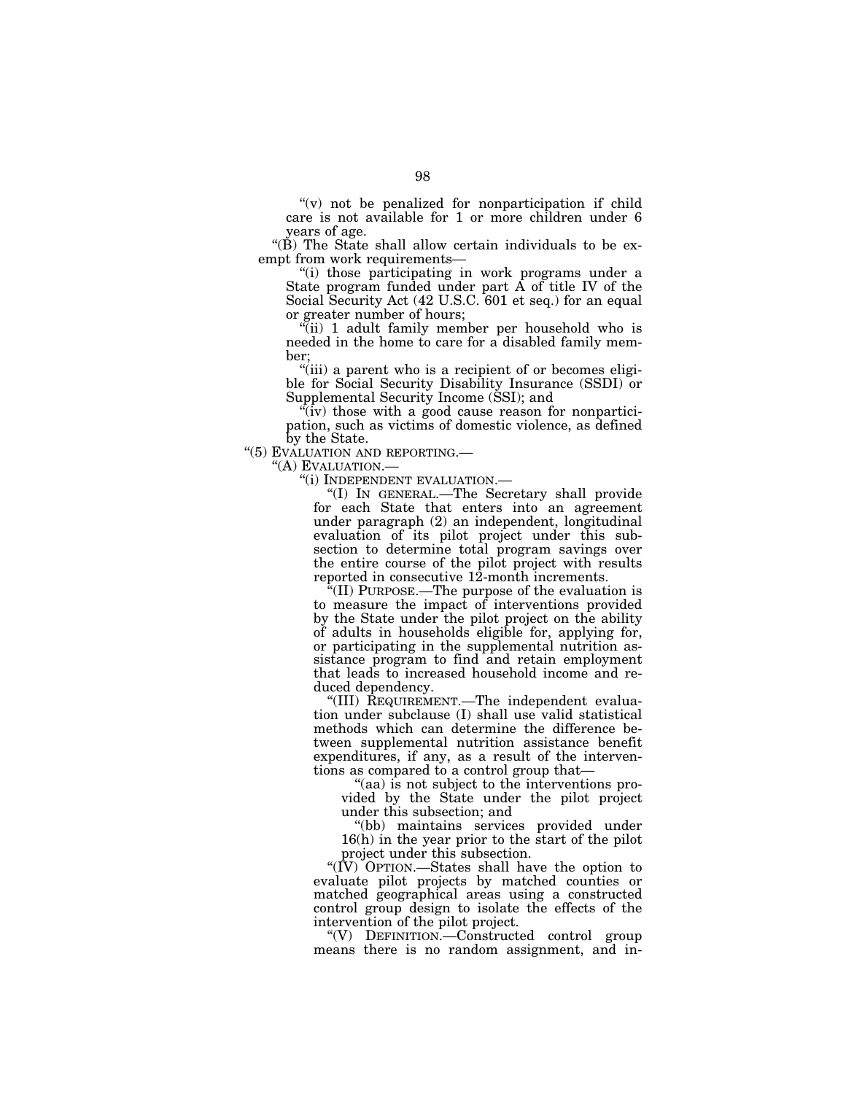$''(v)$  not be penalized for nonparticipation if child care is not available for 1 or more children under 6 years of age.

"(B) The State shall allow certain individuals to be exempt from work requirements—

''(i) those participating in work programs under a State program funded under part A of title IV of the Social Security Act (42 U.S.C. 601 et seq.) for an equal or greater number of hours;

"(ii) 1 adult family member per household who is needed in the home to care for a disabled family member;

''(iii) a parent who is a recipient of or becomes eligible for Social Security Disability Insurance (SSDI) or Supplemental Security Income (SSI); and

 $(iv)$  those with a good cause reason for nonparticipation, such as victims of domestic violence, as defined by the State.

"(5) EVALUATION AND REPORTING.

"(A) EVALUATION.—<br>"(i) INDEPENDENT EVALUATION.—

"(I) IN GENERAL.—The Secretary shall provide for each State that enters into an agreement under paragraph (2) an independent, longitudinal evaluation of its pilot project under this subsection to determine total program savings over the entire course of the pilot project with results reported in consecutive 12-month increments.

''(II) PURPOSE.—The purpose of the evaluation is to measure the impact of interventions provided by the State under the pilot project on the ability of adults in households eligible for, applying for, or participating in the supplemental nutrition assistance program to find and retain employment that leads to increased household income and reduced dependency.

''(III) REQUIREMENT.—The independent evaluation under subclause (I) shall use valid statistical methods which can determine the difference between supplemental nutrition assistance benefit expenditures, if any, as a result of the interventions as compared to a control group that—

''(aa) is not subject to the interventions provided by the State under the pilot project under this subsection; and

''(bb) maintains services provided under 16(h) in the year prior to the start of the pilot project under this subsection.

''(IV) OPTION.—States shall have the option to evaluate pilot projects by matched counties or matched geographical areas using a constructed control group design to isolate the effects of the intervention of the pilot project.

''(V) DEFINITION.—Constructed control group means there is no random assignment, and in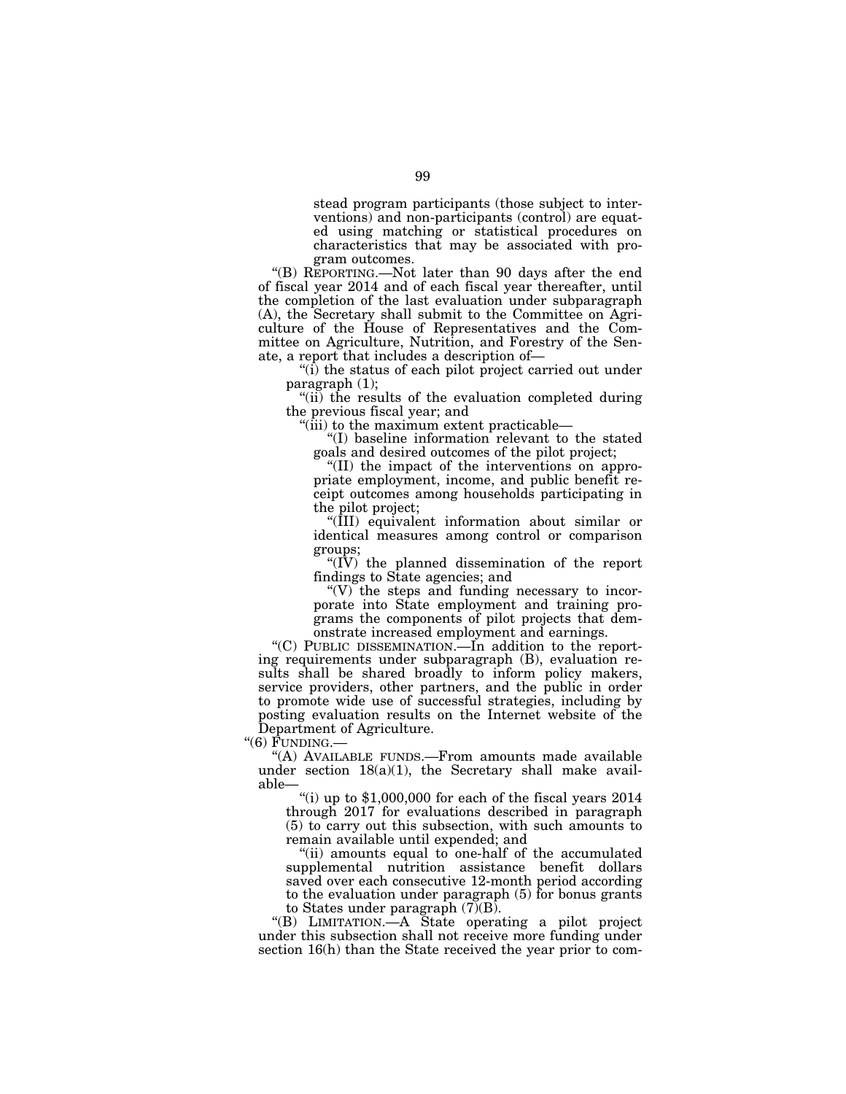stead program participants (those subject to interventions) and non-participants (control) are equated using matching or statistical procedures on characteristics that may be associated with program outcomes.

''(B) REPORTING.—Not later than 90 days after the end of fiscal year 2014 and of each fiscal year thereafter, until the completion of the last evaluation under subparagraph (A), the Secretary shall submit to the Committee on Agriculture of the House of Representatives and the Committee on Agriculture, Nutrition, and Forestry of the Senate, a report that includes a description of—

 $\tilde{f}(i)$  the status of each pilot project carried out under paragraph (1);

''(ii) the results of the evaluation completed during the previous fiscal year; and

''(iii) to the maximum extent practicable—

''(I) baseline information relevant to the stated goals and desired outcomes of the pilot project;

''(II) the impact of the interventions on appropriate employment, income, and public benefit receipt outcomes among households participating in the pilot project;

''(III) equivalent information about similar or identical measures among control or comparison groups;

" $(\overline{IV})$  the planned dissemination of the report findings to State agencies; and

" $(V)$  the steps and funding necessary to incorporate into State employment and training programs the components of pilot projects that demonstrate increased employment and earnings.

''(C) PUBLIC DISSEMINATION.—In addition to the reporting requirements under subparagraph (B), evaluation results shall be shared broadly to inform policy makers, service providers, other partners, and the public in order to promote wide use of successful strategies, including by posting evaluation results on the Internet website of the Department of Agriculture.

" $(6)$   $\overline{F}$ UNDING.-

"(A) AVAILABLE FUNDS.-From amounts made available under section 18(a)(1), the Secretary shall make available—

"(i) up to  $$1,000,000$  for each of the fiscal years  $2014$ through 2017 for evaluations described in paragraph (5) to carry out this subsection, with such amounts to remain available until expended; and

''(ii) amounts equal to one-half of the accumulated supplemental nutrition assistance benefit dollars saved over each consecutive 12-month period according to the evaluation under paragraph (5) for bonus grants to States under paragraph (7)(B).

''(B) LIMITATION.—A State operating a pilot project under this subsection shall not receive more funding under section 16(h) than the State received the year prior to com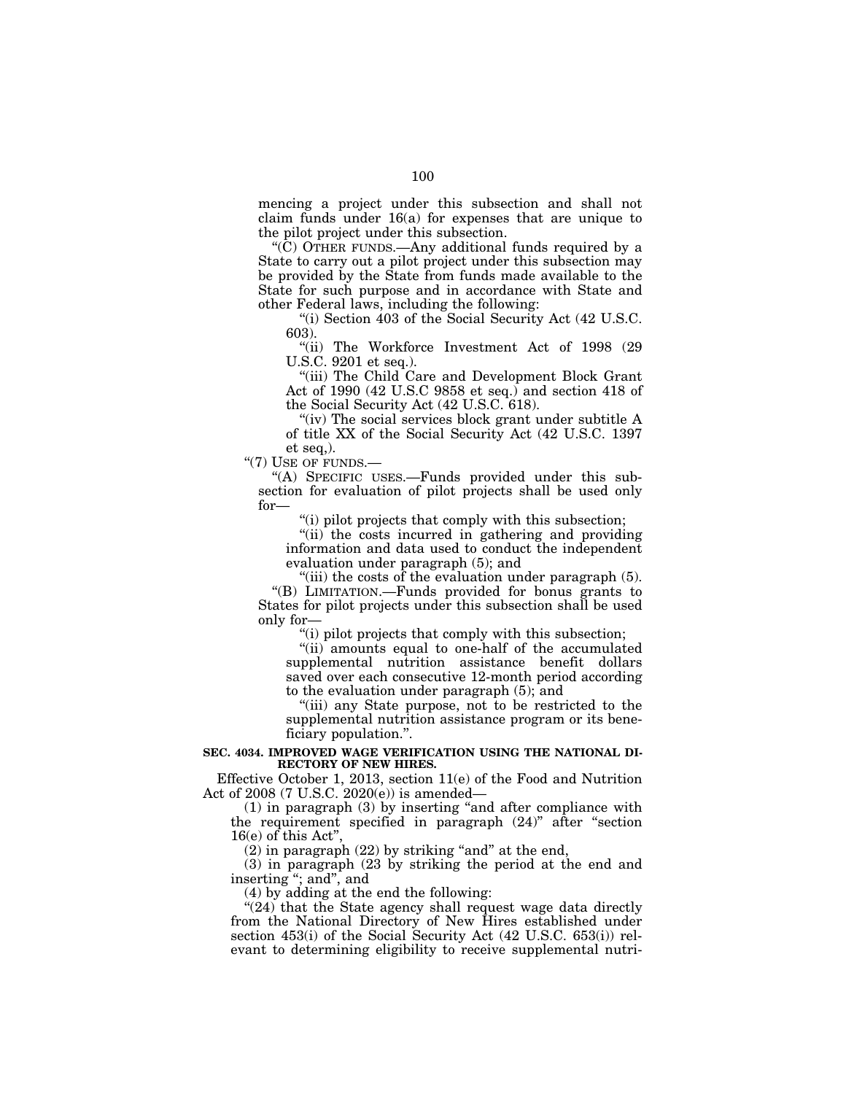mencing a project under this subsection and shall not claim funds under 16(a) for expenses that are unique to the pilot project under this subsection.

''(C) OTHER FUNDS.—Any additional funds required by a State to carry out a pilot project under this subsection may be provided by the State from funds made available to the State for such purpose and in accordance with State and other Federal laws, including the following:

''(i) Section 403 of the Social Security Act (42 U.S.C. 603).

''(ii) The Workforce Investment Act of 1998 (29 U.S.C. 9201 et seq.).

''(iii) The Child Care and Development Block Grant Act of 1990 (42 U.S.C 9858 et seq.) and section 418 of the Social Security Act (42 U.S.C. 618).

"(iv) The social services block grant under subtitle A of title XX of the Social Security Act (42 U.S.C. 1397 et seq,).

"(7) USE OF FUNDS.-

''(A) SPECIFIC USES.—Funds provided under this subsection for evaluation of pilot projects shall be used only for—

''(i) pilot projects that comply with this subsection;

"(ii) the costs incurred in gathering and providing information and data used to conduct the independent evaluation under paragraph (5); and

"(iii) the costs of the evaluation under paragraph (5). ''(B) LIMITATION.—Funds provided for bonus grants to States for pilot projects under this subsection shall be used only for—

 $\mathcal{F}(i)$  pilot projects that comply with this subsection;

''(ii) amounts equal to one-half of the accumulated supplemental nutrition assistance benefit dollars saved over each consecutive 12-month period according to the evaluation under paragraph (5); and

''(iii) any State purpose, not to be restricted to the supplemental nutrition assistance program or its beneficiary population.''.

## **SEC. 4034. IMPROVED WAGE VERIFICATION USING THE NATIONAL DI-RECTORY OF NEW HIRES.**

Effective October 1, 2013, section 11(e) of the Food and Nutrition Act of 2008 (7 U.S.C. 2020(e)) is amended—

(1) in paragraph (3) by inserting ''and after compliance with the requirement specified in paragraph (24)'' after ''section 16(e) of this Act"

 $(2)$  in paragraph  $(22)$  by striking "and" at the end,

(3) in paragraph (23 by striking the period at the end and inserting ''; and'', and

(4) by adding at the end the following:

"(24) that the State agency shall request wage data directly from the National Directory of New Hires established under section 453(i) of the Social Security Act (42 U.S.C. 653(i)) relevant to determining eligibility to receive supplemental nutri